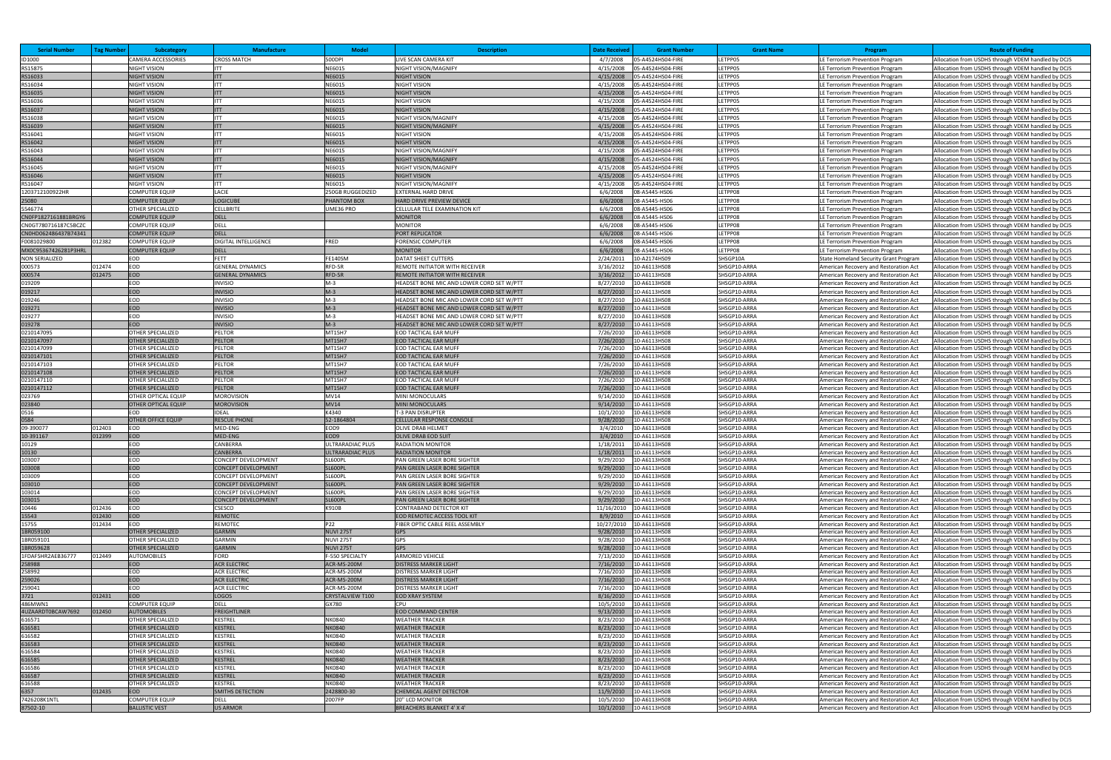| <b>Serial Number</b>  | <b>Tag Number</b> | <b>Subcategory</b>                            | <b>Manufacture</b>                                | <b>Model</b>               | <b>Description</b>                                                                     | <b>Date Receiver</b>   | <b>Grant Number</b>                    | <b>Grant Name</b>            | Program                                                                        | <b>Route of Funding</b>                                                                                  |
|-----------------------|-------------------|-----------------------------------------------|---------------------------------------------------|----------------------------|----------------------------------------------------------------------------------------|------------------------|----------------------------------------|------------------------------|--------------------------------------------------------------------------------|----------------------------------------------------------------------------------------------------------|
| ID1000                |                   | <b>CAMERA ACCESSORIES</b>                     | <b>CROSS MATCH</b>                                | 500DPI                     | LIVE SCAN CAMERA KIT                                                                   | 4/7/2008               | 05-A4524HS04-FIRE                      | LETPP05                      | LE Terrorism Prevention Program                                                | Allocation from USDHS through VDEM handled by DCJS                                                       |
| RS15875               |                   | NIGHT VISION                                  | <b>ITT</b>                                        | NE6015                     | NIGHT VISION/MAGNIFY                                                                   | 4/15/2008              | 05-A4524HS04-FIRE                      | LETPP05                      | LE Terrorism Prevention Program                                                | Allocation from USDHS through VDEM handled by DCJS                                                       |
| RS16033               |                   | <b>NIGHT VISION</b>                           |                                                   | NE6015                     | <b>NIGHT VISION</b>                                                                    | 4/15/2008              | 05-A4524HS04-FIRE                      | ETPP05                       | E Terrorism Prevention Program                                                 | Allocation from USDHS through VDEM handled by DCJS                                                       |
| RS16034               |                   | NIGHT VISION                                  | <b>ITT</b>                                        | NE6015                     | <b>NIGHT VISION</b>                                                                    | 4/15/2008              | 05-A4524HS04-FIRE                      | ETPP05                       | LE Terrorism Prevention Program                                                | Allocation from USDHS through VDEM handled by DCJS                                                       |
| RS16035               |                   | <b>NIGHT VISION</b>                           | <b>ITT</b>                                        | NE6015                     | <b>NIGHT VISION</b>                                                                    | 4/15/2008              | 05-A4524HS04-FIRE                      | LETPP05                      | LE Terrorism Prevention Program                                                | Allocation from USDHS through VDEM handled by DCJS                                                       |
| RS16036               |                   | <b>NIGHT VISION</b>                           |                                                   | <b>NE6015</b>              | <b>NIGHT VISION</b>                                                                    | 4/15/2008              | 05-A4524HS04-FIRE                      | LETPP05                      | LE Terrorism Prevention Program                                                | Allocation from USDHS through VDEM handled by DCJS                                                       |
| RS16037               |                   | <b>NIGHT VISION</b>                           | <b>IITT</b>                                       | NE6015                     | <b>NIGHT VISION</b>                                                                    | 4/15/2008              | 05-A4524HS04-FIRE                      | LETPP05                      | LE Terrorism Prevention Program                                                | Allocation from USDHS through VDEM handled by DCJS                                                       |
| RS16038               |                   | <b>NIGHT VISION</b>                           |                                                   | NE6015                     | NIGHT VISION/MAGNIFY                                                                   | 4/15/2008              | 05-A4524HS04-FIRE                      | LETPP05                      | LE Terrorism Prevention Program                                                | Allocation from USDHS through VDEM handled by DCJS                                                       |
| RS16039               |                   | <b>NIGHT VISION</b>                           | <b>ITT</b>                                        | NE6015                     | <b>NIGHT VISION/MAGNIFY</b>                                                            | 4/15/2008              | 05-A4524HS04-FIRE                      | ETPP05                       | E Terrorism Prevention Program                                                 | Allocation from USDHS through VDEM handled by DCJS                                                       |
| RS16041               |                   | NIGHT VISION                                  | <b>ITT</b>                                        | NE6015                     | <b>NIGHT VISION</b>                                                                    | 4/15/2008              | 05-A4524HS04-FIRE                      | LETPP05                      | LE Terrorism Prevention Program                                                | Allocation from USDHS through VDEM handled by DCJS                                                       |
| RS16042               |                   | <b>NIGHT VISION</b>                           | <b>ITT</b>                                        | NE6015                     | <b>NIGHT VISION</b>                                                                    | 4/15/2008              | 05-A4524HS04-FIRE                      | LETPP05<br>LETPP05           | LE Terrorism Prevention Program                                                | Allocation from USDHS through VDEM handled by DCJS                                                       |
| RS16043<br>RS16044    |                   | NIGHT VISION<br><b>NIGHT VISION</b>           | <b>ITT</b>                                        | NE6015<br><b>NE6015</b>    | NIGHT VISION/MAGNIFY<br><b>NIGHT VISION/MAGNIFY</b>                                    | 4/15/2008<br>4/15/2008 | 05-A4524HS04-FIRE<br>05-A4524HS04-FIRE | LETPP05                      | LE Terrorism Prevention Program<br>LE Terrorism Prevention Program             | Allocation from USDHS through VDEM handled by DCJS<br>Allocation from USDHS through VDEM handled by DCJS |
| RS16045               |                   | <b>NIGHT VISION</b>                           |                                                   | NE6015                     | NIGHT VISION/MAGNIFY                                                                   | 4/15/2008              | 05-A4524HS04-FIRE                      | LETPP05                      | LE Terrorism Prevention Program                                                | Allocation from USDHS through VDEM handled by DCJS                                                       |
| RS16046               |                   | <b>NIGHT VISION</b>                           | <b>IITT</b>                                       | NE6015                     | <b>NIGHT VISION</b>                                                                    | 4/15/2008              | 05-A4524HS04-FIRE                      | LETPP05                      | LE Terrorism Prevention Program                                                | Allocation from USDHS through VDEM handled by DCJS                                                       |
| RS16047               |                   | NIGHT VISION                                  |                                                   | <b>NE6015</b>              | <b>NIGHT VISION/MAGNIFY</b>                                                            | 4/15/2008              | 05-A4524HS04-FIRE                      | LETPP05                      | LE Terrorism Prevention Program                                                | Allocation from USDHS through VDEM handled by DCJS                                                       |
| 1203712100922HR       |                   | COMPUTER EQUIP                                | <b>LACIE</b>                                      | 250GB RUGGEDIZED           | <b>EXTERNAL HARD DRIVE</b>                                                             | 6/6/2008               | 08-A5445-HS06                          | LETPP08                      | LE Terrorism Prevention Program                                                | Allocation from USDHS through VDEM handled by DCJS                                                       |
| 25080                 |                   | <b>COMPUTER EQUIP</b>                         | <b>LOGICUBE</b>                                   | PHANTOM BOX                | <b>HARD DRIVE PREVIEW DEVICE</b>                                                       | 6/6/2008               | 08-A5445-HS06                          | LETPP08                      | LE Terrorism Prevention Program                                                | Allocation from USDHS through VDEM handled by DCJS                                                       |
| 5546774               |                   | OTHER SPECIALIZED                             | <b>CELLBRITE</b>                                  | JME36 PRO                  | CELLULAR TELE EXAMINATION KIT                                                          | 6/6/2008               | 08-A5445-HS06                          | ETPP08                       | LE Terrorism Prevention Program                                                | Allocation from USDHS through VDEM handled by DCJS                                                       |
| CN0FP1827161881BRGY6  |                   | <b>COMPUTER EQUIP</b>                         | DELL                                              |                            | <b>MONITOR</b>                                                                         | 6/6/2008               | 08-A5445-HS06                          | LETPP08                      | LE Terrorism Prevention Program                                                | Allocation from USDHS through VDEM handled by DCJS                                                       |
| CN0GT780716187C5BCZC  |                   | <b>COMPUTER EQUIP</b>                         | <b>DELL</b>                                       |                            | <b>MONITOR</b>                                                                         | 6/6/2008               | 08-A5445-HS06                          | LETPP08                      | LE Terrorism Prevention Program                                                | Allocation from USDHS through VDEM handled by DCJS                                                       |
| CN0HD062486437B74341  |                   | <b>COMPUTER EQUIP</b>                         | <b>DELL</b>                                       |                            | PORT REPLICATOR                                                                        | 6/6/2008               | 08-A5445-HS06                          | LETPP08                      | LE Terrorism Prevention Program                                                | Allocation from USDHS through VDEM handled by DCJS                                                       |
| F0081029800           | 012382            | <b>COMPUTER EQUIP</b>                         | DIGITAL INTELLIGENCE                              | FRED                       | FORENSIC COMPUTER                                                                      | 6/6/2008               | 08-A5445-HS06                          | ETPP08                       | E Terrorism Prevention Program                                                 | Allocation from USDHS through VDEM handled by DCJS                                                       |
| MX0C95367426281P3HRL  |                   | <b>COMPUTER EQUIP</b>                         | <b>DELL</b>                                       |                            | <b>MONITOR</b>                                                                         | 6/6/2008               | 08-A5445-HS06                          | ETPP08                       | LE Terrorism Prevention Program                                                | Allocation from USDHS through VDEM handled by DCJS                                                       |
| <b>NON SERIALIZED</b> |                   | EOD                                           | <b>FETT</b>                                       | <b>FE140SM</b>             | <b>DATAT SHEET CUTTERS</b>                                                             | 2/24/2011              | 10-A2174HS09                           | SHSGP10A                     | <b>State Homeland Security Grant Program</b>                                   | Allocation from USDHS through VDEM handled by DCJS                                                       |
| 000573                | 012474            | EOD                                           | <b>GENERAL DYNAMICS</b>                           | RFD-5R                     | REMOTE INITIATOR WITH RECEIVER                                                         | 3/16/2012              | 10-A6113HS08                           | SHSGP10-ARRA                 | American Recovery and Restoration Act                                          | Allocation from USDHS through VDEM handled by DCJS                                                       |
| 000574                | 012475            | <b>EOD</b>                                    | <b>GENERAL DYNAMICS</b>                           | RFD-5R                     | <b>REMOTE INITIATOR WITH RECEIVER</b>                                                  | 3/16/2012              | 10-A6113HS08                           | SHSGP10-ARRA                 | American Recovery and Restoration Act                                          | Allocation from USDHS through VDEM handled by DCJS                                                       |
| 019209                |                   | EOD                                           | <b>INVISIO</b>                                    | $M-3$                      | HEADSET BONE MIC AND LOWER CORD SET W/PTT                                              | 8/27/2010              | 10-A6113HS08                           | SHSGP10-ARRA                 | American Recovery and Restoration Act                                          | Allocation from USDHS through VDEM handled by DCJS                                                       |
| 019217                |                   | <b>EOD</b><br>EOD                             | <b>INVISIO</b>                                    | $M-3$<br>$M-3$             | HEADSET BONE MIC AND LOWER CORD SET W/PTT                                              | 8/27/2010              | 10-A6113HS08                           | SHSGP10-ARRA                 | American Recovery and Restoration Act                                          | Allocation from USDHS through VDEM handled by DCJS                                                       |
| 019246<br>019271      |                   | EOD                                           | <b>INVISIO</b><br><b>INVISIO</b>                  | $M-3$                      | HEADSET BONE MIC AND LOWER CORD SET W/PTT                                              | 8/27/2010              | 10-A6113HS08                           | SHSGP10-ARRA<br>SHSGP10-ARRA | American Recovery and Restoration Act                                          | Allocation from USDHS through VDEM handled by DCJS                                                       |
| 019277                |                   | EOD                                           | <b>INVISIO</b>                                    | $M-3$                      | HEADSET BONE MIC AND LOWER CORD SET W/PTT<br>HEADSET BONE MIC AND LOWER CORD SET W/PTT | 8/27/2010<br>8/27/2010 | 10-A6113HS08<br>10-A6113HS08           | SHSGP10-ARRA                 | American Recovery and Restoration Act<br>American Recovery and Restoration Act | Allocation from USDHS through VDEM handled by DCJS<br>Allocation from USDHS through VDEM handled by DCJS |
| 019278                |                   | <b>EOD</b>                                    | <b>INVISIO</b>                                    | $M-3$                      | HEADSET BONE MIC AND LOWER CORD SET W/PTT                                              | 8/27/2010              | 10-A6113HS08                           | SHSGP10-ARRA                 | American Recovery and Restoration Act                                          | Allocation from USDHS through VDEM handled by DCJS                                                       |
| 0210147095            |                   | OTHER SPECIALIZED                             | PELTOR                                            | MT15H7                     | EOD TACTICAL EAR MUFF                                                                  | 7/26/2010              | 10-A6113HS08                           | SHSGP10-ARRA                 | American Recovery and Restoration Act                                          | Allocation from USDHS through VDEM handled by DCJS                                                       |
| 0210147097            |                   | <b>OTHER SPECIALIZED</b>                      | PELTOR                                            | MT15H7                     | <b>EOD TACTICAL EAR MUFF</b>                                                           | 7/26/2010              | 10-A6113HS08                           | SHSGP10-ARRA                 | American Recovery and Restoration Act                                          | Allocation from USDHS through VDEM handled by DCJS                                                       |
| 0210147099            |                   | OTHER SPECIALIZED                             | <b>PELTOR</b>                                     | MT15H7                     | <b>EOD TACTICAL EAR MUFF</b>                                                           | 7/26/2010              | 10-A6113HS08                           | SHSGP10-ARRA                 | American Recovery and Restoration Act                                          | Allocation from USDHS through VDEM handled by DCJS                                                       |
| 0210147101            |                   | <b>OTHER SPECIALIZED</b>                      | PELTOR                                            | MT15H7                     | EOD TACTICAL EAR MUFF                                                                  | 7/26/2010              | 10-A6113HS08                           | SHSGP10-ARRA                 | American Recovery and Restoration Act                                          | Allocation from USDHS through VDEM handled by DCJS                                                       |
| 0210147103            |                   | OTHER SPECIALIZED                             | PELTOR                                            | MT15H7                     | <b>EOD TACTICAL EAR MUFF</b>                                                           | 7/26/2010              | 10-A6113HS08                           | SHSGP10-ARRA                 | American Recovery and Restoration Act                                          | Allocation from USDHS through VDEM handled by DCJS                                                       |
| 0210147108            |                   | <b>OTHER SPECIALIZED</b>                      | <b>PELTOR</b>                                     | MT15H7                     | <b>EOD TACTICAL EAR MUFF</b>                                                           | 7/26/2010              | 10-A6113HS08                           | SHSGP10-ARRA                 | American Recovery and Restoration Act                                          | Allocation from USDHS through VDEM handled by DCJS                                                       |
| 0210147110            |                   | OTHER SPECIALIZED                             | <b>PELTOR</b>                                     | MT15H7                     | EOD TACTICAL EAR MUFF                                                                  | 7/26/2010              | 10-A6113HS08                           | SHSGP10-ARRA                 | American Recovery and Restoration Act                                          | Allocation from USDHS through VDEM handled by DCJS                                                       |
| 0210147112            |                   | OTHER SPECIALIZED                             | <b>PELTOR</b>                                     | MT15H7                     | <b>EOD TACTICAL EAR MUFF</b>                                                           | 7/26/2010              | 10-A6113HS08                           | SHSGP10-ARRA                 | American Recovery and Restoration Act                                          | Allocation from USDHS through VDEM handled by DCJS                                                       |
| 023769<br>023840      |                   | OTHER OPTICAL EQUIP<br>OTHER OPTICAL EQUIP    | <b>MOROVISION</b><br><b>MOROVISION</b>            | MV14<br><b>MV14</b>        | <b>MINI MONOCULARS</b><br><b>MINI MONOCULARS</b>                                       | 9/14/2010<br>9/14/2010 | 10-A6113HS08<br>10-A6113HS08           | SHSGP10-ARRA<br>SHSGP10-ARRA | American Recovery and Restoration Act<br>American Recovery and Restoration Act | Allocation from USDHS through VDEM handled by DCJS<br>Allocation from USDHS through VDEM handled by DCJS |
| 0516                  |                   | EOD                                           | <b>IDEAL</b>                                      | K4340                      | <b>T-3 PAN DISRUPTER</b>                                                               | 10/1/2010              | 10-A6113HS08                           | SHSGP10-ARRA                 | American Recovery and Restoration Act                                          | Allocation from USDHS through VDEM handled by DCJS                                                       |
| 0584                  |                   | OTHER OFFICE EQUIP                            | <b>RESCUE PHONE</b>                               | 52-1864804                 | <b>CELLULAR RESPONSE CONSOLE</b>                                                       | 9/28/2010              | 10-A6113HS08                           | SHSGP10-ARRA                 | American Recovery and Restoration Act                                          | Allocation from USDHS through VDEM handled by DCJS                                                       |
| 09-390077             | 012403            | EOD                                           | MED-ENG                                           | EOD9                       | <b>OLIVE DRAB HELMET</b>                                                               | 3/4/2010               | 10-A6113HS08                           | SHSGP10-ARRA                 | American Recovery and Restoration Act                                          | Allocation from USDHS through VDEM handled by DCJS                                                       |
| 10-391167             | 012399            | <b>EOD</b>                                    | MED-ENG                                           | EOD9                       | <b>OLIVE DRAB EOD SUIT</b>                                                             | 3/4/2010               | 10-A6113HS08                           | SHSGP10-ARRA                 | American Recovery and Restoration Act                                          | Allocation from USDHS through VDEM handled by DCJS                                                       |
| 10129                 |                   | EOD                                           | CANBERRA                                          | <b>JLTRARADIAC PLUS</b>    | <b>RADIATION MONITOR</b>                                                               | 1/18/2011              | 10-A6113HS08                           | SHSGP10-ARRA                 | American Recovery and Restoration Act                                          | Allocation from USDHS through VDEM handled by DCJS                                                       |
| 10130                 |                   | <b>EOD</b>                                    | <b>CANBERRA</b>                                   | <b>JLTRARADIAC PLUS</b>    | <b>RADIATION MONITOR</b>                                                               | 1/18/2011              | 10-A6113HS08                           | SHSGP10-ARRA                 | American Recovery and Restoration Act                                          | Allocation from USDHS through VDEM handled by DCJS                                                       |
| 103007                |                   | EOD                                           | <b>CONCEPT DEVELOPMENT</b>                        | SL600PL                    | PAN GREEN LASER BORE SIGHTER                                                           | 9/29/2010              | 10-A6113HS08                           | SHSGP10-ARRA                 | American Recovery and Restoration Act                                          | Allocation from USDHS through VDEM handled by DCJS                                                       |
| 103008                |                   | <b>EOD</b>                                    | <b>CONCEPT DEVELOPMENT</b>                        | SL600PL                    | PAN GREEN LASER BORE SIGHTER                                                           | 9/29/2010              | 10-A6113HS08                           | SHSGP10-ARRA                 | American Recovery and Restoration Act                                          | Allocation from USDHS through VDEM handled by DCJS                                                       |
| 103009<br>103010      |                   | EOD<br><b>EOD</b>                             | CONCEPT DEVELOPMENT<br><b>CONCEPT DEVELOPMENT</b> | SL600PL<br>SL600PL         | PAN GREEN LASER BORE SIGHTER                                                           | 9/29/2010<br>9/29/2010 | 10-A6113HS08                           | SHSGP10-ARRA<br>SHSGP10-ARRA | American Recovery and Restoration Act                                          | Allocation from USDHS through VDEM handled by DCJS                                                       |
| 103014                |                   | EOD                                           | <b>CONCEPT DEVELOPMENT</b>                        | SL600PL                    | <b>PAN GREEN LASER BORE SIGHTER</b><br>PAN GREEN LASER BORE SIGHTER                    | 9/29/2010              | 10-A6113HS08<br>10-A6113HS08           | SHSGP10-ARRA                 | American Recovery and Restoration Act<br>American Recovery and Restoration Act | Allocation from USDHS through VDEM handled by DCJS<br>Allocation from USDHS through VDEM handled by DCJS |
| 103015                |                   | <b>EOD</b>                                    | <b>CONCEPT DEVELOPMENT</b>                        | SL600PL                    | PAN GREEN LASER BORE SIGHTER                                                           | 9/29/2010              | 10-A6113HS08                           | SHSGP10-ARRA                 | American Recovery and Restoration Act                                          | Allocation from USDHS through VDEM handled by DCJS                                                       |
| 10446                 | 012436            | EOD                                           | CSESCO                                            | K910B                      | <b>CONTRABAND DETECTOR KIT</b>                                                         | 11/16/2010             | 10-A6113HS08                           | SHSGP10-ARRA                 | American Recovery and Restoration Act                                          | Allocation from USDHS through VDEM handled by DCJS                                                       |
| 15543                 | 012430            | <b>EOD</b>                                    | <b>REMOTEC</b>                                    |                            | <b>EOD REMOTEC ACCESS TOOL KIT</b>                                                     | 8/9/2010               | 10-A6113HS08                           | SHSGP10-ARRA                 | American Recovery and Restoration Act                                          | Allocation from USDHS through VDEM handled by DCJS                                                       |
| 15755                 | 012434            | EOD                                           | REMOTEC                                           | P22                        | FIBER OPTIC CABLE REEL ASSEMBLY                                                        | 10/27/2010             | 10-A6113HS08                           | SHSGP10-ARRA                 | American Recovery and Restoration Act                                          | Allocation from USDHS through VDEM handled by DCJS                                                       |
| 1BR059100             |                   | <b>OTHER SPECIALIZED</b>                      | <b>GARMIN</b>                                     | <b>NUVI 275T</b>           | <b>GPS</b>                                                                             | 9/28/2010              | 10-A6113HS08                           | SHSGP10-ARRA                 | American Recovery and Restoration Act                                          | Allocation from USDHS through VDEM handled by DCJS                                                       |
| 1BR059101             |                   | OTHER SPECIALIZED                             | <b>GARMIN</b>                                     | <b>NUVI 275T</b>           | <b>GPS</b>                                                                             | 9/28/2010              | 10-A6113HS08                           | SHSGP10-ARRA                 | American Recovery and Restoration Act                                          | Allocation from USDHS through VDEM handled by DCJS                                                       |
| 1BR059628             |                   | <b>OTHER SPECIALIZED</b>                      | GARMIN                                            | <b>NUVI 275T</b>           | <b>GPS</b>                                                                             | 9/28/2010              | 10-A6113HS08                           | SHSGP10-ARRA                 | American Recovery and Restoration Act                                          | Allocation from USDHS through VDEM handled by DCJS                                                       |
| 1FDAF5HR2AEB36777     | 012449            | <b>AUTOMOBILES</b>                            | FORD                                              | F-550 SPECIALTY            | <b>ARMORED VEHICLE</b>                                                                 | 7/13/2010              | 10-A6113HS08                           | SHSGP10-ARRA                 | American Recovery and Restoration Act                                          | Allocation from USDHS through VDEM handled by DCJS                                                       |
| 258988<br>258992      |                   | <b>EOD</b><br>EOD                             | <b>ACR ELECTRIC</b><br><b>ACR ELECTRIC</b>        | ACR-MS-200M<br>ACR-MS-200M | <b>DISTRESS MARKER LIGHT</b><br><b>DISTRESS MARKER LIGHT</b>                           | 7/16/2010<br>7/16/2010 | 10-A6113HS08<br>10-A6113HS08           | SHSGP10-ARRA<br>SHSGP10-ARRA | American Recovery and Restoration Act<br>American Recovery and Restoration Act | Allocation from USDHS through VDEM handled by DCJS<br>Allocation from USDHS through VDEM handled by DCJS |
| 259026                |                   | <b>EOD</b>                                    | <b>ACR ELECTRIC</b>                               | ACR-MS-200M                | <b>DISTRESS MARKER LIGHT</b>                                                           | 7/16/2010              | 10-A6113HS08                           | SHSGP10-ARRA                 | American Recovery and Restoration Act                                          | Allocation from USDHS through VDEM handled by DCJS                                                       |
| 259041                |                   | EOD                                           | <b>ACR ELECTRIC</b>                               | ACR-MS-200M                | <b>DISTRESS MARKER LIGHT</b>                                                           | 7/16/2010              | 10-A6113HS08                           | SHSGP10-ARRA                 | American Recovery and Restoration Act                                          | Allocation from USDHS through VDEM handled by DCJS                                                       |
| 3721                  | 012431            | <b>EOD</b>                                    | <b>LOGOS</b>                                      | CRYSTALVIEW T100           | <b>EOD XRAY SYSTEM</b>                                                                 | 8/16/2010              | 10-A6113HS08                           | SHSGP10-ARRA                 | American Recovery and Restoration Act                                          | Allocation from USDHS through VDEM handled by DCJS                                                       |
| 486MWN1               |                   | COMPUTER EQUIP                                | <b>DELL</b>                                       | GX780                      | CPU                                                                                    | 10/5/2010              | 10-A6113HS08                           | SHSGP10-ARRA                 | American Recovery and Restoration Act                                          | Allocation from USDHS through VDEM handled by DCJS                                                       |
| 4UZAARDT0BCAW7692     | 012450            | <b>AUTOMOBILES</b>                            | <b>FREIGHTLINER</b>                               |                            | <b>EOD COMMAND CENTER</b>                                                              | 9/13/2010              | 10-A6113HS08                           | SHSGP10-ARRA                 | American Recovery and Restoration Act                                          | Allocation from USDHS through VDEM handled by DCJS                                                       |
| 616571                |                   | OTHER SPECIALIZED                             | <b>KESTREL</b>                                    | NK0840                     | <b>WEATHER TRACKER</b>                                                                 | 8/23/2010              | 10-A6113HS08                           | SHSGP10-ARRA                 | American Recovery and Restoration Act                                          | Allocation from USDHS through VDEM handled by DCJS                                                       |
| 616581                |                   | <b>OTHER SPECIALIZED</b>                      | KESTREL                                           | NK0840                     | <b>WEATHER TRACKER</b>                                                                 | 8/23/2010              | 10-A6113HS08                           | SHSGP10-ARRA                 | American Recovery and Restoration Act                                          | Allocation from USDHS through VDEM handled by DCJS                                                       |
| 616582                |                   | OTHER SPECIALIZED                             | <b>KESTREL</b>                                    | NK0840                     | <b>WEATHER TRACKER</b>                                                                 | 8/23/2010              | 10-A6113HS08                           | SHSGP10-ARRA                 | American Recovery and Restoration Act                                          | Allocation from USDHS through VDEM handled by DCJS                                                       |
| 616583<br>616584      |                   | <b>OTHER SPECIALIZED</b><br>OTHER SPECIALIZED | KESTREL<br><b>KESTREL</b>                         | NK0840<br>NK0840           | <b>WEATHER TRACKER</b><br><b>WEATHER TRACKER</b>                                       | 8/23/2010<br>8/23/2010 | 10-A6113HS08                           | SHSGP10-ARRA<br>SHSGP10-ARRA | American Recovery and Restoration Act                                          | Allocation from USDHS through VDEM handled by DCJS                                                       |
| 616585                |                   | <b>OTHER SPECIALIZED</b>                      | KESTREL                                           | NK0840                     | <b>WEATHER TRACKER</b>                                                                 | 8/23/2010              | 10-A6113HS08<br>10-A6113HS08           | SHSGP10-ARRA                 | American Recovery and Restoration Act<br>American Recovery and Restoration Act | Allocation from USDHS through VDEM handled by DCJS<br>Allocation from USDHS through VDEM handled by DCJS |
| 616586                |                   | OTHER SPECIALIZED                             | <b>KESTREL</b>                                    | NK0840                     | <b>WEATHER TRACKER</b>                                                                 | 8/23/2010              | 10-A6113HS08                           | SHSGP10-ARRA                 | American Recovery and Restoration Act                                          | Allocation from USDHS through VDEM handled by DCJS                                                       |
| 616587                |                   | OTHER SPECIALIZED                             | KESTREL                                           | NK0840                     | <b>WEATHER TRACKER</b>                                                                 | 8/23/2010              | 10-A6113HS08                           | SHSGP10-ARRA                 | American Recovery and Restoration Act                                          | Allocation from USDHS through VDEM handled by DCJS                                                       |
| 616588                |                   | OTHER SPECIALIZED                             | <b>KESTREL</b>                                    | NK0840                     | <b>WEATHER TRACKER</b>                                                                 | 8/23/2010              | 10-A6113HS08                           | SHSGP10-ARRA                 | American Recovery and Restoration Act                                          | Allocation from USDHS through VDEM handled by DCJS                                                       |
| 6357                  | 012435            | <b>EOD</b>                                    | <b>SMITHS DETECTION</b>                           | 2428800-30                 | CHEMICAL AGENT DETECTOR                                                                | 11/9/2010              | 10-A6113HS08                           | SHSGP10-ARRA                 | American Recovery and Restoration Act                                          | Allocation from USDHS through VDEM handled by DCJS                                                       |
| 7426208K1NTL          |                   | COMPUTER EQUIP                                | <b>DELL</b>                                       | 2007FP                     | <b>20" LCD MONITOR</b>                                                                 | 10/5/2010              | 10-A6113HS08                           | SHSGP10-ARRA                 | American Recovery and Restoration Act                                          | Allocation from USDHS through VDEM handled by DCJS                                                       |
| 87502-10              |                   | <b>BALLISTIC VEST</b>                         | US ARMOR                                          |                            | <b>BREACHERS BLANKET 4' X 4'</b>                                                       | 10/1/2010              | 10-A6113HS08                           | SHSGP10-ARRA                 | American Recovery and Restoration Act                                          | Allocation from USDHS through VDEM handled by DCJS                                                       |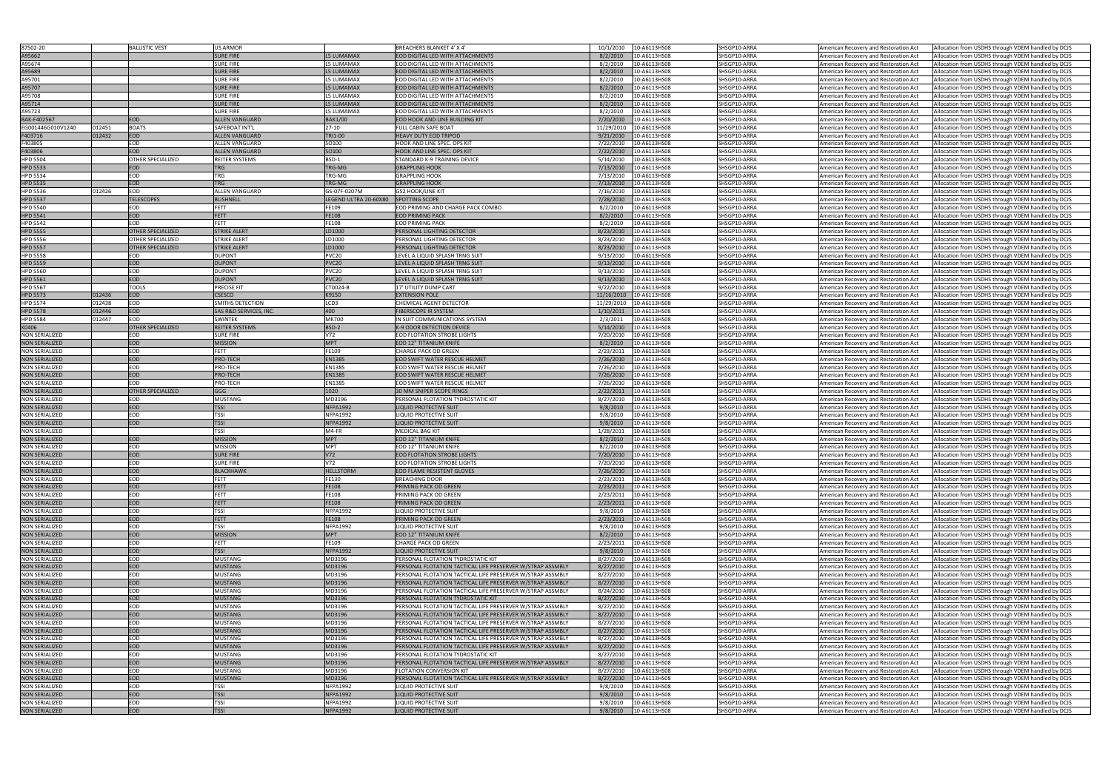| 87502-20                                       |        | <b>BALLISTIC VEST</b>    | <b>US ARMOR</b>                   |                                      | <b>BREACHERS BLANKET 4' X 4'</b>                               | 10/1/2010<br>10-A6113HS08                            | SHSGP10-ARRA                 | American Recovery and Restoration Act<br>Allocation from USDHS through VDEM handled by DCJS                                                                                                |
|------------------------------------------------|--------|--------------------------|-----------------------------------|--------------------------------------|----------------------------------------------------------------|------------------------------------------------------|------------------------------|--------------------------------------------------------------------------------------------------------------------------------------------------------------------------------------------|
| A95662                                         |        |                          | <b>SURE FIRE</b>                  | <b>L5 LUMAMAX</b>                    | EOD DIGITAL LED WITH ATTACHMENTS                               | 8/2/2010<br>10-A6113HS08                             | SHSGP10-ARRA                 | Allocation from USDHS through VDEM handled by DCJS<br>American Recovery and Restoration Act                                                                                                |
| A95674                                         |        |                          | <b>SURE FIRE</b>                  | 5 LUMAMAX                            | EOD DIGITAL LED WITH ATTACHMENTS                               | 8/2/2010<br>10-A6113HS08                             | SHSGP10-ARRA                 | Allocation from USDHS through VDEM handled by DCJS                                                                                                                                         |
|                                                |        |                          |                                   |                                      | <b>EOD DIGITAL LED WITH ATTACHMENTS</b>                        | 8/2/2010                                             |                              | American Recovery and Restoration Act                                                                                                                                                      |
| A95689                                         |        |                          | <b>SURE FIRE</b>                  | <b>L5 LUMAMAX</b>                    |                                                                | 10-A6113HS08                                         | SHSGP10-ARRA                 | American Recovery and Restoration Act<br>Allocation from USDHS through VDEM handled by DCJS                                                                                                |
| A95701                                         |        |                          | SURE FIRE                         | 5 LUMAMAX                            | EOD DIGITAL LED WITH ATTACHMENTS                               | 10-A6113HS08<br>8/2/2010                             | SHSGP10-ARRA                 | American Recovery and Restoration Act<br>Allocation from USDHS through VDEM handled by DCJS                                                                                                |
| A95707                                         |        |                          | <b>SURE FIRE</b>                  | <b>L5 LUMAMAX</b>                    | EOD DIGITAL LED WITH ATTACHMENTS                               | 8/2/2010<br>10-A6113HS08                             | SHSGP10-ARRA                 | Allocation from USDHS through VDEM handled by DCJS<br>American Recovery and Restoration Act                                                                                                |
| A95708                                         |        |                          | SURE FIRE                         | 5 LUMAMAX                            | EOD DIGITAL LED WITH ATTACHMENTS                               | 8/2/2010<br>10-A6113HS08                             | SHSGP10-ARRA                 | American Recovery and Restoration Act<br>Allocation from USDHS through VDEM handled by DCJS                                                                                                |
| A95714                                         |        |                          | <b>SURE FIRE</b>                  | <b>L5 LUMAMAX</b>                    | <b>EOD DIGITAL LED WITH ATTACHMENTS</b>                        | 10-A6113HS08<br>8/2/2010                             | SHSGP10-ARRA                 | American Recovery and Restoration Act<br>Allocation from USDHS through VDEM handled by DCJS                                                                                                |
| A95723                                         |        |                          | SURE FIRE                         | 5 LUMAMAX                            | EOD DIGITAL LED WITH ATTACHMENTS                               | 8/2/2010<br>10-A6113HS08                             | SHSGP10-ARRA                 | Allocation from USDHS through VDEM handled by DCJS<br>American Recovery and Restoration Act                                                                                                |
| BAK-F402567                                    |        | <b>EOD</b>               | <b>ALLEN VANGUARD</b>             | BAK1/00                              | EOD HOOK AND LINE BUILDING KIT                                 | 7/20/2010<br>10-A6113HS08                            | SHSGP10-ARRA                 | Allocation from USDHS through VDEM handled by DCJS<br>American Recovery and Restoration Act                                                                                                |
| EG001446G010V1240                              | 012451 | <b>BOATS</b>             | SAFEBOAT INT'L                    | $27-10$                              | FULL CABIN SAFE BOAT                                           | 11/29/2010<br>10-A6113HS08                           | SHSGP10-ARRA                 | American Recovery and Restoration Act<br>Allocation from USDHS through VDEM handled by DCJS                                                                                                |
| F403716                                        | 012432 | <b>EOD</b>               | <b>ALLEN VANGUARD</b>             | TRI1-00                              | <b>HEAVY DUTY EOD TRIPOD</b>                                   | 9/21/2010<br>10-A6113HS08                            | SHSGP10-ARRA                 | American Recovery and Restoration Act<br>Allocation from USDHS through VDEM handled by DCJS                                                                                                |
| F403805                                        |        | EOD                      | ALLEN VANGUARD                    | SO100                                | HOOK AND LINE SPEC. OPS KIT                                    | 7/22/2010<br>10-A6113HS08                            | SHSGP10-ARRA                 | Allocation from USDHS through VDEM handled by DCJS<br>American Recovery and Restoration Act                                                                                                |
| F403806                                        |        | EOD                      | <b>ALLEN VANGUARD</b>             | SO100                                | HOOK AND LINE SPEC. OPS KIT                                    | 7/22/2010<br>10-A6113HS08                            | SHSGP10-ARRA                 | American Recovery and Restoration Act<br>Allocation from USDHS through VDEM handled by DCJS                                                                                                |
| <b>HPD 5504</b>                                |        | OTHER SPECIALIZED        | <b>REITER SYSTEMS</b>             | BSD-1                                | STANDARD K-9 TRAINING DEVICE                                   | 5/14/2010<br>10-A6113HS08                            | SHSGP10-ARRA                 | Allocation from USDHS through VDEM handled by DCJS<br>American Recovery and Restoration Act                                                                                                |
| HPD 5533                                       |        | <b>EOD</b>               | <b>TRG</b>                        | TRG-MG                               | <b>GRAPPLING HOOK</b>                                          | 7/13/2010<br>10-A6113HS08                            | SHSGP10-ARRA                 | American Recovery and Restoration Act<br>Allocation from USDHS through VDEM handled by DCJS                                                                                                |
| HPD 5534                                       |        | EOD                      | TRG                               | TRG-MG                               | <b>GRAPPLING HOOK</b>                                          | 7/13/2010<br>10-A6113HS08                            | SHSGP10-ARRA                 | American Recovery and Restoration Act<br>Allocation from USDHS through VDEM handled by DCJS                                                                                                |
| HPD 5535                                       |        | <b>EOD</b>               | <b>TRG</b>                        | TRG-MG                               | <b>GRAPPLING HOOK</b>                                          | 7/13/2010<br>10-A6113HS08                            | SHSGP10-ARRA                 | Allocation from USDHS through VDEM handled by DCJS<br>American Recovery and Restoration Act                                                                                                |
| HPD 5536                                       | 012426 | EOD                      | ALLEN VANGUARD                    | GS-07F-0207M                         | <b>GS2 HOOK/LINE KIT</b>                                       | 7/16/2010<br>10-A6113HS08                            | SHSGP10-ARRA                 | Allocation from USDHS through VDEM handled by DCJS<br>American Recovery and Restoration Act                                                                                                |
| <b>HPD 5537</b>                                |        | <b>TELESCOPES</b>        |                                   | LEGEND ULTRA 20-60X80 SPOTTING SCOPE |                                                                | 7/28/2010<br>10-A6113HS08                            | SHSGP10-ARRA                 |                                                                                                                                                                                            |
|                                                |        |                          | <b>BUSHNELL</b>                   |                                      |                                                                |                                                      |                              | Allocation from USDHS through VDEM handled by DCJS<br>American Recovery and Restoration Act                                                                                                |
| <b>HPD 5540</b>                                |        | EOD                      | FETT                              | FE109                                | EOD PRIMING AND CHARGE PACK COMBO                              | 8/2/2010<br>10-A6113HS08                             | SHSGP10-ARRA                 | Allocation from USDHS through VDEM handled by DCJS<br>American Recovery and Restoration Act                                                                                                |
| <b>HPD 5541</b>                                |        | EOD                      | FETT                              | FE108                                | <b>EOD PRIMING PACK</b>                                        | 8/2/2010<br>10-A6113HS08                             | SHSGP10-ARRA                 | American Recovery and Restoration Act<br>Allocation from USDHS through VDEM handled by DCJS                                                                                                |
| <b>HPD 5542</b>                                |        | EOD                      | FETT                              | FE108                                | <b>EOD PRIMING PACK</b>                                        | 8/2/2010<br>10-A6113HS08                             | SHSGP10-ARRA                 | Allocation from USDHS through VDEM handled by DCJS<br>American Recovery and Restoration Act                                                                                                |
| HPD 5555                                       |        | <b>OTHER SPECIALIZED</b> | <b>STRIKE ALERT</b>               | LD1000                               | PERSONAL LIGHTING DETECTOR                                     | 8/23/2010<br>10-A6113HS08                            | SHSGP10-ARRA                 | Allocation from USDHS through VDEM handled by DCJS<br>American Recovery and Restoration Act                                                                                                |
| HPD 5556                                       |        | OTHER SPECIALIZED        | <b>STRIKE ALERT</b>               | LD1000                               | PERSONAL LIGHTING DETECTOR                                     | 8/23/2010<br>10-A6113HS08                            | SHSGP10-ARRA                 | American Recovery and Restoration Act<br>Allocation from USDHS through VDEM handled by DCJS                                                                                                |
| <b>HPD 5557</b>                                |        | <b>OTHER SPECIALIZED</b> | <b>STRIKE ALERT</b>               | LD1000                               | PERSONAL LIGHTING DETECTOR                                     | 8/23/2010<br>10-A6113HS08                            | SHSGP10-ARRA                 | Allocation from USDHS through VDEM handled by DCJS<br>American Recovery and Restoration Act                                                                                                |
| HPD 5558                                       |        | EOD                      | <b>DUPONT</b>                     | VC20                                 | LEVEL A LIQUID SPLASH TRNG SUIT                                | 9/13/2010<br>10-A6113HS08                            | SHSGP10-ARRA                 | Allocation from USDHS through VDEM handled by DCJS<br>American Recovery and Restoration Act                                                                                                |
| <b>HPD 5559</b>                                |        | <b>EOD</b>               | <b>DUPONT</b>                     | <b>PVC20</b>                         | LEVEL A LIQUID SPLASH TRNG SUIT                                | 9/13/2010<br>10-A6113HS08                            | SHSGP10-ARRA                 | Allocation from USDHS through VDEM handled by DCJS<br>American Recovery and Restoration Act                                                                                                |
| HPD 5560                                       |        | EOD                      | <b>DUPONT</b>                     | PVC20                                | LEVEL A LIQUID SPLASH TRNG SUIT                                | 9/13/2010<br>10-A6113HS08                            | SHSGP10-ARRA                 | American Recovery and Restoration Act<br>Allocation from USDHS through VDEM handled by DCJS                                                                                                |
| HPD 5561                                       |        | <b>EOD</b>               | <b>DUPONT</b>                     | <b>PVC20</b>                         | LEVEL A LIQUID SPLASH TRNG SUIT                                | 9/13/2010<br>10-A6113HS08                            | SHSGP10-ARRA                 | American Recovery and Restoration Act<br>Allocation from USDHS through VDEM handled by DCJS                                                                                                |
| <b>HPD 5567</b>                                |        | <b>TOOLS</b>             | <b>PRECISE FIT</b>                | CT0024-B                             | 17' UTILITY DUMP CART                                          | 9/22/2010<br>10-A6113HS08                            | SHSGP10-ARRA                 | Allocation from USDHS through VDEM handled by DCJS<br>American Recovery and Restoration Act                                                                                                |
| <b>HPD 5573</b>                                | 012436 | <b>EOD</b>               | <b>CSESCO</b>                     | K9150                                | <b>EXTENSION POLE</b>                                          | 11/16/2010<br>10-A6113HS08                           | SHSGP10-ARRA                 | American Recovery and Restoration Act<br>Allocation from USDHS through VDEM handled by DCJS                                                                                                |
|                                                | 012438 | <b>EOD</b>               |                                   | LCD3                                 |                                                                |                                                      |                              |                                                                                                                                                                                            |
| HPD 5574                                       |        |                          | SMITHS DETECTION                  |                                      | CHEMICAL AGENT DETECTOR                                        | 11/29/2010<br>10-A6113HS08                           | SHSGP10-ARRA                 | American Recovery and Restoration Act<br>Allocation from USDHS through VDEM handled by DCJS                                                                                                |
| <b>HPD 5578</b>                                | 012446 | <b>EOD</b>               | <b>SAS R&amp;D SERVICES, INC.</b> | 400                                  | <b>FIBERSCOPE IR SYSTEM</b>                                    | 1/10/2011<br>10-A6113HS08                            | SHSGP10-ARRA                 | Allocation from USDHS through VDEM handled by DCJS<br>American Recovery and Restoration Act                                                                                                |
| HPD 5584                                       | 012447 | EOD                      | SWINTEK                           | <b>MK700</b>                         | IN SUIT COMMUNICATIONS SYSTEM                                  | 2/3/2011<br>10-A6113HS08                             | SHSGP10-ARRA                 | Allocation from USDHS through VDEM handled by DCJS<br>American Recovery and Restoration Act                                                                                                |
| K0406                                          |        | <b>OTHER SPECIALIZED</b> | <b>REITER SYSTEMS</b>             | BSD-2                                | <b>K-9 ODOR DETECTION DEVICE</b>                               | 5/14/2010<br>10-A6113HS08                            | SHSGP10-ARRA                 | American Recovery and Restoration Act<br>Allocation from USDHS through VDEM handled by DCJS                                                                                                |
| <b>NON SERIALIZED</b>                          |        | EOD                      | <b>SURE FIRE</b>                  | V72                                  | <b>EOD FLOTATION STROBE LIGHTS</b>                             | 7/20/2010<br>10-A6113HS08                            | SHSGP10-ARRA                 | American Recovery and Restoration Act<br>Allocation from USDHS through VDEM handled by DCJS                                                                                                |
| <b>NON SERIALIZED</b>                          |        | EOD                      | <b>MISSION</b>                    | <b>MPT</b>                           | <b>EOD 12" TITANIUM KNIFE</b>                                  | 8/2/2010<br>10-A6113HS08                             | SHSGP10-ARRA                 | Allocation from USDHS through VDEM handled by DCJS<br>American Recovery and Restoration Act                                                                                                |
| <b>NON SERIALIZED</b>                          |        | EOD                      | FETT                              | FE109                                | <b>CHARGE PACK OD GREEN</b>                                    | 2/23/2011<br>10-A6113HS08                            | SHSGP10-ARRA                 | Allocation from USDHS through VDEM handled by DCJS<br>American Recovery and Restoration Act                                                                                                |
| <b>NON SERIALIZED</b>                          |        | <b>EOD</b>               | PRO-TECH                          | <b>EN1385</b>                        | <b>EOD SWIFT WATER RESCUE HELMET</b>                           | 7/26/2010<br>10-A6113HS08                            | SHSGP10-ARRA                 | Allocation from USDHS through VDEM handled by DCJS<br>American Recovery and Restoration Act                                                                                                |
| NON SERIALIZED                                 |        | EOD                      | PRO-TECH                          | EN1385                               | EOD SWIFT WATER RESCUE HELMET                                  | 7/26/2010<br>10-A6113HS08                            | SHSGP10-ARRA                 | American Recovery and Restoration Act<br>Allocation from USDHS through VDEM handled by DCJS                                                                                                |
| <b>NON SERIALIZED</b>                          |        | <b>EOD</b>               | PRO-TECH                          | EN1385                               |                                                                |                                                      |                              |                                                                                                                                                                                            |
|                                                |        |                          |                                   |                                      |                                                                |                                                      |                              |                                                                                                                                                                                            |
|                                                |        |                          |                                   |                                      | <b>EOD SWIFT WATER RESCUE HELMET</b>                           | 7/26/2010<br>10-A6113HS08                            | SHSGP10-ARRA                 | Allocation from USDHS through VDEM handled by DCJS<br>American Recovery and Restoration Act                                                                                                |
| NON SERIALIZED                                 |        | EOD                      | PRO-TECH                          | EN1385                               | EOD SWIFT WATER RESCUE HELMET                                  | 7/26/2010<br>10-A6113HS08                            | SHSGP10-ARRA                 | Allocation from USDHS through VDEM handled by DCJS<br>American Recovery and Restoration Act                                                                                                |
| <b>NON SERIALIZED</b>                          |        | <b>OTHER SPECIALIZED</b> | <b>GGG</b>                        | 1020                                 | <b>30 MM SNIPER SCOPE RINGS</b>                                | 2/22/2011<br>10-A6113HS08                            | SHSGP10-ARRA                 | American Recovery and Restoration Act<br>Allocation from USDHS through VDEM handled by DCJS                                                                                                |
| <b>NON SERIALIZED</b>                          |        | EOD                      | <b>MUSTANG</b>                    | MD3196                               | PERSONAL FLOTATION TYDROSTATIC KIT                             | 8/27/2010<br>10-A6113HS08                            | SHSGP10-ARRA                 | American Recovery and Restoration Act<br>Allocation from USDHS through VDEM handled by DCJS                                                                                                |
| <b>NON SERIALIZED</b>                          |        | EOD                      | <b>TSSI</b>                       | <b>NFPA1992</b>                      | <b>LIQUID PROTECTIVE SUIT</b>                                  | 9/8/2010<br>10-A6113HS08                             | SHSGP10-ARRA                 | American Recovery and Restoration Act<br>Allocation from USDHS through VDEM handled by DCJS                                                                                                |
| <b>NON SERIALIZED</b>                          |        | EOD                      | <b>TSSI</b>                       | NFPA1992                             | <b>LIQUID PROTECTIVE SUIT</b>                                  | 9/8/2010<br>10-A6113HS08                             | SHSGP10-ARRA                 | American Recovery and Restoration Act<br>Allocation from USDHS through VDEM handled by DCJS                                                                                                |
| <b>NON SERIALIZED</b>                          |        | <b>EOD</b>               | <b>TSSI</b>                       | <b>NFPA1992</b>                      | <b>LIQUID PROTECTIVE SUIT</b>                                  | 9/8/2010<br>10-A6113HS08                             | SHSGP10-ARRA                 | American Recovery and Restoration Act<br>Allocation from USDHS through VDEM handled by DCJS                                                                                                |
| <b>NON SERIALIZED</b>                          |        |                          | TSSI                              | M4-FR                                | <b>MEDICAL BAG KIT</b>                                         | 10-A6113HS08<br>1/28/2011                            | SHSGP10-ARRA                 | American Recovery and Restoration Act<br>Allocation from USDHS through VDEM handled by DCJS                                                                                                |
| <b>NON SERIALIZED</b>                          |        | <b>EOD</b>               | <b>MISSION</b>                    | <b>MPT</b>                           | <b>EOD 12" TITANIUM KNIFE</b>                                  | 8/2/2010<br>10-A6113HS08                             | SHSGP10-ARRA                 | American Recovery and Restoration Act<br>Allocation from USDHS through VDEM handled by DCJS                                                                                                |
| <b>NON SERIALIZED</b>                          |        | EOD                      | <b>MISSION</b>                    | <b>MPT</b>                           | <b>EOD 12" TITANIUM KNIFE</b>                                  | 8/2/2010<br>10-A6113HS08                             | SHSGP10-ARRA                 | Allocation from USDHS through VDEM handled by DCJS<br>American Recovery and Restoration Act                                                                                                |
| <b>NON SERIALIZED</b>                          |        | <b>EOD</b>               | <b>SURE FIRE</b>                  | V72                                  | <b>EOD FLOTATION STROBE LIGHTS</b>                             | 7/20/2010<br>10-A6113HS08                            | SHSGP10-ARRA                 | American Recovery and Restoration Act<br>Allocation from USDHS through VDEM handled by DCJS                                                                                                |
| <b>NON SERIALIZED</b>                          |        | EOD                      | <b>SURE FIRE</b>                  | V72                                  | <b>EOD FLOTATION STROBE LIGHTS</b>                             | 7/20/2010<br>10-A6113HS08                            | SHSGP10-ARRA                 | American Recovery and Restoration Act<br>Allocation from USDHS through VDEM handled by DCJS                                                                                                |
| <b>NON SERIALIZED</b>                          |        | <b>EOD</b>               | <b>BLACKHAWK</b>                  | <b>HELLSTORM</b>                     | <b>EOD FLAME RESISTENT GLOVES</b>                              | 7/26/2010<br>10-A6113HS08                            | SHSGP10-ARRA                 | Allocation from USDHS through VDEM handled by DCJS<br>American Recovery and Restoration Act                                                                                                |
| <b>NON SERIALIZED</b>                          |        | EOD                      | FETT                              | FE130                                | <b>BREACHING DOOR</b>                                          | 2/23/2011<br>10-A6113HS08                            | SHSGP10-ARRA                 | American Recovery and Restoration Act<br>Allocation from USDHS through VDEM handled by DCJS                                                                                                |
| <b>NON SERIALIZED</b>                          |        | <b>EOD</b>               | FETT                              | FE108                                | PRIMING PACK OD GREEN                                          | 2/23/2011<br>10-A6113HS08                            | SHSGP10-ARRA                 | American Recovery and Restoration Act<br>Allocation from USDHS through VDEM handled by DCJS                                                                                                |
| <b>NON SERIALIZED</b>                          |        | EOD                      | FETT                              | FE108                                | PRIMING PACK OD GREEN                                          | 2/23/2011<br>10-A6113HS08                            | SHSGP10-ARRA                 | Allocation from USDHS through VDEM handled by DCJS<br>American Recovery and Restoration Act                                                                                                |
| <b>NON SERIALIZED</b>                          |        | <b>EOD</b>               | FETT                              | <b>FE108</b>                         | PRIMING PACK OD GREEN                                          | 10-A6113HS08<br>2/23/2011                            | SHSGP10-ARRA                 | Allocation from USDHS through VDEM handled by DCJS                                                                                                                                         |
| <b>NON SERIALIZED</b>                          |        | EOD                      | <b>TSSI</b>                       | <b>NFPA1992</b>                      | <b>LIQUID PROTECTIVE SUIT</b>                                  | 9/8/2010<br>10-A6113HS08                             | SHSGP10-ARRA                 | American Recovery and Restoration Act                                                                                                                                                      |
|                                                |        | <b>EOD</b>               | <b>FETT</b>                       | <b>FE108</b>                         | PRIMING PACK OD GREEN                                          |                                                      | SHSGP10-ARRA                 | American Recovery and Restoration Act<br>Allocation from USDHS through VDEM handled by DCJS                                                                                                |
| <b>NON SERIALIZED</b>                          |        |                          |                                   |                                      |                                                                | 10-A6113HS08<br>2/23/2011                            |                              | American Recovery and Restoration Act<br>Allocation from USDHS through VDEM handled by DCJS                                                                                                |
| <b>NON SERIALIZED</b>                          |        | EOD                      | <b>TSSI</b>                       | <b>NFPA1992</b>                      | LIQUID PROTECTIVE SUIT                                         | 9/8/2010<br>10-A6113HS08                             | SHSGP10-ARRA                 | American Recovery and Restoration Act<br>Allocation from USDHS through VDEM handled by DCJS                                                                                                |
| <b>NON SERIALIZED</b>                          |        | EOD                      | <b>MISSION</b>                    | <b>MPT</b>                           | <b>EOD 12" TITANIUM KNIFE</b>                                  | 8/2/2010<br>10-A6113HS08                             | SHSGP10-ARRA                 | Allocation from USDHS through VDEM handled by DCJS<br>American Recovery and Restoration Act                                                                                                |
| <b>NON SERIALIZED</b>                          |        | EOD                      | ΈTΤ                               | E109                                 | <b>CHARGE PACK OD GREEN</b>                                    | 2/23/2011<br>10-A6113HS08                            | SHSGP10-ARRA                 | American Recovery and Restoration Act<br>Allocation from USDHS through VDEM handled by DCJS                                                                                                |
| <b>NON SERIALIZED</b>                          |        | <b>EOD</b>               | <b>TSSI</b>                       | <b>NFPA1992</b>                      | <b>LIQUID PROTECTIVE SUIT</b>                                  | 9/8/2010<br>10-A6113HS08                             | SHSGP10-ARRA                 | American Recovery and Restoration Act<br>Allocation from USDHS through VDEM handled by DCJS                                                                                                |
| <b>NON SERIALIZED</b>                          |        | EOD                      | <b>MUSTANG</b>                    | MD3196                               | PERSONAL FLOTATION TYDROSTATIC KIT                             | 8/27/2010<br>10-A6113HS08                            | SHSGP10-ARRA                 | American Recovery and Restoration Act<br>Allocation from USDHS through VDEM handled by DCJS                                                                                                |
| <b>NON SERIALIZED</b>                          |        | <b>EOD</b>               | <b>MUSTANG</b>                    | MD3196                               | PERSONAL FLOTATION TACTICAL LIFE PRESERVER W/STRAP ASSMBLY     | 8/27/2010<br>10-A6113HS08                            | SHSGP10-ARRA                 | American Recovery and Restoration Act<br>Allocation from USDHS through VDEM handled by DCJS                                                                                                |
| <b>NON SERIALIZED</b>                          |        | EOD                      | <b>MUSTANG</b>                    | MD3196                               | PERSONAL FLOTATION TACTICAL LIFE PRESERVER W/STRAP ASSMBLY     | 8/27/2010<br>10-A6113HS08                            | SHSGP10-ARRA                 | American Recovery and Restoration Act<br>Allocation from USDHS through VDEM handled by DCJS                                                                                                |
| <b>NON SERIALIZED</b>                          |        | EOD                      | <b>MUSTANG</b>                    | MD3196                               | PERSONAL FLOTATION TACTICAL LIFE PRESERVER W/STRAP ASSMBLY     | 8/27/2010<br>10-A6113HS08                            | SHSGP10-ARRA                 | American Recovery and Restoration Act<br>Allocation from USDHS through VDEM handled by DCJS                                                                                                |
| <b>NON SERIALIZED</b>                          |        | EOD                      | <b>MUSTANG</b>                    | MD3196                               | PERSONAL FLOTATION TACTICAL LIFE PRESERVER W/STRAP ASSMBLY     | 8/24/2010<br>10-A6113HS08                            | SHSGP10-ARRA                 | American Recovery and Restoration Act<br>Allocation from USDHS through VDEM handled by DCJS                                                                                                |
| <b>NON SERIALIZED</b>                          |        | <b>EOD</b>               | <b>MUSTANG</b>                    | MD3196                               | PERSONAL FLOTATION TYDROSTATIC KIT                             | 8/27/2010<br>10-A6113HS08                            | SHSGP10-ARRA                 | American Recovery and Restoration Act<br>Allocation from USDHS through VDEM handled by DCJS                                                                                                |
| <b>NON SERIALIZED</b>                          |        | EOD                      | <b>MUSTANG</b>                    | MD3196                               | PERSONAL FLOTATION TACTICAL LIFE PRESERVER W/STRAP ASSMBLY     | 8/27/2010<br>10-A6113HS08                            | SHSGP10-ARRA                 | American Recovery and Restoration Act<br>Allocation from USDHS through VDEM handled by DCJS                                                                                                |
| <b>NON SERIALIZED</b>                          |        | EOD                      | <b>MUSTANG</b>                    | MD3196                               | PERSONAL FLOTATION TACTICAL LIFE PRESERVER W/STRAP ASSMBLY     | 8/27/2010<br>10-A6113HS08                            | SHSGP10-ARRA                 | American Recovery and Restoration Act<br>Allocation from USDHS through VDEM handled by DCJS                                                                                                |
| <b>NON SERIALIZED</b>                          |        | EOD                      | <b>MUSTANG</b>                    | MD3196                               | PERSONAL FLOTATION TACTICAL LIFE PRESERVER W/STRAP ASSMBLY     | 8/27/2010<br>10-A6113HS08                            | SHSGP10-ARRA                 | American Recovery and Restoration Act<br>Allocation from USDHS through VDEM handled by DCJS                                                                                                |
| <b>NON SERIALIZED</b>                          |        | EOD                      | <b>MUSTANG</b>                    | MD3196                               | PERSONAL FLOTATION TACTICAL LIFE PRESERVER W/STRAP ASSMBLY     | 8/27/2010<br>10-A6113HS08                            | SHSGP10-ARRA                 | American Recovery and Restoration Act<br>Allocation from USDHS through VDEM handled by DCJS                                                                                                |
|                                                |        | EOD                      | <b>MUSTANG</b>                    | MD3196                               | PERSONAL FLOTATION TACTICAL LIFE PRESERVER W/STRAP ASSMBLY     | 8/27/2010<br>10-A6113HS08                            | SHSGP10-ARRA                 |                                                                                                                                                                                            |
| <b>NON SERIALIZED</b>                          |        |                          |                                   |                                      |                                                                |                                                      |                              | American Recovery and Restoration Act<br>Allocation from USDHS through VDEM handled by DCJS                                                                                                |
| <b>NON SERIALIZED</b>                          |        | EOD                      | <b>MUSTANG</b>                    | MD3196                               | PERSONAL FLOTATION TACTICAL LIFE PRESERVER W/STRAP ASSMBLY     | 8/27/2010<br>10-A6113HS08                            | SHSGP10-ARRA                 | Allocation from USDHS through VDEM handled by DCJS<br>American Recovery and Restoration Act                                                                                                |
| NON SERIALIZED                                 |        | EOD                      | <b>MUSTANG</b>                    | MD3196                               | PERSONAL FLOTATION TYDROSTATIC KIT                             | 8/27/2010<br>10-A6113HS08                            | SHSGP10-ARRA                 | American Recovery and Restoration Act<br>Allocation from USDHS through VDEM handled by DCJS                                                                                                |
| <b>NON SERIALIZED</b>                          |        | <b>EOD</b>               | <b>MUSTANG</b>                    | MD3196                               | PERSONAL FLOTATION TACTICAL LIFE PRESERVER W/STRAP ASSMBLY     | 8/27/2010<br>10-A6113HS08                            | SHSGP10-ARRA                 | American Recovery and Restoration Act<br>Allocation from USDHS through VDEM handled by DCJS                                                                                                |
| <b>NON SERIALIZED</b>                          |        | EOD                      | <b>MUSTANG</b>                    | MD3196                               | <b>FLOTATION CONVERSION KIT</b>                                | 8/27/2010<br>10-A6113HS08                            | SHSGP10-ARRA                 | American Recovery and Restoration Act<br>Allocation from USDHS through VDEM handled by DCJS                                                                                                |
| <b>NON SERIALIZED</b>                          |        | <b>EOD</b>               | <b>MUSTANG</b>                    | MD3196                               | PERSONAL FLOTATION TACTICAL LIFE PRESERVER W/STRAP ASSMBLY     | 8/27/2010<br>10-A6113HS08                            | SHSGP10-ARRA                 | Allocation from USDHS through VDEM handled by DCJS<br>American Recovery and Restoration Act                                                                                                |
| <b>NON SERIALIZED</b>                          |        | EOD                      | TSSI                              | NFPA1992                             | <b>LIQUID PROTECTIVE SUIT</b>                                  | 9/8/2010<br>10-A6113HS08                             | SHSGP10-ARRA                 | American Recovery and Restoration Act<br>Allocation from USDHS through VDEM handled by DCJS                                                                                                |
| <b>NON SERIALIZED</b>                          |        | <b>EOD</b>               | <b>TSSI</b>                       | <b>NFPA1992</b>                      | LIQUID PROTECTIVE SUIT                                         | 9/8/2010<br>10-A6113HS08                             | SHSGP10-ARRA                 | Allocation from USDHS through VDEM handled by DCJS<br>American Recovery and Restoration Act                                                                                                |
| <b>NON SERIALIZED</b><br><b>NON SERIALIZED</b> |        | <b>EOD</b><br><b>EOD</b> | <b>TSSI</b><br><b>TSSI</b>        | NFPA1992<br><b>NFPA1992</b>          | <b>LIQUID PROTECTIVE SUIT</b><br><b>LIQUID PROTECTIVE SUIT</b> | 9/8/2010<br>10-A6113HS08<br>9/8/2010<br>10-A6113HS08 | SHSGP10-ARRA<br>SHSGP10-ARRA | American Recovery and Restoration Act<br>Allocation from USDHS through VDEM handled by DCJS<br>Allocation from USDHS through VDEM handled by DCJS<br>American Recovery and Restoration Act |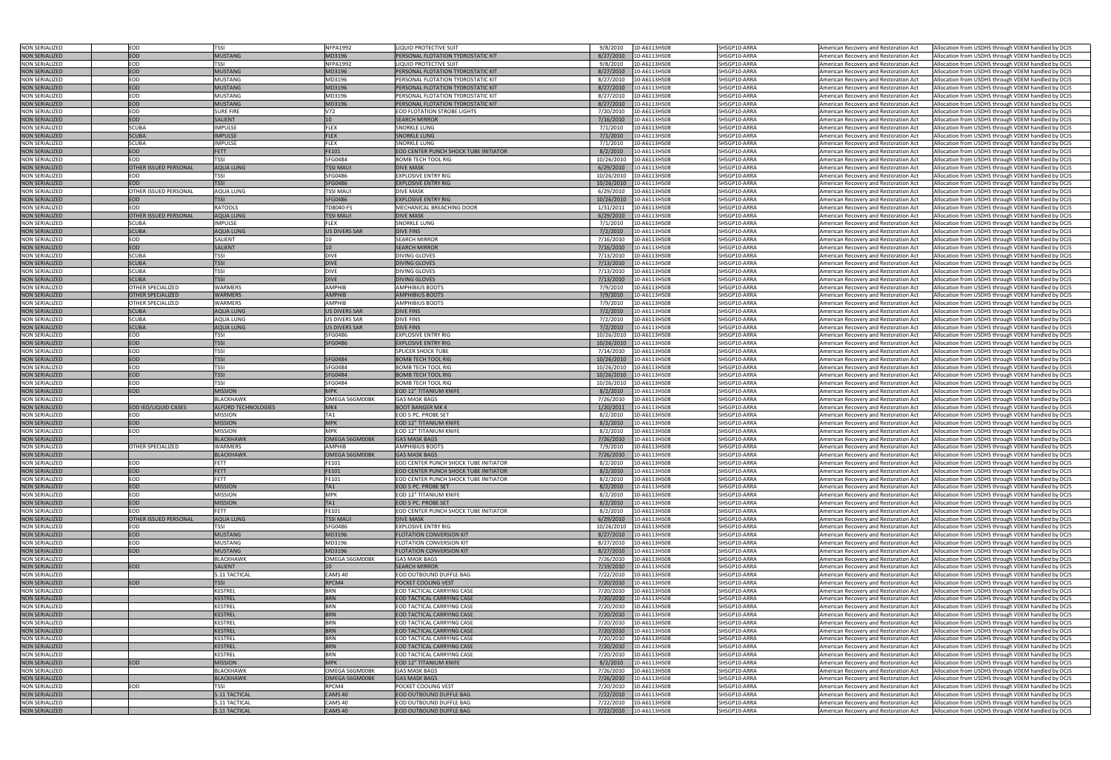| <b>NON SERIALIZED</b>                          | EOD                          | <b>TSSI</b>                    | <b>NFPA1992</b>               | LIQUID PROTECTIVE SUIT                                    | 9/8/2010<br>10-A6113HS08                               | SHSGP10-ARRA                 | American Recovery and Restoration Act<br>Allocation from USDHS through VDEM handled by DCJS                                                                                                |
|------------------------------------------------|------------------------------|--------------------------------|-------------------------------|-----------------------------------------------------------|--------------------------------------------------------|------------------------------|--------------------------------------------------------------------------------------------------------------------------------------------------------------------------------------------|
|                                                |                              |                                |                               |                                                           |                                                        |                              |                                                                                                                                                                                            |
| <b>NON SERIALIZED</b>                          | <b>EOD</b>                   | <b>MUSTANG</b>                 | MD3196                        | PERSONAL FLOTATION TYDROSTATIC KIT                        | 8/27/2010<br>10-A6113HS08                              | SHSGP10-ARRA                 | Allocation from USDHS through VDEM handled by DCJS<br>American Recovery and Restoration Act                                                                                                |
| <b>NON SERIALIZED</b>                          | EOD                          | <b>TSSI</b>                    | <b>NFPA1992</b>               | <b>LIQUID PROTECTIVE SUIT</b>                             | 9/8/2010<br>10-A6113HS08                               | SHSGP10-ARRA                 | Allocation from USDHS through VDEM handled by DCJS<br>American Recovery and Restoration Act                                                                                                |
| <b>NON SERIALIZED</b>                          | <b>EOD</b>                   | <b>MUSTANG</b>                 | MD3196                        | PERSONAL FLOTATION TYDROSTATIC KIT                        | 8/27/2010<br>10-A6113HS08                              | SHSGP10-ARRA                 | American Recovery and Restoration Act<br>Allocation from USDHS through VDEM handled by DCJS                                                                                                |
| <b>NON SERIALIZED</b>                          | EOD                          | <b>MUSTANG</b>                 | MD3196                        | PERSONAL FLOTATION TYDROSTATIC KIT                        | 8/27/2010<br>10-A6113HS08                              | SHSGP10-ARRA                 | American Recovery and Restoration Act<br>Allocation from USDHS through VDEM handled by DCJS                                                                                                |
| <b>NON SERIALIZED</b>                          | <b>EOD</b>                   | <b>MUSTANG</b>                 | MD3196                        | PERSONAL FLOTATION TYDROSTATIC KIT                        | 8/27/2010<br>10-A6113HS08                              | SHSGP10-ARRA                 | American Recovery and Restoration Act<br>Allocation from USDHS through VDEM handled by DCJS                                                                                                |
| <b>NON SERIALIZED</b>                          | EOD                          | <b>MUSTANG</b>                 | MD3196                        | PERSONAL FLOTATION TYDROSTATIC KIT                        | 8/27/2010<br>10-A6113HS08                              | SHSGP10-ARRA                 | American Recovery and Restoration Act<br>Allocation from USDHS through VDEM handled by DCJS                                                                                                |
| <b>NON SERIALIZED</b>                          | <b>EOD</b>                   | <b>MUSTANG</b>                 | MD3196                        | PERSONAL FLOTATION TYDROSTATIC KIT                        | 10-A6113HS08<br>8/27/2010                              | SHSGP10-ARRA                 | American Recovery and Restoration Act<br>Allocation from USDHS through VDEM handled by DCJS                                                                                                |
|                                                |                              |                                |                               |                                                           |                                                        |                              |                                                                                                                                                                                            |
| <b>NON SERIALIZED</b>                          | EOD                          | <b>SURE FIRE</b>               | V72                           | <b>EOD FLOTATION STROBE LIGHTS</b>                        | 7/20/2010<br>10-A6113HS08                              | SHSGP10-ARRA                 | Allocation from USDHS through VDEM handled by DCJS<br>American Recovery and Restoration Act                                                                                                |
| <b>NON SERIALIZED</b>                          | <b>EOD</b>                   | <b>SALIENT</b>                 | 10 <sup>1</sup>               | <b>SEARCH MIRROR</b>                                      | 7/16/2010<br>10-A6113HS08                              | SHSGP10-ARRA                 | Allocation from USDHS through VDEM handled by DCJS<br>American Recovery and Restoration Act                                                                                                |
| <b>NON SERIALIZED</b>                          | <b>SCUBA</b>                 | <b>IMPULSE</b>                 | <b>FLEX</b>                   | SNORKLE LUNG                                              | 7/1/2010<br>10-A6113HS08                               | SHSGP10-ARRA                 | American Recovery and Restoration Act<br>Allocation from USDHS through VDEM handled by DCJS                                                                                                |
| <b>NON SERIALIZED</b>                          | <b>SCUBA</b>                 | <b>IMPULSE</b>                 | <b>FLEX</b>                   | SNORKLE LUNG                                              | 7/1/2010<br>10-A6113HS08                               | SHSGP10-ARRA                 | American Recovery and Restoration Act<br>Allocation from USDHS through VDEM handled by DCJS                                                                                                |
| <b>NON SERIALIZED</b>                          | <b>SCUBA</b>                 | <b>IMPULSE</b>                 | FLEX                          | SNORKLE LUNG                                              | 7/1/2010<br>10-A6113HS08                               | SHSGP10-ARRA                 | Allocation from USDHS through VDEM handled by DCJS<br>American Recovery and Restoration Act                                                                                                |
| <b>NON SERIALIZED</b>                          | <b>EOD</b>                   | <b>FETT</b>                    | FE101                         | <b>EOD CENTER PUNCH SHOCK TUBE INITIATOR</b>              | 8/2/2010<br>10-A6113HS08                               | SHSGP10-ARRA                 | Allocation from USDHS through VDEM handled by DCJS<br>American Recovery and Restoration Act                                                                                                |
| <b>NON SERIALIZED</b>                          | EOD                          | <b>TSSI</b>                    | SFG0484                       | 30MB TECH TOOL RIG                                        | 10/26/2010<br>10-A6113HS08                             | SHSGP10-ARRA                 | Allocation from USDHS through VDEM handled by DCJS<br>American Recovery and Restoration Act                                                                                                |
| <b>NON SERIALIZED</b>                          | <b>OTHER ISSUED PERSONAL</b> | <b>AQUA LUNG</b>               | <b>TSSI MAU</b>               | <b>DIVE MASK</b>                                          | 6/29/2010<br>10-A6113HS08                              | SHSGP10-ARRA                 |                                                                                                                                                                                            |
|                                                |                              |                                |                               |                                                           |                                                        |                              | American Recovery and Restoration Act<br>Allocation from USDHS through VDEM handled by DCJS                                                                                                |
| <b>NON SERIALIZED</b>                          | EOD                          | <b>TSSI</b>                    | SFG0486                       | <b>EXPLOSIVE ENTRY RIG</b>                                | 10/26/2010<br>10-A6113HS08                             | SHSGP10-ARRA                 | American Recovery and Restoration Act<br>Allocation from USDHS through VDEM handled by DCJS                                                                                                |
| <b>NON SERIALIZED</b>                          | <b>EOD</b>                   | <b>TSSI</b>                    | <b>SFG0486</b>                | <b>EXPLOSIVE ENTRY RIG</b>                                | 10/26/2010<br>10-A6113HS08                             | SHSGP10-ARRA                 | American Recovery and Restoration Act<br>Allocation from USDHS through VDEM handled by DCJS                                                                                                |
| <b>NON SERIALIZED</b>                          | OTHER ISSUED PERSONAL        | <b>AQUA LUNG</b>               | TSSI MAUI                     | <b>DIVE MASK</b>                                          | 6/29/2010<br>10-A6113HS08                              | SHSGP10-ARRA                 | American Recovery and Restoration Act<br>Allocation from USDHS through VDEM handled by DCJS                                                                                                |
| <b>NON SERIALIZED</b>                          | <b>EOD</b>                   | <b>TSSI</b>                    | SFG0486                       | <b>EXPLOSIVE ENTRY RIG</b>                                | 10/26/2010<br>10-A6113HS08                             | SHSGP10-ARRA                 | American Recovery and Restoration Act<br>Allocation from USDHS through VDEM handled by DCJS                                                                                                |
| <b>NON SERIALIZED</b>                          | EOD                          | <b>RATOOLS</b>                 | TD8040-FS                     | MECHANICAL BREACHING DOOR                                 | 1/31/2011<br>10-A6113HS08                              | SHSGP10-ARRA                 | Allocation from USDHS through VDEM handled by DCJS<br>American Recovery and Restoration Act                                                                                                |
| <b>NON SERIALIZED</b>                          | OTHER ISSUED PERSONAL        | <b>AQUA LUNG</b>               | <b>TSSI MAUI</b>              | <b>DIVE MASK</b>                                          | 6/29/2010<br>10-A6113HS08                              | SHSGP10-ARRA                 | American Recovery and Restoration Act<br>Allocation from USDHS through VDEM handled by DCJS                                                                                                |
| <b>NON SERIALIZED</b>                          | <b>SCUBA</b>                 | <b>IMPULSE</b>                 | FLEX                          | SNORKLE LUNG                                              | 7/1/2010<br>10-A6113HS08                               | SHSGP10-ARRA                 | Allocation from USDHS through VDEM handled by DCJS<br>American Recovery and Restoration Act                                                                                                |
|                                                |                              |                                |                               |                                                           |                                                        |                              |                                                                                                                                                                                            |
| <b>NON SERIALIZED</b>                          | <b>SCUBA</b>                 | <b>AQUA LUNG</b>               | <b>US DIVERS SAR</b>          | <b>DIVE FINS</b>                                          | 7/2/2010<br>10-A6113HS08                               | SHSGP10-ARRA                 | Allocation from USDHS through VDEM handled by DCJS<br>American Recovery and Restoration Act                                                                                                |
| <b>NON SERIALIZED</b>                          | EOD                          | SALIENT                        |                               | <b>SEARCH MIRROR</b>                                      | 7/16/2010<br>10-A6113HS08                              | SHSGP10-ARRA                 | American Recovery and Restoration Act<br>Allocation from USDHS through VDEM handled by DCJS                                                                                                |
| <b>NON SERIALIZED</b>                          | <b>EOD</b>                   | <b>SALIENT</b>                 | 10                            | <b>SEARCH MIRROR</b>                                      | 7/16/2010<br>10-A6113HS08                              | SHSGP10-ARRA                 | Allocation from USDHS through VDEM handled by DCJS<br>American Recovery and Restoration Act                                                                                                |
| <b>NON SERIALIZED</b>                          | <b>SCUBA</b>                 | TSSI                           | <b>DIVE</b>                   | <b>DIVING GLOVES</b>                                      | 7/13/2010<br>10-A6113HS08                              | SHSGP10-ARRA                 | Allocation from USDHS through VDEM handled by DCJS<br>American Recovery and Restoration Act                                                                                                |
| <b>NON SERIALIZED</b>                          | <b>SCUBA</b>                 | <b>TSSI</b>                    | <b>DIVE</b>                   | <b>DIVING GLOVES</b>                                      | 7/13/2010<br>10-A6113HS08                              | SHSGP10-ARRA                 | American Recovery and Restoration Act<br>Allocation from USDHS through VDEM handled by DCJS                                                                                                |
| <b>NON SERIALIZED</b>                          | <b>SCUBA</b>                 | <b>TSSI</b>                    | <b>DIVE</b>                   | DIVING GLOVES                                             | 7/13/2010<br>10-A6113HS08                              | SHSGP10-ARRA                 | American Recovery and Restoration Act<br>Allocation from USDHS through VDEM handled by DCJS                                                                                                |
| <b>NON SERIALIZED</b>                          | <b>SCUBA</b>                 | <b>TSSI</b>                    | <b>DIVE</b>                   | <b>DIVING GLOVES</b>                                      | 7/13/2010<br>10-A6113HS08                              | SHSGP10-ARRA                 | American Recovery and Restoration Act<br>Allocation from USDHS through VDEM handled by DCJS                                                                                                |
|                                                |                              |                                |                               |                                                           |                                                        |                              |                                                                                                                                                                                            |
| <b>NON SERIALIZED</b>                          | OTHER SPECIALIZED            | <b>WARMERS</b>                 | <b>AMPHIB</b>                 | <b>AMPHIBIUS BOOTS</b>                                    | 7/9/2010<br>10-A6113HS08                               | SHSGP10-ARRA                 | American Recovery and Restoration Act<br>Allocation from USDHS through VDEM handled by DCJS                                                                                                |
| <b>NON SERIALIZED</b>                          | <b>OTHER SPECIALIZED</b>     | <b>WARMERS</b>                 | <b>AMPHIB</b>                 | <b>AMPHIBIUS BOOTS</b>                                    | 7/9/2010<br>10-A6113HS08                               | SHSGP10-ARRA                 | American Recovery and Restoration Act<br>Allocation from USDHS through VDEM handled by DCJS                                                                                                |
| <b>NON SERIALIZED</b>                          | OTHER SPECIALIZED            | <b>WARMERS</b>                 | <b>AMPHIB</b>                 | <b>AMPHIBIUS BOOTS</b>                                    | 7/9/2010<br>10-A6113HS08                               | SHSGP10-ARRA                 | American Recovery and Restoration Act<br>Allocation from USDHS through VDEM handled by DCJS                                                                                                |
| <b>NON SERIALIZED</b>                          | <b>SCUBA</b>                 | <b>AQUA LUNG</b>               | <b>US DIVERS SAR</b>          | <b>DIVE FINS</b>                                          | 7/2/2010<br>10-A6113HS08                               | SHSGP10-ARRA                 | Allocation from USDHS through VDEM handled by DCJS<br>American Recovery and Restoration Act                                                                                                |
| <b>NON SERIALIZED</b>                          | SCUBA                        | <b>AQUA LUNG</b>               | US DIVERS SAR                 | <b>DIVE FINS</b>                                          | 7/2/2010<br>10-A6113HS08                               | SHSGP10-ARRA                 | Allocation from USDHS through VDEM handled by DCJS<br>American Recovery and Restoration Act                                                                                                |
| <b>NON SERIALIZED</b>                          | <b>SCUBA</b>                 | <b>AQUA LUNG</b>               | <b>US DIVERS SAR</b>          | <b>DIVE FINS</b>                                          | 7/2/2010<br>10-A6113HS08                               | SHSGP10-ARRA                 | Allocation from USDHS through VDEM handled by DCJS<br>American Recovery and Restoration Act                                                                                                |
| <b>NON SERIALIZED</b>                          | EOD                          | <b>TSSI</b>                    | SFG0486                       | <b>EXPLOSIVE ENTRY RIG</b>                                | 10/26/2010<br>10-A6113HS08                             | SHSGP10-ARRA                 | American Recovery and Restoration Act<br>Allocation from USDHS through VDEM handled by DCJS                                                                                                |
|                                                |                              |                                |                               |                                                           |                                                        |                              |                                                                                                                                                                                            |
| <b>NON SERIALIZED</b>                          | <b>EOD</b>                   | <b>TSSI</b>                    | SFG0486                       | <b>EXPLOSIVE ENTRY RIG</b>                                | 10/26/2010<br>10-A6113HS08                             | SHSGP10-ARRA                 | Allocation from USDHS through VDEM handled by DCJS<br>American Recovery and Restoration Act                                                                                                |
| <b>NON SERIALIZED</b>                          | EOD                          | <b>TSSI</b>                    |                               | <b>SPLICER SHOCK TUBE</b>                                 | 7/14/2010<br>10-A6113HS08                              | SHSGP10-ARRA                 | American Recovery and Restoration Act<br>Allocation from USDHS through VDEM handled by DCJS                                                                                                |
| <b>NON SERIALIZED</b>                          | <b>EOD</b>                   | <b>TSSI</b>                    | <b>SFG0484</b>                | <b>BOMB TECH TOOL RIG</b>                                 | 10/26/2010<br>10-A6113HS08                             | SHSGP10-ARRA                 | Allocation from USDHS through VDEM handled by DCJS<br>American Recovery and Restoration Act                                                                                                |
| <b>NON SERIALIZED</b>                          | EOD                          | <b>TSSI</b>                    | SFG0484                       | 3OMB TECH TOOL RIG                                        | 10/26/2010<br>10-A6113HS08                             | SHSGP10-ARRA                 | American Recovery and Restoration Act<br>Allocation from USDHS through VDEM handled by DCJS                                                                                                |
| <b>NON SERIALIZED</b>                          | <b>EOD</b>                   | <b>TSSI</b>                    | SFG0484                       | <b>BOMB TECH TOOL RIG</b>                                 | 10/26/2010<br>10-A6113HS08                             | SHSGP10-ARRA                 | American Recovery and Restoration Act<br>Allocation from USDHS through VDEM handled by DCJS                                                                                                |
| <b>NON SERIALIZED</b>                          | EOD                          | TSSI                           | SFG0484                       | 3OMB TECH TOOL RIG                                        | 10/26/2010<br>10-A6113HS08                             | SHSGP10-ARRA                 | American Recovery and Restoration Act<br>Allocation from USDHS through VDEM handled by DCJS                                                                                                |
| <b>NON SERIALIZED</b>                          | <b>EOD</b>                   | <b>MISSION</b>                 | <b>MPK</b>                    | EOD 12" TITANIUM KNIFE                                    | 8/2/2010<br>10-A6113HS08                               | SHSGP10-ARRA                 | American Recovery and Restoration Act<br>Allocation from USDHS through VDEM handled by DCJS                                                                                                |
|                                                |                              |                                |                               |                                                           |                                                        |                              |                                                                                                                                                                                            |
|                                                |                              |                                |                               |                                                           |                                                        |                              |                                                                                                                                                                                            |
| <b>NON SERIALIZED</b>                          |                              | <b>BLACKHAWK</b>               | OMEGA 56GM00BK                | <b>GAS MASK BAGS</b>                                      | 7/26/2010<br>10-A6113HS08                              | SHSGP10-ARRA                 | American Recovery and Restoration Act<br>Allocation from USDHS through VDEM handled by DCJS                                                                                                |
| NON SERIALIZED                                 | EOD IED/LIQUID CASES         | <b>ALFORD TECHNOLOGIES</b>     | IMK4                          | <b>IBOOT BANGER MK 4</b>                                  | 1/20/2011<br>10-A6113HS08                              | SHSGP10-ARRA                 | American Recovery and Restoration Act<br>Allocation from USDHS through VDEM handled by DCJS                                                                                                |
| <b>NON SERIALIZED</b>                          | EOD                          | <b>MISSION</b>                 | TA1                           | EOD 5 PC. PROBE SET                                       | 8/2/2010<br>10-A6113HS08                               | SHSGP10-ARRA                 | American Recovery and Restoration Act<br>Allocation from USDHS through VDEM handled by DCJS                                                                                                |
| <b>NON SERIALIZED</b>                          | <b>EOD</b>                   | <b>MISSION</b>                 | <b>MPK</b>                    | EOD 12" TITANIUM KNIFE                                    | 8/2/2010<br>10-A6113HS08                               | SHSGP10-ARRA                 | American Recovery and Restoration Act<br>Allocation from USDHS through VDEM handled by DCJS                                                                                                |
| <b>NON SERIALIZED</b>                          | EOD                          | <b>MISSION</b>                 | <b>MPK</b>                    | EOD 12" TITANIUM KNIFE                                    | 10-A6113HS08<br>8/2/2010                               | SHSGP10-ARRA                 | Allocation from USDHS through VDEM handled by DCJS<br>American Recovery and Restoration Act                                                                                                |
| <b>NON SERIALIZED</b>                          |                              | <b>BLACKHAWK</b>               | OMEGA 56GM00RK                | <b>GAS MASK BAGS</b>                                      | 7/26/2010<br>10-A6113HS08                              | SHSGP10-ARRA                 | American Recovery and Restoration Act<br>Allocation from USDHS through VDEM handled by DCJS                                                                                                |
|                                                |                              |                                |                               |                                                           |                                                        |                              |                                                                                                                                                                                            |
| <b>NON SERIALIZED</b>                          | OTHER SPECIALIZED            | <b>WARMERS</b>                 | <b>AMPHIB</b>                 | <b>AMPHIBIUS BOOTS</b>                                    | 7/9/2010<br>10-A6113HS08                               | SHSGP10-ARRA                 | American Recovery and Restoration Act<br>Allocation from USDHS through VDEM handled by DCJS                                                                                                |
| <b>NON SERIALIZED</b>                          |                              | <b>BLACKHAWK</b>               | OMEGA 56GM00BK                | <b>GAS MASK BAGS</b>                                      | 7/26/2010<br>10-A6113HS08                              | SHSGP10-ARRA                 | American Recovery and Restoration Act<br>Allocation from USDHS through VDEM handled by DCJS                                                                                                |
| <b>NON SERIALIZED</b>                          | EOD                          | <b>FETT</b>                    | FE101                         | EOD CENTER PUNCH SHOCK TUBE INITIATOR                     | 8/2/2010<br>10-A6113HS08                               | SHSGP10-ARRA                 | American Recovery and Restoration Act<br>Allocation from USDHS through VDEM handled by DCJS                                                                                                |
| <b>NON SERIALIZED</b>                          | <b>EOD</b>                   | FETT                           | FE101                         | <b>EOD CENTER PUNCH SHOCK TUBE INITIATOR</b>              | 8/2/2010<br>10-A6113HS08                               | SHSGP10-ARRA                 | American Recovery and Restoration Act<br>Allocation from USDHS through VDEM handled by DCJS                                                                                                |
| <b>NON SERIALIZED</b>                          | EOD                          | <b>FETT</b>                    | FE101                         | EOD CENTER PUNCH SHOCK TUBE INITIATOR                     | 8/2/2010<br>10-A6113HS08                               | SHSGP10-ARRA                 | American Recovery and Restoration Act<br>Allocation from USDHS through VDEM handled by DCJS                                                                                                |
| <b>NON SERIALIZED</b>                          | <b>EOD</b>                   | <b>MISSION</b>                 | TA <sub>1</sub>               | EOD 5 PC. PROBE SET                                       | 8/2/2010<br>10-A6113HS08                               | SHSGP10-ARRA                 | American Recovery and Restoration Act<br>Allocation from USDHS through VDEM handled by DCJS                                                                                                |
| <b>NON SERIALIZED</b>                          | EOD                          | <b>MISSION</b>                 | <b>MPK</b>                    | EOD 12" TITANIUM KNIFE                                    | 10-A6113HS08<br>8/2/2010                               | SHSGP10-ARRA                 | American Recovery and Restoration Act<br>Allocation from USDHS through VDEM handled by DCJS                                                                                                |
| <b>NON SERIALIZED</b>                          | <b>EOD</b>                   | <b>MISSION</b>                 | TA1                           | <b>EOD 5 PC. PROBE SET</b>                                | 10-A6113HS08<br>8/2/2010                               | SHSGP10-ARRA                 | American Recovery and Restoration Act<br>Allocation from USDHS through VDEM handled by DCJS                                                                                                |
|                                                | EOD                          | FETT                           | FE101                         | EOD CENTER PUNCH SHOCK TUBE INITIATOR                     | 8/2/2010<br>10-A6113HS08                               | SHSGP10-ARRA                 |                                                                                                                                                                                            |
| <b>NON SERIALIZED</b>                          |                              |                                |                               |                                                           |                                                        |                              | American Recovery and Restoration Act<br>Allocation from USDHS through VDEM handled by DCJS                                                                                                |
| <b>NON SERIALIZED</b>                          | <b>OTHER ISSUED PERSONAL</b> | <b>AQUA LUNG</b>               | <b>TSSI MAUI</b>              | <b>DIVE MASK</b>                                          | 6/29/2010<br>10-A6113HS08                              | SHSGP10-ARRA                 | American Recovery and Restoration Act<br>Allocation from USDHS through VDEM handled by DCJS                                                                                                |
| <b>NON SERIALIZED</b>                          | EOD                          | <b>TSSI</b>                    | SFG0486                       | <b>EXPLOSIVE ENTRY RIG</b>                                | 10-A6113HS08<br>10/26/2010                             | SHSGP10-ARRA                 | American Recovery and Restoration Act<br>Allocation from USDHS through VDEM handled by DCJS                                                                                                |
| <b>NON SERIALIZED</b>                          | <b>EOD</b>                   | <b>MUSTANG</b>                 | MD3196                        | <b>FLOTATION CONVERSION KIT</b>                           | 8/27/2010<br>10-A6113HS08                              | SHSGP10-ARRA                 | American Recovery and Restoration Act<br>Allocation from USDHS through VDEM handled by DCJS                                                                                                |
| <b>NON SERIALIZED</b>                          | EOD                          | <b>MUSTANG</b>                 | MD3196                        | <b>ELOTATION CONVERSION KIT</b>                           | 8/27/2010<br>10-A6113HS08                              | SHSGP10-ARRA                 | American Recovery and Restoration Act<br>Allocation from USDHS through VDEM handled by DCJS                                                                                                |
| <b>NON SERIALIZED</b>                          | <b>EOD</b>                   | <b>MUSTANG</b>                 | MD3196                        | <b>FLOTATION CONVERSION KIT</b>                           | 8/27/2010<br>10-A6113HS08                              | SHSGP10-ARRA                 | American Recovery and Restoration Act<br>Allocation from USDHS through VDEM handled by DCJS                                                                                                |
| <b>NON SERIALIZED</b>                          |                              | <b>BLACKHAWK</b>               | OMEGA 56GM00BK                | <b>GAS MASK BAGS</b>                                      | 7/26/2010<br>10-A6113HS08                              | SHSGP10-ARRA                 | American Recovery and Restoration Act<br>Allocation from USDHS through VDEM handled by DCJS                                                                                                |
| <b>NON SERIALIZED</b>                          | EOD                          | <b>SALIENT</b>                 |                               | <b>SEARCH MIRROR</b>                                      | 7/19/2010<br>10-A6113HS08                              | SHSGP10-ARRA                 | American Recovery and Restoration Act<br>Allocation from USDHS through VDEM handled by DCJS                                                                                                |
| <b>NON SERIALIZED</b>                          |                              | 5.11 TACTICAL                  | CAMS 40                       | EOD OUTBOUND DUFFLE BAG                                   | 7/22/2010<br>10-A6113HS08                              | SHSGP10-ARRA                 | American Recovery and Restoration Act<br>Allocation from USDHS through VDEM handled by DCJS                                                                                                |
|                                                |                              |                                |                               |                                                           |                                                        |                              |                                                                                                                                                                                            |
| <b>NON SERIALIZED</b>                          | EOD                          | <b>TSSI</b>                    | RPCM4                         | POCKET COOLING VEST                                       | 7/20/2010<br>10-A6113HS08                              | SHSGP10-ARRA                 | American Recovery and Restoration Act<br>Allocation from USDHS through VDEM handled by DCJS                                                                                                |
| <b>NON SERIALIZED</b>                          |                              | <b>KESTREL</b>                 | <b>BRN</b>                    | EOD TACTICAL CARRYING CASE                                | 7/20/2010<br>10-A6113HS08                              | SHSGP10-ARRA                 | American Recovery and Restoration Act<br>Allocation from USDHS through VDEM handled by DCJS                                                                                                |
| <b>NON SERIALIZED</b>                          |                              | <b>KESTREL</b>                 | <b>BRN</b>                    | <b>EOD TACTICAL CARRYING CASE</b>                         | 7/20/2010<br>10-A6113HS08                              | SHSGP10-ARRA                 | American Recovery and Restoration Act<br>Allocation from USDHS through VDEM handled by DCJS                                                                                                |
| <b>NON SERIALIZED</b>                          |                              | <b>KESTREL</b>                 | <b>BRN</b>                    | EOD TACTICAL CARRYING CASE                                | 10-A6113HS08<br>7/20/2010                              | SHSGP10-ARRA                 | American Recovery and Restoration Act<br>Allocation from USDHS through VDEM handled by DCJS                                                                                                |
| <b>NON SERIALIZED</b>                          |                              | <b>KESTREL</b>                 | <b>BRN</b>                    | EOD TACTICAL CARRYING CASE                                | 7/20/2010<br>10-A6113HS08                              | SHSGP10-ARRA                 | American Recovery and Restoration Act<br>Allocation from USDHS through VDEM handled by DCJS                                                                                                |
| <b>NON SERIALIZED</b>                          |                              | <b>KESTREL</b>                 | <b>BRN</b>                    | EOD TACTICAL CARRYING CASE                                | 7/20/2010<br>10-A6113HS08                              | SHSGP10-ARRA                 | American Recovery and Restoration Act<br>Allocation from USDHS through VDEM handled by DCJS                                                                                                |
| <b>NON SERIALIZED</b>                          |                              | <b>KESTREL</b>                 | <b>BRN</b>                    | EOD TACTICAL CARRYING CASE                                | 7/20/2010<br>10-A6113HS08                              | SHSGP10-ARRA                 | Allocation from USDHS through VDEM handled by DCJS<br>American Recovery and Restoration Act                                                                                                |
|                                                |                              |                                | <b>BRN</b>                    |                                                           |                                                        |                              |                                                                                                                                                                                            |
| <b>NON SERIALIZED</b>                          |                              | <b>KESTREL</b>                 |                               | EOD TACTICAL CARRYING CASE                                | 10-A6113HS08<br>7/20/2010                              | SHSGP10-ARRA                 | American Recovery and Restoration Act<br>Allocation from USDHS through VDEM handled by DCJS                                                                                                |
| <b>NON SERIALIZED</b>                          |                              | <b>KESTREL</b>                 | <b>BRN</b>                    | EOD TACTICAL CARRYING CASE                                | 7/20/2010<br>10-A6113HS08                              | SHSGP10-ARRA                 | American Recovery and Restoration Act<br>Allocation from USDHS through VDEM handled by DCJS                                                                                                |
| <b>NON SERIALIZED</b>                          |                              | <b>KESTREL</b>                 | <b>BRN</b>                    | EOD TACTICAL CARRYING CASE                                | 7/20/2010<br>10-A6113HS08                              | SHSGP10-ARRA                 | American Recovery and Restoration Act<br>Allocation from USDHS through VDEM handled by DCJS                                                                                                |
| <b>NON SERIALIZED</b>                          | <b>EOD</b>                   | <b>MISSION</b>                 | <b>MPK</b>                    | EOD 12" TITANIUM KNIFE                                    | 8/2/2010<br>10-A6113HS08                               | SHSGP10-ARRA                 | American Recovery and Restoration Act<br>Allocation from USDHS through VDEM handled by DCJS                                                                                                |
| <b>NON SERIALIZED</b>                          |                              | BLACKHAWK                      | OMEGA 56GM00BK                | <b>GAS MASK BAGS</b>                                      | 10-A6113HS08<br>7/26/2010                              | SHSGP10-ARRA                 | American Recovery and Restoration Act<br>Allocation from USDHS through VDEM handled by DCJS                                                                                                |
| <b>NON SERIALIZED</b>                          |                              | <b>BLACKHAWK</b>               | OMEGA 56GM00BK                | <b>GAS MASK BAGS</b>                                      | 7/26/2010<br>10-A6113HS08                              | SHSGP10-ARRA                 | American Recovery and Restoration Act<br>Allocation from USDHS through VDEM handled by DCJS                                                                                                |
| <b>NON SERIALIZED</b>                          | EOD                          | TSSI                           | RPCM4                         | POCKET COOLING VEST                                       | 7/20/2010<br>10-A6113HS08                              | SHSGP10-ARRA                 | American Recovery and Restoration Act<br>Allocation from USDHS through VDEM handled by DCJS                                                                                                |
| <b>NON SERIALIZED</b>                          |                              | 5.11 TACTICAL                  | CAMS <sub>40</sub>            | EOD OUTBOUND DUFFLE BAG                                   | 7/22/2010<br>10-A6113HS08                              | SHSGP10-ARRA                 | American Recovery and Restoration Act<br>Allocation from USDHS through VDEM handled by DCJS                                                                                                |
|                                                |                              |                                |                               |                                                           |                                                        |                              |                                                                                                                                                                                            |
| <b>NON SERIALIZED</b><br><b>NON SERIALIZED</b> |                              | 5.11 TACTICAL<br>5.11 TACTICAL | CAMS 40<br>CAMS <sub>40</sub> | EOD OUTBOUND DUFFLE BAG<br><b>EOD OUTBOUND DUFFLE BAG</b> | 10-A6113HS08<br>7/22/2010<br>7/22/2010<br>10-A6113HS08 | SHSGP10-ARRA<br>SHSGP10-ARRA | American Recovery and Restoration Act<br>Allocation from USDHS through VDEM handled by DCJS<br>Allocation from USDHS through VDEM handled by DCJS<br>American Recovery and Restoration Act |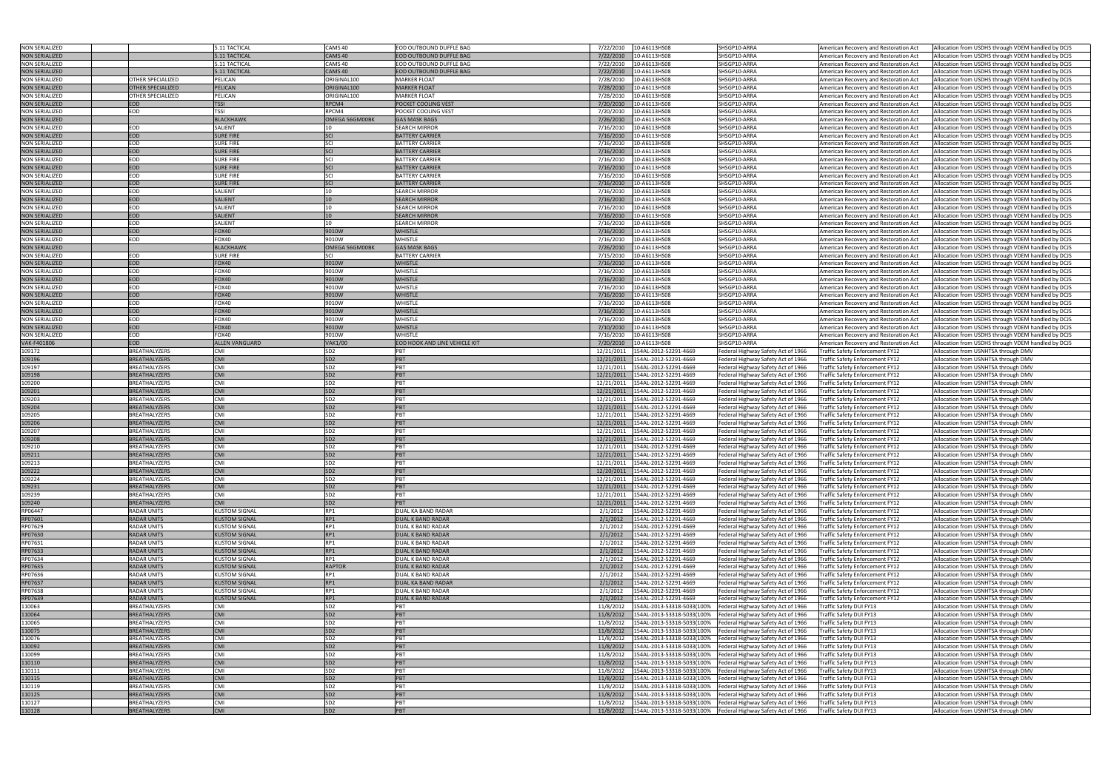| <b>NON SERIALIZED</b> |                          | 5.11 TACTICAL         | CAMS 40            | <b>EOD OUTBOUND DUFFLE BAG</b>       | 7/22/2010  | 10-A6113HS08                     | SHSGP10-ARRA                       | American Recovery and Restoration Act  | Allocation from USDHS through VDEM handled by DCJS |
|-----------------------|--------------------------|-----------------------|--------------------|--------------------------------------|------------|----------------------------------|------------------------------------|----------------------------------------|----------------------------------------------------|
| <b>NON SERIALIZED</b> |                          | 5.11 TACTICAL         | CAMS <sub>40</sub> | <b>EOD OUTBOUND DUFFLE BAG</b>       | 7/22/2010  | 10-A6113HS08                     | SHSGP10-ARRA                       | American Recovery and Restoration Act  | Allocation from USDHS through VDEM handled by DCJS |
|                       |                          |                       |                    |                                      |            |                                  |                                    |                                        |                                                    |
| <b>NON SERIALIZED</b> |                          | 5.11 TACTICAL         | CAMS 40            | EOD OUTBOUND DUFFLE BAG              | 7/22/2010  | 10-A6113HS08                     | SHSGP10-ARRA                       | American Recovery and Restoration Act  | Allocation from USDHS through VDEM handled by DCJS |
| <b>NON SERIALIZED</b> |                          | 5.11 TACTICAL         | CAMS 40            | EOD OUTBOUND DUFFLE BAG              | 7/22/2010  | 10-A6113HS08                     | SHSGP10-ARRA                       | American Recovery and Restoration Act  | Allocation from USDHS through VDEM handled by DCJS |
| <b>NON SERIALIZED</b> | OTHER SPECIALIZED        | PELICAN               | ORIGINAL100        | <b>MARKER FLOAT</b>                  | 7/28/2010  | 10-A6113HS08                     | SHSGP10-ARRA                       | American Recovery and Restoration Act  | Allocation from USDHS through VDEM handled by DCJS |
| <b>NON SERIALIZED</b> | <b>OTHER SPECIALIZED</b> | <b>PELICAN</b>        | ORIGINAL100        | <b>MARKER FLOAT</b>                  | 7/28/2010  | 10-A6113HS08                     | SHSGP10-ARRA                       | American Recovery and Restoration Act  | Allocation from USDHS through VDEM handled by DCJS |
| <b>NON SERIALIZED</b> | OTHER SPECIALIZED        | PELICAN               | ORIGINAL100        | <b>MARKER FLOAT</b>                  | 7/28/2010  | 10-A6113HS08                     | SHSGP10-ARRA                       |                                        | Allocation from USDHS through VDEM handled by DCJS |
|                       |                          |                       |                    |                                      |            |                                  |                                    | American Recovery and Restoration Act  |                                                    |
| <b>NON SERIALIZED</b> | <b>EOD</b>               | <b>TSSI</b>           | RPCM4              | POCKET COOLING VEST                  | 7/20/2010  | 10-A6113HS08                     | SHSGP10-ARRA                       | American Recovery and Restoration Act  | Allocation from USDHS through VDEM handled by DCJS |
| <b>NON SERIALIZED</b> | EOD                      | <b>TSSI</b>           | RPCM4              | POCKET COOLING VEST                  | 7/20/2010  | 10-A6113HS08                     | SHSGP10-ARRA                       | American Recovery and Restoration Act  | Allocation from USDHS through VDEM handled by DCJS |
| <b>NON SERIALIZED</b> |                          | <b>BLACKHAWK</b>      | OMEGA 56GM00BK     | <b>GAS MASK BAGS</b>                 | 7/26/2010  | 10-A6113HS08                     | SHSGP10-ARRA                       | American Recovery and Restoration Act  | Allocation from USDHS through VDEM handled by DCJS |
| <b>NON SERIALIZED</b> | EOD                      | SALIENT               |                    | <b>SEARCH MIRROR</b>                 | 7/16/2010  | 10-A6113HS08                     | SHSGP10-ARRA                       | American Recovery and Restoration Act  | Allocation from USDHS through VDEM handled by DCJS |
| <b>NON SERIALIZED</b> | EOD                      |                       | SCI                |                                      | 7/16/2010  |                                  | SHSGP10-ARRA                       |                                        |                                                    |
|                       |                          | <b>SURE FIRE</b>      |                    | <b>BATTERY CARRIER</b>               |            | 10-A6113HS08                     |                                    | American Recovery and Restoration Act  | Allocation from USDHS through VDEM handled by DCJS |
| <b>NON SERIALIZED</b> | EOD                      | <b>SURE FIRE</b>      | SCI                | <b>BATTERY CARRIER</b>               | 7/16/2010  | 10-A6113HS08                     | SHSGP10-ARRA                       | American Recovery and Restoration Act  | Allocation from USDHS through VDEM handled by DCJS |
| <b>NON SERIALIZED</b> | EOD                      | <b>SURE FIRE</b>      | SCI                | <b>BATTERY CARRIER</b>               | 7/16/2010  | 10-A6113HS08                     | SHSGP10-ARRA                       | American Recovery and Restoration Act  | Allocation from USDHS through VDEM handled by DCJS |
| <b>NON SERIALIZED</b> | EOD                      | <b>SURE FIRE</b>      | SCI                | <b>BATTERY CARRIER</b>               | 7/16/2010  | 10-A6113HS08                     | SHSGP10-ARRA                       | American Recovery and Restoration Act  | Allocation from USDHS through VDEM handled by DCJS |
| <b>NON SERIALIZED</b> | EOD                      | <b>SURE FIRE</b>      | SCI                | <b>BATTERY CARRIER</b>               | 7/16/2010  | 10-A6113HS08                     | SHSGP10-ARRA                       | American Recovery and Restoration Act  | Allocation from USDHS through VDEM handled by DCJS |
|                       |                          |                       |                    |                                      |            |                                  |                                    |                                        |                                                    |
| <b>NON SERIALIZED</b> | EOD                      | <b>SURE FIRE</b>      | SCI                | <b>BATTERY CARRIEF</b>               | 7/16/2010  | 10-A6113HS08                     | SHSGP10-ARRA                       | American Recovery and Restoration Act  | Allocation from USDHS through VDEM handled by DCJS |
| <b>NON SERIALIZED</b> | EOD                      | <b>SURE FIRE</b>      | SCI                | <b>BATTERY CARRIER</b>               | 7/16/2010  | 10-A6113HS08                     | SHSGP10-ARRA                       | American Recovery and Restoration Act  | Allocation from USDHS through VDEM handled by DCJS |
| <b>NON SERIALIZED</b> | EOD                      | SALIENT               | 10 <sup>1</sup>    | <b>SEARCH MIRROR</b>                 | 7/16/2010  | 10-A6113HS08                     | SHSGP10-ARRA                       | American Recovery and Restoration Act  | Allocation from USDHS through VDEM handled by DCJS |
| <b>NON SERIALIZED</b> | EOD                      | <b>SALIENT</b>        | 10                 | <b>SEARCH MIRROR</b>                 | 7/16/2010  | 10-A6113HS08                     | SHSGP10-ARRA                       | American Recovery and Restoration Act  | Allocation from USDHS through VDEM handled by DCJS |
| <b>NON SERIALIZED</b> | EOD                      | SALIENT               |                    | <b>SEARCH MIRROR</b>                 | 7/16/2010  | 10-A6113HS08                     | SHSGP10-ARRA                       |                                        | Allocation from USDHS through VDEM handled by DCJS |
|                       |                          |                       |                    |                                      |            |                                  |                                    | American Recovery and Restoration Act  |                                                    |
| <b>NON SERIALIZED</b> | <b>EOD</b>               | <b>SALIENT</b>        | 10                 | <b>SEARCH MIRROR</b>                 | 7/16/2010  | 10-A6113HS08                     | SHSGP10-ARRA                       | American Recovery and Restoration Act  | Allocation from USDHS through VDEM handled by DCJS |
| <b>NON SERIALIZED</b> | EOD                      | SALIENT               | 10                 | <b>SEARCH MIRROR</b>                 | 7/16/2010  | 10-A6113HS08                     | SHSGP10-ARRA                       | American Recovery and Restoration Act  | Allocation from USDHS through VDEM handled by DCJS |
| <b>NON SERIALIZED</b> | EOD                      | <b>FOX40</b>          | 9010W              | <b>WHISTLE</b>                       | 7/16/2010  | 10-A6113HS08                     | SHSGP10-ARRA                       | American Recovery and Restoration Act  | Allocation from USDHS through VDEM handled by DCJS |
| <b>NON SERIALIZED</b> | EOD                      | <b>FOX40</b>          | 9010W              | WHISTLE                              | 7/16/2010  | 10-A6113HS08                     | SHSGP10-ARRA                       | American Recovery and Restoration Act  | Allocation from USDHS through VDEM handled by DCJS |
|                       |                          | <b>BLACKHAWK</b>      | OMEGA 56GM00BK     | <b>GAS MASK BAGS</b>                 | 7/26/2010  | 10-A6113HS08                     | SHSGP10-ARRA                       |                                        | Allocation from USDHS through VDEM handled by DCJS |
| <b>NON SERIALIZED</b> |                          |                       |                    |                                      |            |                                  |                                    | American Recovery and Restoration Act  |                                                    |
| <b>NON SERIALIZED</b> | EOD                      | <b>SURE FIRE</b>      | <b>SCI</b>         | <b>BATTERY CARRIER</b>               | 7/15/2010  | 10-A6113HS08                     | SHSGP10-ARRA                       | American Recovery and Restoration Act  | Allocation from USDHS through VDEM handled by DCJS |
| <b>NON SERIALIZED</b> | <b>EOD</b>               | <b>FOX40</b>          | 9010W              | <b>WHISTLE</b>                       | 7/16/2010  | 10-A6113HS08                     | SHSGP10-ARRA                       | American Recovery and Restoration Act  | Allocation from USDHS through VDEM handled by DCJS |
| <b>NON SERIALIZED</b> | EOD                      | FOX40                 | 9010W              | WHISTLE                              | 7/16/2010  | 10-A6113HS08                     | SHSGP10-ARRA                       | American Recovery and Restoration Act  | Allocation from USDHS through VDEM handled by DCJS |
| <b>NON SERIALIZED</b> | <b>EOD</b>               | FOX40                 | 9010W              | <b>WHISTLE</b>                       | 7/16/2010  | 10-A6113HS08                     | SHSGP10-ARRA                       | American Recovery and Restoration Act  | Allocation from USDHS through VDEM handled by DCJS |
|                       |                          |                       |                    |                                      |            |                                  |                                    |                                        |                                                    |
| <b>NON SERIALIZED</b> | EOD                      | <b>FOX40</b>          | 9010W              | <b>WHISTLE</b>                       | 7/16/2010  | 10-A6113HS08                     | SHSGP10-ARRA                       | American Recovery and Restoration Act  | Allocation from USDHS through VDEM handled by DCJS |
| <b>NON SERIALIZED</b> | <b>EOD</b>               | <b>FOX40</b>          | 9010W              | <b>WHISTLE</b>                       | 7/16/2010  | 10-A6113HS08                     | SHSGP10-ARRA                       | American Recovery and Restoration Act  | Allocation from USDHS through VDEM handled by DCJS |
| <b>NON SERIALIZED</b> | EOD                      | <b>FOX40</b>          | 9010W              | <b>WHISTLE</b>                       | 7/16/2010  | 10-A6113HS08                     | SHSGP10-ARRA                       | American Recovery and Restoration Act  | Allocation from USDHS through VDEM handled by DCJS |
| <b>NON SERIALIZED</b> | EOD                      | <b>FOX40</b>          | 9010W              | <b>WHISTLE</b>                       | 7/16/2010  | 10-A6113HS08                     | SHSGP10-ARRA                       | American Recovery and Restoration Act  | Allocation from USDHS through VDEM handled by DCJS |
| <b>NON SERIALIZED</b> | EOD                      | <b>FOX40</b>          | 9010W              | WHISTLE                              | 7/16/2010  | 10-A6113HS08                     | SHSGP10-ARRA                       | American Recovery and Restoration Act  | Allocation from USDHS through VDEM handled by DCJS |
|                       |                          |                       |                    |                                      |            |                                  |                                    |                                        |                                                    |
| <b>NON SERIALIZED</b> | <b>EOD</b>               | FOX40                 | 9010W              | <b>WHISTLE</b>                       | 7/10/2010  | 10-A6113HS08                     | SHSGP10-ARRA                       | American Recovery and Restoration Act  | Allocation from USDHS through VDEM handled by DCJS |
| <b>NON SERIALIZED</b> | EOD                      | <b>FOX40</b>          | 9010W              | WHISTLE                              | 7/16/2010  | 10-A6113HS08                     | SHSGP10-ARRA                       | American Recovery and Restoration Act  | Allocation from USDHS through VDEM handled by DCJS |
| VAK-F401806           | EOD                      | <b>ALLEN VANGUARD</b> | <b>VAK1/00</b>     | <b>EOD HOOK AND LINE VEHICLE KIT</b> | 7/20/2010  | 10-A6113HS08                     | SHSGP10-ARRA                       | American Recovery and Restoration Act  | Allocation from USDHS through VDEM handled by DCJS |
| 109172                | BREATHALYZERS            | CMI                   | SD <sub>2</sub>    | PBT                                  | 12/21/2011 | 154AL-2012-52291-4669            | Federal Highway Safety Act of 1966 | Traffic Safety Enforcement FY12        | Allocation from USNHTSA through DMV                |
|                       |                          |                       |                    |                                      |            |                                  |                                    |                                        |                                                    |
| 109196                | <b>BREATHALYZERS</b>     | <b>CMI</b>            | SD <sub>2</sub>    | PBT                                  | 12/21/2011 | 154AL-2012-52291-4669            | Federal Highway Safety Act of 1966 | Traffic Safety Enforcement FY12        | Allocation from USNHTSA through DMV                |
| 109197                | BREATHALYZERS            | <b>CMI</b>            | SD <sub>2</sub>    | PBT                                  | 12/21/2011 | 154AL-2012-52291-4669            | Federal Highway Safety Act of 1966 | Traffic Safety Enforcement FY12        | Allocation from USNHTSA through DMV                |
| 109198                | BREATHALYZERS            | <b>CMI</b>            | SD <sub>2</sub>    | PBT                                  | 12/21/2011 | 154AL-2012-52291-4669            | Federal Highway Safety Act of 1966 | Traffic Safety Enforcement FY12        | Allocation from USNHTSA through DMV                |
| 109200                | BREATHALYZERS            | CMI                   | SD <sub>2</sub>    | PBT                                  | 12/21/2011 | 154AL-2012-52291-4669            | Federal Highway Safety Act of 1966 | Traffic Safety Enforcement FY12        | Allocation from USNHTSA through DMV                |
| 109201                | <b>BREATHALYZERS</b>     | <b>CMI</b>            | SD <sub>2</sub>    | PBT                                  | 12/21/2011 | 154AL-2012-52291-4669            | Federal Highway Safety Act of 1966 | Traffic Safety Enforcement FY12        | Allocation from USNHTSA through DMV                |
|                       |                          |                       |                    |                                      |            |                                  |                                    |                                        |                                                    |
| 109203                | BREATHALYZERS            | CMI                   | SD <sub>2</sub>    | PBT                                  | 12/21/2011 | 154AL-2012-52291-4669            | Federal Highway Safety Act of 1966 | <b>Traffic Safety Enforcement FY12</b> | Allocation from USNHTSA through DMV                |
| 109204                | <b>BREATHALYZERS</b>     | <b>CMI</b>            | <b>SDZ</b>         | PBT                                  |            | 12/21/2011 154AL-2012-52291-4669 | Federal Highway Safety Act of 1966 | Traffic Safety Enforcement FY12        | Allocation from USNHTSA through DMV                |
| 109205                | BREATHALYZERS            | CMI                   | SD <sub>2</sub>    | PBT                                  | 12/21/2011 | 154AL-2012-52291-4669            | Federal Highway Safety Act of 1966 | Traffic Safety Enforcement FY12        | Allocation from USNHTSA through DMV                |
| 109206                | BREATHALYZERS            | <b>CMI</b>            | SD <sub>2</sub>    | PBT                                  | 12/21/2011 | 154AL-2012-52291-4669            | Federal Highway Safety Act of 1966 | Traffic Safety Enforcement FY12        | Allocation from USNHTSA through DMV                |
| 109207                | BREATHALYZERS            | CMI                   | SD <sub>2</sub>    | PBT                                  | 12/21/2011 | 154AL-2012-52291-4669            |                                    | Traffic Safety Enforcement FY12        | Allocation from USNHTSA through DMV                |
|                       |                          |                       |                    |                                      |            |                                  | Federal Highway Safety Act of 1966 |                                        |                                                    |
| 109208                | BREATHALYZERS            | <b>CMI</b>            | SD <sub>2</sub>    | PBT                                  |            | 12/21/2011 154AL-2012-52291-4669 | Federal Highway Safety Act of 1966 | Traffic Safety Enforcement FY12        | Allocation from USNHTSA through DMV                |
| 109210                | BREATHALYZERS            | CMI                   | SD <sub>2</sub>    | PBT                                  | 12/21/2011 | 154AL-2012-52291-4669            | Federal Highway Safety Act of 1966 | Traffic Safety Enforcement FY12        | Allocation from USNHTSA through DMV                |
| 109211                | BREATHALYZERS            | <b>CMI</b>            | SD <sub>2</sub>    | PBT                                  | 12/21/2011 | 154AL-2012-52291-4669            | Federal Highway Safety Act of 1966 | Traffic Safety Enforcement FY12        | Allocation from USNHTSA through DMV                |
| 109213                | BREATHALYZERS            | CMI                   | SD <sub>2</sub>    | PBT                                  | 12/21/2011 | 154AL-2012-52291-4669            | Federal Highway Safety Act of 1966 | Traffic Safety Enforcement FY12        | Allocation from USNHTSA through DMV                |
|                       |                          |                       |                    |                                      |            |                                  |                                    |                                        |                                                    |
| 109222                | BREATHALYZERS            | <b>CMI</b>            | SD <sub>2</sub>    | PBT                                  | 12/20/2011 | 154AL-2012-52291-4669            | Federal Highway Safety Act of 1966 | Traffic Safety Enforcement FY12        | Allocation from USNHTSA through DMV                |
| 109224                | BREATHALYZERS            | CMI                   | SD <sub>2</sub>    | PBT                                  | 12/21/2011 | 154AL-2012-52291-4669            | Federal Highway Safety Act of 1966 | Traffic Safety Enforcement FY12        | Allocation from USNHTSA through DMV                |
| 109231                | BREATHALYZERS            | <b>CMI</b>            | SD <sub>2</sub>    | PBT                                  | 12/21/2011 | 154AL-2012-52291-4669            | Federal Highway Safety Act of 1966 | Traffic Safety Enforcement FY12        | Allocation from USNHTSA through DMV                |
| 109239                | BREATHALYZERS            | CMI                   | SD <sub>2</sub>    | PBT                                  | 12/21/2011 | 154AL-2012-52291-4669            | Federal Highway Safety Act of 1966 | Traffic Safety Enforcement FY12        | Allocation from USNHTSA through DMV                |
| 109240                | <b>BREATHALYZERS</b>     | <b>CMI</b>            | SD <sub>2</sub>    | PBT                                  | 12/21/2011 | 154AL-2012-52291-4669            | Federal Highway Safety Act of 1966 | Traffic Safety Enforcement FY12        | Allocation from USNHTSA through DMV                |
|                       |                          |                       |                    |                                      |            |                                  |                                    |                                        |                                                    |
| RP06447               | RADAR UNITS              | <b>KUSTOM SIGNAL</b>  | RP1                | DUAL KA BAND RADAR                   | 2/1/2012   | 154AL-2012-52291-4669            | Federal Highway Safety Act of 1966 | Traffic Safety Enforcement FY12        | Allocation from USNHTSA through DMV                |
| RP07601               | <b>RADAR UNITS</b>       | <b>KUSTOM SIGNAL</b>  | RP1                | <b>DUAL K BAND RADAR</b>             | 2/1/2012   | 154AL-2012-52291-4669            | Federal Highway Safety Act of 1966 | Traffic Safety Enforcement FY12        | Allocation from USNHTSA through DMV                |
| RP07629               | <b>RADAR UNITS</b>       | <b>KUSTOM SIGNAL</b>  | RP1                | <b>DUAL K BAND RADAR</b>             | 2/1/2012   | 154AL-2012-52291-4669            | Federal Highway Safety Act of 1966 | Traffic Safety Enforcement FY12        | Allocation from USNHTSA through DMV                |
| RP07630               | <b>RADAR UNITS</b>       | <b>KUSTOM SIGNAL</b>  | RP1                | <b>DUAL K BAND RADAR</b>             | 2/1/2012   | 154AL-2012-52291-4669            | Federal Highway Safety Act of 1966 | Traffic Safety Enforcement FY12        | Allocation from USNHTSA through DMV                |
| RP07631               | <b>RADAR UNITS</b>       | <b>KUSTOM SIGNAL</b>  | RP1                | <b>DUAL K BAND RADAR</b>             | 2/1/2012   | 154AL-2012-52291-4669            | Federal Highway Safety Act of 1966 | Traffic Safety Enforcement FY12        | Allocation from USNHTSA through DMV                |
|                       |                          |                       |                    |                                      |            |                                  |                                    |                                        |                                                    |
| RP07633               | <b>RADAR UNITS</b>       | <b>KUSTOM SIGNAL</b>  | RP1                | <b>DUAL K BAND RADAR</b>             | 2/1/2012   | 154AL-2012-52291-4669            | Federal Highway Safety Act of 1966 | Traffic Safety Enforcement FY12        | Allocation from USNHTSA through DMV                |
| RP07634               | <b>RADAR UNITS</b>       | <b>KUSTOM SIGNAL</b>  | RP1                | <b>DUAL K BAND RADAR</b>             | 2/1/2012   | 154AL-2012-52291-4669            | Federal Highway Safety Act of 1966 | Traffic Safety Enforcement FY12        | Allocation from USNHTSA through DMV                |
| RP07635               | <b>RADAR UNITS</b>       | <b>KUSTOM SIGNAL</b>  | RAPTOR             | <b>DUAL K BAND RADAR</b>             | 2/1/2012   | 154AL-2012-52291-4669            | Federal Highway Safety Act of 1966 | Traffic Safety Enforcement FY12        | Allocation from USNHTSA through DMV                |
| RP07636               | <b>RADAR UNITS</b>       | <b>KUSTOM SIGNAL</b>  | RP1                | <b>DUAL K BAND RADAR</b>             | 2/1/2012   | 154AL-2012-52291-4669            | Federal Highway Safety Act of 1966 | Traffic Safety Enforcement FY12        | Allocation from USNHTSA through DMV                |
|                       |                          |                       |                    |                                      |            |                                  |                                    |                                        |                                                    |
| RP07637               | <b>RADAR UNITS</b>       | <b>KUSTOM SIGNAL</b>  | RP1                | <b>DUAL KA BAND RADAR</b>            | 2/1/2012   | 154AL-2012-52291-4669            | Federal Highway Safety Act of 1966 | Traffic Safety Enforcement FY12        | Allocation from USNHTSA through DMV                |
| RP07638               | <b>RADAR UNITS</b>       | <b>KUSTOM SIGNAL</b>  | RP1                | <b>DUAL K BAND RADAR</b>             | 2/1/2012   | 154AL-2012-52291-4669            | Federal Highway Safety Act of 1966 | Traffic Safety Enforcement FY12        | Allocation from USNHTSA through DMV                |
| RP07639               | <b>RADAR UNITS</b>       | <b>KUSTOM SIGNAL</b>  | RP1                | <b>DUAL K BAND RADAR</b>             | 2/1/2012   | 154AL-2012-52291-4669            | Federal Highway Safety Act of 1966 | Traffic Safety Enforcement FY12        | Allocation from USNHTSA through DMV                |
| 110063                | BREATHALYZERS            | CMI                   | SD <sub>2</sub>    | PBT                                  | 11/8/2012  | 154AL-2013-53318-5033(100%       | Federal Highway Safety Act of 1966 | Traffic Safety DUI FY13                | Allocation from USNHTSA through DMV                |
| 110064                | BREATHALYZERS            | <b>CMI</b>            | SD <sub>2</sub>    | PBT                                  | 11/8/2012  | 154AL-2013-53318-5033(100%       | Federal Highway Safety Act of 1966 | Traffic Safety DUI FY13                | Allocation from USNHTSA through DMV                |
|                       |                          |                       |                    |                                      |            |                                  |                                    |                                        |                                                    |
| 110065                | BREATHALYZERS            | CMI                   | SD <sub>2</sub>    | PBT                                  | 11/8/2012  | 154AL-2013-53318-5033(100%       | Federal Highway Safety Act of 1966 | Traffic Safety DUI FY13                | Allocation from USNHTSA through DMV                |
| 110075                | <b>BREATHALYZERS</b>     | <b>CMI</b>            | SD <sub>2</sub>    | PBT                                  | 11/8/2012  | 154AL-2013-53318-5033(100%       | Federal Highway Safety Act of 1966 | Traffic Safety DUI FY13                | Allocation from USNHTSA through DMV                |
| 110076                | BREATHALYZERS            | CMI                   | SD <sub>2</sub>    | PBT                                  | 11/8/2012  | 154AL-2013-53318-5033(100%       | Federal Highway Safety Act of 1966 | Traffic Safety DUI FY13                | Allocation from USNHTSA through DMV                |
| 110092                | BREATHALYZERS            | <b>CMI</b>            | SD <sub>2</sub>    | PBT                                  | 11/8/2012  | 154AL-2013-53318-5033(100%       | Federal Highway Safety Act of 1966 | Traffic Safety DUI FY13                | Allocation from USNHTSA through DMV                |
| 110099                | BREATHALYZERS            | CMI                   | SD <sub>2</sub>    | PBT                                  | 11/8/2012  | 154AL-2013-53318-5033(100%       | Federal Highway Safety Act of 1966 | Traffic Safety DUI FY13                | Allocation from USNHTSA through DMV                |
|                       |                          |                       |                    |                                      |            |                                  |                                    |                                        |                                                    |
| 110110                | <b>BREATHALYZERS</b>     | <b>CMI</b>            | SD <sub>2</sub>    | PBT                                  | 11/8/2012  | 154AL-2013-53318-5033(100%       | Federal Highway Safety Act of 1966 | Traffic Safety DUI FY13                | Allocation from USNHTSA through DMV                |
| 110111                | BREATHALYZERS            | CMI                   | SD <sub>2</sub>    | PBT                                  | 11/8/2012  | 154AL-2013-53318-5033(100%       | Federal Highway Safety Act of 1966 | Traffic Safety DUI FY13                | Allocation from USNHTSA through DMV                |
| 110115                | <b>BREATHALYZERS</b>     | <b>CMI</b>            | SD <sub>2</sub>    | PBT                                  | 11/8/2012  | 154AL-2013-53318-5033(100%       | Federal Highway Safety Act of 1966 | Traffic Safety DUI FY13                | Allocation from USNHTSA through DMV                |
| 110119                | BREATHALYZERS            | CMI                   | SD <sub>2</sub>    | PBT                                  | 11/8/2012  | 154AL-2013-53318-5033(100%       | Federal Highway Safety Act of 1966 | Traffic Safety DUI FY13                | Allocation from USNHTSA through DMV                |
|                       |                          |                       |                    |                                      |            |                                  |                                    |                                        |                                                    |
| 110125                | BREATHALYZERS            | <b>CMI</b>            | SD <sub>2</sub>    | PBT                                  | 11/8/2012  | 154AL-2013-53318-5033(100%       | Federal Highway Safety Act of 1966 | Traffic Safety DUI FY13                | Allocation from USNHTSA through DMV                |
| 110127                | BREATHALYZERS            | CMI                   | SD <sub>2</sub>    | PBT                                  | 11/8/2012  | 154AL-2013-53318-5033(100%       | Federal Highway Safety Act of 1966 | Traffic Safety DUI FY13                | Allocation from USNHTSA through DMV                |
| 110128                | BREATHALYZERS            | <b>CMI</b>            | SD <sub>2</sub>    | PBT                                  | 11/8/2012  | 154AL-2013-53318-5033(100%       | Federal Highway Safety Act of 1966 | Traffic Safety DUI FY13                | Allocation from USNHTSA through DMV                |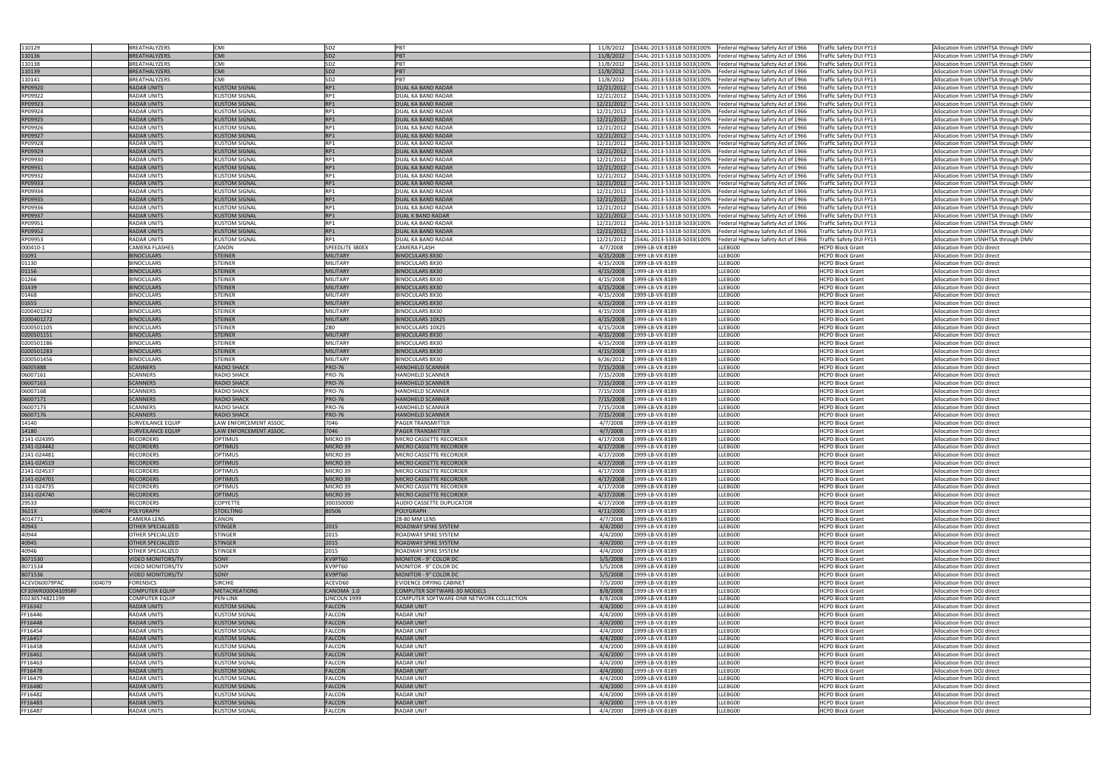| 110129            |        | BREATHALYZERS            | <b>CMI</b>             | SD <sub>2</sub> | PBT                                      | 11/8/2012  |                            | 154AL-2013-53318-5033(100% Federal Highway Safety Act of 1966 | Traffic Safety DUI FY13 | Allocation from USNHTSA through DMV |
|-------------------|--------|--------------------------|------------------------|-----------------|------------------------------------------|------------|----------------------------|---------------------------------------------------------------|-------------------------|-------------------------------------|
|                   |        |                          |                        |                 |                                          |            |                            |                                                               |                         |                                     |
| 110136            |        | BREATHALYZERS            | <b>CMI</b>             | SD <sub>2</sub> | PBT                                      | 11/8/2012  | I54AL-2013-53318-5033(100% | Federal Highway Safety Act of 1966                            | Traffic Safety DUI FY13 | Allocation from USNHTSA through DMV |
| 110138            |        | BREATHALYZERS            | <b>CMI</b>             | SD <sub>2</sub> | PBT                                      | 11/8/2012  |                            | 154AL-2013-53318-5033(100% Federal Highway Safety Act of 1966 | Traffic Safety DUI FY13 | Allocation from USNHTSA through DMV |
| 110139            |        | <b>BREATHALYZERS</b>     | <b>CMI</b>             | SD <sub>2</sub> | PBT                                      | 11/8/2012  | 54AL-2013-53318-5033(100%  | Federal Highway Safety Act of 1966                            | Traffic Safety DUI FY13 | Allocation from USNHTSA through DMV |
|                   |        |                          |                        |                 |                                          |            |                            |                                                               |                         |                                     |
| 110141            |        | BREATHALYZERS            | <b>CMI</b>             | SD <sub>2</sub> | PR <sub>1</sub>                          | 11/8/2012  | I54AL-2013-53318-5033(100% | Federal Highway Safety Act of 1966                            | Traffic Safety DUI FY13 | Allocation from USNHTSA through DMV |
| RP09920           |        | <b>RADAR UNITS</b>       | <b>KUSTOM SIGNAL</b>   | RP1             | DUAL KA BAND RADAR                       | 12/21/2012 | 154AL-2013-53318-5033(100% | Federal Highway Safety Act of 1966                            | Traffic Safety DUI FY13 | Allocation from USNHTSA through DMV |
| RP09922           |        | <b>RADAR UNITS</b>       | <b>KUSTOM SIGNAL</b>   | RP1             | DUAL KA BAND RADAR                       | 12/21/2012 | I54AL-2013-53318-5033(100% | Federal Highway Safety Act of 1966                            | Traffic Safety DUI FY13 | Allocation from USNHTSA through DMV |
|                   |        |                          |                        |                 |                                          |            |                            |                                                               |                         |                                     |
| RP09923           |        | <b>RADAR UNITS</b>       | <b>KUSTOM SIGNAL</b>   | RP1             | DUAL KA BAND RADAR                       | 12/21/2012 | I54AL-2013-53318-5033(100% | Federal Highway Safety Act of 1966                            | Traffic Safety DUI FY13 | Allocation from USNHTSA through DMV |
| RP09924           |        | <b>RADAR UNITS</b>       | <b>KUSTOM SIGNAL</b>   | RP1             | DUAL KA BAND RADAR                       | 12/21/2013 | 154AL-2013-53318-5033(100% | Federal Highway Safety Act of 1966                            | Traffic Safety DUI FY13 | Allocation from USNHTSA through DMV |
| RP09925           |        | <b>RADAR UNITS</b>       | <b>KUSTOM SIGNAL</b>   | RP1             | DUAL KA BAND RADAR                       | 12/21/2012 | 154AL-2013-53318-5033(100% | Federal Highway Safety Act of 1966                            | Traffic Safety DUI FY13 | Allocation from USNHTSA through DMV |
|                   |        |                          |                        |                 |                                          |            |                            |                                                               |                         |                                     |
| RP09926           |        | <b>RADAR UNITS</b>       | <b>KUSTOM SIGNAL</b>   | RP1             | DUAL KA BAND RADAR                       | 12/21/2012 | 154AL-2013-53318-5033(100% | Federal Highway Safety Act of 1966                            | Traffic Safety DUI FY13 | Allocation from USNHTSA through DMV |
| RP09927           |        | <b>RADAR UNITS</b>       | <b>KUSTOM SIGNAL</b>   | RP1             | DUAL KA BAND RADAR                       | 12/21/2012 | 154AL-2013-53318-5033(100% | Federal Highway Safety Act of 1966                            | Traffic Safety DUI FY13 | Allocation from USNHTSA through DMV |
| RP09928           |        | RADAR UNITS              | <b>KUSTOM SIGNAL</b>   | RP1             | DUAL KA BAND RADAR                       | 12/21/2012 | 154AL-2013-53318-5033(100% | Federal Highway Safety Act of 1966                            | Traffic Safety DUI FY13 | Allocation from USNHTSA through DMV |
|                   |        |                          |                        |                 |                                          |            |                            |                                                               |                         |                                     |
| RP09929           |        | <b>RADAR UNITS</b>       | <b>KUSTOM SIGNAL</b>   | RP1             | DUAL KA BAND RADAR                       | 12/21/2012 | 154AL-2013-53318-5033(100% | Federal Highway Safety Act of 1966                            | Traffic Safety DUI FY13 | Allocation from USNHTSA through DMV |
| RP09930           |        | RADAR UNITS              | <b>KUSTOM SIGNAL</b>   | RP1             | DUAL KA BAND RADAR                       | 12/21/2012 | 154AL-2013-53318-5033(100% | Federal Highway Safety Act of 1966                            | Traffic Safety DUI FY13 | Allocation from USNHTSA through DMV |
| RP09931           |        | <b>RADAR UNITS</b>       | <b>KUSTOM SIGNAL</b>   | RP1             | DUAL KA BAND RADAR                       | 12/21/2012 | 154AL-2013-53318-5033(100% | Federal Highway Safety Act of 1966                            | Traffic Safety DUI FY13 | Allocation from USNHTSA through DMV |
|                   |        |                          |                        | RP1             |                                          |            |                            |                                                               |                         |                                     |
| RP09932           |        | <b>RADAR UNITS</b>       | <b>KUSTOM SIGNAL</b>   |                 | DUAL KA BAND RADAR                       | 12/21/2012 | 154AL-2013-53318-5033(100% | Federal Highway Safety Act of 1966                            | Traffic Safety DUI FY13 | Allocation from USNHTSA through DMV |
| RP09933           |        | <b>RADAR UNITS</b>       | <b>KUSTOM SIGNAL</b>   | RP1             | DUAL KA BAND RADAR                       | 12/21/2012 | I54AL-2013-53318-5033(100% | Federal Highway Safety Act of 1966                            | Traffic Safety DUI FY13 | Allocation from USNHTSA through DMV |
| RP09934           |        | RADAR UNITS              | <b>KUSTOM SIGNAL</b>   | RP1             | DUAL KA BAND RADAR                       | 12/21/2012 | 154AL-2013-53318-5033(100% | Federal Highway Safety Act of 1966                            | Traffic Safety DUI FY13 | Allocation from USNHTSA through DMV |
|                   |        | <b>RADAR UNITS</b>       | <b>KUSTOM SIGNAL</b>   | RP1             | DUAL KA BAND RADAR                       | 12/21/2012 | I54AL-2013-53318-5033(100% |                                                               |                         |                                     |
| RP09935           |        |                          |                        |                 |                                          |            |                            | Federal Highway Safety Act of 1966                            | Traffic Safety DUI FY13 | Allocation from USNHTSA through DMV |
| RP09936           |        | <b>RADAR UNITS</b>       | <b>KUSTOM SIGNAL</b>   | RP1             | DUAL KA BAND RADAR                       | 12/21/2012 | I54AL-2013-53318-5033(100% | Federal Highway Safety Act of 1966                            | Traffic Safety DUI FY13 | Allocation from USNHTSA through DMV |
| RP09937           |        | <b>RADAR UNITS</b>       | <b>KUSTOM SIGNAL</b>   | RP1             | DUAL K BAND RADAR                        | 12/21/2012 | 154AL-2013-53318-5033(100% | Federal Highway Safety Act of 1966                            | Traffic Safety DUI FY13 | Allocation from USNHTSA through DMV |
| RP09951           |        | <b>RADAR UNITS</b>       | <b>KUSTOM SIGNAL</b>   | RP1             | DUAL KA BAND RADAR                       | 12/21/2012 | 154AL-2013-53318-5033(100% | Federal Highway Safety Act of 1966                            | Traffic Safety DUI FY13 | Allocation from USNHTSA through DMV |
|                   |        |                          |                        |                 |                                          |            |                            |                                                               |                         |                                     |
| RP09952           |        | <b>RADAR UNITS</b>       | <b>KUSTOM SIGNAL</b>   | RP1             | DUAL KA BAND RADAR                       | 12/21/2012 | I54AL-2013-53318-5033(100% | Federal Highway Safety Act of 1966                            | Traffic Safety DUI FY13 | Allocation from USNHTSA through DMV |
| RP09953           |        | <b>RADAR UNITS</b>       | <b>KUSTOM SIGNAL</b>   | RP1             | DUAL KA BAND RADAR                       | 12/21/2012 | 154AL-2013-53318-5033(100% | Federal Highway Safety Act of 1966                            | Traffic Safety DUI FY13 | Allocation from USNHTSA through DMV |
| 000410-1          |        | CAMERA FLASHES           | <b>CANON</b>           | SPEEDLITE 380EX | CAMERA FLASH                             | 4/7/2008   | 1999-LB-VX-8189            | LLEBG00                                                       |                         |                                     |
|                   |        |                          |                        |                 |                                          |            |                            |                                                               | <b>HCPD Block Grant</b> | Allocation from DOJ direct          |
| 01091             |        | <b>BINOCULARS</b>        | <b>STEINER</b>         | <b>MILITARY</b> | <b>BINOCULARS 8X30</b>                   | 4/15/2008  | 1999-LB-VX-8189            | LLEBG00                                                       | <b>HCPD Block Grant</b> | Allocation from DOJ direct          |
| 01130             |        | <b>BINOCULARS</b>        | <b>STEINER</b>         | MILITARY        | BINOCULARS 8X30                          | 4/15/2008  | 1999-LB-VX-8189            | LLEBG00                                                       | <b>HCPD Block Grant</b> | Allocation from DOJ direct          |
|                   |        |                          |                        |                 |                                          |            |                            |                                                               |                         |                                     |
| 01156             |        | <b>BINOCULARS</b>        | <b>STEINER</b>         | <b>MILITARY</b> | BINOCULARS 8X30                          | 4/15/2008  | 1999-LB-VX-8189            | LLEBG00                                                       | <b>HCPD Block Grant</b> | Allocation from DOJ direct          |
| 01266             |        | <b>BINOCULARS</b>        | <b>STEINER</b>         | <b>MILITARY</b> | BINOCULARS 8X30                          | 4/15/2008  | 1999-LB-VX-8189            | LLEBG00                                                       | <b>HCPD Block Grant</b> | Allocation from DOJ direct          |
| 01439             |        | <b>BINOCULARS</b>        | <b>STEINER</b>         | <b>MILITARY</b> | BINOCULARS 8X30                          | 4/15/2008  | 1999-LB-VX-8189            | LLEBG00                                                       | <b>HCPD Block Grant</b> | Allocation from DOJ direct          |
|                   |        |                          |                        |                 |                                          |            |                            |                                                               |                         |                                     |
| 01468             |        | BINOCULARS               | <b>STEINER</b>         | <b>MILITARY</b> | BINOCULARS 8X30                          | 4/15/2008  | 1999-LB-VX-8189            | LLEBG00                                                       | <b>HCPD Block Grant</b> | Allocation from DOJ direct          |
| 01655             |        | <b>BINOCULARS</b>        | <b>STEINER</b>         | <b>MILITARY</b> | BINOCULARS 8X30                          | 4/15/2008  | 1999-LB-VX-8189            | LLEBG00                                                       | <b>HCPD Block Grant</b> | Allocation from DOJ direct          |
| 0200401242        |        | BINOCULARS               | <b>STEINER</b>         | <b>MILITARY</b> | BINOCULARS 8X30                          | 4/15/2008  | 1999-LB-VX-8189            | LLEBG00                                                       | <b>HCPD Block Grant</b> | Allocation from DOJ direct          |
|                   |        |                          |                        |                 |                                          |            |                            |                                                               |                         |                                     |
| 0200401272        |        | <b>BINOCULARS</b>        | <b>STEINER</b>         | <b>MILITARY</b> | <b>BINOCULARS 10X25</b>                  | 4/15/2008  | 1999-LB-VX-8189            | LLEBG00                                                       | <b>HCPD Block Grant</b> | Allocation from DOJ direct          |
| 0200501105        |        | BINOCULARS               | <b>STEINER</b>         | 280             | <b>BINOCULARS 10X25</b>                  | 4/15/2008  | 1999-LB-VX-8189            | LLEBG00                                                       | <b>HCPD Block Grant</b> | Allocation from DOJ direct          |
| 0200501151        |        | <b>BINOCULARS</b>        | <b>STEINER</b>         | <b>MILITARY</b> | BINOCULARS 8X30                          | 4/15/2008  | 1999-LB-VX-8189            | LLEBG00                                                       | <b>HCPD Block Grant</b> | Allocation from DOJ direct          |
|                   |        |                          |                        |                 |                                          |            |                            |                                                               |                         |                                     |
| 0200501186        |        | BINOCULARS               | <b>STEINER</b>         | MILITARY        | <b>BINOCULARS 8X30</b>                   | 4/15/2008  | 1999-LB-VX-8189            | LLEBG00                                                       | <b>HCPD Block Grant</b> | Allocation from DOJ direct          |
| 0200501283        |        | <b>BINOCULARS</b>        | <b>STEINER</b>         | <b>MILITARY</b> | BINOCULARS 8X30                          | 4/15/2008  | 1999-LB-VX-8189            | LLEBG00                                                       | <b>HCPD Block Grant</b> | Allocation from DOJ direct          |
| 0200501456        |        | <b>BINOCULARS</b>        | <b>STEINER</b>         | <b>MILITARY</b> | BINOCULARS 8X30                          | 6/26/2012  | 1999-LB-VX-8189            | LLEBG00                                                       | <b>HCPD Block Grant</b> | Allocation from DOJ direct          |
|                   |        |                          |                        |                 |                                          |            |                            |                                                               |                         |                                     |
| 06005888          |        | <b>SCANNERS</b>          | <b>RADIO SHACK</b>     | <b>PRO-76</b>   | HANDHELD SCANNER                         | 7/15/2008  | 1999-LB-VX-8189            | LLEBG00                                                       | <b>HCPD Block Grant</b> | Allocation from DOJ direct          |
| 06007161          |        | SCANNERS                 | <b>RADIO SHACK</b>     | <b>PRO-76</b>   | HANDHELD SCANNER                         | 7/15/2008  | 1999-LB-VX-8189            | LLEBG00                                                       | <b>HCPD Block Grant</b> | Allocation from DOJ direct          |
| 06007163          |        | <b>SCANNERS</b>          | <b>RADIO SHACK</b>     | <b>PRO-76</b>   | HANDHELD SCANNER                         | 7/15/2008  | 1999-LB-VX-8189            | LLEBG00                                                       | <b>HCPD Block Grant</b> | Allocation from DOJ direct          |
|                   |        |                          |                        |                 |                                          |            |                            |                                                               |                         |                                     |
| 06007168          |        | SCANNERS                 | <b>RADIO SHACK</b>     | <b>PRO-76</b>   | <b>IANDHELD SCANNER</b>                  | 7/15/2008  | 1999-LB-VX-8189            | LLEBG00                                                       | <b>HCPD Block Grant</b> | Allocation from DOJ direct          |
| 06007171          |        | <b>SCANNERS</b>          | <b>RADIO SHACK</b>     | <b>PRO-76</b>   | HANDHELD SCANNER                         | 7/15/2008  | 1999-LB-VX-8189            | LLEBG00                                                       | <b>HCPD Block Grant</b> | Allocation from DOJ direct          |
|                   |        | SCANNERS                 | RADIO SHACK            |                 |                                          | 7/15/2008  |                            |                                                               | <b>HCPD Block Grant</b> | Allocation from DOJ direct          |
| 06007173          |        |                          |                        | PRO-76          | HANDHELD SCANNER                         |            | 1999-LB-VX-8189            | LLEBG00                                                       |                         |                                     |
| 06007176          |        | <b>SCANNERS</b>          | <b>RADIO SHACK</b>     | <b>PRO-76</b>   | HANDHELD SCANNER                         | 7/15/2008  | 1999-LB-VX-8189            | LLEBG00                                                       | <b>HCPD Block Grant</b> | Allocation from DOJ direct          |
| 14140             |        | SURVEILANCE EQUIP        | LAW ENFORCEMENT ASSOC. | 7046            | PAGER TRANSMITTER                        | 4/7/2008   | 1999-LB-VX-8189            | LLEBG00                                                       | <b>HCPD Block Grant</b> | Allocation from DOJ direct          |
| 14180             |        | <b>SURVEILANCE EQUIP</b> | LAW ENFORCEMENT ASSOC. | 7046            | PAGER TRANSMITTER                        | 4/7/2008   | 1999-LB-VX-8189            | LLEBG00                                                       | <b>HCPD Block Grant</b> | Allocation from DOJ direct          |
|                   |        |                          |                        |                 |                                          |            |                            |                                                               |                         |                                     |
| 2141-024395       |        | <b>RECORDERS</b>         | <b>OPTIMUS</b>         | MICRO 39        | MICRO CASSETTE RECORDER                  | 4/17/2008  | 1999-LB-VX-8189            | LLEBG00                                                       | <b>HCPD Block Grant</b> | Allocation from DOJ direct          |
| 2141-024442       |        | <b>RECORDERS</b>         | <b>OPTIMUS</b>         | MICRO 39        | MICRO CASSETTE RECORDER                  | 4/17/2008  | 1999-LB-VX-8189            | LLEBG00                                                       | <b>HCPD Block Grant</b> | Allocation from DOJ direct          |
| 2141-024481       |        | <b>RECORDERS</b>         | <b>OPTIMUS</b>         | MICRO 39        | MICRO CASSETTE RECORDER                  | 4/17/2008  | 1999-LB-VX-8189            | LLEBG00                                                       | <b>HCPD Block Grant</b> | Allocation from DOJ direct          |
|                   |        |                          |                        |                 |                                          |            |                            |                                                               |                         |                                     |
| 2141-024519       |        | <b>RECORDERS</b>         | <b>OPTIMUS</b>         | MICRO 39        | MICRO CASSETTE RECORDER                  | 4/17/2008  | 1999-LB-VX-8189            | LLEBG00                                                       | <b>HCPD Block Grant</b> | Allocation from DOJ direct          |
| 2141-024537       |        | <b>RECORDERS</b>         | <b>OPTIMUS</b>         | MICRO 39        | MICRO CASSETTE RECORDER                  | 4/17/2008  | 1999-LB-VX-8189            | LLEBG00                                                       | <b>HCPD Block Grant</b> | Allocation from DOJ direct          |
|                   |        |                          |                        |                 |                                          |            |                            |                                                               |                         |                                     |
| 2141-024701       |        | <b>RECORDERS</b>         | <b>OPTIMUS</b>         | MICRO 39        | MICRO CASSETTE RECORDER                  | 4/17/2008  | 1999-LB-VX-8189            | LLEBG00                                                       | <b>HCPD Block Grant</b> | Allocation from DOJ direct          |
| 2141-024735       |        | RECORDERS                | <b>OPTIMUS</b>         | MICRO 39        | MICRO CASSETTE RECORDER                  | 4/17/2008  | 1999-LB-VX-8189            | LLEBG00                                                       | <b>HCPD Block Grant</b> | Allocation from DOJ direct          |
| 2141-024740       |        | <b>RECORDERS</b>         | <b>OPTIMUS</b>         | MICRO 39        | <b>MICRO CASSETTE RECORDER</b>           | 4/17/2008  | 1999-LB-VX-8189            | LLEBG00                                                       | <b>HCPD Block Grant</b> | Allocation from DOJ direct          |
| 29533             |        | <b>RECORDERS</b>         | <b>COPYETTE</b>        | 300350000       | AUDIO CASSETTE DUPLICATOR                | 4/17/2008  | 1999-LB-VX-8189            | LLEBG00                                                       | <b>HCPD Block Grant</b> | Allocation from DOJ direct          |
|                   |        |                          |                        |                 |                                          |            |                            |                                                               |                         |                                     |
| 3621X             | 004074 | POLYGRAPH                | <b>STOELTING</b>       | 80506           | POLYGRAPH                                | 4/11/2000  | 1999-LB-VX-8189            | LLEBG00                                                       | <b>HCPD Block Grant</b> | Allocation from DOJ direct          |
| 4014771           |        | <b>CAMERA LENS</b>       | CANON                  |                 | 28-80 MM LENS                            | 4/7/2008   | 1999-LB-VX-8189            | LLEBG00                                                       | <b>HCPD Block Grant</b> | Allocation from DOJ direct          |
| 40943             |        | <b>OTHER SPECIALIZED</b> | <b>STINGER</b>         | 2015            | ROADWAY SPIKE SYSTEM                     | 4/4/2000   | 1999-LB-VX-8189            | LLEBG00                                                       | <b>HCPD Block Grant</b> | Allocation from DOJ direct          |
|                   |        |                          |                        |                 |                                          |            |                            |                                                               |                         |                                     |
| 40944             |        | <b>OTHER SPECIALIZED</b> | <b>STINGER</b>         | 2015            | ROADWAY SPIKE SYSTEM                     | 4/4/2000   | 1999-LB-VX-8189            | LLEBG00                                                       | <b>HCPD Block Grant</b> | Allocation from DOJ direct          |
| 40945             |        | <b>OTHER SPECIALIZED</b> | <b>STINGER</b>         | 2015            | ROADWAY SPIKE SYSTEM                     | 4/4/2000   | 1999-LB-VX-8189            | LLEBG00                                                       | <b>HCPD Block Grant</b> | Allocation from DOJ direct          |
| 40946             |        | <b>OTHER SPECIALIZED</b> | <b>STINGER</b>         | 2015            | ROADWAY SPIKE SYSTEM                     | 4/4/2000   | 1999-LB-VX-8189            | LLEBG00                                                       | <b>HCPD Block Grant</b> | Allocation from DOJ direct          |
|                   |        |                          |                        |                 |                                          |            |                            |                                                               |                         |                                     |
| 8071530           |        | <b>VIDEO MONITORS/TV</b> | SONY                   | KV9PT60         | MONITOR - 9" COLOR DC                    | 5/5/2008   | 1999-LB-VX-8189            | LLEBG00                                                       | <b>HCPD Block Grant</b> | Allocation from DOJ direct          |
| 8071534           |        | VIDEO MONITORS/TV        | SONY                   | KV9PT60         | <b>MONITOR - 9" COLOR DC</b>             | 5/5/2008   | 1999-LB-VX-8189            | LLEBG00                                                       | <b>HCPD Block Grant</b> | Allocation from DOJ direct          |
| 8071536           |        | <b>VIDEO MONITORS/TV</b> | SONY                   | KV9PT60         | MONITOR - 9" COLOR DC                    | 5/5/2008   | 1999-LB-VX-8189            | LLEBG00                                                       | <b>HCPD Block Grant</b> | Allocation from DOJ direct          |
|                   |        |                          |                        |                 |                                          |            |                            |                                                               |                         |                                     |
| ACEVD60079PAC     | 004079 | <b>FORENSICS</b>         | <b>SIRCHIE</b>         | ACEVD60         | EVIDENCE DRYING CABINET                  | 7/5/2000   | 1999-LB-VX-8189            | LLEBG00                                                       | <b>HCPD Block Grant</b> | Allocation from DOJ direct          |
| CF10WRD0004109SRF |        | <b>COMPUTER EQUIP</b>    | <b>METACREATIONS</b>   | CANOMA 1.0      | COMPUTER SOFTWARE-3D MODELS              | 8/8/2008   | 1999-LB-VX-8189            | LLEBG00                                                       | <b>HCPD Block Grant</b> | Allocation from DOJ direct          |
|                   |        |                          |                        |                 |                                          |            |                            | LLEBG00                                                       |                         |                                     |
| E0230574821199    |        | <b>COMPUTER EQUIP</b>    | <b>PEN-LINK</b>        | LINCOLN 1999    | COMPUTER SOFTWARE-DNR NETWORK COLLECTION | 8/8/2008   | 1999-LB-VX-8189            |                                                               | <b>HCPD Block Grant</b> | Allocation from DOJ direct          |
| FF16342           |        | <b>RADAR UNITS</b>       | <b>KUSTOM SIGNAL</b>   | <b>FALCON</b>   | <b>RADAR UNIT</b>                        | 4/4/2000   | 1999-LB-VX-8189            | LLEBG00                                                       | <b>HCPD Block Grant</b> | Allocation from DOJ direct          |
| FF16446           |        | <b>RADAR UNITS</b>       | <b>KUSTOM SIGNAL</b>   | <b>FALCON</b>   | RADAR UNIT                               | 4/4/2000   | 1999-LB-VX-8189            | LLEBG00                                                       | <b>HCPD Block Grant</b> | Allocation from DOJ direct          |
|                   |        |                          |                        | <b>FALCON</b>   | <b>RADAR UNIT</b>                        |            |                            |                                                               |                         |                                     |
| FF16448           |        | <b>RADAR UNITS</b>       | <b>KUSTOM SIGNAL</b>   |                 |                                          | 4/4/2000   | 1999-LB-VX-8189            | LLEBG00                                                       | <b>HCPD Block Grant</b> | Allocation from DOJ direct          |
| FF16454           |        | <b>RADAR UNITS</b>       | <b>KUSTOM SIGNAL</b>   | <b>FALCON</b>   | RADAR UNIT                               | 4/4/2000   | 1999-LB-VX-8189            | LLEBG00                                                       | <b>HCPD Block Grant</b> | Allocation from DOJ direct          |
| FF16457           |        | <b>RADAR UNITS</b>       | <b>KUSTOM SIGNAL</b>   | <b>FALCON</b>   | <b>RADAR UNIT</b>                        | 4/4/2000   | 1999-LB-VX-8189            | LLEBG00                                                       | <b>HCPD Block Grant</b> | Allocation from DOJ direct          |
|                   |        |                          |                        | <b>FALCON</b>   |                                          |            |                            | LLEBG00                                                       |                         |                                     |
| FF16458           |        | <b>RADAR UNITS</b>       | <b>KUSTOM SIGNAL</b>   |                 | RADAR UNIT                               | 4/4/2000   | 1999-LB-VX-8189            |                                                               | <b>HCPD Block Grant</b> | Allocation from DOJ direct          |
| FF16461           |        | <b>RADAR UNITS</b>       | <b>KUSTOM SIGNAL</b>   | <b>FALCON</b>   | <b>RADAR UNIT</b>                        | 4/4/2000   | 1999-LB-VX-8189            | LLEBG00                                                       | <b>HCPD Block Grant</b> | Allocation from DOJ direct          |
| FF16463           |        | <b>RADAR UNITS</b>       | <b>KUSTOM SIGNAL</b>   | <b>FALCON</b>   | <b>RADAR UNIT</b>                        | 4/4/2000   | 1999-LB-VX-8189            | LLEBG00                                                       | <b>HCPD Block Grant</b> | Allocation from DOJ direct          |
| FF16478           |        | <b>RADAR UNITS</b>       | <b>KUSTOM SIGNAL</b>   | <b>FALCON</b>   | <b>RADAR UNIT</b>                        | 4/4/2000   | 1999-LB-VX-8189            | LLEBG00                                                       | <b>HCPD Block Grant</b> | Allocation from DOJ direct          |
|                   |        |                          |                        |                 |                                          |            |                            |                                                               |                         |                                     |
|                   |        |                          |                        |                 |                                          |            |                            | LLEBG00                                                       | <b>HCPD Block Grant</b> | Allocation from DOJ direct          |
| FF16479           |        | <b>RADAR UNITS</b>       | <b>KUSTOM SIGNAL</b>   | <b>FALCON</b>   | RADAR UNIT                               | 4/4/2000   | 1999-LB-VX-8189            |                                                               |                         |                                     |
| FF16480           |        | <b>RADAR UNITS</b>       | <b>KUSTOM SIGNAL</b>   | <b>FALCON</b>   | <b>RADAR UNIT</b>                        | 4/4/2000   | 1999-LB-VX-8189            | LLEBG00                                                       | <b>HCPD Block Grant</b> | Allocation from DOJ direct          |
|                   |        |                          |                        |                 |                                          |            |                            |                                                               |                         |                                     |
| FF16482           |        | <b>RADAR UNITS</b>       | <b>KUSTOM SIGNAL</b>   | <b>FALCON</b>   | RADAR UNIT                               | 4/4/2000   | 1999-LB-VX-8189            | LLEBG00                                                       | <b>HCPD Block Grant</b> | Allocation from DOJ direct          |
| FF16483           |        | <b>RADAR UNITS</b>       | <b>KUSTOM SIGNAL</b>   | <b>FALCON</b>   | <b>RADAR UNIT</b>                        | 4/4/2000   | 1999-LB-VX-8189            | LLEBG00                                                       | <b>HCPD Block Grant</b> | Allocation from DOJ direct          |
| FF16487           |        | <b>RADAR UNITS</b>       | <b>KUSTOM SIGNAL</b>   | <b>FALCON</b>   | <b>RADAR UNIT</b>                        | 4/4/2000   | 1999-LB-VX-8189            | LLEBG00                                                       | <b>HCPD Block Grant</b> | Allocation from DOJ direct          |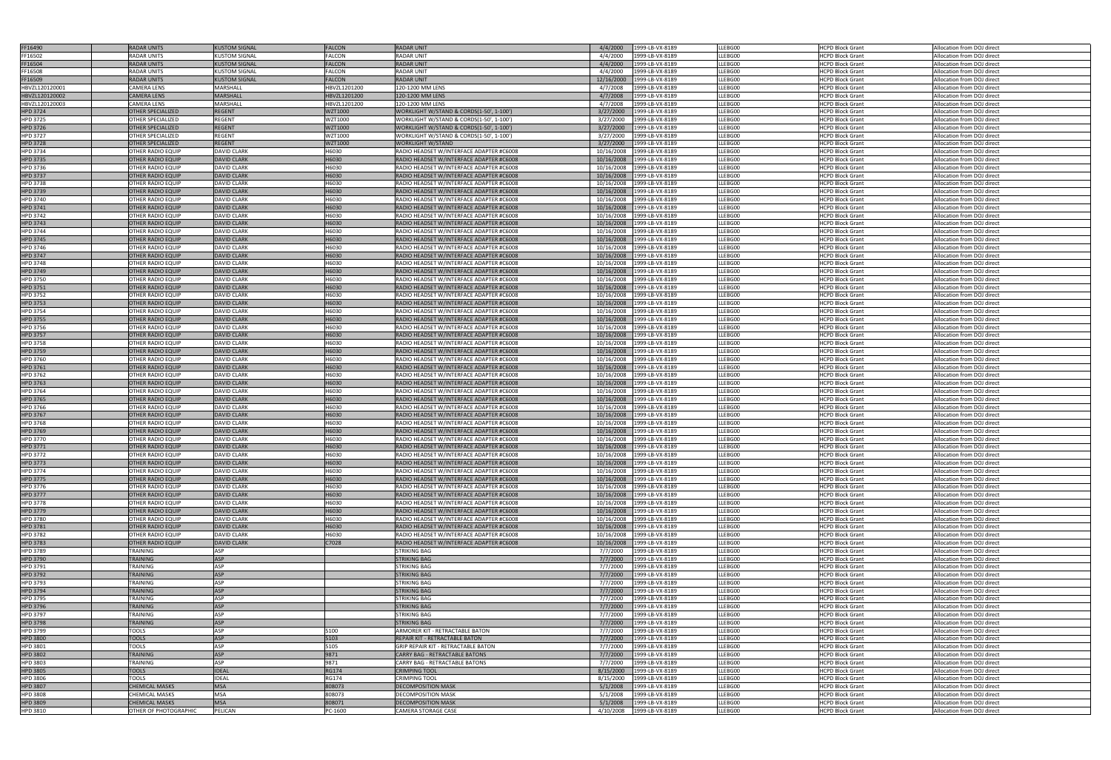| FF16490                            | <b>RADAR UNITS</b>                            | <b>KUSTOM SIGNAL</b>                     | <b>FALCON</b>  | <b>RADAR UNIT</b>                                                                    | 4/4/2000<br>1999-LB-VX-8189                                    | LLEBG00            | <b>HCPD Block Grant</b>                            | Allocation from DOJ direct                               |
|------------------------------------|-----------------------------------------------|------------------------------------------|----------------|--------------------------------------------------------------------------------------|----------------------------------------------------------------|--------------------|----------------------------------------------------|----------------------------------------------------------|
| FF16502                            | RADAR UNITS                                   | <b>KUSTOM SIGNAL</b>                     | <b>FALCON</b>  | <b>RADAR UNIT</b>                                                                    | 4/4/2000<br>1999-LB-VX-8189                                    | LLEBG00            | <b>HCPD Block Grant</b>                            | Allocation from DOJ direct                               |
| FF16504                            | <b>RADAR UNITS</b>                            | <b>KUSTOM SIGNAL</b>                     | <b>FALCON</b>  | <b>RADAR UNIT</b>                                                                    | 4/4/2000<br>1999-LB-VX-8189                                    | LLEBG00            | <b>HCPD Block Grant</b>                            | Allocation from DOJ direct                               |
| FF16508                            | RADAR UNITS                                   | <b>KUSTOM SIGNAL</b>                     | <b>FALCON</b>  | <b>RADAR UNIT</b>                                                                    | 4/4/2000<br>1999-LB-VX-8189                                    | LLEBG00            | <b>HCPD Block Grant</b>                            | Allocation from DOJ direct                               |
| FF16509                            | <b>RADAR UNITS</b>                            | <b>KUSTOM SIGNAL</b>                     | <b>FALCON</b>  | <b>RADAR UNIT</b>                                                                    | 12/16/2000<br>1999-LB-VX-8189                                  | LLEBG00            | <b>HCPD Block Grant</b>                            | Allocation from DOJ direct                               |
| HBVZL120120001                     | <b>CAMERA LENS</b>                            | MARSHALL                                 | HBVZL1201200   | 120-1200 MM LENS                                                                     | 4/7/2008<br>1999-LB-VX-8189                                    | LLEBG00            | <b>HCPD Block Grant</b>                            | Allocation from DOJ direct                               |
| HBVZL120120002                     | <b>CAMERA LENS</b>                            | <b>MARSHALL</b>                          | HBVZL1201200   | 120-1200 MM LENS                                                                     | 4/7/2008<br>1999-LB-VX-8189                                    | LLEBG00            | <b>HCPD Block Grant</b>                            | Allocation from DOJ direct                               |
| HBVZL120120003                     | <b>CAMERA LENS</b>                            | <b>MARSHALL</b>                          | HBVZL1201200   | 120-1200 MM LENS                                                                     | 4/7/2008<br>1999-LB-VX-8189                                    | LLEBG00            | <b>HCPD Block Grant</b>                            | Allocation from DOJ direct                               |
| <b>HPD 3724</b>                    | <b>OTHER SPECIALIZED</b>                      | <b>REGENT</b>                            | <b>WZT1000</b> | WORKLIGHT W/STAND & CORDS(1-50', 1-100')                                             | 3/27/2000<br>1999-LB-VX-8189                                   | LLEBG00            | <b>HCPD Block Grant</b>                            | Allocation from DOJ direct                               |
| <b>HPD 3725</b>                    | OTHER SPECIALIZED                             | <b>REGENT</b>                            | WZT1000        | WORKLIGHT W/STAND & CORDS(1-50', 1-100')                                             | 3/27/2000<br>1999-LB-VX-8189                                   | LLEBG00            | <b>HCPD Block Grant</b>                            | Allocation from DOJ direct                               |
| <b>HPD 3726</b>                    | <b>OTHER SPECIALIZED</b>                      | <b>REGENT</b>                            | WZT1000        | WORKLIGHT W/STAND & CORDS(1-50', 1-100')                                             | 3/27/2000<br>1999-LB-VX-8189                                   | LLEBG00            | <b>HCPD Block Grant</b>                            | Allocation from DOJ direct                               |
| <b>HPD 3727</b>                    | OTHER SPECIALIZED                             | REGENT                                   | WZT1000        | WORKLIGHT W/STAND & CORDS(1-50', 1-100')                                             | 3/27/2000<br>1999-LB-VX-8189                                   | LLEBG00            | <b>HCPD Block Grant</b>                            | Allocation from DOJ direct                               |
| <b>HPD 3728</b>                    | <b>OTHER SPECIALIZED</b>                      | <b>REGENT</b>                            | <b>WZT1000</b> | WORKLIGHT W/STAND                                                                    | 3/27/2000<br>1999-LB-VX-8189                                   | LLEBG00            | <b>HCPD Block Grant</b>                            | Allocation from DOJ direct                               |
| <b>HPD 3734</b>                    | OTHER RADIO EQUIP                             | <b>DAVID CLARK</b>                       | H6030          | RADIO HEADSET W/INTERFACE ADAPTER #C6008                                             | 10/16/2008<br>1999-LB-VX-8189                                  | LLEBG00            | <b>HCPD Block Grant</b>                            | Allocation from DOJ direct                               |
| <b>HPD 3735</b>                    | OTHER RADIO EQUIP                             | <b>DAVID CLARK</b>                       | H6030          | RADIO HEADSET W/INTERFACE ADAPTER #C6008                                             | 10/16/2008<br>1999-LB-VX-8189                                  | LLEBG00            | <b>HCPD Block Grant</b>                            | Allocation from DOJ direct                               |
| HPD 3736<br><b>HPD 3737</b>        | OTHER RADIO EQUIP<br>OTHER RADIO EQUIP        | <b>DAVID CLARK</b><br><b>DAVID CLARK</b> | H6030<br>H6030 | RADIO HEADSET W/INTERFACE ADAPTER #C6008<br>RADIO HEADSET W/INTERFACE ADAPTER #C6008 | 10/16/2008<br>1999-LB-VX-8189<br>10/16/2008<br>1999-LB-VX-8189 | LLEBG00<br>LLEBG00 | <b>HCPD Block Grant</b><br><b>HCPD Block Grant</b> | Allocation from DOJ direct<br>Allocation from DOJ direct |
| <b>HPD 3738</b>                    | OTHER RADIO EQUIP                             | <b>DAVID CLARK</b>                       | H6030          | RADIO HEADSET W/INTERFACE ADAPTER #C6008                                             | 10/16/2008<br>1999-LB-VX-8189                                  | LLEBG00            | <b>HCPD Block Grant</b>                            | Allocation from DOJ direct                               |
| <b>HPD 3739</b>                    | <b>OTHER RADIO EQUIP</b>                      | <b>DAVID CLARK</b>                       | H6030          | RADIO HEADSET W/INTERFACE ADAPTER #C6008                                             | 10/16/2008<br>1999-LB-VX-8189                                  | LLEBG00            | <b>HCPD Block Grant</b>                            | Allocation from DOJ direct                               |
| <b>HPD 3740</b>                    | OTHER RADIO EQUIP                             | <b>DAVID CLARK</b>                       | H6030          | RADIO HEADSET W/INTERFACE ADAPTER #C6008                                             | 10/16/2008<br>1999-LB-VX-8189                                  | LLEBG00            | <b>HCPD Block Grant</b>                            | Allocation from DOJ direct                               |
| <b>HPD 3741</b>                    | <b>OTHER RADIO EQUIP</b>                      | <b>DAVID CLARK</b>                       | H6030          | RADIO HEADSET W/INTERFACE ADAPTER #C6008                                             | 10/16/2008<br>1999-LB-VX-8189                                  | LLEBG00            | <b>HCPD Block Grant</b>                            | Allocation from DOJ direct                               |
| <b>HPD 3742</b>                    | <b>OTHER RADIO EQUIP</b>                      | <b>DAVID CLARK</b>                       | H6030          | RADIO HEADSET W/INTERFACE ADAPTER #C6008                                             | 10/16/2008<br>1999-LB-VX-8189                                  | LLEBG00            | <b>HCPD Block Grant</b>                            | Allocation from DOJ direct                               |
| <b>HPD 3743</b>                    | <b>OTHER RADIO EQUIP</b>                      | <b>DAVID CLARK</b>                       | H6030          | RADIO HEADSET W/INTERFACE ADAPTER #C6008                                             | 10/16/2008<br>1999-LB-VX-8189                                  | LLEBG00            | <b>HCPD Block Grant</b>                            | Allocation from DOJ direct                               |
| <b>HPD 3744</b>                    | OTHER RADIO EQUIP                             | <b>DAVID CLARK</b>                       | H6030          | RADIO HEADSET W/INTERFACE ADAPTER #C6008                                             | 10/16/2008<br>1999-LB-VX-8189                                  | LLEBG00            | <b>HCPD Block Grant</b>                            | Allocation from DOJ direct                               |
| <b>HPD 3745</b>                    | <b>OTHER RADIO EQUIP</b>                      | <b>DAVID CLARK</b>                       | H6030          | RADIO HEADSET W/INTERFACE ADAPTER #C6008                                             | 10/16/2008<br>1999-LB-VX-8189                                  | LLEBG00            | <b>HCPD Block Grant</b>                            | Allocation from DOJ direct                               |
| HPD 3746                           | <b>OTHER RADIO EQUIP</b>                      | <b>DAVID CLARK</b>                       | H6030          | RADIO HEADSET W/INTERFACE ADAPTER #C6008                                             | 10/16/2008<br>1999-LB-VX-8189                                  | LLEBG00            | <b>HCPD Block Grant</b>                            | Allocation from DOJ direct                               |
| <b>HPD 3747</b>                    | <b>OTHER RADIO EQUIP</b>                      | <b>DAVID CLARK</b>                       | H6030          | RADIO HEADSET W/INTERFACE ADAPTER #C6008                                             | 10/16/2008<br>1999-LB-VX-8189                                  | LLEBG00            | <b>HCPD Block Grant</b>                            | Allocation from DOJ direct                               |
| <b>HPD 3748</b>                    | OTHER RADIO EQUIP                             | <b>DAVID CLARK</b>                       | H6030          | RADIO HEADSET W/INTERFACE ADAPTER #C6008                                             | 10/16/2008<br>1999-LB-VX-8189                                  | LLEBG00            | <b>HCPD Block Grant</b>                            | Allocation from DOJ direct                               |
| <b>HPD 3749</b>                    | <b>OTHER RADIO EQUIP</b>                      | <b>DAVID CLARK</b>                       | H6030          | RADIO HEADSET W/INTERFACE ADAPTER #C6008                                             | 10/16/2008<br>1999-LB-VX-8189                                  | LLEBG00            | <b>HCPD Block Grant</b>                            | Allocation from DOJ direct                               |
| <b>HPD 3750</b>                    | OTHER RADIO EQUIP                             | <b>DAVID CLARK</b>                       | H6030          | RADIO HEADSET W/INTERFACE ADAPTER #C6008                                             | 10/16/2008<br>1999-LB-VX-8189                                  | LLEBG00            | <b>HCPD Block Grant</b>                            | Allocation from DOJ direct                               |
| <b>HPD 3751</b>                    | OTHER RADIO EQUIP                             | <b>DAVID CLARK</b>                       | H6030          | RADIO HEADSET W/INTERFACE ADAPTER #C6008                                             | 10/16/2008<br>1999-LB-VX-8189                                  | LLEBG00            | <b>HCPD Block Grant</b>                            | Allocation from DOJ direct                               |
| <b>HPD 3752</b>                    | OTHER RADIO EQUIP                             | <b>DAVID CLARK</b>                       | H6030          | RADIO HEADSET W/INTERFACE ADAPTER #C6008                                             | 10/16/2008<br>1999-LB-VX-8189                                  | LLEBG00            | <b>HCPD Block Grant</b>                            | Allocation from DOJ direct                               |
| <b>HPD 3753</b>                    | <b>OTHER RADIO EQUIP</b>                      | <b>DAVID CLARK</b>                       | H6030          | RADIO HEADSET W/INTERFACE ADAPTER #C6008                                             | 10/16/2008<br>1999-LB-VX-8189                                  | LLEBG00            | <b>HCPD Block Grant</b>                            | Allocation from DOJ direct                               |
| <b>HPD 3754</b>                    | OTHER RADIO EQUIP                             | <b>DAVID CLARK</b>                       | H6030          | RADIO HEADSET W/INTERFACE ADAPTER #C6008                                             | 10/16/2008<br>1999-LB-VX-8189                                  | LLEBG00            | <b>HCPD Block Grant</b>                            | Allocation from DOJ direct                               |
| <b>HPD 3755</b>                    | <b>OTHER RADIO EQUIP</b>                      | <b>DAVID CLARK</b>                       | H6030          | RADIO HEADSET W/INTERFACE ADAPTER #C6008                                             | 10/16/2008<br>1999-LB-VX-8189                                  | LLEBG00            | <b>HCPD Block Grant</b>                            | Allocation from DOJ direct                               |
| <b>HPD 3756</b>                    | <b>OTHER RADIO EQUIP</b>                      | <b>DAVID CLARK</b>                       | H6030          | RADIO HEADSET W/INTERFACE ADAPTER #C6008                                             | 10/16/2008<br>1999-LB-VX-8189                                  | LLEBG00            | <b>HCPD Block Grant</b>                            | Allocation from DOJ direct                               |
| <b>HPD 3757</b>                    | <b>OTHER RADIO EQUIP</b><br>OTHER RADIO EQUIP | <b>DAVID CLARK</b><br><b>DAVID CLARK</b> | H6030<br>H6030 | RADIO HEADSET W/INTERFACE ADAPTER #C6008                                             | 10/16/2008<br>1999-LB-VX-8189                                  | LLEBG00<br>LLEBG00 | <b>HCPD Block Grant</b>                            | Allocation from DOJ direct                               |
| <b>HPD 3758</b><br><b>HPD 3759</b> | OTHER RADIO EQUIP                             | <b>DAVID CLARK</b>                       | H6030          | RADIO HEADSET W/INTERFACE ADAPTER #C6008<br>RADIO HEADSET W/INTERFACE ADAPTER #C6008 | 10/16/2008<br>1999-LB-VX-8189<br>10/16/2008<br>1999-LB-VX-8189 | LLEBG00            | <b>HCPD Block Grant</b><br><b>HCPD Block Grant</b> | Allocation from DOJ direct<br>Allocation from DOJ direct |
| <b>HPD 3760</b>                    | OTHER RADIO EQUIP                             | <b>DAVID CLARK</b>                       | H6030          | RADIO HEADSET W/INTERFACE ADAPTER #C6008                                             | 10/16/2008<br>1999-LB-VX-8189                                  | LLEBG00            | <b>HCPD Block Grant</b>                            | Allocation from DOJ direct                               |
| <b>HPD 3761</b>                    | <b>OTHER RADIO EQUIP</b>                      | <b>DAVID CLARK</b>                       | H6030          | RADIO HEADSET W/INTERFACE ADAPTER #C6008                                             | 10/16/2008<br>1999-LB-VX-8189                                  | LLEBG00            | <b>HCPD Block Grant</b>                            | Allocation from DOJ direct                               |
| <b>HPD 3762</b>                    | OTHER RADIO EQUIP                             | <b>DAVID CLARK</b>                       | H6030          | RADIO HEADSET W/INTERFACE ADAPTER #C6008                                             | 10/16/2008<br>1999-LB-VX-8189                                  | LLEBG00            | <b>HCPD Block Grant</b>                            | Allocation from DOJ direct                               |
| <b>HPD 3763</b>                    | <b>OTHER RADIO EQUIP</b>                      | <b>DAVID CLARK</b>                       | H6030          | RADIO HEADSET W/INTERFACE ADAPTER #C6008                                             | 10/16/2008<br>1999-LB-VX-8189                                  | LLEBG00            | <b>HCPD Block Grant</b>                            | Allocation from DOJ direct                               |
| <b>HPD 3764</b>                    | OTHER RADIO EQUIP                             | <b>DAVID CLARK</b>                       | H6030          | RADIO HEADSET W/INTERFACE ADAPTER #C6008                                             | 10/16/2008<br>1999-LB-VX-8189                                  | LLEBG00            | <b>HCPD Block Grant</b>                            | Allocation from DOJ direct                               |
| <b>HPD 3765</b>                    | <b>OTHER RADIO EQUIP</b>                      | <b>DAVID CLARK</b>                       | H6030          | RADIO HEADSET W/INTERFACE ADAPTER #C6008                                             | 10/16/2008<br>1999-LB-VX-8189                                  | LLEBG00            | <b>HCPD Block Grant</b>                            | Allocation from DOJ direct                               |
| <b>HPD 3766</b>                    | JOTHER RADIO EQUIP                            | DAVID CLARK                              | H6030          | RADIO HEADSET W/INTERFACE ADAPTER #C6008                                             | 10/16/2008 1999-LB-VX-8189                                     | LLEBG00            | <b>HCPD Block Grant</b>                            | Allocation from DOJ direct                               |
| <b>HPD 3767</b>                    | <b>OTHER RADIO EQUIP</b>                      | <b>DAVID CLARK</b>                       | H6030          | RADIO HEADSET W/INTERFACE ADAPTER #C6008                                             | 10/16/2008<br>1999-LB-VX-8189                                  | LLEBG00            | <b>HCPD Block Grant</b>                            | Allocation from DOJ direct                               |
| <b>HPD 3768</b>                    | <b>OTHER RADIO EQUIP</b>                      | <b>DAVID CLARK</b>                       | H6030          | RADIO HEADSET W/INTERFACE ADAPTER #C6008                                             | 10/16/2008<br>1999-LB-VX-8189                                  | LLEBG00            | <b>HCPD Block Grant</b>                            | Allocation from DOJ direct                               |
| <b>HPD 3769</b>                    | <b>OTHER RADIO EQUIP</b>                      | <b>DAVID CLARK</b>                       | H6030          | RADIO HEADSET W/INTERFACE ADAPTER #C6008                                             | 10/16/2008<br>1999-LB-VX-8189                                  | LLEBG00            | <b>HCPD Block Grant</b>                            | Allocation from DOJ direct                               |
| <b>HPD 3770</b>                    | <b>OTHER RADIO EQUIP</b>                      | <b>DAVID CLARK</b>                       | H6030          | RADIO HEADSET W/INTERFACE ADAPTER #C6008                                             | 10/16/2008<br>1999-LB-VX-8189                                  | LLEBG00            | <b>HCPD Block Grant</b>                            | Allocation from DOJ direct                               |
| <b>HPD 3771</b>                    | OTHER RADIO EQUIP                             | <b>DAVID CLARK</b>                       | H6030          | RADIO HEADSET W/INTERFACE ADAPTER #C6008                                             | 10/16/2008<br>1999-LB-VX-8189                                  | LLEBG00            | <b>HCPD Block Grant</b>                            | Allocation from DOJ direct                               |
| <b>HPD 3772</b>                    | OTHER RADIO EQUIP                             | <b>DAVID CLARK</b>                       | H6030          | RADIO HEADSET W/INTERFACE ADAPTER #C6008                                             | 10/16/2008<br>1999-LB-VX-8189                                  | LLEBG00            | <b>HCPD Block Grant</b>                            | Allocation from DOJ direct                               |
| <b>HPD 3773</b>                    | OTHER RADIO EQUIP                             | <b>DAVID CLARK</b>                       | H6030          | RADIO HEADSET W/INTERFACE ADAPTER #C6008                                             | 10/16/2008<br>1999-LB-VX-8189                                  | LLEBG00            | <b>HCPD Block Grant</b>                            | Allocation from DOJ direct                               |
| <b>HPD 3774</b>                    | <b>OTHER RADIO EQUIP</b>                      | <b>DAVID CLARK</b>                       | H6030          | RADIO HEADSET W/INTERFACE ADAPTER #C6008                                             | 10/16/2008<br>1999-LB-VX-8189                                  | LLEBG00            | <b>HCPD Block Grant</b>                            | Allocation from DOJ direct                               |
| <b>HPD 3775</b>                    | <b>OTHER RADIO EQUIP</b>                      | <b>DAVID CLARK</b>                       | H6030          | RADIO HEADSET W/INTERFACE ADAPTER #C6008                                             | 10/16/2008<br>1999-LB-VX-8189                                  | LLEBG00            | <b>HCPD Block Grant</b>                            | Allocation from DOJ direct                               |
| <b>HPD 3776</b>                    | OTHER RADIO EQUIP                             | <b>DAVID CLARK</b>                       | H6030<br>H6030 | RADIO HEADSET W/INTERFACE ADAPTER #C6008                                             | 10/16/2008<br>1999-LB-VX-8189                                  | LLEBG00            | <b>HCPD Block Grant</b>                            | Allocation from DOJ direct                               |
| <b>HPD 3777</b><br><b>HPD 3778</b> | OTHER RADIO EQUIP<br><b>OTHER RADIO EQUIP</b> | <b>DAVID CLARK</b><br><b>DAVID CLARK</b> | H6030          | RADIO HEADSET W/INTERFACE ADAPTER #C6008<br>RADIO HEADSET W/INTERFACE ADAPTER #C6008 | 10/16/2008<br>1999-LB-VX-8189<br>1999-LB-VX-8189<br>10/16/2008 | LLEBG00<br>LLEBG00 | <b>HCPD Block Grant</b><br><b>HCPD Block Grant</b> | Allocation from DOJ direct<br>Allocation from DOJ direct |
| <b>HPD 3779</b>                    | <b>OTHER RADIO EQUIP</b>                      | <b>DAVID CLARK</b>                       | H6030          | RADIO HEADSET W/INTERFACE ADAPTER #C6008                                             | 10/16/2008<br>1999-LB-VX-8189                                  | LLEBG00            | <b>HCPD Block Grant</b>                            | Allocation from DOJ direct                               |
| <b>HPD 3780</b>                    | <b>OTHER RADIO EQUIP</b>                      | <b>DAVID CLARK</b>                       | H6030          | RADIO HEADSET W/INTERFACE ADAPTER #C6008                                             | 10/16/2008<br>1999-LB-VX-8189                                  | LLEBG00            | <b>HCPD Block Grant</b>                            | Allocation from DOJ direct                               |
| <b>HPD 3781</b>                    | <b>OTHER RADIO EQUIP</b>                      | <b>DAVID CLARK</b>                       | H6030          | RADIO HEADSET W/INTERFACE ADAPTER #C6008                                             | 10/16/2008<br>1999-LB-VX-8189                                  | LLEBG00            | <b>HCPD Block Grant</b>                            | Allocation from DOJ direct                               |
| <b>HPD 3782</b>                    | <b>OTHER RADIO EQUIP</b>                      | <b>DAVID CLARK</b>                       | H6030          | RADIO HEADSET W/INTERFACE ADAPTER #C6008                                             | 10/16/2008<br>1999-LB-VX-8189                                  | LLEBG00            | <b>HCPD Block Grant</b>                            | Allocation from DOJ direct                               |
| <b>HPD 3783</b>                    | <b>OTHER RADIO EQUIP</b>                      | <b>DAVID CLARK</b>                       | C7028          | RADIO HEADSET W/INTERFACE ADAPTER #C6008                                             | 10/16/2008<br>1999-LB-VX-8189                                  | LLEBG00            | <b>HCPD Block Grant</b>                            | Allocation from DOJ direct                               |
| <b>HPD 3789</b>                    | <b>TRAINING</b>                               | ASP                                      |                | STRIKING BAG                                                                         | 1999-LB-VX-8189<br>7/7/2000                                    | LLEBG00            | <b>HCPD Block Grant</b>                            | Allocation from DOJ direct                               |
| <b>HPD 3790</b>                    | <b>TRAINING</b>                               | <b>ASP</b>                               |                | <b>STRIKING BAG</b>                                                                  | 7/7/2000<br>1999-LB-VX-8189                                    | LLEBG00            | <b>HCPD Block Grant</b>                            | Allocation from DOJ direct                               |
| HPD 3791                           | <b>TRAINING</b>                               | <b>ASP</b>                               |                | STRIKING BAG                                                                         | 7/7/2000<br>1999-LB-VX-8189                                    | LLEBG00            | <b>HCPD Block Grant</b>                            | Allocation from DOJ direct                               |
| <b>HPD 3792</b>                    | <b>TRAINING</b>                               | <b>ASP</b>                               |                | <b>STRIKING BAG</b>                                                                  | 7/7/2000<br>1999-LB-VX-8189                                    | LLEBG00            | <b>HCPD Block Grant</b>                            | Allocation from DOJ direct                               |
| HPD 3793                           | <b><i>TRAINING</i></b>                        | ASP                                      |                | STRIKING BAG                                                                         | 7/7/2000<br>1999-LB-VX-8189                                    | LLEBG00            | <b>HCPD Block Grant</b>                            | Allocation from DOJ direct                               |
| <b>HPD 3794</b>                    | <b>TRAINING</b>                               | <b>ASP</b>                               |                | <b>STRIKING BAG</b>                                                                  | 1999-LB-VX-8189<br>7/7/2000                                    | LLEBG00            | <b>HCPD Block Grant</b>                            | Allocation from DOJ direct                               |
| <b>HPD 3795</b>                    | TRAINING                                      | <b>ASP</b>                               |                | STRIKING BAG                                                                         | 7/7/2000<br>1999-LB-VX-8189                                    | LLEBG00            | <b>HCPD Block Grant</b>                            | Allocation from DOJ direct                               |
| <b>HPD 3796</b>                    | <b>TRAINING</b>                               | <b>ASP</b>                               |                | <b>STRIKING BAG</b>                                                                  | 7/7/2000<br>1999-LB-VX-8189                                    | LLEBG00            | <b>HCPD Block Grant</b>                            | Allocation from DOJ direct                               |
| <b>HPD 3797</b>                    | <b>TRAINING</b>                               | <b>ASP</b>                               |                | STRIKING BAG                                                                         | 7/7/2000<br>1999-LB-VX-8189                                    | LLEBG00            | <b>HCPD Block Grant</b>                            | Allocation from DOJ direct                               |
| <b>HPD 3798</b>                    | <b>TRAINING</b>                               | <b>ASP</b><br><b>ASP</b>                 |                | <b>STRIKING BAG</b><br>ARMORER KIT - RETRACTABLE BATON                               | 7/7/2000<br>1999-LB-VX-8189                                    | LLEBG00<br>LLEBG00 | <b>HCPD Block Grant</b>                            | Allocation from DOJ direct                               |
| HPD 3799<br><b>HPD 3800</b>        | TOOLS<br><b>TOOLS</b>                         | <b>ASP</b>                               | 5100<br>5103   | REPAIR KIT - RETRACTABLE BATON                                                       | 7/7/2000<br>1999-LB-VX-8189<br>7/7/2000<br>1999-LB-VX-8189     | LLEBG00            | <b>HCPD Block Grant</b><br><b>HCPD Block Grant</b> | Allocation from DOJ direct<br>Allocation from DOJ direct |
| HPD 3801                           | TOOLS                                         | <b>ASP</b>                               | 5105           | GRIP REPAIR KIT - RETRACTABLE BATON                                                  | 7/7/2000<br>1999-LB-VX-8189                                    | LLEBG00            | <b>HCPD Block Grant</b>                            | Allocation from DOJ direct                               |
| <b>HPD 3802</b>                    | <b>TRAINING</b>                               | <b>ASP</b>                               | 9871           | <b>CARRY BAG - RETRACTABLE BATONS</b>                                                | 1999-LB-VX-8189<br>7/7/2000                                    | LLEBG00            | <b>HCPD Block Grant</b>                            | Allocation from DOJ direct                               |
| <b>HPD 3803</b>                    | TRAINING                                      | <b>ASP</b>                               | 9871           | <b>CARRY BAG - RETRACTABLE BATONS</b>                                                | 7/7/2000<br>1999-LB-VX-8189                                    | LLEBG00            | <b>HCPD Block Grant</b>                            | Allocation from DOJ direct                               |
| <b>HPD 3805</b>                    | <b>TOOLS</b>                                  | <b>IDEAL</b>                             | <b>RG174</b>   | <b>CRIMPING TOOL</b>                                                                 | 8/15/2000<br>1999-LB-VX-8189                                   | LLEBG00            | <b>HCPD Block Grant</b>                            | Allocation from DOJ direct                               |
| <b>HPD 3806</b>                    | TOOLS                                         | <b>IDEAL</b>                             | <b>RG174</b>   | <b>CRIMPING TOOL</b>                                                                 | 1999-LB-VX-8189<br>8/15/2000                                   | LLEBG00            | <b>HCPD Block Grant</b>                            | Allocation from DOJ direct                               |
| <b>HPD 3807</b>                    | <b>CHEMICAL MASKS</b>                         | <b>MSA</b>                               | 808073         | <b>DECOMPOSITION MASK</b>                                                            | 5/1/2008<br>1999-LB-VX-8189                                    | LLEBG00            | <b>HCPD Block Grant</b>                            | Allocation from DOJ direct                               |
| <b>HPD 3808</b>                    | <b>CHEMICAL MASKS</b>                         | <b>MSA</b>                               | 808073         | DECOMPOSITION MASK                                                                   | 5/1/2008<br>1999-LB-VX-8189                                    | LLEBG00            | <b>HCPD Block Grant</b>                            | Allocation from DOJ direct                               |
| <b>HPD 3809</b>                    | <b>CHEMICAL MASKS</b>                         | <b>MSA</b>                               | 808071         | <b>DECOMPOSITION MASK</b>                                                            | 1999-LB-VX-8189<br>5/1/2008                                    | LLEBG00            | <b>HCPD Block Grant</b>                            | Allocation from DOJ direct                               |
| HPD 3810                           | OTHER OF PHOTOGRAPHIC                         | PELICAN                                  | PC-1600        | CAMERA STORAGE CASE                                                                  | 4/10/2008<br>1999-LB-VX-8189                                   | LLEBG00            | <b>HCPD Block Grant</b>                            | Allocation from DOJ direct                               |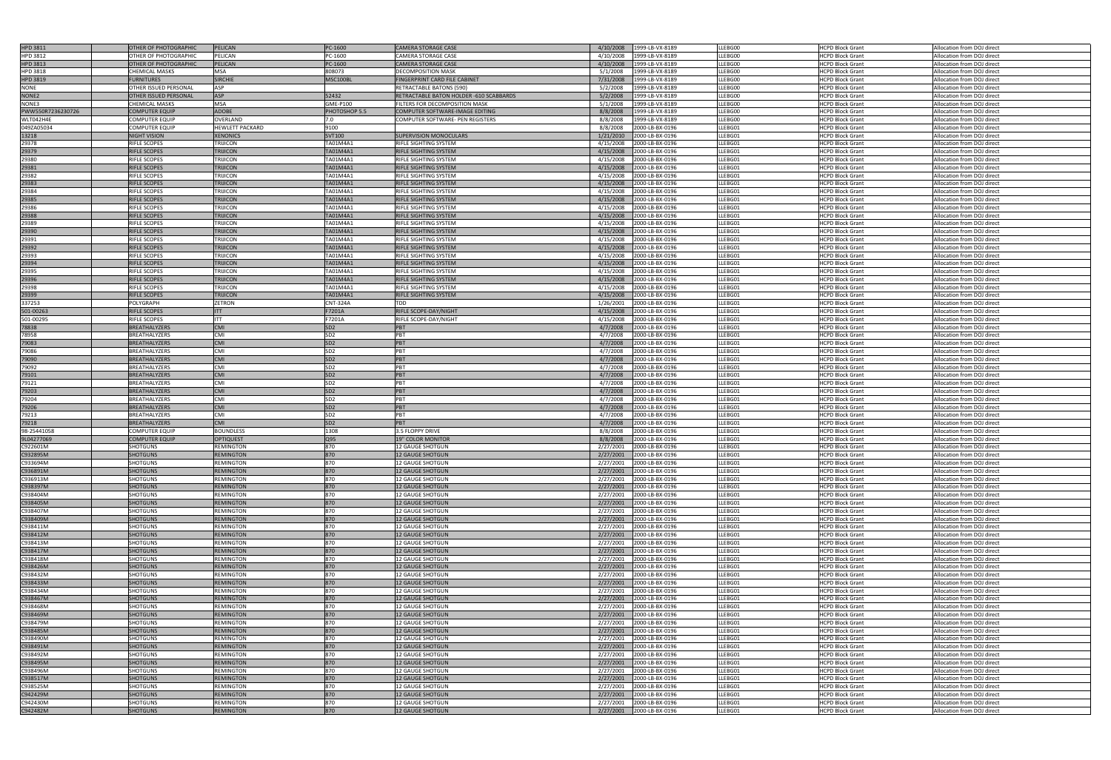| HPD 3811          | <b>OTHER OF PHOTOGRAPHIC</b> | <b>PELICAN</b>         | PC-1600         | <b>CAMERA STORAGE CASE</b>              | 4/10/2008 | 1999-LB-VX-8189          | LLEBG00 | <b>HCPD Block Grant</b> | Allocation from DOJ direct |
|-------------------|------------------------------|------------------------|-----------------|-----------------------------------------|-----------|--------------------------|---------|-------------------------|----------------------------|
|                   |                              |                        |                 |                                         |           |                          |         |                         |                            |
| HPD 3812          | OTHER OF PHOTOGRAPHIC        | PELICAN                | PC-1600         | CAMERA STORAGE CASE                     | 4/10/2008 | 1999-LB-VX-8189          | LLEBG00 | <b>HCPD Block Grant</b> | Allocation from DOJ direct |
| <b>HPD 3813</b>   | OTHER OF PHOTOGRAPHIC        | PELICAN                | PC-1600         | <b>CAMERA STORAGE CASE</b>              | 4/10/2008 | 1999-LB-VX-8189          | LLEBG00 | <b>HCPD Block Grant</b> | Allocation from DOJ direct |
| <b>HPD 3818</b>   | CHEMICAL MASKS               | MSA                    | 808073          | <b>DECOMPOSITION MASK</b>               | 5/1/2008  | 1999-LB-VX-8189          | LLEBG00 | <b>HCPD Block Grant</b> | Allocation from DOJ direct |
|                   |                              |                        |                 |                                         |           |                          |         |                         |                            |
| <b>HPD 3819</b>   | <b>FURNITURES</b>            | <b>SIRCHIE</b>         | MSC100BL        | FINGERPRINT CARD FILE CABINET           | 7/31/2008 | 1999-LB-VX-8189          | LLEBG00 | <b>HCPD Block Grant</b> | Allocation from DOJ direct |
| NONE              | OTHER ISSUED PERSONAL        | ASP                    |                 | RETRACTABLE BATONS (590)                | 5/2/2008  | 1999-LB-VX-8189          | LLEBG00 | <b>HCPD Block Grant</b> | Allocation from DOJ direct |
| NONE2             | OTHER ISSUED PERSONAL        | <b>ASP</b>             | 52432           | RETRACTABLE BATON HOLDER -610 SCABBARDS | 5/2/2008  | 1999-LB-VX-8189          | LLEBG00 | <b>HCPD Block Grant</b> | Allocation from DOJ direct |
|                   |                              |                        |                 |                                         |           |                          |         |                         |                            |
| NONE3             | <b>CHEMICAL MASKS</b>        | <b>MSA</b>             | GME-P100        | FILTERS FOR DECOMPOSITION MASK          | 5/1/2008  | 1999-LB-VX-8189          | LLEBG00 | <b>HCPD Block Grant</b> | Allocation from DOJ direct |
| PWW550R7236230726 | <b>COMPUTER EQUIP</b>        | ADOBE                  | PHOTOSHOP 5.5   | COMPUTER SOFTWARE-IMAGE EDITING         | 8/8/2008  | 1999-LB-VX-8189          | LLEBG00 | <b>HCPD Block Grant</b> | Allocation from DOJ direct |
|                   |                              |                        | 7.0             |                                         |           |                          |         |                         |                            |
| WLT042H4E         | COMPUTER EQUIP               | OVERLAND               |                 | COMPUTER SOFTWARE- PEN REGISTERS        | 8/8/2008  | 1999-LB-VX-8189          | LLEBG00 | <b>HCPD Block Grant</b> | Allocation from DOJ direct |
| 049ZA05034        | COMPUTER EQUIP               | <b>HEWLETT PACKARD</b> | 9100            |                                         | 8/8/2008  | 2000-LB-BX-0196          | LLEBG01 | <b>HCPD Block Grant</b> | Allocation from DOJ direct |
| 13218             | <b>NIGHT VISION</b>          | <b>XENONICS</b>        | <b>SVT100</b>   | <b>SUPERVISION MONOCULARS</b>           | 1/21/2010 | 2000-LB-BX-0196          | LLEBG01 | <b>HCPD Block Grant</b> | Allocation from DOJ direct |
|                   |                              |                        |                 |                                         |           |                          |         |                         |                            |
| 29378             | <b>RIFLE SCOPES</b>          | TRIJICON               | TA01M4A1        | RIFLE SIGHTING SYSTEM                   | 4/15/2008 | 2000-LB-BX-0196          | LLEBG01 | <b>HCPD Block Grant</b> | Allocation from DOJ direct |
| 29379             | RIFLE SCOPES                 | <b>TRIJICON</b>        | TA01M4A1        | <b>RIFLE SIGHTING SYSTEM</b>            | 4/15/2008 | 2000-LB-BX-0196          | LLEBG01 | <b>HCPD Block Grant</b> | Allocation from DOJ direct |
| 29380             | <b>RIFLE SCOPES</b>          | <b>TRIJICON</b>        | TA01M4A1        | RIFLE SIGHTING SYSTEM                   | 4/15/2008 | 2000-LB-BX-0196          | LLEBG01 | <b>HCPD Block Grant</b> | Allocation from DOJ direct |
|                   |                              |                        |                 |                                         |           |                          |         |                         |                            |
| 29381             | <b>RIFLE SCOPES</b>          | <b>TRIJICON</b>        | TA01M4A1        | <b>RIFLE SIGHTING SYSTEM</b>            | 4/15/2008 | 2000-LB-BX-0196          | LLEBG01 | <b>HCPD Block Grant</b> | Allocation from DOJ direct |
| 29382             | <b>RIFLE SCOPES</b>          | <b>TRIJICON</b>        | TA01M4A1        | RIFLE SIGHTING SYSTEM                   | 4/15/2008 | 2000-LB-BX-0196          | LLEBG01 | <b>HCPD Block Grant</b> | Allocation from DOJ direct |
| 29383             | <b>RIFLE SCOPES</b>          | <b>TRIJICON</b>        | TA01M4A1        | <b>RIFLE SIGHTING SYSTEM</b>            | 4/15/2008 | 2000-LB-BX-0196          | LLEBG01 | <b>HCPD Block Grant</b> | Allocation from DOJ direct |
|                   |                              |                        |                 |                                         |           |                          |         |                         |                            |
| 29384             | <b>RIFLE SCOPES</b>          | <b>TRIJICON</b>        | TA01M4A1        | RIFLE SIGHTING SYSTEM                   | 4/15/2008 | 2000-LB-BX-0196          | LLEBG01 | <b>HCPD Block Grant</b> | Allocation from DOJ direct |
| 29385             | <b>RIFLE SCOPES</b>          | <b>TRIJICON</b>        | TA01M4A1        | <b>RIFLE SIGHTING SYSTEM</b>            | 4/15/2008 | 2000-LB-BX-0196          | LLEBG01 | <b>HCPD Block Grant</b> | Allocation from DOJ direct |
|                   |                              |                        |                 |                                         |           |                          |         |                         |                            |
| 29386             | RIFLE SCOPES                 | <b>TRIJICON</b>        | TA01M4A1        | RIFLE SIGHTING SYSTEM                   | 4/15/2008 | 2000-LB-BX-0196          | LLEBG01 | <b>HCPD Block Grant</b> | Allocation from DOJ direct |
| 29388             | <b>RIFLE SCOPES</b>          | <b>TRIJICON</b>        | TA01M4A1        | <b>RIFLE SIGHTING SYSTEM</b>            | 4/15/2008 | 2000-LB-BX-0196          | LLEBG01 | <b>HCPD Block Grant</b> | Allocation from DOJ direct |
| 29389             | RIFLE SCOPES                 | TRIJICON               | TA01M4A1        | RIFLE SIGHTING SYSTEM                   | 4/15/2008 | 2000-LB-BX-0196          | LLEBG01 | <b>HCPD Block Grant</b> | Allocation from DOJ direct |
|                   |                              |                        |                 |                                         |           |                          |         |                         |                            |
| 29390             | RIFLE SCOPES                 | <b>TRIJICON</b>        | TA01M4A1        | <b>RIFLE SIGHTING SYSTEM</b>            | 4/15/2008 | 2000-LB-BX-0196          | LLEBG01 | <b>HCPD Block Grant</b> | Allocation from DOJ direct |
| 29391             | <b>RIFLE SCOPES</b>          | <b>TRIJICON</b>        | TA01M4A1        | RIFLE SIGHTING SYSTEM                   | 4/15/2008 | 2000-LB-BX-0196          | LLEBG01 | <b>HCPD Block Grant</b> | Allocation from DOJ direct |
| 29392             | <b>RIFLE SCOPES</b>          | <b>TRIJICON</b>        | TA01M4A1        | <b>RIFLE SIGHTING SYSTEM</b>            | 4/15/2008 | 2000-LB-BX-0196          | LLEBG01 | <b>HCPD Block Grant</b> | Allocation from DOJ direct |
|                   |                              |                        |                 |                                         |           |                          |         |                         |                            |
| 29393             | <b>RIFLE SCOPES</b>          | TRIJICON               | TA01M4A1        | RIFLE SIGHTING SYSTEM                   | 4/15/2008 | 2000-LB-BX-0196          | LLEBG01 | <b>HCPD Block Grant</b> | Allocation from DOJ direct |
| 29394             | <b>RIFLE SCOPES</b>          | <b>TRIJICON</b>        | TA01M4A1        | <b>RIFLE SIGHTING SYSTEM</b>            | 4/15/2008 | 2000-LB-BX-0196          | LLEBG01 | <b>HCPD Block Grant</b> | Allocation from DOJ direct |
|                   |                              |                        |                 |                                         |           |                          |         |                         |                            |
| 29395             | <b>RIFLE SCOPES</b>          | TRIJICON               | TA01M4A1        | RIFLE SIGHTING SYSTEM                   | 4/15/2008 | 2000-LB-BX-0196          | LLEBG01 | <b>HCPD Block Grant</b> | Allocation from DOJ direct |
| 29396             | <b>RIFLE SCOPES</b>          | <b>TRIJICON</b>        | TA01M4A1        | <b>RIFLE SIGHTING SYSTEM</b>            | 4/15/2008 | 2000-LB-BX-0196          | LLEBG01 | <b>HCPD Block Grant</b> | Allocation from DOJ direct |
| 29398             | <b>RIFLE SCOPES</b>          | TRIJICON               | TA01M4A1        | RIFLE SIGHTING SYSTEM                   | 4/15/2008 | 2000-LB-BX-0196          | LLEBG01 | <b>HCPD Block Grant</b> | Allocation from DOJ direct |
|                   |                              |                        |                 |                                         |           |                          |         |                         |                            |
| 29399             | RIFLE SCOPES                 | <b>TRIJICON</b>        | TA01M4A1        | <b>RIFLE SIGHTING SYSTEM</b>            | 4/15/2008 | 2000-LB-BX-0196          | LLEBG01 | <b>HCPD Block Grant</b> | Allocation from DOJ direct |
| 337253            | POLYGRAPH                    | <b>ZETRON</b>          | <b>CNT-324A</b> | TDD                                     | 1/26/2001 | 2000-LB-BX-0196          | LLEBG01 | <b>HCPD Block Grant</b> | Allocation from DOJ direct |
|                   |                              |                        |                 |                                         |           |                          |         |                         |                            |
| 501-00263         | <b>RIFLE SCOPES</b>          | <b>ITT</b>             | F7201A          | <b>RIFLE SCOPE-DAY/NIGHT</b>            | 4/15/2008 | 2000-LB-BX-0196          | LLEBG01 | <b>HCPD Block Grant</b> | Allocation from DOJ direct |
| 501-00295         | RIFLE SCOPES                 | <b>ITT</b>             | F7201A          | RIFLE SCOPE-DAY/NIGHT                   | 4/15/2008 | 2000-LB-BX-0196          | LLEBG01 | <b>HCPD Block Grant</b> | Allocation from DOJ direct |
| 78838             | <b>BREATHALYZERS</b>         | <b>CMI</b>             | SD <sub>2</sub> | <b>PBT</b>                              | 4/7/2008  | 2000-LB-BX-0196          | LLEBG01 | <b>HCPD Block Grant</b> | Allocation from DOJ direct |
|                   |                              |                        |                 |                                         |           |                          |         |                         |                            |
| 78958             | BREATHALYZERS                | CMI                    | SD <sub>2</sub> | PBT                                     | 4/7/2008  | 2000-LB-BX-0196          | LLEBG01 | <b>HCPD Block Grant</b> | Allocation from DOJ direct |
| 79083             | <b>BREATHALYZERS</b>         | <b>CMI</b>             | SD <sub>2</sub> | PBT                                     | 4/7/2008  | 2000-LB-BX-0196          | LLEBG01 | <b>HCPD Block Grant</b> | Allocation from DOJ direct |
|                   |                              |                        |                 |                                         |           |                          |         |                         |                            |
| 79086             | BREATHALYZERS                | <b>CMI</b>             | SD <sub>2</sub> | PBT                                     | 4/7/2008  | 2000-LB-BX-0196          | LLEBG01 | <b>HCPD Block Grant</b> | Allocation from DOJ direct |
| 79090             | <b>BREATHALYZERS</b>         | <b>CMI</b>             | SD <sub>2</sub> | <b>PBT</b>                              | 4/7/2008  | 2000-LB-BX-0196          | LLEBG01 | <b>HCPD Block Grant</b> | Allocation from DOJ direct |
| 79092             | BREATHALYZERS                | <b>CMI</b>             | SD <sub>2</sub> | PBT                                     | 4/7/2008  | 2000-LB-BX-0196          | LLEBG01 | <b>HCPD Block Grant</b> | Allocation from DOJ direct |
|                   |                              |                        |                 |                                         |           |                          |         |                         |                            |
| 79101             | BREATHALYZERS                | <b>CMI</b>             | SD <sub>2</sub> | PBT                                     | 4/7/2008  | 2000-LB-BX-0196          | LLEBG01 | <b>HCPD Block Grant</b> | Allocation from DOJ direct |
| 79121             | BREATHALYZERS                | CMI                    | SD <sub>2</sub> | PBT                                     | 4/7/2008  | 2000-LB-BX-0196          | LLEBG01 | <b>HCPD Block Grant</b> | Allocation from DOJ direct |
|                   |                              |                        |                 | <b>PBT</b>                              |           |                          |         |                         |                            |
| 79203             | <b>BREATHALYZERS</b>         | <b>CMI</b>             | SD <sub>2</sub> |                                         | 4/7/2008  | 2000-LB-BX-0196          | LLEBG01 | <b>HCPD Block Grant</b> | Allocation from DOJ direct |
| 79204             | BREATHALYZERS                | <b>CMI</b>             | SD <sub>2</sub> | PBT                                     | 4/7/2008  | 2000-LB-BX-0196          | LLEBG01 | <b>HCPD Block Grant</b> | Allocation from DOJ direct |
| 79206             | <b>BREATHALYZERS</b>         |                        |                 | PBT                                     |           | 4/7/2008 2000-LB-BX-0196 | LLEBG01 | <b>HCPD Block Grant</b> | Allocation from DOJ direct |
|                   |                              |                        |                 |                                         |           |                          |         |                         |                            |
| 79213             | BREATHALYZERS                | <b>CMI</b>             | SD <sub>2</sub> | PBT                                     | 4/7/2008  | 2000-LB-BX-0196          | LLEBG01 | <b>HCPD Block Grant</b> | Allocation from DOJ direct |
| 79218             | <b>BREATHALYZERS</b>         | <b>CMI</b>             | SD <sub>2</sub> | PBT                                     | 4/7/2008  | 2000-LB-BX-0196          | LLEBG01 | <b>HCPD Block Grant</b> | Allocation from DOJ direct |
|                   | COMPUTER EQUIP               |                        | 1308            | 3.5 FLOPPY DRIVE                        |           |                          | LLEBG01 |                         |                            |
| 98-25441058       |                              | <b>BOUNDLESS</b>       |                 |                                         | 8/8/2008  | 2000-LB-BX-0196          |         | <b>HCPD Block Grant</b> | Allocation from DOJ direct |
| 9L04277069        | <b>COMPUTER EQUIP</b>        | <b>OPTIQUEST</b>       | Q95             | <b>19" COLOR MONITOR</b>                | 8/8/2008  | 2000-LB-BX-0196          | LLEBG01 | <b>HCPD Block Grant</b> | Allocation from DOJ direct |
| C922601M          | SHOTGUNS                     | REMINGTON              | 870             | 12 GAUGE SHOTGUN                        | 2/27/2001 | 2000-LB-BX-0196          | LLEBG01 | <b>HCPD Block Grant</b> | Allocation from DOJ direct |
|                   |                              |                        |                 |                                         |           |                          |         |                         |                            |
| C932895M          | <b>SHOTGUNS</b>              | REMINGTON              | 870             | 12 GAUGE SHOTGUN                        | 2/27/2001 | 2000-LB-BX-0196          | LLEBG01 | <b>HCPD Block Grant</b> | Allocation from DOJ direct |
| C933694M          | SHOTGUNS                     | REMINGTON              | 870             | <b>12 GAUGE SHOTGUN</b>                 | 2/27/2001 | 2000-LB-BX-0196          | LLEBG01 | <b>HCPD Block Grant</b> | Allocation from DOJ direct |
| C936891M          | <b>SHOTGUNS</b>              | REMINGTON              | 870             | <b>12 GAUGE SHOTGUN</b>                 | 2/27/2001 | 2000-LB-BX-0196          | LLEBG01 | <b>HCPD Block Grant</b> | Allocation from DOJ direct |
|                   |                              |                        |                 |                                         |           |                          |         |                         |                            |
| C936913M          | <b>SHOTGUNS</b>              | REMINGTON              | 870             | 12 GAUGE SHOTGUN                        | 2/27/2001 | 2000-LB-BX-0196          | LLEBG01 | <b>HCPD Block Grant</b> | Allocation from DOJ direct |
| C938397M          | <b>SHOTGUNS</b>              | REMINGTON              | 870             | 12 GAUGE SHOTGUN                        | 2/27/2001 | 2000-LB-BX-0196          | LLEBG01 | <b>HCPD Block Grant</b> | Allocation from DOJ direct |
|                   |                              |                        |                 |                                         |           |                          |         |                         |                            |
| C938404M          | SHOTGUNS                     | REMINGTON              | 870             | 12 GAUGE SHOTGUN                        | 2/27/2001 | 2000-LB-BX-0196          | LLEBG01 | <b>HCPD Block Grant</b> | Allocation from DOJ direct |
| C938405M          | <b>SHOTGUNS</b>              | REMINGTON              | 870             | <b>12 GAUGE SHOTGUN</b>                 | 2/27/2001 | 2000-LB-BX-0196          | LLEBG01 | <b>HCPD Block Grant</b> | Allocation from DOJ direct |
| C938407M          | SHOTGUNS                     | REMINGTON              | 870             | <b>12 GAUGE SHOTGUN</b>                 | 2/27/2001 | 2000-LB-BX-0196          | LLEBG01 | <b>HCPD Block Grant</b> | Allocation from DOJ direct |
|                   |                              |                        |                 |                                         |           |                          |         |                         |                            |
| C938409M          | <b>SHOTGUNS</b>              | REMINGTON              | 870             | 12 GAUGE SHOTGUN                        | 2/27/2001 | 2000-LB-BX-0196          | LLEBG01 | <b>HCPD Block Grant</b> | Allocation from DOJ direct |
| C938411M          | <b>SHOTGUNS</b>              | REMINGTON              | 870             | <b>12 GAUGE SHOTGUN</b>                 | 2/27/2001 | 2000-LB-BX-0196          | LLEBG01 | <b>HCPD Block Grant</b> | Allocation from DOJ direct |
| C938412M          | <b>SHOTGUNS</b>              | REMINGTON              | 870             | 12 GAUGE SHOTGUN                        | 2/27/2001 | 2000-LB-BX-0196          | LLEBG01 | <b>HCPD Block Grant</b> | Allocation from DOJ direct |
|                   |                              |                        |                 |                                         |           |                          |         |                         |                            |
| C938413M          | SHOTGUNS                     | REMINGTON              | 870             | 12 GAUGE SHOTGUN                        | 2/27/2001 | 2000-LB-BX-0196          | LLEBG01 | <b>HCPD Block Grant</b> | Allocation from DOJ direct |
| C938417M          | <b>SHOTGUNS</b>              | REMINGTON              | 870             | 12 GAUGE SHOTGUN                        | 2/27/2001 | 2000-LB-BX-0196          | LLEBG01 | <b>HCPD Block Grant</b> | Allocation from DOJ direct |
|                   |                              | REMINGTON              |                 |                                         |           |                          |         |                         |                            |
| C938418M          | SHOTGUNS                     |                        | 870             | <b>12 GAUGE SHOTGUN</b>                 | 2/27/2001 | 2000-LB-BX-0196          | LLEBG01 | <b>HCPD Block Grant</b> | Allocation from DOJ direct |
| C938426M          | <b>SHOTGUNS</b>              | REMINGTON              | 870             | 12 GAUGE SHOTGUN                        | 2/27/2001 | 2000-LB-BX-0196          | LLEBG01 | <b>HCPD Block Grant</b> | Allocation from DOJ direct |
| C938432M          | <b>SHOTGUNS</b>              | REMINGTON              | 870             | <b>12 GAUGE SHOTGUN</b>                 | 2/27/2001 | 2000-LB-BX-0196          | LLEBG01 | <b>HCPD Block Grant</b> | Allocation from DOJ direct |
| C938433M          |                              | <b>REMINGTON</b>       | 870             |                                         |           |                          |         |                         |                            |
|                   | <b>SHOTGUNS</b>              |                        |                 | <b>12 GAUGE SHOTGUN</b>                 | 2/27/2001 | 2000-LB-BX-0196          | LLEBG01 | <b>HCPD Block Grant</b> | Allocation from DOJ direct |
| C938434M          | <b>SHOTGUNS</b>              | REMINGTON              | 870             | 12 GAUGE SHOTGUN                        | 2/27/2001 | 2000-LB-BX-0196          | LLEBG01 | <b>HCPD Block Grant</b> | Allocation from DOJ direct |
| C938467M          | <b>SHOTGUNS</b>              | REMINGTON              | 870             | <b>12 GAUGE SHOTGUN</b>                 | 2/27/2001 | 2000-LB-BX-0196          | LLEBG01 | <b>HCPD Block Grant</b> | Allocation from DOJ direct |
|                   |                              |                        |                 |                                         |           |                          |         |                         |                            |
| C938468M          | SHOTGUNS                     | REMINGTON              | 870             | 12 GAUGE SHOTGUN                        | 2/27/2001 | 2000-LB-BX-0196          | LLEBG01 | <b>HCPD Block Grant</b> | Allocation from DOJ direct |
| C938469M          | <b>SHOTGUNS</b>              | <b>REMINGTON</b>       | 870             | <b>12 GAUGE SHOTGUN</b>                 | 2/27/2001 | 2000-LB-BX-0196          | LLEBG01 | <b>HCPD Block Grant</b> | Allocation from DOJ direct |
| C938479M          | SHOTGUNS                     | REMINGTON              | 870             | 12 GAUGE SHOTGUN                        | 2/27/2001 | 2000-LB-BX-0196          | LLEBG01 | <b>HCPD Block Grant</b> | Allocation from DOJ direct |
|                   |                              |                        |                 |                                         |           |                          |         |                         |                            |
| C938485M          | <b>SHOTGUNS</b>              | REMINGTON              | 870             | 12 GAUGE SHOTGUN                        | 2/27/2001 | 2000-LB-BX-0196          | LLEBG01 | <b>HCPD Block Grant</b> | Allocation from DOJ direct |
| C938490M          | <b>SHOTGUNS</b>              | REMINGTON              | 870             | 12 GAUGE SHOTGUN                        | 2/27/2001 | 2000-LB-BX-0196          | LLEBG01 | <b>HCPD Block Grant</b> | Allocation from DOJ direct |
|                   |                              |                        |                 |                                         |           |                          |         |                         |                            |
| C938491M          | <b>SHOTGUNS</b>              | REMINGTON              | 870             | <b>12 GAUGE SHOTGUN</b>                 | 2/27/2001 | 2000-LB-BX-0196          | LLEBG01 | <b>HCPD Block Grant</b> | Allocation from DOJ direct |
| C938492M          | SHOTGUNS                     | REMINGTON              | 870             | <b>12 GAUGE SHOTGUN</b>                 | 2/27/2001 | 2000-LB-BX-0196          | LLEBG01 | <b>HCPD Block Grant</b> | Allocation from DOJ direct |
| C938495M          | <b>SHOTGUNS</b>              | REMINGTON              | 870             | 12 GAUGE SHOTGUN                        | 2/27/2001 | 2000-LB-BX-0196          | LLEBG01 | <b>HCPD Block Grant</b> | Allocation from DOJ direct |
|                   |                              |                        |                 |                                         |           |                          |         |                         |                            |
| C938496M          | SHOTGUNS                     | REMINGTON              | 870             | <b>12 GAUGE SHOTGUN</b>                 | 2/27/2001 | 2000-LB-BX-0196          | LLEBG01 | <b>HCPD Block Grant</b> | Allocation from DOJ direct |
| C938517M          | <b>SHOTGUNS</b>              | REMINGTON              | 870             | 12 GAUGE SHOTGUN                        | 2/27/2001 | 2000-LB-BX-0196          | LLEBG01 | <b>HCPD Block Grant</b> | Allocation from DOJ direct |
| C938525M          | <b>SHOTGUNS</b>              | REMINGTON              | 870             | <b>12 GAUGE SHOTGUN</b>                 |           |                          | LLEBG01 |                         |                            |
|                   |                              |                        |                 |                                         | 2/27/2001 | 2000-LB-BX-0196          |         | <b>HCPD Block Grant</b> | Allocation from DOJ direct |
| C942429M          | <b>SHOTGUNS</b>              | REMINGTON              | 870             | 12 GAUGE SHOTGUN                        | 2/27/2001 | 2000-LB-BX-0196          | LLEBG01 | <b>HCPD Block Grant</b> | Allocation from DOJ direct |
| C942430M          | <b>SHOTGUNS</b>              | REMINGTON              | 870             | 12 GAUGE SHOTGUN                        | 2/27/2001 | 2000-LB-BX-0196          | LLEBG01 | <b>HCPD Block Grant</b> | Allocation from DOJ direct |
| C942482M          |                              |                        |                 |                                         |           |                          |         |                         |                            |
|                   | <b>SHOTGUNS</b>              | REMINGTON              | 870             | 12 GAUGE SHOTGUN                        | 2/27/2001 | 2000-LB-BX-0196          | LLEBG01 | <b>HCPD Block Grant</b> | Allocation from DOJ direct |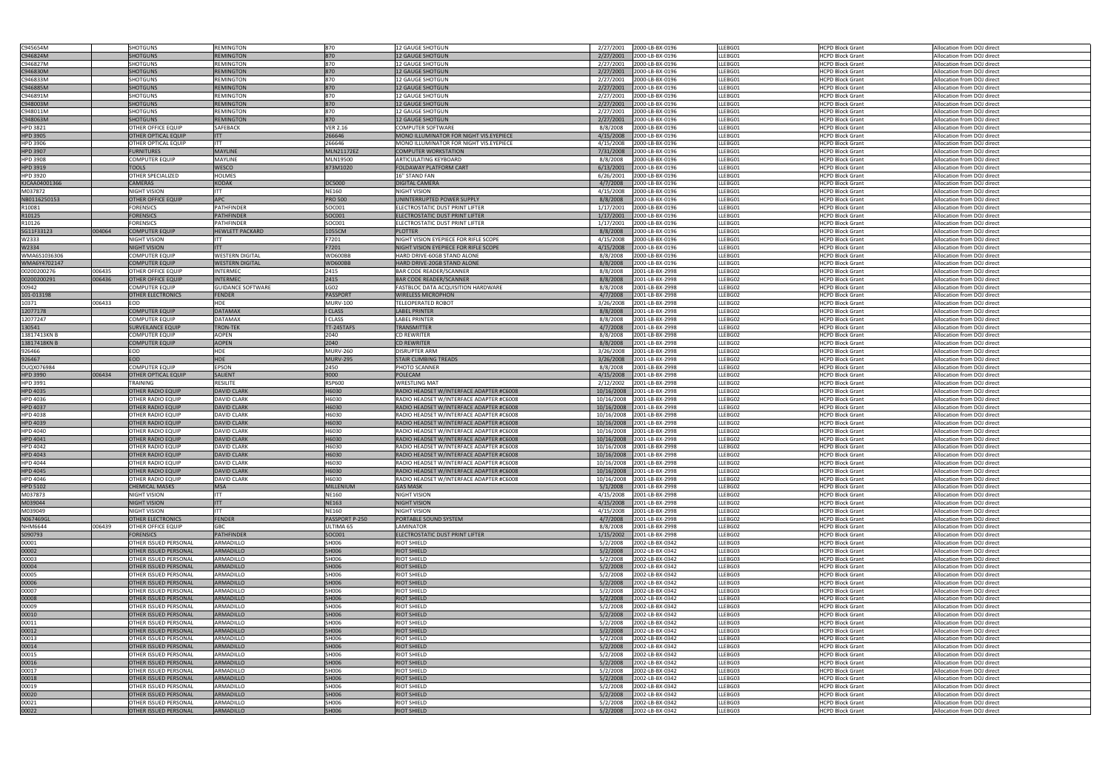| C945654M        |        | <b>SHOTGUNS</b>                                              | <b>REMINGTON</b>         | 870               | <b>12 GAUGE SHOTGUN</b>                  | 2/27/2001                  | 2000-LB-BX-0196                    | LLEBG01            | <b>HCPD Block Grant</b>                            | Allocation from DOJ direct                               |
|-----------------|--------|--------------------------------------------------------------|--------------------------|-------------------|------------------------------------------|----------------------------|------------------------------------|--------------------|----------------------------------------------------|----------------------------------------------------------|
| C946824M        |        | <b>SHOTGUNS</b>                                              | <b>REMINGTON</b>         | 870               | <b>12 GAUGE SHOTGUN</b>                  | 2/27/2001                  | 2000-LB-BX-0196                    | LLEBG01            | <b>HCPD Block Grant</b>                            | Allocation from DOJ direct                               |
| C946827M        |        | <b>SHOTGUNS</b>                                              | <b>REMINGTON</b>         | 870               | 12 GAUGE SHOTGUN                         | 2/27/2001                  | 2000-LB-BX-0196                    | LLEBG01            | <b>HCPD Block Grant</b>                            | Allocation from DOJ direct                               |
|                 |        |                                                              |                          |                   |                                          |                            |                                    |                    |                                                    |                                                          |
| C946830M        |        | <b>SHOTGUNS</b>                                              | <b>REMINGTON</b>         | 870               | <b>12 GAUGE SHOTGUN</b>                  | 2/27/2001                  | 2000-LB-BX-0196                    | LLEBG01            | <b>HCPD Block Grant</b>                            | Allocation from DOJ direct                               |
| C946833M        |        | <b>SHOTGUNS</b>                                              | <b>REMINGTON</b>         | 870               | <b>12 GAUGE SHOTGUN</b>                  | 2/27/2001                  | 2000-LB-BX-0196                    | LLEBG01            | <b>HCPD Block Grant</b>                            | Allocation from DOJ direct                               |
| C946885M        |        | <b>SHOTGUNS</b>                                              | <b>REMINGTON</b>         | 870               | <b>12 GAUGE SHOTGUN</b>                  | 2/27/2001                  | 2000-LB-BX-0196                    | LLEBG01            | <b>HCPD Block Grant</b>                            | Allocation from DOJ direct                               |
|                 |        |                                                              |                          |                   |                                          |                            |                                    |                    |                                                    |                                                          |
| C946891M        |        | <b>SHOTGUNS</b>                                              | <b>REMINGTON</b>         | 870               | <b>12 GAUGE SHOTGUN</b>                  | 2/27/2001                  | 2000-LB-BX-0196                    | LLEBG01            | <b>HCPD Block Grant</b>                            | Allocation from DOJ direct                               |
| C948003M        |        | <b>SHOTGUNS</b>                                              | <b>REMINGTON</b>         | 870               | <b>12 GAUGE SHOTGUN</b>                  | 2/27/2001                  | 2000-LB-BX-0196                    | LLEBG01            | <b>HCPD Block Grant</b>                            | Allocation from DOJ direct                               |
| C948011M        |        | <b>SHOTGUNS</b>                                              | <b>REMINGTON</b>         | 870               | <b>12 GAUGE SHOTGUN</b>                  | 2/27/2001                  | 2000-LB-BX-0196                    | LLEBG01            | <b>HCPD Block Grant</b>                            | Allocation from DOJ direct                               |
|                 |        |                                                              |                          |                   |                                          |                            |                                    |                    |                                                    |                                                          |
| C948063M        |        | <b>SHOTGUNS</b>                                              | <b>REMINGTON</b>         | 870               | <b>12 GAUGE SHOTGUN</b>                  | 2/27/2001                  | 2000-LB-BX-0196                    | LLEBG01            | <b>HCPD Block Grant</b>                            | Allocation from DOJ direct                               |
| HPD 3821        |        | OTHER OFFICE EQUIP                                           | SAFEBACK                 | <b>VER 2.16</b>   | COMPUTER SOFTWARE                        | 8/8/2008                   | 2000-LB-BX-0196                    | LLEBG01            | <b>HCPD Block Grant</b>                            | Allocation from DOJ direct                               |
| <b>HPD 3905</b> |        | <b>OTHER OPTICAL EQUIP</b>                                   | <b>ITT</b>               | 266646            | MONO ILLUMINATOR FOR NIGHT VIS.EYEPIECE  | 4/15/2008                  | 2000-LB-BX-0196                    | LLEBG01            | <b>HCPD Block Grant</b>                            | Allocation from DOJ direct                               |
|                 |        |                                                              |                          |                   |                                          |                            |                                    |                    |                                                    |                                                          |
| HPD 3906        |        | OTHER OPTICAL EQUIP                                          | <b>ITT</b>               | 266646            | MONO ILLUMINATOR FOR NIGHT VIS.EYEPIECE  | 4/15/2008                  | 2000-LB-BX-0196                    | LLEBG01            | <b>HCPD Block Grant</b>                            | Allocation from DOJ direct                               |
| <b>HPD 3907</b> |        | <b>FURNITURES</b>                                            | <b>MAYLINE</b>           | <b>MLN21172EZ</b> | <b>COMPUTER WORKSTATION</b>              | 7/31/2008                  | 2000-LB-BX-0196                    | LLEBG01            | <b>HCPD Block Grant</b>                            | Allocation from DOJ direct                               |
| <b>HPD 3908</b> |        | <b>COMPUTER EQUIP</b>                                        | <b>MAYLINE</b>           | MLN19500          | ARTICULATING KEYBOARD                    | 8/8/2008                   | 2000-LB-BX-0196                    | LLEBG01            | <b>HCPD Block Grant</b>                            | Allocation from DOJ direct                               |
|                 |        |                                                              |                          |                   |                                          |                            |                                    |                    |                                                    |                                                          |
| <b>HPD 3919</b> |        | <b>TOOLS</b>                                                 | <b>WESCO</b>             | 873M1020          | FOLDAWAY PLATFORM CART                   | 6/13/2001                  | 2000-LB-BX-0196                    | LLEBG01            | <b>HCPD Block Grant</b>                            | Allocation from DOJ direct                               |
| <b>HPD 3920</b> |        | OTHER SPECIALIZED                                            | <b>HOLMES</b>            |                   | 16" STAND FAN                            | 6/26/2001                  | 2000-LB-BX-0196                    | LLEBG01            | <b>HCPD Block Grant</b>                            | Allocation from DOJ direct                               |
| KJCAA04001366   |        | <b>CAMERAS</b>                                               | <b>KODAK</b>             | <b>DC5000</b>     | DIGITAL CAMERA                           | 4/7/2008                   | 2000-LB-BX-0196                    | LLEBG01            | <b>HCPD Block Grant</b>                            | Allocation from DOJ direct                               |
|                 |        |                                                              |                          |                   |                                          |                            |                                    |                    |                                                    |                                                          |
| M037872         |        | NIGHT VISION                                                 | <b>ITT</b>               | <b>NE160</b>      | NIGHT VISION                             | 4/15/2008                  | 2000-LB-BX-0196                    | LLEBG01            | <b>HCPD Block Grant</b>                            | Allocation from DOJ direct                               |
| NB0116250153    |        | <b>OTHER OFFICE EQUIP</b>                                    | <b>APC</b>               | <b>PRO 500</b>    | UNINTERRUPTED POWER SUPPLY               | 8/8/2008                   | 2000-LB-BX-0196                    | LLEBG01            | <b>HCPD Block Grant</b>                            | Allocation from DOJ direct                               |
| R10081          |        | <b>FORENSICS</b>                                             | <b>PATHFINDER</b>        | SOC001            | ELECTROSTATIC DUST PRINT LIFTER          | 1/17/2001                  | 2000-LB-BX-0196                    | LLEBG01            | <b>HCPD Block Grant</b>                            | Allocation from DOJ direct                               |
|                 |        |                                                              |                          |                   |                                          |                            |                                    |                    |                                                    |                                                          |
| R10125          |        | <b>FORENSICS</b>                                             | <b>PATHFINDER</b>        | SOC001            | ELECTROSTATIC DUST PRINT LIFTER          | 1/17/2001                  | 2000-LB-BX-0196                    | LLEBG01            | <b>HCPD Block Grant</b>                            | Allocation from DOJ direct                               |
| R10126          |        | <b>FORENSICS</b>                                             | <b>PATHFINDER</b>        | SOC001            | ELECTROSTATIC DUST PRINT LIFTER          | 1/17/2001                  | 2000-LB-BX-0196                    | LLEBG01            | <b>HCPD Block Grant</b>                            | Allocation from DOJ direct                               |
| SG11F33123      | 004064 | <b>COMPUTER EQUIP</b>                                        | <b>HEWLETT PACKARD</b>   | 1055CM            | PLOTTER                                  | 8/8/2008                   | 2000-LB-BX-0196                    | LLEBG01            | <b>HCPD Block Grant</b>                            | Allocation from DOJ direct                               |
|                 |        |                                                              |                          |                   |                                          |                            |                                    |                    |                                                    |                                                          |
| W2333           |        | <b>NIGHT VISION</b>                                          | <b>ITT</b>               | F7201             | NIGHT VISION EYEPIECE FOR RIFLE SCOPE    | 4/15/2008                  | 2000-LB-BX-0196                    | LLEBG01            | <b>HCPD Block Grant</b>                            | Allocation from DOJ direct                               |
| W2334           |        | <b>NIGHT VISION</b>                                          | <b>ITT</b>               | F7201             | NIGHT VISION EYEPIECE FOR RIFLE SCOPE    | 4/15/2008                  | 2000-LB-BX-0196                    | LLEBG01            | <b>HCPD Block Grant</b>                            | Allocation from DOJ direct                               |
| WMA6S1036306    |        | <b>COMPUTER EQUIP</b>                                        | <b>WESTERN DIGITAL</b>   | WD600BB           | HARD DRIVE-60GB STAND ALONE              | 8/8/2008                   | 2000-LB-BX-0196                    | LLEBG01            | <b>HCPD Block Grant</b>                            | Allocation from DOJ direct                               |
|                 |        |                                                              |                          |                   |                                          |                            |                                    |                    |                                                    |                                                          |
| WMA6Y4702147    |        | <b>COMPUTER EQUIP</b>                                        | <b>WESTERN DIGITAL</b>   | WD600BB           | HARD DRIVE-20GB STAND ALONE              | 8/8/2008                   | 2000-LB-BX-0196                    | LLEBG01            | <b>HCPD Block Grant</b>                            | Allocation from DOJ direct                               |
| 00200200276     | 006435 | <b>OTHER OFFICE EQUIP</b>                                    | <b>INTERMEC</b>          | 2415              | BAR CODE READER/SCANNER                  | 8/8/2008                   | 2001-LB-BX-2998                    | LLEBG02            | <b>HCPD Block Grant</b>                            | Allocation from DOJ direct                               |
|                 |        |                                                              |                          | 2415              |                                          |                            |                                    |                    |                                                    |                                                          |
| 00200200291     | 006436 | <b>OTHER OFFICE EQUIP</b>                                    | <b>INTERMEC</b>          |                   | <b>BAR CODE READER/SCANNER</b>           | 8/8/2008                   | 2001-LB-BX-2998                    | LLEBG02            | <b>HCPD Block Grant</b>                            | Allocation from DOJ direct                               |
| 00942           |        | <b>COMPUTER EQUIP</b>                                        | <b>GUIDANCE SOFTWARE</b> | LGO2              | FASTBLOC DATA ACQUISITION HARDWARE       | 8/8/2008                   | 2001-LB-BX-2998                    | LLEBG02            | <b>HCPD Block Grant</b>                            | Allocation from DOJ direct                               |
| 101-013198      |        | <b>OTHER ELECTRONICS</b>                                     | <b>FENDER</b>            | <b>PASSPORT</b>   | <b>WIRELESS MICROPHON</b>                | 4/7/2008                   | 2001-LB-BX-2998                    | LLEBG02            | <b>HCPD Block Grant</b>                            | Allocation from DOJ direct                               |
| 10371           | 006433 | EOD                                                          | <b>HDE</b>               | <b>MURV-100</b>   | TELEOPERATED ROBOT                       | 3/26/2008                  | 2001-LB-BX-2998                    | LLEBG02            | <b>HCPD Block Grant</b>                            | Allocation from DOJ direct                               |
|                 |        |                                                              |                          |                   |                                          |                            |                                    |                    |                                                    |                                                          |
| 12077178        |        | <b>COMPUTER EQUIP</b>                                        | <b>DATAMAX</b>           | <b>I CLASS</b>    | <b>LABEL PRINTER</b>                     | 8/8/2008                   | 2001-LB-BX-2998                    | LLEBG02            | <b>HCPD Block Grant</b>                            | Allocation from DOJ direct                               |
| 12077247        |        | <b>COMPUTER EQUIP</b>                                        | <b>DATAMAX</b>           | <b>CLASS</b>      | LABEL PRINTER                            | 8/8/2008                   | 2001-LB-BX-2998                    | LLEBG02            | <b>HCPD Block Grant</b>                            | Allocation from DOJ direct                               |
|                 |        |                                                              |                          |                   |                                          |                            |                                    |                    |                                                    |                                                          |
| 130541          |        | <b>SURVEILANCE EQUIP</b>                                     | <b>TRON-TEK</b>          | TT-245TAFS        | <b>TRANSMITTER</b>                       | 4/7/2008                   | 2001-LB-BX-2998                    | LLEBG02            | <b>HCPD Block Grant</b>                            | Allocation from DOJ direct                               |
| 13817413KN B    |        | <b>COMPUTER EQUIP</b>                                        | <b>AOPEN</b>             | 2040              | CD REWRITER                              | 8/8/2008                   | 2001-LB-BX-2998                    | LLEBG02            | <b>HCPD Block Grant</b>                            | Allocation from DOJ direct                               |
| 13817418KN B    |        | <b>COMPUTER EQUIP</b>                                        | <b>AOPEN</b>             | 2040              | <b>CD REWRITER</b>                       | 8/8/2008                   | 2001-LB-BX-2998                    | LLEBG02            | <b>HCPD Block Grant</b>                            | Allocation from DOJ direct                               |
|                 |        |                                                              |                          |                   |                                          |                            |                                    |                    |                                                    |                                                          |
| 926466          |        | EOD                                                          | <b>HDE</b>               | <b>MURV-260</b>   | DISRUPTER ARM                            | 3/26/2008                  | 2001-LB-BX-2998                    | LLEBG02            | <b>HCPD Block Grant</b>                            | Allocation from DOJ direct                               |
| 926467          |        | <b>EOD</b>                                                   | <b>HDE</b>               | <b>MURV-295</b>   | STAIR CLIMBING TREADS                    | 3/26/2008                  | 2001-LB-BX-2998                    | LLEBG02            | <b>HCPD Block Grant</b>                            | Allocation from DOJ direct                               |
| DUQX076984      |        | <b>COMPUTER EQUIP</b>                                        | EPSON                    | 2450              | PHOTO SCANNER                            | 8/8/2008                   | 2001-LB-BX-2998                    | LLEBG02            | <b>HCPD Block Grant</b>                            | Allocation from DOJ direct                               |
|                 |        |                                                              |                          |                   |                                          |                            |                                    |                    |                                                    |                                                          |
| <b>HPD 3990</b> | 006434 | <b>OTHER OPTICAL EQUIP</b>                                   | <b>SALIENT</b>           | 9000              | POLECAM                                  | 4/15/2008                  | 2001-LB-BX-2998                    | LLEBG02            | <b>HCPD Block Grant</b>                            | Allocation from DOJ direct                               |
| HPD 3991        |        | TRAINING                                                     | <b>RESILITE</b>          | <b>RSP600</b>     | WRESTLING MAT                            | 2/12/2002                  | 2001-LB-BX-2998                    | LLEBG02            | <b>HCPD Block Grant</b>                            | Allocation from DOJ direct                               |
| <b>HPD 4035</b> |        | <b>OTHER RADIO EQUIP</b>                                     | <b>DAVID CLARK</b>       | H6030             | RADIO HEADSET W/INTERFACE ADAPTER #C6008 | 10/16/2008                 | 2001-LB-BX-2998                    | LLEBG02            | <b>HCPD Block Grant</b>                            | Allocation from DOJ direct                               |
|                 |        |                                                              |                          |                   |                                          |                            |                                    |                    |                                                    |                                                          |
| HPD 4036        |        | OTHER RADIO EQUIP                                            | <b>DAVID CLARK</b>       | H6030             | RADIO HEADSET W/INTERFACE ADAPTER #C6008 | 10/16/2008                 | 2001-LB-BX-2998                    | LLEBG02            | <b>HCPD Block Grant</b>                            | Allocation from DOJ direct                               |
| HPD 4037        |        | <b>OTHER RADIO EQUIP</b>                                     | <b>IDAVID CLARK</b>      | H6030             | RADIO HEADSET W/INTERFACE ADAPTER #C6008 | 10/16/2008 2001-LB-BX-2998 |                                    | LLEBG02            | <b>HCPD Block Grant</b>                            | Allocation from DOJ direct                               |
| <b>HPD 4038</b> |        | <b>OTHER RADIO EQUIP</b>                                     | <b>DAVID CLARK</b>       | H6030             | RADIO HEADSET W/INTERFACE ADAPTER #C6008 | 10/16/2008                 | 2001-LB-BX-2998                    | LLEBG02            | <b>HCPD Block Grant</b>                            | Allocation from DOJ direct                               |
|                 |        |                                                              |                          |                   |                                          |                            |                                    |                    |                                                    |                                                          |
| <b>HPD 4039</b> |        | <b>OTHER RADIO EQUIP</b>                                     | <b>DAVID CLARK</b>       | H6030             | RADIO HEADSET W/INTERFACE ADAPTER #C6008 | 10/16/2008                 | 2001-LB-BX-2998                    | LLEBG02            | <b>HCPD Block Grant</b>                            | Allocation from DOJ direct                               |
| HPD 4040        |        | OTHER RADIO EQUIP                                            | <b>DAVID CLARK</b>       | H6030             | RADIO HEADSET W/INTERFACE ADAPTER #C6008 | 10/16/2008                 | 2001-LB-BX-2998                    | LLEBG02            | <b>HCPD Block Grant</b>                            | Allocation from DOJ direct                               |
| <b>HPD 4041</b> |        | <b>OTHER RADIO EQUIP</b>                                     | <b>DAVID CLARK</b>       | H6030             | RADIO HEADSET W/INTERFACE ADAPTER #C6008 | 10/16/2008                 | 2001-LB-BX-2998                    | LLEBG02            | <b>HCPD Block Grant</b>                            | Allocation from DOJ direct                               |
|                 |        |                                                              |                          |                   |                                          |                            |                                    |                    |                                                    |                                                          |
| HPD 4042        |        | OTHER RADIO EQUIP                                            | <b>DAVID CLARK</b>       | H6030             | RADIO HEADSET W/INTERFACE ADAPTER #C6008 |                            | 2001-LB-BX-2998                    | LLEBG02            | <b>HCPD Block Grant</b>                            | Allocation from DOJ direct                               |
| HPD 4043        |        |                                                              |                          |                   |                                          | 10/16/2008                 |                                    |                    |                                                    |                                                          |
|                 |        | <b>OTHER RADIO EQUIP</b>                                     |                          | H6030             |                                          |                            |                                    |                    |                                                    | Allocation from DOJ direct                               |
|                 |        |                                                              | <b>DAVID CLARK</b>       |                   | RADIO HEADSET W/INTERFACE ADAPTER #C6008 | 10/16/2008                 | 2001-LB-BX-2998                    | LLEBG02            | <b>HCPD Block Grant</b>                            |                                                          |
| HPD 4044        |        | <b>OTHER RADIO EQUIP</b>                                     | <b>DAVID CLARK</b>       | H6030             | RADIO HEADSET W/INTERFACE ADAPTER #C6008 | 10/16/2008                 | 2001-LB-BX-2998                    | LLEBG02            | <b>HCPD Block Grant</b>                            | Allocation from DOJ direct                               |
| <b>HPD 4045</b> |        | <b>OTHER RADIO EQUIP</b>                                     | <b>DAVID CLARK</b>       | H6030             | RADIO HEADSET W/INTERFACE ADAPTER #C6008 | 10/16/2008                 | 2001-LB-BX-2998                    | LLEBG02            | <b>HCPD Block Grant</b>                            | Allocation from DOJ direct                               |
|                 |        | <b>OTHER RADIO EQUIP</b>                                     | <b>DAVID CLARK</b>       | H6030             | RADIO HEADSET W/INTERFACE ADAPTER #C6008 |                            |                                    | LLEBG02            | <b>HCPD Block Grant</b>                            |                                                          |
| HPD 4046        |        |                                                              |                          |                   |                                          | 10/16/2008                 | 2001-LB-BX-2998                    |                    |                                                    | Allocation from DOJ direct                               |
| <b>HPD 5102</b> |        | <b>CHEMICAL MASKS</b>                                        | <b>MSA</b>               | MILLENIUM         | <b>GAS MASK</b>                          | 5/1/2008                   | 2001-LB-BX-2998                    | LLEBG02            | <b>HCPD Block Grant</b>                            | Allocation from DOJ direct                               |
| M037873         |        | NIGHT VISION                                                 | <b>ITT</b>               | <b>NE160</b>      | NIGHT VISION                             | 4/15/2008                  | 2001-LB-BX-2998                    | LLEBG02            | <b>HCPD Block Grant</b>                            | Allocation from DOJ direct                               |
| M039044         |        | <b>NIGHT VISION</b>                                          | <b>IITT</b>              | <b>NE163</b>      | <b>NIGHT VISION</b>                      | 4/15/2008                  | 2001-LB-BX-2998                    | LLEBG02            | <b>HCPD Block Grant</b>                            | Allocation from DOJ direct                               |
|                 |        |                                                              |                          |                   |                                          |                            |                                    |                    |                                                    |                                                          |
| M039049         |        | NIGHT VISION                                                 | <b>ITT</b>               | <b>NE160</b>      | NIGHT VISION                             | 4/15/2008                  | 2001-LB-BX-2998                    | LLEBG02            | <b>HCPD Block Grant</b>                            | Allocation from DOJ direct                               |
| N067469GL       |        | <b>OTHER ELECTRONICS</b>                                     | FENDER                   | PASSPORT P-250    | PORTABLE SOUND SYSTEM                    | 4/7/2008                   | 2001-LB-BX-2998                    | LLEBG02            | <b>HCPD Block Grant</b>                            | Allocation from DOJ direct                               |
| <b>NHM6644</b>  | 006439 | <b>OTHER OFFICE EQUIP</b>                                    | <b>GBC</b>               | ULTIMA 65         | LAMINATOR                                | 8/8/2008                   | 2001-LB-BX-2998                    | LLEBG02            | <b>HCPD Block Grant</b>                            | Allocation from DOJ direct                               |
|                 |        |                                                              |                          |                   |                                          |                            |                                    |                    |                                                    |                                                          |
| S090793         |        | <b>FORENSICS</b>                                             | <b>PATHFINDER</b>        | SOC001            | <b>ELECTROSTATIC DUST PRINT LIFTER</b>   | 1/15/2002                  | 2001-LB-BX-2998                    | LLEBG02            | <b>HCPD Block Grant</b>                            | Allocation from DOJ direct                               |
| 00001           |        | OTHER ISSUED PERSONAL                                        | ARMADILLO                | SH006             | RIOT SHIELD                              | 5/2/2008                   | 2002-LB-BX-0342                    | LLEBG03            | <b>HCPD Block Grant</b>                            | Allocation from DOJ direct                               |
| 00002           |        | <b>OTHER ISSUED PERSONAL</b>                                 | ARMADILLO                | SH006             | RIOT SHIELD                              | 5/2/2008                   | 2002-LB-BX-0342                    | LLEBG03            | <b>HCPD Block Grant</b>                            | Allocation from DOJ direct                               |
|                 |        |                                                              |                          |                   |                                          |                            |                                    |                    |                                                    |                                                          |
| 00003           |        | <b>OTHER ISSUED PERSONAL</b>                                 | ARMADILLO                | SH006             | RIOT SHIELD                              | 5/2/2008                   | 2002-LB-BX-0342                    | LLEBG03            | <b>HCPD Block Grant</b>                            | Allocation from DOJ direct                               |
| 00004           |        | <b>OTHER ISSUED PERSONAL</b>                                 | <b>ARMADILLO</b>         | SH006             | <b>RIOT SHIELD</b>                       | 5/2/2008                   | 2002-LB-BX-0342                    | LLEBG03            | <b>HCPD Block Grant</b>                            | Allocation from DOJ direct                               |
| 00005           |        | OTHER ISSUED PERSONAL                                        | ARMADILLO                | SH006             | RIOT SHIELD                              | 5/2/2008                   | 2002-LB-BX-0342                    | LLEBG03            | <b>HCPD Block Grant</b>                            | Allocation from DOJ direct                               |
|                 |        |                                                              | <b>ARMADILLO</b>         |                   |                                          |                            |                                    |                    |                                                    |                                                          |
| 00006           |        | <b>OTHER ISSUED PERSONAL</b>                                 |                          | SH006             | <b>RIOT SHIELD</b>                       | 5/2/2008                   | 2002-LB-BX-0342                    | LLEBG03            | <b>HCPD Block Grant</b>                            | Allocation from DOJ direct                               |
| 00007           |        | OTHER ISSUED PERSONAL                                        | ARMADILLO                | SH006             | <b>RIOT SHIELD</b>                       | 5/2/2008                   | 2002-LB-BX-0342                    | LLEBG03            | <b>HCPD Block Grant</b>                            | Allocation from DOJ direct                               |
| 00008           |        | <b>OTHER ISSUED PERSONAL</b>                                 | <b>ARMADILLO</b>         | SH006             | <b>RIOT SHIELD</b>                       | 5/2/2008                   | 2002-LB-BX-0342                    | LLEBG03            | <b>HCPD Block Grant</b>                            | Allocation from DOJ direct                               |
|                 |        |                                                              |                          |                   |                                          |                            |                                    |                    |                                                    |                                                          |
| 00009           |        | <b>OTHER ISSUED PERSONAL</b>                                 | ARMADILLO                | SH006             | <b>RIOT SHIELD</b>                       | 5/2/2008                   | 2002-LB-BX-0342                    | LLEBG03            | <b>HCPD Block Grant</b>                            | Allocation from DOJ direct                               |
| 00010           |        | <b>OTHER ISSUED PERSONAL</b>                                 | <b>ARMADILLO</b>         | SH006             | <b>RIOT SHIELD</b>                       | 5/2/2008                   | 2002-LB-BX-0342                    | LLEBG03            | <b>HCPD Block Grant</b>                            | Allocation from DOJ direct                               |
| 00011           |        | OTHER ISSUED PERSONAL                                        | ARMADILLO                | SH006             | RIOT SHIELD                              | 5/2/2008                   | 2002-LB-BX-0342                    | LLEBG03            | <b>HCPD Block Grant</b>                            | Allocation from DOJ direct                               |
|                 |        |                                                              |                          |                   |                                          |                            |                                    |                    |                                                    |                                                          |
| 00012           |        | <b>OTHER ISSUED PERSONAL</b>                                 | ARMADILLO                | SH006             | <b>RIOT SHIELD</b>                       | 5/2/2008                   | 2002-LB-BX-0342                    | LLEBG03            | <b>HCPD Block Grant</b>                            | Allocation from DOJ direct                               |
| 00013           |        | OTHER ISSUED PERSONAL                                        | ARMADILLO                | SH006             | RIOT SHIELD                              | 5/2/2008                   | 2002-LB-BX-0342                    | LLEBG03            | <b>HCPD Block Grant</b>                            | Allocation from DOJ direct                               |
|                 |        | <b>OTHER ISSUED PERSONAL</b>                                 | <b>ARMADILLO</b>         | SH006             | <b>RIOT SHIELD</b>                       | 5/2/2008                   | 2002-LB-BX-0342                    | LLEBG03            | <b>HCPD Block Grant</b>                            | Allocation from DOJ direct                               |
| 00014           |        |                                                              |                          |                   |                                          |                            |                                    |                    |                                                    |                                                          |
| 00015           |        | OTHER ISSUED PERSONAL                                        | ARMADILLO                | SH006             | <b>RIOT SHIELD</b>                       | 5/2/2008                   | 2002-LB-BX-0342                    | LLEBG03            | <b>HCPD Block Grant</b>                            | Allocation from DOJ direct                               |
| 00016           |        | <b>OTHER ISSUED PERSONAL</b>                                 | ARMADILLO                | SH006             | <b>RIOT SHIELD</b>                       | 5/2/2008                   | 2002-LB-BX-0342                    | LLEBG03            | <b>HCPD Block Grant</b>                            | Allocation from DOJ direct                               |
| 00017           |        | OTHER ISSUED PERSONAL                                        | ARMADILLO                | SH006             | RIOT SHIELD                              | 5/2/2008                   | 2002-LB-BX-0342                    | LLEBG03            | <b>HCPD Block Grant</b>                            | Allocation from DOJ direct                               |
|                 |        |                                                              |                          |                   |                                          |                            |                                    |                    |                                                    |                                                          |
| 00018           |        | <b>OTHER ISSUED PERSONAL</b>                                 | <b>ARMADILLO</b>         | SH006             | <b>RIOT SHIELD</b>                       | 5/2/2008                   | 2002-LB-BX-0342                    | LLEBG03            | <b>HCPD Block Grant</b>                            | Allocation from DOJ direct                               |
| 00019           |        | OTHER ISSUED PERSONAL                                        | ARMADILLO                | SH006             | <b>RIOT SHIELD</b>                       | 5/2/2008                   | 2002-LB-BX-0342                    | LLEBG03            | <b>HCPD Block Grant</b>                            | Allocation from DOJ direct                               |
| 00020           |        | <b>OTHER ISSUED PERSONAL</b>                                 | ARMADILLO                | SH006             | <b>RIOT SHIELD</b>                       | 5/2/2008                   | 2002-LB-BX-0342                    | LLEBG03            | <b>HCPD Block Grant</b>                            | Allocation from DOJ direct                               |
|                 |        |                                                              |                          |                   |                                          |                            |                                    |                    |                                                    |                                                          |
| 00021<br>00022  |        | <b>OTHER ISSUED PERSONAL</b><br><b>OTHER ISSUED PERSONAL</b> | ARMADILLO<br>ARMADILLO   | SH006<br>SH006    | RIOT SHIELD<br><b>RIOT SHIELD</b>        | 5/2/2008<br>5/2/2008       | 2002-LB-BX-0342<br>2002-LB-BX-0342 | LLEBG03<br>LLEBG03 | <b>HCPD Block Grant</b><br><b>HCPD Block Grant</b> | Allocation from DOJ direct<br>Allocation from DOJ direct |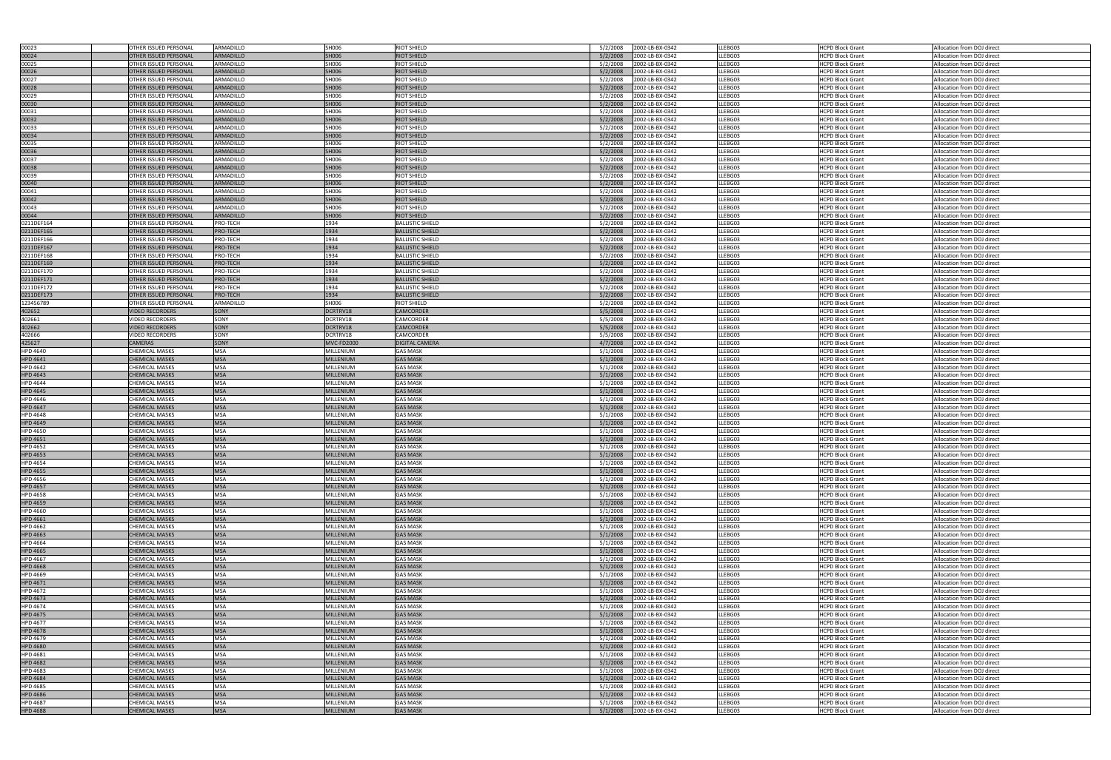| 00023                              | <b>OTHER ISSUED PERSONAL</b>                   | ARMADILLO         | SH006                         | <b>RIOT SHIELD</b>                 | 5/2/2008<br>2002-LB-BX-0342                                | LLEBG03            | <b>HCPD Block Grant</b>                            | Allocation from DOJ direct                               |
|------------------------------------|------------------------------------------------|-------------------|-------------------------------|------------------------------------|------------------------------------------------------------|--------------------|----------------------------------------------------|----------------------------------------------------------|
| 00024                              | OTHER ISSUED PERSONA                           | ARMADILLO         | SH006                         | RIOT SHIELD                        | 5/2/2008<br>2002-LB-BX-0342                                | LLEBG03            | HCPD Block Grant                                   | Allocation from DOJ direct                               |
| 00025                              | OTHER ISSUED PERSONAL                          | ARMADILLO         | SH006                         | RIOT SHIELD                        | 5/2/2008<br>2002-LB-BX-0342                                | LLEBG03            | <b>HCPD Block Grant</b>                            | Allocation from DOJ direct                               |
| 00026                              |                                                | <b>ARMADILLO</b>  | SH006                         | <b>RIOT SHIELD</b>                 | 5/2/2008                                                   | LLEBG03            |                                                    |                                                          |
|                                    | OTHER ISSUED PERSONAL                          |                   |                               |                                    | 2002-LB-BX-0342                                            |                    | <b>HCPD Block Grant</b>                            | Allocation from DOJ direct                               |
| 00027                              | OTHER ISSUED PERSONAL                          | <b>ARMADILLO</b>  | SH006                         | <b>RIOT SHIELD</b>                 | 2002-LB-BX-0342<br>5/2/2008                                | LLEBG03            | <b>HCPD Block Grant</b>                            | Allocation from DOJ direct                               |
| 00028                              | OTHER ISSUED PERSONAL                          | <b>ARMADILLO</b>  | SH006                         | <b>RIOT SHIELD</b>                 | 5/2/2008<br>2002-LB-BX-0342                                | LLEBG03            | <b>HCPD Block Grant</b>                            | Allocation from DOJ direct                               |
| 00029                              | OTHER ISSUED PERSONAL                          | <b>ARMADILLO</b>  | SH006                         | <b>RIOT SHIELD</b>                 | 2002-LB-BX-0342<br>5/2/2008                                | LLEBG03            | <b>HCPD Block Grant</b>                            | Allocation from DOJ direct                               |
|                                    |                                                |                   |                               |                                    |                                                            |                    |                                                    |                                                          |
| 00030                              | <b>OTHER ISSUED PERSONAL</b>                   | <b>ARMADILLO</b>  | SH006                         | <b>RIOT SHIELD</b>                 | 2002-LB-BX-0342<br>5/2/2008                                | LLEBG03            | <b>HCPD Block Grant</b>                            | Allocation from DOJ direct                               |
| 00031                              | OTHER ISSUED PERSONAL                          | ARMADILLO         | SH006                         | RIOT SHIELD                        | 5/2/2008<br>2002-LB-BX-0342                                | LLEBG03            | <b>HCPD Block Grant</b>                            | Allocation from DOJ direct                               |
| 00032                              | OTHER ISSUED PERSONAL                          | <b>ARMADILLO</b>  | SH006                         | RIOT SHIELD                        | 5/2/2008<br>2002-LB-BX-0342                                | LLEBG03            | <b>HCPD Block Grant</b>                            | Allocation from DOJ direct                               |
|                                    |                                                |                   |                               |                                    |                                                            |                    |                                                    |                                                          |
| 00033                              | OTHER ISSUED PERSONAL                          | ARMADILLO         | SH006                         | <b>RIOT SHIELD</b>                 | 2002-LB-BX-0342<br>5/2/2008                                | LLEBG03            | <b>HCPD Block Grant</b>                            | Allocation from DOJ direct                               |
| 00034                              | OTHER ISSUED PERSONAL                          | ARMADILLO         | SH006                         | <b>RIOT SHIELD</b>                 | 5/2/2008<br>2002-LB-BX-0342                                | LLEBG03            | <b>HCPD Block Grant</b>                            | Allocation from DOJ direct                               |
| 00035                              | OTHER ISSUED PERSONAI                          | ARMADILLO         | SH006                         | RIOT SHIELD                        | 5/2/2008<br>2002-LB-BX-0342                                | LLEBG03            | <b>HCPD Block Grant</b>                            | Allocation from DOJ direct                               |
|                                    |                                                |                   |                               |                                    |                                                            |                    |                                                    |                                                          |
| 00036                              | OTHER ISSUED PERSONAL                          | <b>ARMADILLO</b>  | SH006                         | <b>RIOT SHIELD</b>                 | 5/2/2008<br>2002-LB-BX-0342                                | LLEBG03            | <b>HCPD Block Grant</b>                            | Allocation from DOJ direct                               |
| 00037                              | OTHER ISSUED PERSONAL                          | ARMADILLO         | SH006                         | <b>RIOT SHIELD</b>                 | 5/2/2008<br>2002-LB-BX-0342                                | LLEBG03            | <b>HCPD Block Grant</b>                            | Allocation from DOJ direct                               |
| 00038                              | OTHER ISSUED PERSONAL                          | <b>ARMADILLO</b>  | SH006                         | <b>RIOT SHIELD</b>                 | 5/2/2008<br>2002-LB-BX-0342                                | LLEBG03            | <b>HCPD Block Grant</b>                            | Allocation from DOJ direct                               |
|                                    |                                                |                   |                               |                                    |                                                            |                    |                                                    |                                                          |
| 00039                              | OTHER ISSUED PERSONAL                          | ARMADILLO         | SH006                         | <b>RIOT SHIELD</b>                 | 5/2/2008<br>2002-LB-BX-0342                                | LLEBG03            | <b>HCPD Block Grant</b>                            | Allocation from DOJ direct                               |
| 00040                              | OTHER ISSUED PERSONAL                          | <b>ARMADILLO</b>  | SH006                         | <b>RIOT SHIELD</b>                 | 2002-LB-BX-0342<br>5/2/2008                                | LLEBG03            | <b>HCPD Block Grant</b>                            | Allocation from DOJ direct                               |
| 00041                              | <b>OTHER ISSUED PERSONAL</b>                   | ARMADILLO         | SH006                         | <b>RIOT SHIELD</b>                 | 5/2/2008<br>2002-LB-BX-0342                                | LLEBG03            | <b>HCPD Block Grant</b>                            | Allocation from DOJ direct                               |
|                                    |                                                |                   |                               |                                    |                                                            |                    |                                                    |                                                          |
| 00042                              | OTHER ISSUED PERSONAL                          | <b>ARMADILLO</b>  | SH006                         | RIOT SHIELD                        | 5/2/2008<br>2002-LB-BX-0342                                | LLEBG03            | <b>HCPD Block Grant</b>                            | Allocation from DOJ direct                               |
| 00043                              | OTHER ISSUED PERSONAL                          | ARMADILLO         | SH006                         | RIOT SHIELD                        | 5/2/2008<br>2002-LB-BX-0342                                | LLEBG03            | <b>HCPD Block Grant</b>                            | Allocation from DOJ direct                               |
| 00044                              | OTHER ISSUED PERSONAL                          | <b>ARMADILLO</b>  | SH006                         | <b>RIOT SHIELD</b>                 | 2002-LB-BX-0342<br>5/2/2008                                | LLEBG03            | <b>HCPD Block Grant</b>                            | Allocation from DOJ direct                               |
|                                    |                                                |                   |                               |                                    |                                                            |                    |                                                    |                                                          |
| 0211DEF164                         | OTHER ISSUED PERSONAL                          | PRO-TECH          | 1934                          | <b>BALLISTIC SHIELD</b>            | 5/2/2008<br>2002-LB-BX-0342                                | LLEBG03            | <b>HCPD Block Grant</b>                            | Allocation from DOJ direct                               |
| 0211DEF165                         | OTHER ISSUED PERSONAL                          | PRO-TECH          | 1934                          | <b>BALLISTIC SHIELD</b>            | 5/2/2008<br>2002-LB-BX-0342                                | LLEBG03            | <b>HCPD Block Grant</b>                            | Allocation from DOJ direct                               |
| 0211DEF166                         | OTHER ISSUED PERSONAL                          | PRO-TECH          | 1934                          | <b>BALLISTIC SHIELD</b>            | 2002-LB-BX-0342<br>5/2/2008                                | LLEBG03            | <b>HCPD Block Grant</b>                            | Allocation from DOJ direct                               |
|                                    |                                                |                   |                               |                                    |                                                            |                    |                                                    |                                                          |
| 0211DEF167                         | OTHER ISSUED PERSONAL                          | <b>PRO-TECH</b>   | 1934                          | <b>BALLISTIC SHIELD</b>            | 5/2/2008<br>2002-LB-BX-0342                                | LLEBG03            | <b>HCPD Block Grant</b>                            | Allocation from DOJ direct                               |
| 0211DEF168                         | OTHER ISSUED PERSONAI                          | PRO-TECH          | 1934                          | <b>BALLISTIC SHIELD</b>            | 5/2/2008<br>2002-LB-BX-0342                                | LLEBG03            | <b>HCPD Block Grant</b>                            | Allocation from DOJ direct                               |
| 0211DEF169                         | <b>OTHER ISSUED PERSONAL</b>                   | <b>PRO-TECH</b>   | 1934                          | <b>BALLISTIC SHIELD</b>            | 5/2/2008<br>2002-LB-BX-0342                                | LLEBG03            | <b>HCPD Block Grant</b>                            | Allocation from DOJ direct                               |
|                                    |                                                |                   |                               |                                    |                                                            |                    |                                                    |                                                          |
| 0211DEF170                         | OTHER ISSUED PERSONAL                          | PRO-TECH          | 1934                          | <b>BALLISTIC SHIELD</b>            | 5/2/2008<br>2002-LB-BX-0342                                | LLEBG03            | <b>HCPD Block Grant</b>                            | Allocation from DOJ direct                               |
| 0211DEF171                         | <b>OTHER ISSUED PERSONAL</b>                   | <b>PRO-TECH</b>   | 1934                          | <b>BALLISTIC SHIELD</b>            | 2002-LB-BX-0342<br>5/2/2008                                | LLEBG03            | <b>HCPD Block Grant</b>                            | Allocation from DOJ direct                               |
| 0211DEF172                         | OTHER ISSUED PERSONAL                          | PRO-TECH          | 1934                          | <b>BALLISTIC SHIELD</b>            | 5/2/2008<br>2002-LB-BX-0342                                | LLEBG03            | <b>HCPD Block Grant</b>                            | Allocation from DOJ direct                               |
|                                    |                                                |                   |                               |                                    |                                                            |                    |                                                    |                                                          |
| 0211DEF173                         | <b>OTHER ISSUED PERSONAL</b>                   | PRO-TECH          | 1934                          | <b>BALLISTIC SHIELD</b>            | 5/2/2008<br>2002-LB-BX-0342                                | LLEBG03            | <b>HCPD Block Grant</b>                            | Allocation from DOJ direct                               |
| 123456789                          | OTHER ISSUED PERSONAL                          | <b>ARMADILLO</b>  | SH006                         | RIOT SHIELD                        | 2002-LB-BX-0342<br>5/2/2008                                | LLEBG03            | <b>HCPD Block Grant</b>                            | Allocation from DOJ direct                               |
| 402652                             | <b>VIDEO RECORDERS</b>                         | SONY              | DCRTRV18                      | <b>CAMCORDER</b>                   | 5/5/2008<br>2002-LB-BX-0342                                | LLEBG03            | <b>HCPD Block Grant</b>                            | Allocation from DOJ direct                               |
|                                    |                                                |                   |                               |                                    |                                                            |                    |                                                    |                                                          |
| 402661                             | VIDEO RECORDERS                                | SONY              | DCRTRV18                      | CAMCORDER                          | 5/5/2008<br>2002-LB-BX-0342                                | LLEBG03            | <b>HCPD Block Grant</b>                            | Allocation from DOJ direct                               |
| 402662                             | <b>VIDEO RECORDERS</b>                         | SONY              | DCRTRV18                      | <b>CAMCORDER</b>                   | 5/5/2008<br>2002-LB-BX-0342                                | LLEBG03            | <b>HCPD Block Grant</b>                            | Allocation from DOJ direct                               |
| 402666                             | VIDEO RECORDERS                                | SONY              | DCRTRV18                      | CAMCORDER                          | 5/5/2008<br>2002-LB-BX-0342                                | LLEBG03            | <b>HCPD Block Grant</b>                            | Allocation from DOJ direct                               |
|                                    |                                                |                   |                               |                                    |                                                            |                    |                                                    |                                                          |
| 425627                             | CAMERAS                                        | SONY              | MVC-FD2000                    | <b>DIGITAL CAMERA</b>              | 2002-LB-BX-0342<br>4/7/2008                                | LLEBG03            | <b>HCPD Block Grant</b>                            | Allocation from DOJ direct                               |
| <b>HPD 4640</b>                    | CHEMICAL MASKS                                 | <b>MSA</b>        | <b>MILLENIUM</b>              | <b>GAS MASK</b>                    | 5/1/2008<br>2002-LB-BX-0342                                | LLEBG03            | <b>HCPD Block Grant</b>                            | Allocation from DOJ direct                               |
| <b>HPD 4641</b>                    | <b>CHEMICAL MASKS</b>                          | <b>MSA</b>        | <b>MILLENIUM</b>              | <b>GAS MASK</b>                    | 5/1/2008<br>2002-LB-BX-0342                                | LLEBG03            | <b>HCPD Block Grant</b>                            | Allocation from DOJ direct                               |
|                                    |                                                |                   |                               |                                    |                                                            |                    |                                                    |                                                          |
| <b>HPD 4642</b>                    | <b>CHEMICAL MASKS</b>                          | <b>MSA</b>        | MILLENIUM                     | <b>GAS MASK</b>                    | 2002-LB-BX-0342<br>5/1/2008                                | LLEBG03            | <b>HCPD Block Grant</b>                            | Allocation from DOJ direct                               |
| <b>HPD 4643</b>                    | <b>CHEMICAL MASKS</b>                          | <b>MSA</b>        | <b>MILLENIUM</b>              | <b>GAS MASK</b>                    | 5/1/2008<br>2002-LB-BX-0342                                | LLEBG03            | <b>HCPD Block Grant</b>                            | Allocation from DOJ direct                               |
| <b>HPD 4644</b>                    | CHEMICAL MASKS                                 | <b>MSA</b>        | <b>MILLENIUM</b>              | <b>GAS MASK</b>                    | 2002-LB-BX-0342<br>5/1/2008                                | LLEBG03            | <b>HCPD Block Grant</b>                            | Allocation from DOJ direct                               |
|                                    |                                                |                   |                               |                                    |                                                            |                    |                                                    |                                                          |
| <b>HPD 4645</b>                    | <b>CHEMICAL MASKS</b>                          | <b>MSA</b>        | <b>MILLENIUM</b>              | <b>GAS MASK</b>                    | 5/1/2008<br>2002-LB-BX-0342                                | LLEBG03            | <b>HCPD Block Grant</b>                            | Allocation from DOJ direct                               |
| <b>HPD 4646</b>                    | <b>CHEMICAL MASKS</b>                          | <b>MSA</b>        | MILLENIUM                     | <b>GAS MASK</b>                    | 5/1/2008<br>2002-LB-BX-0342                                | LLEBG03            | <b>HCPD Block Grant</b>                            | Allocation from DOJ direct                               |
|                                    |                                                |                   |                               |                                    |                                                            |                    |                                                    |                                                          |
| HPD 4647                           | <b>CHEMICAL MASKS</b>                          | <b>IMSA</b>       | <b>MILLENIUM</b>              | <b>GAS MASK</b>                    | 5/1/2008<br>2002-LB-BX-0342                                | LLEBG03            | <b>HCPD Block Grant</b>                            | Allocation from DOJ direct                               |
| <b>HPD 4648</b>                    | <b>CHEMICAL MASKS</b>                          | <b>MSA</b>        | MILLENIUM                     | <b>GAS MASK</b>                    | 2002-LB-BX-0342<br>5/1/2008                                | LLEBG03            | <b>HCPD Block Grant</b>                            | Allocation from DOJ direct                               |
| <b>HPD 4649</b>                    | <b>CHEMICAL MASKS</b>                          | <b>MSA</b>        | <b>MILLENIUM</b>              | <b>GAS MASK</b>                    | 2002-LB-BX-0342<br>5/1/2008                                | LLEBG03            | <b>HCPD Block Grant</b>                            | Allocation from DOJ direct                               |
|                                    | CHEMICAL MASKS                                 | <b>MSA</b>        | MILLENIUM                     | <b>GAS MASK</b>                    | 2002-LB-BX-0342                                            | LLEBG03            | <b>HCPD Block Grant</b>                            |                                                          |
| <b>HPD 4650</b>                    |                                                |                   |                               |                                    | 5/1/2008                                                   |                    |                                                    | Allocation from DOJ direct                               |
| <b>HPD 4651</b>                    | <b>CHEMICAL MASKS</b>                          | <b>MSA</b>        | <b>MILLENIUM</b>              | <b>GAS MASK</b>                    | 5/1/2008<br>2002-LB-BX-0342                                | LLEBG03            | <b>HCPD Block Grant</b>                            | Allocation from DOJ direct                               |
| <b>HPD 4652</b>                    | CHEMICAL MASKS                                 | <b>MSA</b>        | MILLENIUM                     | <b>GAS MASK</b>                    | 2002-LB-BX-0342<br>5/1/2008                                | LLEBG03            | <b>HCPD Block Grant</b>                            | Allocation from DOJ direct                               |
| <b>HPD 4653</b>                    | <b>CHEMICAL MASKS</b>                          | <b>MSA</b>        | <b>MILLENIUM</b>              | <b>GAS MASK</b>                    | 5/1/2008<br>2002-LB-BX-0342                                | LLEBG03            | <b>HCPD Block Grant</b>                            | Allocation from DOJ direct                               |
|                                    |                                                |                   |                               |                                    |                                                            |                    |                                                    |                                                          |
| <b>HPD 4654</b>                    | <b>CHEMICAL MASKS</b>                          | <b>MSA</b>        | MILLENIUM                     | <b>GAS MASK</b>                    | 2002-LB-BX-0342<br>5/1/2008                                | LLEBG03            | <b>HCPD Block Grant</b>                            | Allocation from DOJ direct                               |
| <b>HPD 4655</b>                    | <b>CHEMICAL MASKS</b>                          | <b>MSA</b>        | <b>MILLENIUM</b>              | <b>GAS MASK</b>                    | 5/1/2008<br>2002-LB-BX-0342                                | LLEBG03            | <b>HCPD Block Grant</b>                            | Allocation from DOJ direct                               |
| <b>HPD 4656</b>                    | <b>CHEMICAL MASKS</b>                          | <b>MSA</b>        | MILLENIUM                     | <b>GAS MASK</b>                    |                                                            |                    |                                                    |                                                          |
|                                    |                                                |                   |                               |                                    |                                                            |                    |                                                    |                                                          |
| <b>HPD 4657</b>                    | <b>CHEMICAL MASKS</b>                          | <b>MSA</b>        |                               |                                    | 2002-LB-BX-0342<br>5/1/2008                                | LLEBG03            | <b>HCPD Block Grant</b>                            | Allocation from DOJ direct                               |
| <b>HPD 4658</b>                    | <b>CHEMICAL MASKS</b>                          |                   | MILLENIUM                     | <b>GAS MASK</b>                    | 5/1/2008<br>2002-LB-BX-0342                                | LLEBG03            | <b>HCPD Block Grant</b>                            | Allocation from DOJ direct                               |
| <b>HPD 4659</b>                    |                                                | <b>MSA</b>        | <b>MILLENIUM</b>              | <b>GAS MASK</b>                    | 2002-LB-BX-0342<br>5/1/2008                                | LLEBG03            | <b>HCPD Block Grant</b>                            | Allocation from DOJ direct                               |
|                                    |                                                |                   |                               |                                    |                                                            |                    |                                                    |                                                          |
|                                    | <b>CHEMICAL MASKS</b>                          | <b>MSA</b>        | <b>MILLENIUM</b>              | <b>GAS MASK</b>                    | 2002-LB-BX-0342<br>5/1/2008                                | LLEBG03            | <b>HCPD Block Grant</b>                            | Allocation from DOJ direct                               |
| <b>HPD 4660</b>                    | CHEMICAL MASKS                                 | <b>MSA</b>        | MILLENIUM                     | <b>GAS MASK</b>                    | 5/1/2008<br>2002-LB-BX-0342                                | LLEBG03            | <b>HCPD Block Grant</b>                            | Allocation from DOJ direct                               |
| <b>HPD 4661</b>                    | <b>CHEMICAL MASKS</b>                          | <b>MSA</b>        | <b>MILLENIUM</b>              | <b>GAS MASK</b>                    | 2002-LB-BX-0342<br>5/1/2008                                | LLEBG03            | <b>HCPD Block Grant</b>                            | Allocation from DOJ direct                               |
|                                    | <b>CHEMICAL MASKS</b>                          | <b>MSA</b>        | <b>MILLENIUM</b>              | <b>GAS MASK</b>                    | 2002-LB-BX-0342<br>5/1/2008                                | LLEBG03            | <b>HCPD Block Grant</b>                            | Allocation from DOJ direct                               |
| <b>HPD 4662</b>                    |                                                |                   |                               |                                    |                                                            |                    |                                                    |                                                          |
| <b>HPD 4663</b>                    | <b>CHEMICAL MASKS</b>                          | <b>MSA</b>        | <b>MILLENIUM</b>              | <b>GAS MASK</b>                    | 5/1/2008<br>2002-LB-BX-0342                                | LLEBG03            | <b>HCPD Block Grant</b>                            | Allocation from DOJ direct                               |
| <b>HPD 4664</b>                    | CHEMICAL MASKS                                 | <b>MSA</b>        | MILLENIUM                     | <b>GAS MASK</b>                    | 2002-LB-BX-0342<br>5/1/2008                                | LLEBG03            | <b>HCPD Block Grant</b>                            | Allocation from DOJ direct                               |
|                                    |                                                |                   |                               |                                    |                                                            |                    |                                                    |                                                          |
| <b>HPD 4665</b>                    | <b>CHEMICAL MASKS</b>                          | <b>MSA</b>        | <b>MILLENIUM</b>              | <b>GAS MASK</b>                    | 2002-LB-BX-0342<br>5/1/2008                                | LLEBG03            | <b>HCPD Block Grant</b>                            | Allocation from DOJ direct                               |
| <b>HPD 4667</b>                    | CHEMICAL MASKS                                 | <b>MSA</b>        | MILLENIUM                     | <b>GAS MASK</b>                    | 5/1/2008<br>2002-LB-BX-0342                                | LLEBG03            | <b>HCPD Block Grant</b>                            | Allocation from DOJ direct                               |
| <b>HPD 4668</b>                    | <b>CHEMICAL MASKS</b>                          | <b>MSA</b>        | <b>MILLENIUM</b>              | <b>GAS MASK</b>                    | 5/1/2008<br>2002-LB-BX-0342                                | LLEBG03            | <b>HCPD Block Grant</b>                            | Allocation from DOJ direct                               |
|                                    |                                                |                   |                               |                                    |                                                            |                    |                                                    |                                                          |
| HPD 4669                           | <b>CHEMICAL MASKS</b>                          | <b>MSA</b>        | MILLENIUM                     | <b>GAS MASK</b>                    | 5/1/2008<br>2002-LB-BX-0342                                | LLEBG03            | <b>HCPD Block Grant</b>                            | Allocation from DOJ direct                               |
| <b>HPD 4671</b>                    | <b>CHEMICAL MASKS</b>                          | <b>MSA</b>        | <b>MILLENIUM</b>              | <b>GAS MASK</b>                    | 5/1/2008<br>2002-LB-BX-0342                                | LLEBG03            | <b>HCPD Block Grant</b>                            | Allocation from DOJ direct                               |
| <b>HPD 4672</b>                    | <b>CHEMICAL MASKS</b>                          | <b>MSA</b>        | MILLENIUM                     | <b>GAS MASK</b>                    | 2002-LB-BX-0342<br>5/1/2008                                | LLEBG03            | <b>HCPD Block Grant</b>                            | Allocation from DOJ direct                               |
|                                    | <b>CHEMICAL MASKS</b>                          | <b>MSA</b>        | <b>MILLENIUM</b>              | <b>GAS MASK</b>                    | 5/1/2008<br>2002-LB-BX-0342                                | LLEBG03            | <b>HCPD Block Grant</b>                            | Allocation from DOJ direct                               |
| HPD 4673                           |                                                |                   |                               |                                    |                                                            |                    |                                                    |                                                          |
| <b>HPD 4674</b>                    | <b>CHEMICAL MASKS</b>                          | <b>MSA</b>        | <b>MILLENIUM</b>              | <b>GAS MASK</b>                    | 2002-LB-BX-0342<br>5/1/2008                                | LLEBG03            | <b>HCPD Block Grant</b>                            | Allocation from DOJ direct                               |
| <b>HPD 4675</b>                    | <b>CHEMICAL MASKS</b>                          | <b>MSA</b>        | <b>MILLENIUM</b>              | <b>GAS MASK</b>                    | 2002-LB-BX-0342<br>5/1/2008                                | LLEBG03            | <b>HCPD Block Grant</b>                            | Allocation from DOJ direct                               |
| <b>HPD 4677</b>                    | CHEMICAL MASKS                                 | <b>MSA</b>        | MILLENIUM                     | <b>GAS MASK</b>                    | 2002-LB-BX-0342<br>5/1/2008                                | LLEBG03            | <b>HCPD Block Grant</b>                            | Allocation from DOJ direct                               |
|                                    |                                                |                   |                               |                                    |                                                            |                    |                                                    |                                                          |
| <b>HPD 4678</b>                    | <b>CHEMICAL MASKS</b>                          | <b>MSA</b>        | <b>MILLENIUM</b>              | <b>GAS MASK</b>                    | 2002-LB-BX-0342<br>5/1/2008                                | LLEBG03            | <b>HCPD Block Grant</b>                            | Allocation from DOJ direct                               |
| <b>HPD 4679</b>                    | <b>CHEMICAL MASKS</b>                          | <b>MSA</b>        | MILLENIUM                     | <b>GAS MASK</b>                    | 2002-LB-BX-0342<br>5/1/2008                                | LLEBG03            | <b>HCPD Block Grant</b>                            | Allocation from DOJ direct                               |
|                                    | <b>CHEMICAL MASKS</b>                          |                   | <b>MILLENIUM</b>              | <b>GAS MASK</b>                    | 5/1/2008                                                   |                    |                                                    |                                                          |
| <b>HPD 4680</b>                    |                                                | <b>MSA</b>        |                               |                                    | 2002-LB-BX-0342                                            | LLEBG03            | <b>HCPD Block Grant</b>                            | Allocation from DOJ direct                               |
| HPD 4681                           | CHEMICAL MASKS                                 | <b>MSA</b>        | MILLENIUM                     | <b>GAS MASK</b>                    | 2002-LB-BX-0342<br>5/1/2008                                | LLEBG03            | <b>HCPD Block Grant</b>                            | Allocation from DOJ direct                               |
| <b>HPD 4682</b>                    | <b>CHEMICAL MASKS</b>                          | <b>MSA</b>        | <b>MILLENIUM</b>              | <b>GAS MASK</b>                    | 5/1/2008<br>2002-LB-BX-0342                                | LLEBG03            | <b>HCPD Block Grant</b>                            | Allocation from DOJ direct                               |
| <b>HPD 4683</b>                    | <b>CHEMICAL MASKS</b>                          | <b>MSA</b>        | MILLENIUM                     | <b>GAS MASK</b>                    | 2002-LB-BX-0342<br>5/1/2008                                | LLEBG03            | <b>HCPD Block Grant</b>                            | Allocation from DOJ direct                               |
|                                    |                                                |                   |                               |                                    |                                                            |                    |                                                    |                                                          |
| <b>HPD 4684</b>                    | <b>CHEMICAL MASKS</b>                          | <b>MSA</b>        | <b>MILLENIUM</b>              | <b>GAS MASK</b>                    | 2002-LB-BX-0342<br>5/1/2008                                | LLEBG03            | <b>HCPD Block Grant</b>                            | Allocation from DOJ direct                               |
| <b>HPD 4685</b>                    | <b>CHEMICAL MASKS</b>                          | <b>MSA</b>        | MILLENIUM                     | <b>GAS MASK</b>                    | 2002-LB-BX-0342<br>5/1/2008                                | LLEBG03            | <b>HCPD Block Grant</b>                            | Allocation from DOJ direct                               |
| <b>HPD 4686</b>                    | <b>CHEMICAL MASKS</b>                          | <b>MSA</b>        | <b>MILLENIUM</b>              | <b>GAS MASK</b>                    | 5/1/2008<br>2002-LB-BX-0342                                | LLEBG03            | <b>HCPD Block Grant</b>                            | Allocation from DOJ direct                               |
|                                    |                                                |                   |                               |                                    |                                                            |                    |                                                    |                                                          |
| <b>HPD 4687</b><br><b>HPD 4688</b> | <b>CHEMICAL MASKS</b><br><b>CHEMICAL MASKS</b> | <b>MSA</b><br>MSA | MILLENIUM<br><b>MILLENIUM</b> | <b>GAS MASK</b><br><b>GAS MASK</b> | 2002-LB-BX-0342<br>5/1/2008<br>5/1/2008<br>2002-LB-BX-0342 | LLEBG03<br>LLEBG03 | <b>HCPD Block Grant</b><br><b>HCPD Block Grant</b> | Allocation from DOJ direct<br>Allocation from DOJ direct |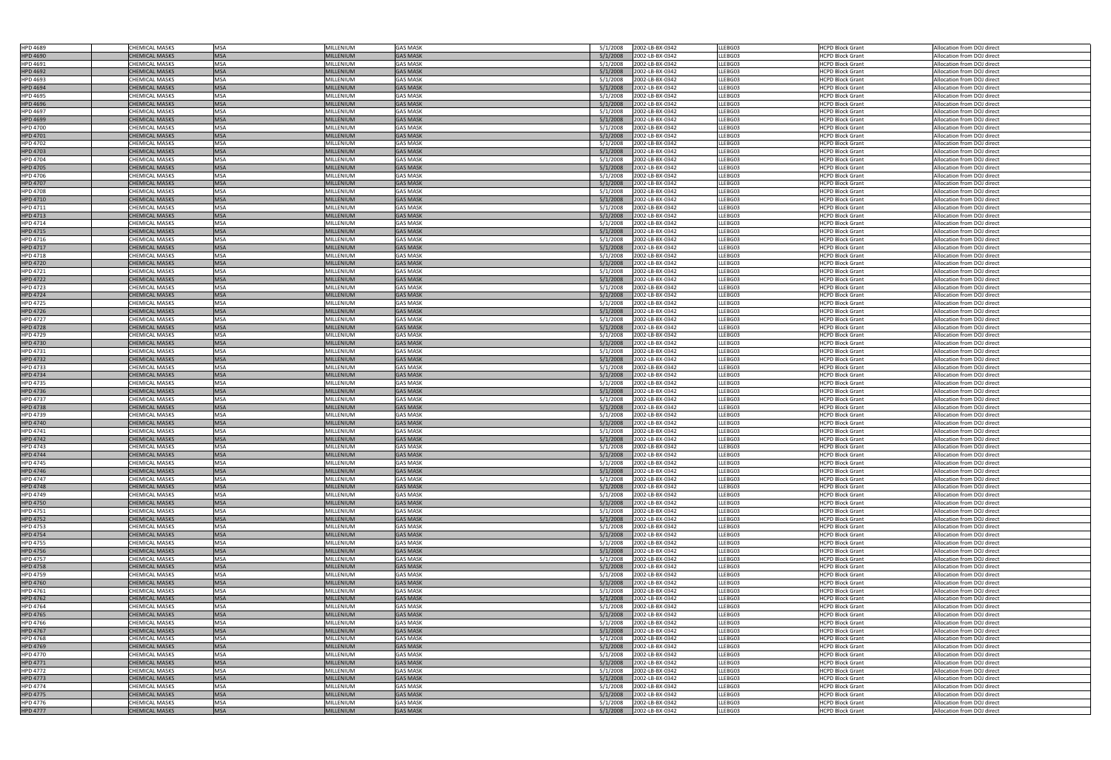| <b>HPD 4689</b>                    |                                                |                          |                               |                                    |                                                            |                    |                                                    |                                                          |
|------------------------------------|------------------------------------------------|--------------------------|-------------------------------|------------------------------------|------------------------------------------------------------|--------------------|----------------------------------------------------|----------------------------------------------------------|
|                                    | <b>CHEMICAL MASKS</b>                          | <b>MSA</b>               | MILLENIUM                     | <b>GAS MASK</b>                    | 2002-LB-BX-0342<br>5/1/2008                                | LLEBG03            | <b>HCPD Block Grant</b>                            | Allocation from DOJ direct                               |
| <b>HPD 4690</b>                    | <b>CHEMICAL MASKS</b>                          | <b>MSA</b>               | <b>MILLENIUM</b>              | <b>GAS MASK</b>                    | 5/1/2008<br>2002-LB-BX-0342                                | LLEBG03            | HCPD Block Grant                                   | Allocation from DOJ direct                               |
| HPD 4691                           | <b>CHEMICAL MASKS</b>                          | <b>MSA</b>               | <b>MILLENIUM</b>              | <b>GAS MASK</b>                    | 5/1/2008<br>2002-LB-BX-0342                                | LLEBG03            | <b>HCPD Block Grant</b>                            | Allocation from DOJ direct                               |
|                                    |                                                |                          |                               |                                    |                                                            |                    |                                                    |                                                          |
| <b>HPD 4692</b>                    | CHEMICAL MASKS                                 | <b>MSA</b>               | <b>MILLENIUM</b>              | <b>GAS MASK</b>                    | 5/1/2008<br>2002-LB-BX-0342                                | LLEBG03            | <b>HCPD Block Grant</b>                            | Allocation from DOJ direct                               |
| HPD 4693                           | CHEMICAL MASKS                                 | <b>MSA</b>               | <b>MILLENIUM</b>              | <b>GAS MASK</b>                    | 2002-LB-BX-0342<br>5/1/2008                                | LLEBG03            | <b>HCPD Block Grant</b>                            | Allocation from DOJ direct                               |
| <b>HPD 4694</b>                    | <b>CHEMICAL MASKS</b>                          | <b>MSA</b>               | <b>MILLENIUM</b>              | <b>GAS MASK</b>                    | 5/1/2008<br>2002-LB-BX-0342                                | LLEBG03            | <b>HCPD Block Grant</b>                            | Allocation from DOJ direct                               |
| <b>HPD 4695</b>                    | <b>CHEMICAL MASKS</b>                          | <b>MSA</b>               | <b>MILLENIUM</b>              | <b>GAS MASK</b>                    | 2002-LB-BX-0342<br>5/1/2008                                | LLEBG03            | <b>HCPD Block Grant</b>                            | Allocation from DOJ direct                               |
|                                    |                                                |                          |                               |                                    |                                                            |                    |                                                    |                                                          |
| <b>HPD 4696</b>                    | <b>CHEMICAL MASKS</b>                          | <b>MSA</b>               | <b>MILLENIUM</b>              | <b>GAS MASK</b>                    | 2002-LB-BX-0342<br>5/1/2008                                | LLEBG03            | <b>HCPD Block Grant</b>                            | Allocation from DOJ direct                               |
| <b>HPD 4697</b>                    | CHEMICAL MASKS                                 | <b>MSA</b>               | MILLENIUM                     | <b>GAS MASK</b>                    | 5/1/2008<br>2002-LB-BX-0342                                | LLEBG03            | <b>HCPD Block Grant</b>                            | Allocation from DOJ direct                               |
| <b>HPD 4699</b>                    | <b>CHEMICAL MASKS</b>                          | <b>MSA</b>               | <b>MILLENIUM</b>              | <b>GAS MASK</b>                    | 5/1/2008<br>2002-LB-BX-0342                                | LLEBG03            | <b>HCPD Block Grant</b>                            | Allocation from DOJ direct                               |
|                                    |                                                |                          |                               |                                    |                                                            |                    |                                                    |                                                          |
| <b>HPD 4700</b>                    | <b>CHEMICAL MASKS</b>                          | <b>MSA</b>               | <b>MILLENIUM</b>              | <b>GAS MASK</b>                    | 2002-LB-BX-0342<br>5/1/2008                                | LLEBG03            | <b>HCPD Block Grant</b>                            | Allocation from DOJ direct                               |
| <b>HPD 4701</b>                    | <b>CHEMICAL MASKS</b>                          | <b>MSA</b>               | <b>MILLENIUM</b>              | <b>GAS MASK</b>                    | 5/1/2008<br>2002-LB-BX-0342                                | LLEBG03            | <b>HCPD Block Grant</b>                            | Allocation from DOJ direct                               |
| <b>HPD 4702</b>                    | CHEMICAL MASKS                                 | <b>MSA</b>               | MILLENIUM                     | <b>GAS MASK</b>                    | 5/1/2008<br>2002-LB-BX-0342                                | LLEBG03            | <b>HCPD Block Grant</b>                            | Allocation from DOJ direct                               |
| <b>HPD 4703</b>                    | <b>CHEMICAL MASKS</b>                          | <b>MSA</b>               | <b>MILLENIUM</b>              | <b>GAS MASK</b>                    | 5/1/2008<br>2002-LB-BX-0342                                | LLEBG03            | <b>HCPD Block Grant</b>                            | Allocation from DOJ direct                               |
|                                    |                                                |                          |                               |                                    |                                                            |                    |                                                    |                                                          |
| <b>HPD 4704</b>                    | CHEMICAL MASKS                                 | <b>MSA</b>               | <b>MILLENIUM</b>              | <b>GAS MASK</b>                    | 5/1/2008<br>2002-LB-BX-0342                                | LLEBG03            | <b>HCPD Block Grant</b>                            | Allocation from DOJ direct                               |
| <b>HPD 4705</b>                    | <b>CHEMICAL MASKS</b>                          | <b>MSA</b>               | <b>MILLENIUM</b>              | <b>GAS MASK</b>                    | 5/1/2008<br>2002-LB-BX-0342                                | LLEBG03            | <b>HCPD Block Grant</b>                            | Allocation from DOJ direct                               |
| <b>HPD 4706</b>                    | CHEMICAL MASKS                                 | <b>MSA</b>               | <b>MILLENIUM</b>              | <b>GAS MASK</b>                    | 5/1/2008<br>2002-LB-BX-0342                                | LLEBG03            | <b>HCPD Block Grant</b>                            | Allocation from DOJ direct                               |
|                                    |                                                |                          |                               |                                    |                                                            |                    |                                                    |                                                          |
| <b>HPD 4707</b>                    | <b>CHEMICAL MASKS</b>                          | <b>MSA</b>               | <b>MILLENIUM</b>              | <b>GAS MASK</b>                    | 2002-LB-BX-0342<br>5/1/2008                                | LLEBG03            | <b>HCPD Block Grant</b>                            | Allocation from DOJ direct                               |
| <b>HPD 4708</b>                    | <b>CHEMICAL MASKS</b>                          | <b>MSA</b>               | <b>MILLENIUM</b>              | <b>GAS MASK</b>                    | 5/1/2008<br>2002-LB-BX-0342                                | LLEBG03            | <b>HCPD Block Grant</b>                            | Allocation from DOJ direct                               |
| <b>HPD 4710</b>                    | <b>CHEMICAL MASKS</b>                          | <b>MSA</b>               | <b>MILLENIUM</b>              | <b>GAS MASK</b>                    | 5/1/2008<br>2002-LB-BX-0342                                | LLEBG03            | <b>HCPD Block Grant</b>                            | Allocation from DOJ direct                               |
| HPD 4711                           | CHEMICAL MASKS                                 | <b>MSA</b>               | <b>MILLENIUM</b>              | <b>GAS MASK</b>                    | 5/1/2008<br>2002-LB-BX-0342                                | LLEBG03            | <b>HCPD Block Grant</b>                            | Allocation from DOJ direct                               |
|                                    |                                                |                          |                               |                                    |                                                            |                    |                                                    |                                                          |
| <b>HPD 4713</b>                    | <b>CHEMICAL MASKS</b>                          | <b>MSA</b>               | <b>MILLENIUM</b>              | <b>GAS MASK</b>                    | 2002-LB-BX-0342<br>5/1/2008                                | LLEBG03            | <b>HCPD Block Grant</b>                            | Allocation from DOJ direct                               |
| HPD 4714                           | CHEMICAL MASKS                                 | <b>MSA</b>               | <b>MILLENIUM</b>              | <b>GAS MASK</b>                    | 5/1/2008<br>2002-LB-BX-0342                                | LLEBG03            | <b>HCPD Block Grant</b>                            | Allocation from DOJ direct                               |
| <b>HPD 4715</b>                    | <b>CHEMICAL MASKS</b>                          | <b>MSA</b>               | <b>MILLENIUM</b>              | <b>GAS MASK</b>                    | 2002-LB-BX-0342<br>5/1/2008                                | LLEBG03            | <b>HCPD Block Grant</b>                            | Allocation from DOJ direct                               |
|                                    |                                                | <b>MSA</b>               |                               | <b>GAS MASK</b>                    |                                                            |                    |                                                    | Allocation from DOJ direct                               |
| HPD 4716                           | <b>CHEMICAL MASKS</b>                          |                          | <b>MILLENIUM</b>              |                                    | 2002-LB-BX-0342<br>5/1/2008                                | LLEBG03            | <b>HCPD Block Grant</b>                            |                                                          |
| <b>HPD 4717</b>                    | <b>CHEMICAL MASKS</b>                          | <b>MSA</b>               | <b>MILLENIUM</b>              | <b>GAS MASK</b>                    | 5/1/2008<br>2002-LB-BX-0342                                | LLEBG03            | <b>HCPD Block Grant</b>                            | Allocation from DOJ direct                               |
| <b>HPD 4718</b>                    | CHEMICAL MASKS                                 | <b>MSA</b>               | <b>MILLENIUM</b>              | <b>GAS MASK</b>                    | 2002-LB-BX-0342<br>5/1/2008                                | LLEBG03            | <b>HCPD Block Grant</b>                            | Allocation from DOJ direct                               |
| <b>HPD 4720</b>                    | <b>CHEMICAL MASKS</b>                          | <b>MSA</b>               | <b>MILLENIUM</b>              | <b>GAS MASK</b>                    | 5/1/2008<br>2002-LB-BX-0342                                | LLEBG03            | <b>HCPD Block Grant</b>                            | Allocation from DOJ direct                               |
|                                    |                                                |                          |                               |                                    |                                                            |                    |                                                    |                                                          |
| HPD 4721                           | CHEMICAL MASKS                                 | <b>MSA</b>               | <b>MILLENIUM</b>              | <b>GAS MASK</b>                    | 5/1/2008<br>2002-LB-BX-0342                                | LLEBG03            | <b>HCPD Block Grant</b>                            | Allocation from DOJ direct                               |
| <b>HPD 4722</b>                    | <b>CHEMICAL MASKS</b>                          | <b>MSA</b>               | <b>MILLENIUM</b>              | <b>GAS MASK</b>                    | 2002-LB-BX-0342<br>5/1/2008                                | LLEBG03            | <b>HCPD Block Grant</b>                            | Allocation from DOJ direct                               |
| <b>HPD 4723</b>                    | CHEMICAL MASKS                                 | <b>MSA</b>               | MILLENIUM                     | <b>GAS MASK</b>                    | 5/1/2008<br>2002-LB-BX-0342                                | LLEBG03            | <b>HCPD Block Grant</b>                            | Allocation from DOJ direct                               |
|                                    |                                                |                          |                               |                                    |                                                            |                    |                                                    |                                                          |
| <b>HPD 4724</b>                    | <b>CHEMICAL MASKS</b>                          | <b>MSA</b>               | <b>MILLENIUM</b>              | <b>GAS MASK</b>                    | 5/1/2008<br>2002-LB-BX-0342                                | LLEBG03            | <b>HCPD Block Grant</b>                            | Allocation from DOJ direct                               |
| <b>HPD 4725</b>                    | <b>CHEMICAL MASKS</b>                          | <b>MSA</b>               | <b>MILLENIUM</b>              | <b>GAS MASK</b>                    | 5/1/2008<br>2002-LB-BX-0342                                | LLEBG03            | <b>HCPD Block Grant</b>                            | Allocation from DOJ direct                               |
| <b>HPD 4726</b>                    | <b>CHEMICAL MASKS</b>                          | <b>MSA</b>               | <b>MILLENIUM</b>              | <b>GAS MASK</b>                    | 5/1/2008<br>2002-LB-BX-0342                                | LLEBG03            | <b>HCPD Block Grant</b>                            | Allocation from DOJ direct                               |
| <b>HPD 4727</b>                    | CHEMICAL MASKS                                 | <b>MSA</b>               | MILLENIUM                     | <b>GAS MASK</b>                    | 5/1/2008<br>2002-LB-BX-0342                                | LLEBG03            | <b>HCPD Block Grant</b>                            | Allocation from DOJ direct                               |
|                                    |                                                |                          |                               |                                    |                                                            |                    |                                                    |                                                          |
| <b>HPD 4728</b>                    | <b>CHEMICAL MASKS</b>                          | <b>MSA</b>               | <b>MILLENIUM</b>              | <b>GAS MASK</b>                    | 5/1/2008<br>2002-LB-BX-0342                                | LLEBG03            | <b>HCPD Block Grant</b>                            | Allocation from DOJ direct                               |
| <b>HPD 4729</b>                    | CHEMICAL MASKS                                 | <b>MSA</b>               | MILLENIUM                     | <b>GAS MASK</b>                    | 5/1/2008<br>2002-LB-BX-0342                                | LLEBG03            | <b>HCPD Block Grant</b>                            | Allocation from DOJ direct                               |
| <b>HPD 4730</b>                    | <b>CHEMICAL MASKS</b>                          | <b>MSA</b>               | <b>MILLENIUM</b>              | <b>GAS MASK</b>                    | 2002-LB-BX-0342<br>5/1/2008                                | LLEBG03            | <b>HCPD Block Grant</b>                            | Allocation from DOJ direct                               |
|                                    |                                                | <b>MSA</b>               |                               | <b>GAS MASK</b>                    |                                                            |                    |                                                    |                                                          |
| <b>HPD 4731</b>                    | CHEMICAL MASKS                                 |                          | <b>MILLENIUM</b>              |                                    | 5/1/2008<br>2002-LB-BX-0342                                | LLEBG03            | <b>HCPD Block Grant</b>                            | Allocation from DOJ direct                               |
| <b>HPD 4732</b>                    | <b>CHEMICAL MASKS</b>                          | <b>MSA</b>               | <b>MILLENIUM</b>              | <b>GAS MASK</b>                    | 5/1/2008<br>2002-LB-BX-0342                                | LLEBG03            | <b>HCPD Block Grant</b>                            | Allocation from DOJ direct                               |
| <b>HPD 4733</b>                    | <b>CHEMICAL MASKS</b>                          | <b>MSA</b>               | MILLENIUM                     | <b>GAS MASK</b>                    | 2002-LB-BX-0342<br>5/1/2008                                | LLEBG03            | <b>HCPD Block Grant</b>                            | Allocation from DOJ direct                               |
| <b>HPD 4734</b>                    | <b>CHEMICAL MASKS</b>                          | <b>MSA</b>               | <b>MILLENIUM</b>              | <b>GAS MASK</b>                    | 5/1/2008<br>2002-LB-BX-0342                                | LLEBG03            | <b>HCPD Block Grant</b>                            | Allocation from DOJ direct                               |
|                                    |                                                |                          |                               |                                    |                                                            |                    |                                                    |                                                          |
| <b>HPD 4735</b>                    | CHEMICAL MASKS                                 | <b>MSA</b>               | <b>MILLENIUM</b>              | <b>GAS MASK</b>                    | 5/1/2008<br>2002-LB-BX-0342                                | LLEBG03            | <b>HCPD Block Grant</b>                            | Allocation from DOJ direct                               |
| <b>HPD 4736</b>                    | <b>CHEMICAL MASKS</b>                          | <b>MSA</b>               | <b>MILLENIUM</b>              | <b>GAS MASK</b>                    | 5/1/2008<br>2002-LB-BX-0342                                | LLEBG03            | <b>HCPD Block Grant</b>                            | Allocation from DOJ direct                               |
| <b>HPD 4737</b>                    | CHEMICAL MASKS                                 | <b>MSA</b>               | MILLENIUM                     | <b>GAS MASK</b>                    | 5/1/2008<br>2002-LB-BX-0342                                | LLEBG03            | <b>HCPD Block Grant</b>                            | Allocation from DOJ direct                               |
|                                    |                                                |                          |                               |                                    |                                                            |                    |                                                    |                                                          |
| <b>HPD 4738</b>                    | <b>CHEMICAL MASKS</b>                          | <b>IMSA</b>              | <b>MILLENIUM</b>              | <b>GAS MASK</b>                    | 5/1/2008<br>2002-LB-BX-0342                                | LLEBG03            | <b>HCPD Block Grant</b>                            | Allocation from DOJ direct                               |
| HPD 4739                           | <b>CHEMICAL MASKS</b>                          | <b>MSA</b>               | MILLENIUM                     | <b>GAS MASK</b>                    | 2002-LB-BX-0342<br>5/1/2008                                | LLEBG03            | <b>HCPD Block Grant</b>                            | Allocation from DOJ direct                               |
|                                    | <b>CHEMICAL MASKS</b>                          | <b>MSA</b>               | <b>MILLENIUM</b>              | <b>GAS MASK</b>                    | 2002-LB-BX-0342<br>5/1/2008                                | LLEBG03            | <b>HCPD Block Grant</b>                            | Allocation from DOJ direct                               |
|                                    |                                                |                          |                               |                                    |                                                            |                    |                                                    |                                                          |
| <b>HPD 4740</b>                    |                                                |                          |                               |                                    |                                                            |                    |                                                    |                                                          |
| HPD 4741                           | CHEMICAL MASKS                                 | <b>MSA</b>               | MILLENIUM                     | <b>GAS MASK</b>                    | 2002-LB-BX-0342<br>5/1/2008                                | LLEBG03            | <b>HCPD Block Grant</b>                            | Allocation from DOJ direct                               |
| <b>HPD 4742</b>                    | <b>CHEMICAL MASKS</b>                          | <b>MSA</b>               | <b>MILLENIUM</b>              | <b>GAS MASK</b>                    | 5/1/2008<br>2002-LB-BX-0342                                | LLEBG03            | <b>HCPD Block Grant</b>                            | Allocation from DOJ direct                               |
| <b>HPD 4743</b>                    | CHEMICAL MASKS                                 | <b>MSA</b>               | MILLENIUM                     | <b>GAS MASK</b>                    | 2002-LB-BX-0342<br>5/1/2008                                | LLEBG03            | <b>HCPD Block Grant</b>                            | Allocation from DOJ direct                               |
|                                    |                                                |                          |                               |                                    |                                                            |                    |                                                    |                                                          |
| <b>HPD 4744</b>                    | <b>CHEMICAL MASKS</b>                          | <b>MSA</b>               | <b>MILLENIUM</b>              | <b>GAS MASK</b>                    | 5/1/2008<br>2002-LB-BX-0342                                | LLEBG03            | <b>HCPD Block Grant</b>                            | Allocation from DOJ direct                               |
| <b>HPD 4745</b>                    | <b>CHEMICAL MASKS</b>                          | <b>MSA</b>               | MILLENIUM                     | <b>GAS MASK</b>                    | 2002-LB-BX-0342<br>5/1/2008                                | LLEBG03            | <b>HCPD Block Grant</b>                            | Allocation from DOJ direct                               |
| <b>HPD 4746</b>                    | <b>CHEMICAL MASKS</b>                          | <b>MSA</b>               | <b>MILLENIUM</b>              | <b>GAS MASK</b>                    | 5/1/2008<br>2002-LB-BX-0342                                | LLEBG03            | <b>HCPD Block Grant</b>                            | Allocation from DOJ direct                               |
| <b>HPD 4747</b>                    | <b>CHEMICAL MASKS</b>                          | <b>MSA</b>               | MILLENIUM                     | <b>GAS MASK</b>                    | 2002-LB-BX-0342<br>5/1/2008                                | LLEBG03            | <b>HCPD Block Grant</b>                            | Allocation from DOJ direct                               |
|                                    |                                                |                          |                               |                                    |                                                            |                    |                                                    |                                                          |
| <b>HPD 4748</b>                    | <b>CHEMICAL MASKS</b>                          | <b>MSA</b>               | MILLENIUM                     | <b>GAS MASK</b>                    | 5/1/2008<br>2002-LB-BX-0342                                | LLEBG03            | <b>HCPD Block Grant</b>                            | Allocation from DOJ direct                               |
| <b>HPD 4749</b>                    | <b>CHEMICAL MASKS</b>                          | <b>MSA</b>               | <b>MILLENIUM</b>              | <b>GAS MASK</b>                    | 2002-LB-BX-0342<br>5/1/2008                                | LLEBG03            | <b>HCPD Block Grant</b>                            | Allocation from DOJ direct                               |
| <b>HPD 4750</b>                    | <b>CHEMICAL MASKS</b>                          | <b>MSA</b>               | <b>MILLENIUM</b>              | <b>GAS MASK</b>                    | 2002-LB-BX-0342<br>5/1/2008                                | LLEBG03            | <b>HCPD Block Grant</b>                            | Allocation from DOJ direct                               |
| HPD 4751                           | CHEMICAL MASKS                                 | <b>MSA</b>               | MILLENIUM                     | <b>GAS MASK</b>                    | 5/1/2008<br>2002-LB-BX-0342                                | LLEBG03            | <b>HCPD Block Grant</b>                            | Allocation from DOJ direct                               |
|                                    | <b>CHEMICAL MASKS</b>                          |                          | <b>MILLENIUM</b>              | <b>GAS MASK</b>                    |                                                            |                    |                                                    |                                                          |
| <b>HPD 4752</b>                    |                                                | <b>MSA</b>               |                               |                                    | 2002-LB-BX-0342<br>5/1/2008                                | LLEBG03            | <b>HCPD Block Grant</b>                            | Allocation from DOJ direct                               |
| <b>HPD 4753</b>                    | <b>CHEMICAL MASKS</b>                          | <b>MSA</b>               | <b>MILLENIUM</b>              | <b>GAS MASK</b>                    | 2002-LB-BX-0342<br>5/1/2008                                | LLEBG03            | <b>HCPD Block Grant</b>                            | Allocation from DOJ direct                               |
| <b>HPD 4754</b>                    | <b>CHEMICAL MASKS</b>                          | <b>MSA</b>               | <b>MILLENIUM</b>              | <b>GAS MASK</b>                    | 5/1/2008<br>2002-LB-BX-0342                                | LLEBG03            | <b>HCPD Block Grant</b>                            | Allocation from DOJ direct                               |
| <b>HPD 4755</b>                    | CHEMICAL MASKS                                 | <b>MSA</b>               | MILLENIUM                     | <b>GAS MASK</b>                    | 2002-LB-BX-0342<br>5/1/2008                                | LLEBG03            | <b>HCPD Block Grant</b>                            | Allocation from DOJ direct                               |
|                                    |                                                |                          |                               |                                    |                                                            |                    |                                                    |                                                          |
| <b>HPD 4756</b>                    | <b>CHEMICAL MASKS</b>                          | <b>MSA</b>               | <b>MILLENIUM</b>              | <b>GAS MASK</b>                    | 2002-LB-BX-0342<br>5/1/2008                                | LLEBG03            | <b>HCPD Block Grant</b>                            | Allocation from DOJ direct                               |
| <b>HPD 4757</b>                    | CHEMICAL MASKS                                 | <b>MSA</b>               | MILLENIUM                     | <b>GAS MASK</b>                    | 5/1/2008<br>2002-LB-BX-0342                                | LLEBG03            | <b>HCPD Block Grant</b>                            | Allocation from DOJ direct                               |
| <b>HPD 4758</b>                    | <b>CHEMICAL MASKS</b>                          | <b>MSA</b>               | <b>MILLENIUM</b>              | <b>GAS MASK</b>                    | 5/1/2008<br>2002-LB-BX-0342                                | LLEBG03            | <b>HCPD Block Grant</b>                            | Allocation from DOJ direct                               |
| <b>HPD 4759</b>                    | <b>CHEMICAL MASKS</b>                          | <b>MSA</b>               | MILLENIUM                     | <b>GAS MASK</b>                    | 5/1/2008<br>2002-LB-BX-0342                                | LLEBG03            | <b>HCPD Block Grant</b>                            | Allocation from DOJ direct                               |
|                                    |                                                |                          |                               |                                    |                                                            |                    |                                                    |                                                          |
| <b>HPD 4760</b>                    | <b>CHEMICAL MASKS</b>                          | <b>MSA</b>               | <b>MILLENIUM</b>              | <b>GAS MASK</b>                    | 5/1/2008<br>2002-LB-BX-0342                                | LLEBG03            | <b>HCPD Block Grant</b>                            | Allocation from DOJ direct                               |
| HPD 4761                           | <b>CHEMICAL MASKS</b>                          | <b>MSA</b>               | MILLENIUM                     | <b>GAS MASK</b>                    | 2002-LB-BX-0342<br>5/1/2008                                | LLEBG03            | <b>HCPD Block Grant</b>                            | Allocation from DOJ direct                               |
| <b>HPD 4762</b>                    | <b>CHEMICAL MASKS</b>                          | <b>MSA</b>               | <b>MILLENIUM</b>              | <b>GAS MASK</b>                    | 5/1/2008<br>2002-LB-BX-0342                                | LLEBG03            | <b>HCPD Block Grant</b>                            | Allocation from DOJ direct                               |
|                                    |                                                |                          |                               |                                    |                                                            |                    |                                                    |                                                          |
| <b>HPD 4764</b>                    | <b>CHEMICAL MASKS</b>                          | <b>MSA</b>               | <b>MILLENIUM</b>              | <b>GAS MASK</b>                    | 2002-LB-BX-0342<br>5/1/2008                                | LLEBG03            | <b>HCPD Block Grant</b>                            | Allocation from DOJ direct                               |
| <b>HPD 4765</b>                    | <b>CHEMICAL MASKS</b>                          | <b>MSA</b>               | <b>MILLENIUM</b>              | <b>GAS MASK</b>                    | 2002-LB-BX-0342<br>5/1/2008                                | LLEBG03            | <b>HCPD Block Grant</b>                            | Allocation from DOJ direct                               |
| <b>HPD 4766</b>                    | CHEMICAL MASKS                                 | <b>MSA</b>               | MILLENIUM                     | <b>GAS MASK</b>                    | 2002-LB-BX-0342<br>5/1/2008                                | LLEBG03            | <b>HCPD Block Grant</b>                            | Allocation from DOJ direct                               |
| <b>HPD 4767</b>                    | <b>CHEMICAL MASKS</b>                          | <b>MSA</b>               | <b>MILLENIUM</b>              | <b>GAS MASK</b>                    | 5/1/2008<br>2002-LB-BX-0342                                | LLEBG03            | <b>HCPD Block Grant</b>                            | Allocation from DOJ direct                               |
|                                    |                                                |                          |                               |                                    |                                                            |                    |                                                    |                                                          |
| <b>HPD 4768</b>                    | <b>CHEMICAL MASKS</b>                          | <b>MSA</b>               | <b>MILLENIUM</b>              | <b>GAS MASK</b>                    | 2002-LB-BX-0342<br>5/1/2008                                | LLEBG03            | <b>HCPD Block Grant</b>                            | Allocation from DOJ direct                               |
| <b>HPD 4769</b>                    | <b>CHEMICAL MASKS</b>                          | <b>MSA</b>               | <b>MILLENIUM</b>              | <b>GAS MASK</b>                    | 2002-LB-BX-0342<br>5/1/2008                                | LLEBG03            | <b>HCPD Block Grant</b>                            | Allocation from DOJ direct                               |
| <b>HPD 4770</b>                    | CHEMICAL MASKS                                 | <b>MSA</b>               | MILLENIUM                     | <b>GAS MASK</b>                    | 2002-LB-BX-0342<br>5/1/2008                                | LLEBG03            | <b>HCPD Block Grant</b>                            | Allocation from DOJ direct                               |
|                                    |                                                |                          |                               |                                    |                                                            |                    |                                                    |                                                          |
| <b>HPD 4771</b>                    | <b>CHEMICAL MASKS</b>                          | <b>MSA</b>               | <b>MILLENIUM</b>              | <b>GAS MASK</b>                    | 5/1/2008<br>2002-LB-BX-0342                                | LLEBG03            | <b>HCPD Block Grant</b>                            | Allocation from DOJ direct                               |
| <b>HPD 4772</b>                    | <b>CHEMICAL MASKS</b>                          | <b>MSA</b>               | MILLENIUM                     | <b>GAS MASK</b>                    | 2002-LB-BX-0342<br>5/1/2008                                | LLEBG03            | <b>HCPD Block Grant</b>                            | Allocation from DOJ direct                               |
| <b>HPD 4773</b>                    | <b>CHEMICAL MASKS</b>                          | <b>MSA</b>               | <b>MILLENIUM</b>              | <b>GAS MASK</b>                    | 2002-LB-BX-0342<br>5/1/2008                                | LLEBG03            | <b>HCPD Block Grant</b>                            | Allocation from DOJ direct                               |
|                                    | <b>CHEMICAL MASKS</b>                          | <b>MSA</b>               | MILLENIUM                     | <b>GAS MASK</b>                    | 5/1/2008<br>2002-LB-BX-0342                                | LLEBG03            | <b>HCPD Block Grant</b>                            | Allocation from DOJ direct                               |
| <b>HPD 4774</b>                    |                                                |                          |                               |                                    |                                                            |                    |                                                    |                                                          |
| <b>HPD 4775</b>                    | <b>CHEMICAL MASKS</b>                          | <b>MSA</b>               | <b>MILLENIUM</b>              | <b>GAS MASK</b>                    | 5/1/2008<br>2002-LB-BX-0342                                | LLEBG03            | <b>HCPD Block Grant</b>                            | Allocation from DOJ direct                               |
| <b>HPD 4776</b><br><b>HPD 4777</b> | <b>CHEMICAL MASKS</b><br><b>CHEMICAL MASKS</b> | <b>MSA</b><br><b>MSA</b> | MILLENIUM<br><b>MILLENIUM</b> | <b>GAS MASK</b><br><b>GAS MASK</b> | 2002-LB-BX-0342<br>5/1/2008<br>5/1/2008<br>2002-LB-BX-0342 | LLEBG03<br>LLEBG03 | <b>HCPD Block Grant</b><br><b>HCPD Block Grant</b> | Allocation from DOJ direct<br>Allocation from DOJ direct |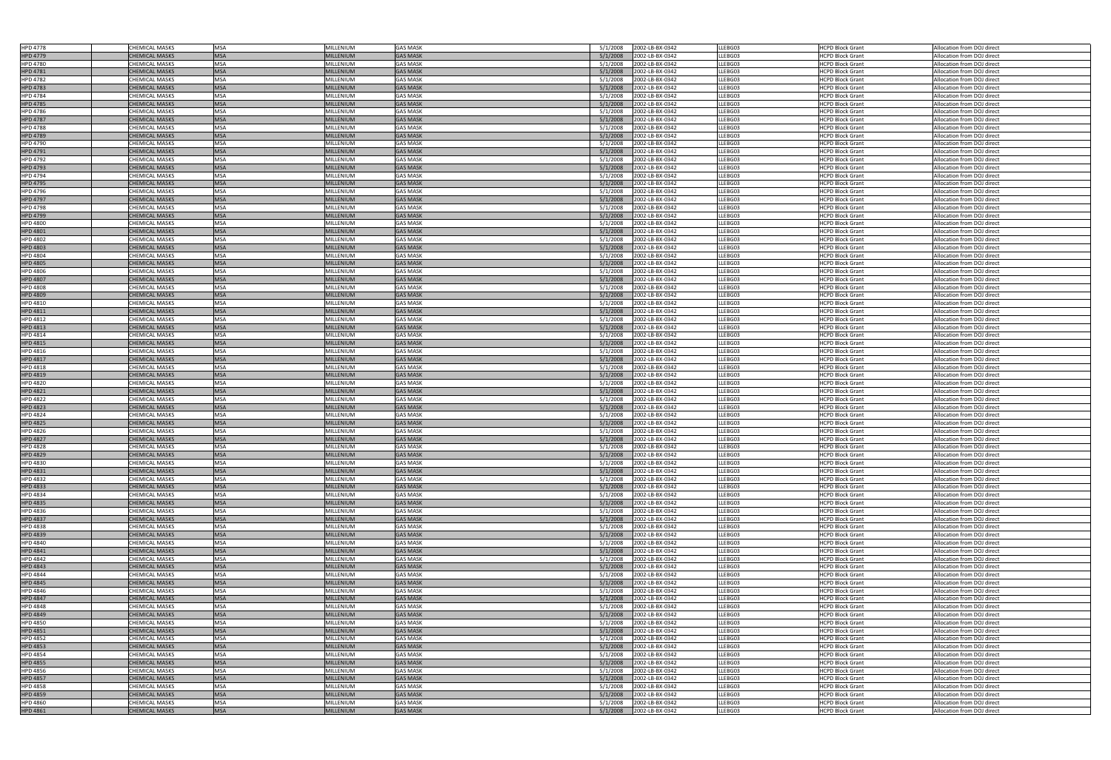| <b>HPD 4778</b> | <b>CHEMICAL MASKS</b> | <b>MSA</b> | MILLENIUM        | <b>GAS MASK</b> | 5/1/2008<br>2002-LB-BX-0342 | LLEBG03 | <b>HCPD Block Grant</b> | Allocation from DOJ direct |
|-----------------|-----------------------|------------|------------------|-----------------|-----------------------------|---------|-------------------------|----------------------------|
| <b>HPD 4779</b> | <b>CHEMICAL MASKS</b> | <b>MSA</b> | <b>MILLENIUM</b> | <b>GAS MASK</b> | 2002-LB-BX-0342<br>5/1/2008 | LLEBG03 | <b>HCPD Block Grant</b> | Allocation from DOJ direct |
|                 |                       |            |                  |                 |                             |         |                         |                            |
| <b>HPD 4780</b> | CHEMICAL MASKS        | <b>MSA</b> | <b>MILLENIUM</b> | <b>GAS MASK</b> | 5/1/2008<br>2002-LB-BX-0342 | LLEBG03 | <b>HCPD Block Grant</b> | Allocation from DOJ direct |
| <b>HPD 4781</b> | <b>CHEMICAL MASKS</b> | <b>MSA</b> | <b>MILLENIUM</b> | <b>GAS MASK</b> | 5/1/2008<br>2002-LB-BX-0342 | LLEBG03 | <b>HCPD Block Grant</b> | Allocation from DOJ direct |
| <b>HPD 4782</b> | CHEMICAL MASKS        | <b>MSA</b> | MILLENIUM        | <b>GAS MASK</b> | 5/1/2008<br>2002-LB-BX-0342 | LLEBG03 | <b>HCPD Block Grant</b> | Allocation from DOJ direct |
|                 |                       |            |                  |                 |                             |         |                         |                            |
| <b>HPD 4783</b> | <b>CHEMICAL MASKS</b> | <b>MSA</b> | <b>MILLENIUM</b> | <b>GAS MASK</b> | 5/1/2008<br>2002-LB-BX-0342 | LLEBG03 | <b>HCPD Block Grant</b> | Allocation from DOJ direct |
| <b>HPD 4784</b> | CHEMICAL MASKS        | <b>MSA</b> | <b>MILLENIUM</b> | <b>GAS MASK</b> | 2002-LB-BX-0342<br>5/1/2008 | LLEBG03 | <b>HCPD Block Grant</b> | Allocation from DOJ direct |
|                 |                       |            |                  |                 |                             |         |                         |                            |
| <b>HPD 4785</b> | <b>CHEMICAL MASKS</b> | <b>MSA</b> | <b>MILLENIUM</b> | <b>GAS MASK</b> | 5/1/2008<br>2002-LB-BX-0342 | LLEBG03 | <b>HCPD Block Grant</b> | Allocation from DOJ direct |
| <b>HPD 4786</b> | CHEMICAL MASKS        | <b>MSA</b> | <b>MILLENIUM</b> | <b>GAS MASK</b> | 5/1/2008<br>2002-LB-BX-0342 | LLEBG03 | <b>HCPD Block Grant</b> | Allocation from DOJ direct |
|                 | <b>CHEMICAL MASKS</b> | <b>MSA</b> |                  | <b>GAS MASK</b> |                             |         |                         |                            |
| <b>HPD 4787</b> |                       |            | <b>MILLENIUM</b> |                 | 5/1/2008<br>2002-LB-BX-0342 | LLEBG03 | <b>HCPD Block Grant</b> | Allocation from DOJ direct |
| <b>HPD 4788</b> | <b>CHEMICAL MASKS</b> | <b>MSA</b> | <b>MILLENIUM</b> | <b>GAS MASK</b> | 5/1/2008<br>2002-LB-BX-0342 | LLEBG03 | <b>HCPD Block Grant</b> | Allocation from DOJ direct |
| <b>HPD 4789</b> | <b>CHEMICAL MASKS</b> | <b>MSA</b> | <b>MILLENIUM</b> | <b>GAS MASK</b> | 5/1/2008<br>2002-LB-BX-0342 | LLEBG03 | <b>HCPD Block Grant</b> | Allocation from DOJ direct |
|                 |                       |            |                  |                 |                             |         |                         |                            |
| <b>HPD 4790</b> | CHEMICAL MASKS        | <b>MSA</b> | MILLENIUM        | <b>GAS MASK</b> | 5/1/2008<br>2002-LB-BX-0342 | LLEBG03 | <b>HCPD Block Grant</b> | Allocation from DOJ direct |
| <b>HPD 4791</b> | <b>CHEMICAL MASKS</b> | <b>MSA</b> | <b>MILLENIUM</b> | <b>GAS MASK</b> | 5/1/2008<br>2002-LB-BX-0342 | LLEBG03 | <b>HCPD Block Grant</b> | Allocation from DOJ direct |
| <b>HPD 4792</b> | CHEMICAL MASKS        | <b>MSA</b> | <b>MILLENIUM</b> | <b>GAS MASK</b> | 5/1/2008<br>2002-LB-BX-0342 | LLEBG03 | <b>HCPD Block Grant</b> | Allocation from DOJ direct |
|                 |                       |            |                  |                 |                             |         |                         |                            |
| <b>HPD 4793</b> | <b>CHEMICAL MASKS</b> | <b>MSA</b> | <b>MILLENIUM</b> | <b>GAS MASK</b> | 2002-LB-BX-0342<br>5/1/2008 | LLEBG03 | <b>HCPD Block Grant</b> | Allocation from DOJ direct |
| <b>HPD 4794</b> | CHEMICAL MASKS        | <b>MSA</b> | MILLENIUM        | <b>GAS MASK</b> | 5/1/2008<br>2002-LB-BX-0342 | LLEBG03 | <b>HCPD Block Grant</b> | Allocation from DOJ direct |
|                 |                       |            |                  |                 |                             |         |                         |                            |
| <b>HPD 4795</b> | <b>CHEMICAL MASKS</b> | <b>MSA</b> | <b>MILLENIUM</b> | <b>GAS MASK</b> | 5/1/2008<br>2002-LB-BX-0342 | LLEBG03 | <b>HCPD Block Grant</b> | Allocation from DOJ direct |
| <b>HPD 4796</b> | CHEMICAL MASKS        | <b>MSA</b> | <b>MILLENIUM</b> | <b>GAS MASK</b> | 2002-LB-BX-0342<br>5/1/2008 | LLEBG03 | <b>HCPD Block Grant</b> | Allocation from DOJ direct |
| <b>HPD 4797</b> | <b>CHEMICAL MASKS</b> | <b>MSA</b> | <b>MILLENIUM</b> | <b>GAS MASK</b> | 5/1/2008<br>2002-LB-BX-0342 | LLEBG03 | <b>HCPD Block Grant</b> | Allocation from DOJ direct |
|                 |                       |            |                  |                 |                             |         |                         |                            |
| <b>HPD 4798</b> | CHEMICAL MASKS        | <b>MSA</b> | MILLENIUM        | <b>GAS MASK</b> | 5/1/2008<br>2002-LB-BX-0342 | LLEBG03 | <b>HCPD Block Grant</b> | Allocation from DOJ direct |
| <b>HPD 4799</b> | <b>CHEMICAL MASKS</b> | <b>MSA</b> | <b>MILLENIUM</b> | <b>GAS MASK</b> | 5/1/2008<br>2002-LB-BX-0342 | LLEBG03 | <b>HCPD Block Grant</b> | Allocation from DOJ direct |
| <b>HPD 4800</b> | CHEMICAL MASKS        | <b>MSA</b> | <b>MILLENIUM</b> | <b>GAS MASK</b> | 5/1/2008<br>2002-LB-BX-0342 | LLEBG03 | <b>HCPD Block Grant</b> | Allocation from DOJ direct |
|                 |                       |            |                  |                 |                             |         |                         |                            |
| <b>HPD 4801</b> | <b>CHEMICAL MASKS</b> | <b>MSA</b> | <b>MILLENIUM</b> | <b>GAS MASK</b> | 5/1/2008<br>2002-LB-BX-0342 | LLEBG03 | <b>HCPD Block Grant</b> | Allocation from DOJ direct |
| <b>HPD 4802</b> | <b>CHEMICAL MASKS</b> | <b>MSA</b> | <b>MILLENIUM</b> | <b>GAS MASK</b> | 5/1/2008<br>2002-LB-BX-0342 | LLEBG03 | <b>HCPD Block Grant</b> | Allocation from DOJ direct |
|                 |                       |            |                  |                 |                             |         |                         |                            |
| <b>HPD 4803</b> | <b>CHEMICAL MASKS</b> | <b>MSA</b> | <b>MILLENIUM</b> | <b>GAS MASK</b> | 5/1/2008<br>2002-LB-BX-0342 | LLEBG03 | <b>HCPD Block Grant</b> | Allocation from DOJ direct |
| <b>HPD 4804</b> | <b>CHEMICAL MASKS</b> | <b>MSA</b> | <b>MILLENIUM</b> | <b>GAS MASK</b> | 5/1/2008<br>2002-LB-BX-0342 | LLEBG03 | <b>HCPD Block Grant</b> | Allocation from DOJ direct |
| <b>HPD 4805</b> | <b>CHEMICAL MASKS</b> | <b>MSA</b> | <b>MILLENIUM</b> | <b>GAS MASK</b> | 5/1/2008<br>2002-LB-BX-0342 | LLEBG03 | <b>HCPD Block Grant</b> | Allocation from DOJ direct |
|                 |                       |            |                  |                 |                             |         |                         |                            |
| <b>HPD 4806</b> | CHEMICAL MASKS        | <b>MSA</b> | <b>MILLENIUM</b> | <b>GAS MASK</b> | 5/1/2008<br>2002-LB-BX-0342 | LLEBG03 | <b>HCPD Block Grant</b> | Allocation from DOJ direct |
| <b>HPD 4807</b> | <b>CHEMICAL MASKS</b> | <b>MSA</b> | <b>MILLENIUM</b> | <b>GAS MASK</b> | 5/1/2008<br>2002-LB-BX-0342 | LLEBG03 | <b>HCPD Block Grant</b> | Allocation from DOJ direct |
|                 | CHEMICAL MASKS        | <b>MSA</b> |                  | <b>GAS MASK</b> |                             |         |                         |                            |
| <b>HPD 4808</b> |                       |            | MILLENIUM        |                 | 5/1/2008<br>2002-LB-BX-0342 | LLEBG03 | <b>HCPD Block Grant</b> | Allocation from DOJ direct |
| <b>HPD 4809</b> | <b>CHEMICAL MASKS</b> | <b>MSA</b> | <b>MILLENIUM</b> | <b>GAS MASK</b> | 5/1/2008<br>2002-LB-BX-0342 | LLEBG03 | <b>HCPD Block Grant</b> | Allocation from DOJ direct |
| HPD 4810        | <b>CHEMICAL MASKS</b> | <b>MSA</b> | <b>MILLENIUM</b> | <b>GAS MASK</b> | 5/1/2008<br>2002-LB-BX-0342 | LLEBG03 | <b>HCPD Block Grant</b> | Allocation from DOJ direct |
|                 |                       |            |                  |                 |                             |         |                         |                            |
| <b>HPD 4811</b> | <b>CHEMICAL MASKS</b> | <b>MSA</b> | <b>MILLENIUM</b> | <b>GAS MASK</b> | 5/1/2008<br>2002-LB-BX-0342 | LLEBG03 | <b>HCPD Block Grant</b> | Allocation from DOJ direct |
| <b>HPD 4812</b> | CHEMICAL MASKS        | <b>MSA</b> | MILLENIUM        | <b>GAS MASK</b> | 5/1/2008<br>2002-LB-BX-0342 | LLEBG03 | <b>HCPD Block Grant</b> | Allocation from DOJ direct |
| <b>HPD 4813</b> | <b>CHEMICAL MASKS</b> | <b>MSA</b> | <b>MILLENIUM</b> | <b>GAS MASK</b> | 2002-LB-BX-0342<br>5/1/2008 | LLEBG03 | <b>HCPD Block Grant</b> | Allocation from DOJ direct |
|                 |                       |            |                  |                 |                             |         |                         |                            |
| <b>HPD 4814</b> | CHEMICAL MASKS        | <b>MSA</b> | <b>MILLENIUM</b> | <b>GAS MASK</b> | 5/1/2008<br>2002-LB-BX-0342 | LLEBG03 | <b>HCPD Block Grant</b> | Allocation from DOJ direct |
| <b>HPD 4815</b> | <b>CHEMICAL MASKS</b> | <b>MSA</b> | <b>MILLENIUM</b> | <b>GAS MASK</b> | 5/1/2008<br>2002-LB-BX-0342 | LLEBG03 | <b>HCPD Block Grant</b> | Allocation from DOJ direct |
|                 |                       |            |                  |                 |                             |         |                         |                            |
| <b>HPD 4816</b> | CHEMICAL MASKS        | <b>MSA</b> | <b>MILLENIUM</b> | <b>GAS MASK</b> | 5/1/2008<br>2002-LB-BX-0342 | LLEBG03 | <b>HCPD Block Grant</b> | Allocation from DOJ direct |
| <b>HPD 4817</b> | <b>CHEMICAL MASKS</b> | <b>MSA</b> | <b>MILLENIUM</b> | <b>GAS MASK</b> | 5/1/2008<br>2002-LB-BX-0342 | LLEBG03 | <b>HCPD Block Grant</b> | Allocation from DOJ direct |
| <b>HPD 4818</b> | CHEMICAL MASKS        | <b>MSA</b> | <b>MILLENIUM</b> | <b>GAS MASK</b> | 2002-LB-BX-0342<br>5/1/2008 | LLEBG03 | <b>HCPD Block Grant</b> | Allocation from DOJ direct |
|                 |                       |            |                  |                 |                             |         |                         |                            |
| <b>HPD 4819</b> | CHEMICAL MASKS        | <b>MSA</b> | <b>MILLENIUM</b> | <b>GAS MASK</b> | 5/1/2008<br>2002-LB-BX-0342 | LLEBG03 | <b>HCPD Block Grant</b> | Allocation from DOJ direct |
| <b>HPD 4820</b> | CHEMICAL MASKS        | <b>MSA</b> | <b>MILLENIUM</b> | <b>GAS MASK</b> | 5/1/2008<br>2002-LB-BX-0342 | LLEBG03 | <b>HCPD Block Grant</b> | Allocation from DOJ direct |
|                 | <b>CHEMICAL MASKS</b> |            |                  |                 |                             |         |                         |                            |
| <b>HPD 4821</b> |                       | <b>MSA</b> | <b>MILLENIUM</b> | <b>GAS MASK</b> | 5/1/2008<br>2002-LB-BX-0342 | LLEBG03 | <b>HCPD Block Grant</b> | Allocation from DOJ direct |
| <b>HPD 4822</b> | <b>CHEMICAL MASKS</b> | <b>MSA</b> | MILLENIUM        | <b>GAS MASK</b> | 5/1/2008<br>2002-LB-BX-0342 | LLEBG03 | <b>HCPD Block Grant</b> | Allocation from DOJ direct |
| <b>HPD 4823</b> | <b>CHEMICAL MASKS</b> | <b>MSA</b> | MILLENIUM        | <b>GAS MASK</b> | 5/1/2008<br>2002-LB-BX-0342 | LLEBG03 | <b>HCPD Block Grant</b> | Allocation from DOJ direct |
|                 |                       |            |                  |                 |                             |         |                         |                            |
| <b>HPD 4824</b> | CHEMICAL MASKS        | <b>MSA</b> | <b>MILLENIUM</b> | <b>GAS MASK</b> | 2002-LB-BX-0342<br>5/1/2008 | LLEBG03 | <b>HCPD Block Grant</b> | Allocation from DOJ direct |
| <b>HPD 4825</b> | <b>CHEMICAL MASKS</b> | <b>MSA</b> | <b>MILLENIUM</b> | <b>GAS MASK</b> | 5/1/2008<br>2002-LB-BX-0342 | LLEBG03 | <b>HCPD Block Grant</b> | Allocation from DOJ direct |
|                 | CHEMICAL MASKS        | <b>MSA</b> | MILLENIUM        | <b>GAS MASK</b> | 2002-LB-BX-0342             | LLEBG03 | <b>HCPD Block Grant</b> |                            |
| <b>HPD 4826</b> |                       |            |                  |                 | 5/1/2008                    |         |                         | Allocation from DOJ direct |
| <b>HPD 4827</b> | <b>CHEMICAL MASKS</b> | <b>MSA</b> | <b>MILLENIUM</b> | <b>GAS MASK</b> | 5/1/2008<br>2002-LB-BX-0342 | LLEBG03 | <b>HCPD Block Grant</b> | Allocation from DOJ direct |
| <b>HPD 4828</b> | <b>CHEMICAL MASKS</b> | <b>MSA</b> | MILLENIUM        | <b>GAS MASK</b> | 2002-LB-BX-0342<br>5/1/2008 | LLEBG03 | <b>HCPD Block Grant</b> |                            |
|                 |                       | <b>MSA</b> | <b>MILLENIUM</b> |                 |                             |         |                         |                            |
| <b>HPD 4829</b> | <b>CHEMICAL MASKS</b> |            |                  |                 |                             |         |                         | Allocation from DOJ direct |
| <b>HPD 4830</b> |                       |            |                  | <b>GAS MASK</b> | 2002-LB-BX-0342<br>5/1/2008 | LLEBG03 | <b>HCPD Block Grant</b> | Allocation from DOJ direct |
|                 | <b>CHEMICAL MASKS</b> | <b>MSA</b> | MILLENIUM        | <b>GAS MASK</b> | 2002-LB-BX-0342<br>5/1/2008 | LLEBG03 | <b>HCPD Block Grant</b> | Allocation from DOJ direct |
|                 |                       |            |                  |                 |                             |         |                         |                            |
| <b>HPD 4831</b> | <b>CHEMICAL MASKS</b> | <b>MSA</b> | <b>MILLENIUM</b> | <b>GAS MASK</b> | 5/1/2008<br>2002-LB-BX-0342 | LLEBG03 | <b>HCPD Block Grant</b> | Allocation from DOJ direct |
| <b>HPD 4832</b> | <b>CHEMICAL MASKS</b> | <b>MSA</b> | MILLENIUM        | <b>GAS MASK</b> | 2002-LB-BX-0342<br>5/1/2008 | LLEBG03 | <b>HCPD Block Grant</b> | Allocation from DOJ direct |
| <b>HPD 4833</b> | <b>CHEMICAL MASKS</b> | <b>MSA</b> | <b>MILLENIUM</b> | <b>GAS MASK</b> | 5/1/2008<br>2002-LB-BX-0342 | LLEBG03 | <b>HCPD Block Grant</b> | Allocation from DOJ direct |
|                 |                       |            |                  |                 |                             |         |                         |                            |
| <b>HPD 4834</b> | CHEMICAL MASKS        | <b>MSA</b> | MILLENIUM        | <b>GAS MASK</b> | 2002-LB-BX-0342<br>5/1/2008 | LLEBG03 | <b>HCPD Block Grant</b> | Allocation from DOJ direct |
| <b>HPD 4835</b> | <b>CHEMICAL MASKS</b> | <b>MSA</b> | <b>MILLENIUM</b> | <b>GAS MASK</b> | 5/1/2008<br>2002-LB-BX-0342 | LLEBG03 | <b>HCPD Block Grant</b> | Allocation from DOJ direct |
| <b>HPD 4836</b> | CHEMICAL MASKS        | <b>MSA</b> | MILLENIUM        | <b>GAS MASK</b> | 5/1/2008<br>2002-LB-BX-0342 | LLEBG03 | <b>HCPD Block Grant</b> | Allocation from DOJ direct |
|                 |                       |            |                  |                 |                             |         |                         |                            |
| <b>HPD 4837</b> | <b>CHEMICAL MASKS</b> | <b>MSA</b> | MILLENIUM        | <b>GAS MASK</b> | 2002-LB-BX-0342<br>5/1/2008 | LLEBG03 | <b>HCPD Block Grant</b> | Allocation from DOJ direct |
| <b>HPD 4838</b> | <b>CHEMICAL MASKS</b> | <b>MSA</b> | MILLENIUM        | <b>GAS MASK</b> | 2002-LB-BX-0342<br>5/1/2008 | LLEBG03 | <b>HCPD Block Grant</b> | Allocation from DOJ direct |
|                 |                       |            |                  |                 |                             |         |                         |                            |
| <b>HPD 4839</b> | <b>CHEMICAL MASKS</b> | <b>MSA</b> | <b>MILLENIUM</b> | <b>GAS MASK</b> | 2002-LB-BX-0342<br>5/1/2008 | LLEBG03 | <b>HCPD Block Grant</b> | Allocation from DOJ direct |
| <b>HPD 4840</b> | CHEMICAL MASKS        | <b>MSA</b> | MILLENIUM        | <b>GAS MASK</b> | 2002-LB-BX-0342<br>5/1/2008 | LLEBG03 | <b>HCPD Block Grant</b> | Allocation from DOJ direct |
| <b>HPD 4841</b> | <b>CHEMICAL MASKS</b> | <b>MSA</b> | <b>MILLENIUM</b> | <b>GAS MASK</b> | 5/1/2008<br>2002-LB-BX-0342 | LLEBG03 | <b>HCPD Block Grant</b> | Allocation from DOJ direct |
|                 |                       |            |                  |                 |                             |         |                         |                            |
| <b>HPD 4842</b> | <b>CHEMICAL MASKS</b> | <b>MSA</b> | <b>MILLENIUM</b> | <b>GAS MASK</b> | 2002-LB-BX-0342<br>5/1/2008 | LLEBG03 | <b>HCPD Block Grant</b> | Allocation from DOJ direct |
| <b>HPD 4843</b> | <b>CHEMICAL MASKS</b> | <b>MSA</b> | <b>MILLENIUM</b> | <b>GAS MASK</b> | 2002-LB-BX-0342<br>5/1/2008 | LLEBG03 | <b>HCPD Block Grant</b> | Allocation from DOJ direct |
| <b>HPD 4844</b> | <b>CHEMICAL MASKS</b> | <b>MSA</b> | MILLENIUM        | <b>GAS MASK</b> | 5/1/2008<br>2002-LB-BX-0342 | LLEBG03 | <b>HCPD Block Grant</b> | Allocation from DOJ direct |
|                 |                       |            |                  |                 |                             |         |                         |                            |
| <b>HPD 4845</b> | <b>CHEMICAL MASKS</b> | <b>MSA</b> | <b>MILLENIUM</b> | <b>GAS MASK</b> | 5/1/2008<br>2002-LB-BX-0342 | LLEBG03 | <b>HCPD Block Grant</b> | Allocation from DOJ direct |
| <b>HPD 4846</b> | CHEMICAL MASKS        | <b>MSA</b> | MILLENIUM        | <b>GAS MASK</b> | 2002-LB-BX-0342<br>5/1/2008 | LLEBG03 | <b>HCPD Block Grant</b> | Allocation from DOJ direct |
|                 | <b>CHEMICAL MASKS</b> | <b>MSA</b> | <b>MILLENIUM</b> | <b>GAS MASK</b> | 5/1/2008<br>2002-LB-BX-0342 | LLEBG03 | <b>HCPD Block Grant</b> | Allocation from DOJ direct |
| <b>HPD 4847</b> |                       |            |                  |                 |                             |         |                         |                            |
| <b>HPD 4848</b> | CHEMICAL MASKS        | <b>MSA</b> | MILLENIUM        | <b>GAS MASK</b> | 2002-LB-BX-0342<br>5/1/2008 | LLEBG03 | <b>HCPD Block Grant</b> | Allocation from DOJ direct |
| <b>HPD 4849</b> | <b>CHEMICAL MASKS</b> | <b>MSA</b> | <b>MILLENIUM</b> | <b>GAS MASK</b> | 5/1/2008<br>2002-LB-BX-0342 | LLEBG03 | <b>HCPD Block Grant</b> | Allocation from DOJ direct |
|                 |                       |            |                  |                 |                             |         |                         |                            |
| <b>HPD 4850</b> | CHEMICAL MASKS        | <b>MSA</b> | MILLENIUM        | <b>GAS MASK</b> | 5/1/2008<br>2002-LB-BX-0342 | LLEBG03 | <b>HCPD Block Grant</b> | Allocation from DOJ direct |
| <b>HPD 4851</b> | <b>CHEMICAL MASKS</b> | <b>MSA</b> | MILLENIUM        | <b>GAS MASK</b> | 5/1/2008<br>2002-LB-BX-0342 | LLEBG03 | <b>HCPD Block Grant</b> | Allocation from DOJ direct |
|                 | <b>CHEMICAL MASKS</b> | <b>MSA</b> | MILLENIUM        | <b>GAS MASK</b> | 2002-LB-BX-0342<br>5/1/2008 | LLEBG03 | <b>HCPD Block Grant</b> | Allocation from DOJ direct |
| <b>HPD 4852</b> |                       |            |                  |                 |                             |         |                         |                            |
| <b>HPD 4853</b> | <b>CHEMICAL MASKS</b> | <b>MSA</b> | <b>MILLENIUM</b> | <b>GAS MASK</b> | 5/1/2008<br>2002-LB-BX-0342 | LLEBG03 | <b>HCPD Block Grant</b> | Allocation from DOJ direct |
| <b>HPD 4854</b> | <b>CHEMICAL MASKS</b> | <b>MSA</b> | MILLENIUM        | <b>GAS MASK</b> | 2002-LB-BX-0342<br>5/1/2008 | LLEBG03 | <b>HCPD Block Grant</b> | Allocation from DOJ direct |
|                 | <b>CHEMICAL MASKS</b> |            | <b>MILLENIUM</b> | <b>GAS MASK</b> |                             |         |                         |                            |
| <b>HPD 4855</b> |                       | <b>MSA</b> |                  |                 | 5/1/2008<br>2002-LB-BX-0342 | LLEBG03 | <b>HCPD Block Grant</b> | Allocation from DOJ direct |
| <b>HPD 4856</b> | <b>CHEMICAL MASKS</b> | <b>MSA</b> | MILLENIUM        | <b>GAS MASK</b> | 2002-LB-BX-0342<br>5/1/2008 | LLEBG03 | <b>HCPD Block Grant</b> | Allocation from DOJ direct |
| <b>HPD 4857</b> | <b>CHEMICAL MASKS</b> | <b>MSA</b> | <b>MILLENIUM</b> | <b>GAS MASK</b> | 2002-LB-BX-0342<br>5/1/2008 | LLEBG03 | <b>HCPD Block Grant</b> | Allocation from DOJ direct |
|                 | CHEMICAL MASKS        |            |                  | <b>GAS MASK</b> |                             |         |                         |                            |
| <b>HPD 4858</b> |                       | <b>MSA</b> | MILLENIUM        |                 | 2002-LB-BX-0342<br>5/1/2008 | LLEBG03 | <b>HCPD Block Grant</b> | Allocation from DOJ direct |
| <b>HPD 4859</b> | <b>CHEMICAL MASKS</b> | <b>MSA</b> | <b>MILLENIUM</b> | <b>GAS MASK</b> | 5/1/2008<br>2002-LB-BX-0342 | LLEBG03 | <b>HCPD Block Grant</b> | Allocation from DOJ direct |
| <b>HPD 4860</b> | <b>CHEMICAL MASKS</b> | <b>MSA</b> | <b>MILLENIUM</b> | <b>GAS MASK</b> | 2002-LB-BX-0342<br>5/1/2008 | LLEBG03 | <b>HCPD Block Grant</b> | Allocation from DOJ direct |
| <b>HPD 4861</b> | <b>CHEMICAL MASKS</b> | <b>MSA</b> | <b>MILLENIUM</b> | <b>GAS MASK</b> | 5/1/2008<br>2002-LB-BX-0342 | LLEBG03 | <b>HCPD Block Grant</b> | Allocation from DOJ direct |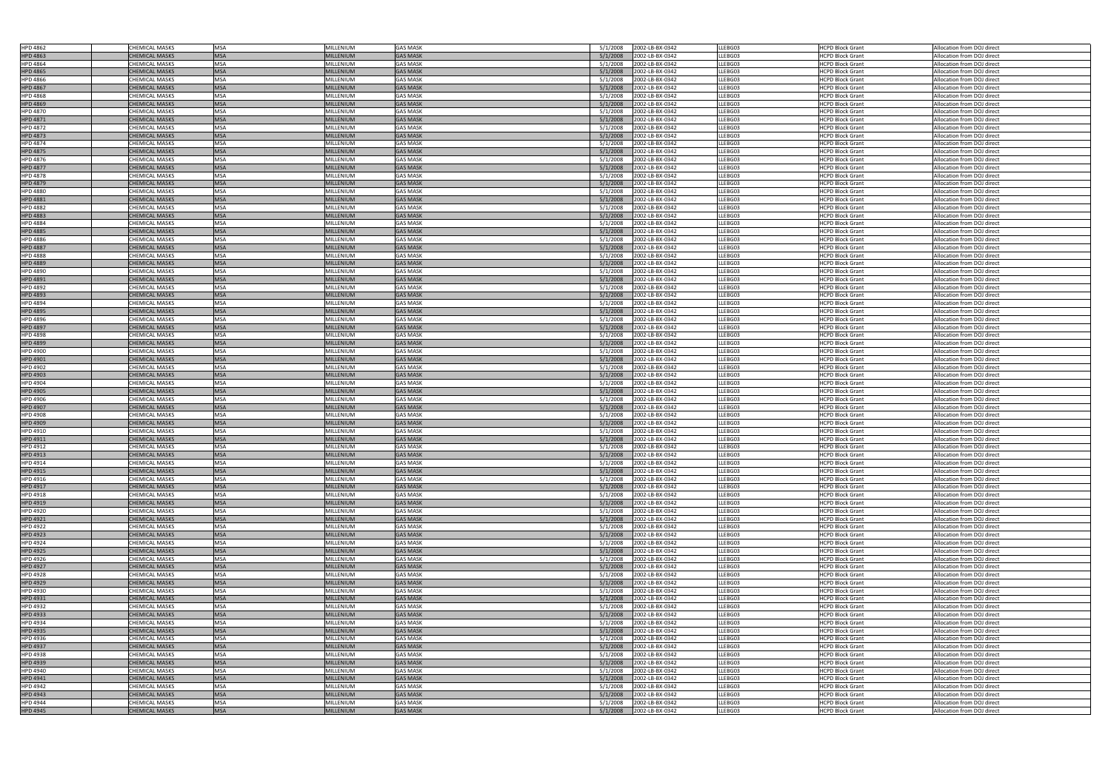| <b>HPD 4862</b>                    |                                                |                          |                               |                                    |                                                            |                    |                                                    |                                                          |
|------------------------------------|------------------------------------------------|--------------------------|-------------------------------|------------------------------------|------------------------------------------------------------|--------------------|----------------------------------------------------|----------------------------------------------------------|
|                                    | <b>CHEMICAL MASKS</b>                          | <b>MSA</b>               | MILLENIUM                     | <b>GAS MASK</b>                    | 2002-LB-BX-0342<br>5/1/2008                                | LLEBG03            | <b>HCPD Block Grant</b>                            | Allocation from DOJ direct                               |
| <b>HPD 4863</b>                    | <b>CHEMICAL MASKS</b>                          | <b>MSA</b>               | <b>MILLENIUM</b>              | <b>GAS MASK</b>                    | 5/1/2008<br>2002-LB-BX-0342                                | LLEBG03            | HCPD Block Grant                                   | Allocation from DOJ direct                               |
| <b>HPD 4864</b>                    | <b>CHEMICAL MASKS</b>                          | <b>MSA</b>               | <b>MILLENIUM</b>              | <b>GAS MASK</b>                    | 5/1/2008<br>2002-LB-BX-0342                                | LLEBG03            | <b>HCPD Block Grant</b>                            | Allocation from DOJ direct                               |
|                                    |                                                |                          |                               |                                    |                                                            |                    |                                                    |                                                          |
| <b>HPD 4865</b>                    | <b>CHEMICAL MASKS</b>                          | <b>MSA</b>               | <b>MILLENIUM</b>              | <b>GAS MASK</b>                    | 5/1/2008<br>2002-LB-BX-0342                                | LLEBG03            | <b>HCPD Block Grant</b>                            | Allocation from DOJ direct                               |
| <b>HPD 4866</b>                    | CHEMICAL MASKS                                 | <b>MSA</b>               | <b>MILLENIUM</b>              | <b>GAS MASK</b>                    | 2002-LB-BX-0342<br>5/1/2008                                | LLEBG03            | <b>HCPD Block Grant</b>                            | Allocation from DOJ direct                               |
| <b>HPD 4867</b>                    | <b>CHEMICAL MASKS</b>                          | <b>MSA</b>               | <b>MILLENIUM</b>              | <b>GAS MASK</b>                    | 5/1/2008<br>2002-LB-BX-0342                                | LLEBG03            | <b>HCPD Block Grant</b>                            | Allocation from DOJ direct                               |
| <b>HPD 4868</b>                    | <b>CHEMICAL MASKS</b>                          | <b>MSA</b>               | <b>MILLENIUM</b>              | <b>GAS MASK</b>                    | 2002-LB-BX-0342<br>5/1/2008                                | LLEBG03            | <b>HCPD Block Grant</b>                            | Allocation from DOJ direct                               |
|                                    |                                                |                          |                               |                                    |                                                            |                    |                                                    |                                                          |
| <b>HPD 4869</b>                    | <b>CHEMICAL MASKS</b>                          | <b>MSA</b>               | <b>MILLENIUM</b>              | <b>GAS MASK</b>                    | 2002-LB-BX-0342<br>5/1/2008                                | LLEBG03            | <b>HCPD Block Grant</b>                            | Allocation from DOJ direct                               |
| <b>HPD 4870</b>                    | CHEMICAL MASKS                                 | <b>MSA</b>               | MILLENIUM                     | <b>GAS MASK</b>                    | 5/1/2008<br>2002-LB-BX-0342                                | LLEBG03            | <b>HCPD Block Grant</b>                            | Allocation from DOJ direct                               |
| <b>HPD 4871</b>                    | <b>CHEMICAL MASKS</b>                          | <b>MSA</b>               | <b>MILLENIUM</b>              | <b>GAS MASK</b>                    | 5/1/2008<br>2002-LB-BX-0342                                | LLEBG03            | <b>HCPD Block Grant</b>                            | Allocation from DOJ direct                               |
| <b>HPD 4872</b>                    | <b>CHEMICAL MASKS</b>                          | <b>MSA</b>               | <b>MILLENIUM</b>              | <b>GAS MASK</b>                    | 2002-LB-BX-0342<br>5/1/2008                                | LLEBG03            | <b>HCPD Block Grant</b>                            | Allocation from DOJ direct                               |
|                                    |                                                |                          |                               |                                    |                                                            |                    |                                                    |                                                          |
| <b>HPD 4873</b>                    | <b>CHEMICAL MASKS</b>                          | <b>MSA</b>               | <b>MILLENIUM</b>              | <b>GAS MASK</b>                    | 5/1/2008<br>2002-LB-BX-0342                                | LLEBG03            | <b>HCPD Block Grant</b>                            | Allocation from DOJ direct                               |
| <b>HPD 4874</b>                    | CHEMICAL MASKS                                 | <b>MSA</b>               | MILLENIUM                     | <b>GAS MASK</b>                    | 5/1/2008<br>2002-LB-BX-0342                                | LLEBG03            | <b>HCPD Block Grant</b>                            | Allocation from DOJ direct                               |
| <b>HPD 4875</b>                    | <b>CHEMICAL MASKS</b>                          | <b>MSA</b>               | <b>MILLENIUM</b>              | <b>GAS MASK</b>                    | 5/1/2008<br>2002-LB-BX-0342                                | LLEBG03            | <b>HCPD Block Grant</b>                            | Allocation from DOJ direct                               |
| <b>HPD 4876</b>                    | CHEMICAL MASKS                                 | <b>MSA</b>               | <b>MILLENIUM</b>              | <b>GAS MASK</b>                    | 5/1/2008<br>2002-LB-BX-0342                                | LLEBG03            | <b>HCPD Block Grant</b>                            | Allocation from DOJ direct                               |
|                                    |                                                |                          |                               |                                    |                                                            |                    |                                                    |                                                          |
| <b>HPD 4877</b>                    | <b>CHEMICAL MASKS</b>                          | <b>MSA</b>               | <b>MILLENIUM</b>              | <b>GAS MASK</b>                    | 5/1/2008<br>2002-LB-BX-0342                                | LLEBG03            | <b>HCPD Block Grant</b>                            | Allocation from DOJ direct                               |
| <b>HPD 4878</b>                    | CHEMICAL MASKS                                 | <b>MSA</b>               | <b>MILLENIUM</b>              | <b>GAS MASK</b>                    | 5/1/2008<br>2002-LB-BX-0342                                | LLEBG03            | <b>HCPD Block Grant</b>                            | Allocation from DOJ direct                               |
| <b>HPD 4879</b>                    | <b>CHEMICAL MASKS</b>                          | <b>MSA</b>               | <b>MILLENIUM</b>              | <b>GAS MASK</b>                    | 2002-LB-BX-0342<br>5/1/2008                                | LLEBG03            | <b>HCPD Block Grant</b>                            | Allocation from DOJ direct                               |
| <b>HPD 4880</b>                    | <b>CHEMICAL MASKS</b>                          | <b>MSA</b>               | <b>MILLENIUM</b>              | <b>GAS MASK</b>                    | 5/1/2008<br>2002-LB-BX-0342                                | LLEBG03            | <b>HCPD Block Grant</b>                            | Allocation from DOJ direct                               |
|                                    | <b>CHEMICAL MASKS</b>                          | <b>MSA</b>               | <b>MILLENIUM</b>              | <b>GAS MASK</b>                    | 5/1/2008                                                   | LLEBG03            |                                                    |                                                          |
| <b>HPD 4881</b>                    |                                                |                          |                               |                                    | 2002-LB-BX-0342                                            |                    | <b>HCPD Block Grant</b>                            | Allocation from DOJ direct                               |
| <b>HPD 4882</b>                    | CHEMICAL MASKS                                 | <b>MSA</b>               | <b>MILLENIUM</b>              | <b>GAS MASK</b>                    | 5/1/2008<br>2002-LB-BX-0342                                | LLEBG03            | <b>HCPD Block Grant</b>                            | Allocation from DOJ direct                               |
| <b>HPD 4883</b>                    | <b>CHEMICAL MASKS</b>                          | <b>MSA</b>               | <b>MILLENIUM</b>              | <b>GAS MASK</b>                    | 2002-LB-BX-0342<br>5/1/2008                                | LLEBG03            | <b>HCPD Block Grant</b>                            | Allocation from DOJ direct                               |
| <b>HPD 4884</b>                    | CHEMICAL MASKS                                 | <b>MSA</b>               | <b>MILLENIUM</b>              | <b>GAS MASK</b>                    | 5/1/2008<br>2002-LB-BX-0342                                | LLEBG03            | <b>HCPD Block Grant</b>                            | Allocation from DOJ direct                               |
| <b>HPD 4885</b>                    | <b>CHEMICAL MASKS</b>                          | <b>MSA</b>               | <b>MILLENIUM</b>              | <b>GAS MASK</b>                    | 2002-LB-BX-0342<br>5/1/2008                                | LLEBG03            | <b>HCPD Block Grant</b>                            | Allocation from DOJ direct                               |
|                                    |                                                |                          |                               |                                    |                                                            |                    |                                                    |                                                          |
| <b>HPD 4886</b>                    | <b>CHEMICAL MASKS</b>                          | <b>MSA</b>               | <b>MILLENIUM</b>              | <b>GAS MASK</b>                    | 5/1/2008<br>2002-LB-BX-0342                                | LLEBG03            | <b>HCPD Block Grant</b>                            | Allocation from DOJ direct                               |
| <b>HPD 4887</b>                    | <b>CHEMICAL MASKS</b>                          | <b>MSA</b>               | <b>MILLENIUM</b>              | <b>GAS MASK</b>                    | 5/1/2008<br>2002-LB-BX-0342                                | LLEBG03            | <b>HCPD Block Grant</b>                            | Allocation from DOJ direct                               |
| <b>HPD 4888</b>                    | CHEMICAL MASKS                                 | <b>MSA</b>               | <b>MILLENIUM</b>              | <b>GAS MASK</b>                    | 2002-LB-BX-0342<br>5/1/2008                                | LLEBG03            | <b>HCPD Block Grant</b>                            | Allocation from DOJ direct                               |
| <b>HPD 4889</b>                    | <b>CHEMICAL MASKS</b>                          | <b>MSA</b>               | <b>MILLENIUM</b>              | <b>GAS MASK</b>                    | 5/1/2008<br>2002-LB-BX-0342                                | LLEBG03            | <b>HCPD Block Grant</b>                            | Allocation from DOJ direct                               |
|                                    |                                                |                          |                               |                                    |                                                            |                    |                                                    |                                                          |
| <b>HPD 4890</b>                    | CHEMICAL MASKS                                 | <b>MSA</b>               | <b>MILLENIUM</b>              | <b>GAS MASK</b>                    | 2002-LB-BX-0342<br>5/1/2008                                | LLEBG03            | <b>HCPD Block Grant</b>                            | Allocation from DOJ direct                               |
| <b>HPD 4891</b>                    | <b>CHEMICAL MASKS</b>                          | <b>MSA</b>               | <b>MILLENIUM</b>              | <b>GAS MASK</b>                    | 2002-LB-BX-0342<br>5/1/2008                                | LLEBG03            | <b>HCPD Block Grant</b>                            | Allocation from DOJ direct                               |
| <b>HPD 4892</b>                    | CHEMICAL MASKS                                 | <b>MSA</b>               | MILLENIUM                     | <b>GAS MASK</b>                    | 5/1/2008<br>2002-LB-BX-0342                                | LLEBG03            | <b>HCPD Block Grant</b>                            | Allocation from DOJ direct                               |
| <b>HPD 4893</b>                    | <b>CHEMICAL MASKS</b>                          | <b>MSA</b>               | <b>MILLENIUM</b>              | <b>GAS MASK</b>                    | 5/1/2008<br>2002-LB-BX-0342                                | LLEBG03            | <b>HCPD Block Grant</b>                            | Allocation from DOJ direct                               |
|                                    | <b>CHEMICAL MASKS</b>                          | <b>MSA</b>               | <b>MILLENIUM</b>              | <b>GAS MASK</b>                    | 5/1/2008<br>2002-LB-BX-0342                                | LLEBG03            | <b>HCPD Block Grant</b>                            | Allocation from DOJ direct                               |
| <b>HPD 4894</b>                    |                                                |                          |                               |                                    |                                                            |                    |                                                    |                                                          |
| <b>HPD 4895</b>                    | <b>CHEMICAL MASKS</b>                          | <b>MSA</b>               | <b>MILLENIUM</b>              | <b>GAS MASK</b>                    | 5/1/2008<br>2002-LB-BX-0342                                | LLEBG03            | <b>HCPD Block Grant</b>                            | Allocation from DOJ direct                               |
| <b>HPD 4896</b>                    | CHEMICAL MASKS                                 | <b>MSA</b>               | MILLENIUM                     | <b>GAS MASK</b>                    | 5/1/2008<br>2002-LB-BX-0342                                | LLEBG03            | <b>HCPD Block Grant</b>                            | Allocation from DOJ direct                               |
| <b>HPD 4897</b>                    | <b>CHEMICAL MASKS</b>                          | <b>MSA</b>               | <b>MILLENIUM</b>              | <b>GAS MASK</b>                    | 5/1/2008<br>2002-LB-BX-0342                                | LLEBG03            | <b>HCPD Block Grant</b>                            | Allocation from DOJ direct                               |
| <b>HPD 4898</b>                    | CHEMICAL MASKS                                 | <b>MSA</b>               | MILLENIUM                     | <b>GAS MASK</b>                    | 5/1/2008<br>2002-LB-BX-0342                                | LLEBG03            | <b>HCPD Block Grant</b>                            | Allocation from DOJ direct                               |
|                                    |                                                |                          |                               |                                    |                                                            |                    |                                                    |                                                          |
| <b>HPD 4899</b>                    | <b>CHEMICAL MASKS</b>                          | <b>MSA</b>               | <b>MILLENIUM</b>              | <b>GAS MASK</b>                    | 2002-LB-BX-0342<br>5/1/2008                                | LLEBG03            | <b>HCPD Block Grant</b>                            | Allocation from DOJ direct                               |
| <b>HPD 4900</b>                    | CHEMICAL MASKS                                 | <b>MSA</b>               | <b>MILLENIUM</b>              | <b>GAS MASK</b>                    | 5/1/2008<br>2002-LB-BX-0342                                | LLEBG03            | <b>HCPD Block Grant</b>                            | Allocation from DOJ direct                               |
| <b>HPD 4901</b>                    | <b>CHEMICAL MASKS</b>                          | <b>MSA</b>               | <b>MILLENIUM</b>              | <b>GAS MASK</b>                    | 5/1/2008<br>2002-LB-BX-0342                                | LLEBG03            | <b>HCPD Block Grant</b>                            | Allocation from DOJ direct                               |
| <b>HPD 4902</b>                    | <b>CHEMICAL MASKS</b>                          | <b>MSA</b>               | MILLENIUM                     | <b>GAS MASK</b>                    | 2002-LB-BX-0342<br>5/1/2008                                | LLEBG03            | <b>HCPD Block Grant</b>                            | Allocation from DOJ direct                               |
| <b>HPD 4903</b>                    | <b>CHEMICAL MASKS</b>                          | <b>MSA</b>               | <b>MILLENIUM</b>              | <b>GAS MASK</b>                    | 5/1/2008<br>2002-LB-BX-0342                                | LLEBG03            | <b>HCPD Block Grant</b>                            | Allocation from DOJ direct                               |
| <b>HPD 4904</b>                    | CHEMICAL MASKS                                 | <b>MSA</b>               | <b>MILLENIUM</b>              | <b>GAS MASK</b>                    | 2002-LB-BX-0342                                            | LLEBG03            |                                                    | Allocation from DOJ direct                               |
|                                    |                                                |                          |                               |                                    | 5/1/2008                                                   |                    | <b>HCPD Block Grant</b>                            |                                                          |
|                                    |                                                |                          |                               |                                    |                                                            |                    |                                                    |                                                          |
| <b>HPD 4905</b>                    | <b>CHEMICAL MASKS</b>                          | <b>MSA</b>               | <b>MILLENIUM</b>              | <b>GAS MASK</b>                    | 5/1/2008<br>2002-LB-BX-0342                                | LLEBG03            | <b>HCPD Block Grant</b>                            | Allocation from DOJ direct                               |
| <b>HPD 4906</b>                    | CHEMICAL MASKS                                 | <b>MSA</b>               | MILLENIUM                     | <b>GAS MASK</b>                    | 5/1/2008<br>2002-LB-BX-0342                                | LLEBG03            | <b>HCPD Block Grant</b>                            | Allocation from DOJ direct                               |
|                                    |                                                |                          |                               |                                    |                                                            |                    |                                                    |                                                          |
| HPD 4907                           | <b>CHEMICAL MASKS</b>                          | <b>IMSA</b>              | <b>MILLENIUM</b>              | <b>GAS MASK</b>                    | 5/1/2008<br>2002-LB-BX-0342                                | LLEBG03            | <b>HCPD Block Grant</b>                            | Allocation from DOJ direct                               |
| <b>HPD 4908</b>                    | <b>CHEMICAL MASKS</b>                          | <b>MSA</b>               | MILLENIUM                     | <b>GAS MASK</b>                    | 2002-LB-BX-0342<br>5/1/2008                                | LLEBG03            | <b>HCPD Block Grant</b>                            | Allocation from DOJ direct                               |
| <b>HPD 4909</b>                    | <b>CHEMICAL MASKS</b>                          | <b>MSA</b>               | <b>MILLENIUM</b>              | <b>GAS MASK</b>                    | 2002-LB-BX-0342<br>5/1/2008                                | LLEBG03            | <b>HCPD Block Grant</b>                            | Allocation from DOJ direct                               |
| HPD 4910                           | CHEMICAL MASKS                                 | <b>MSA</b>               | MILLENIUM                     | <b>GAS MASK</b>                    | 2002-LB-BX-0342<br>5/1/2008                                | LLEBG03            | <b>HCPD Block Grant</b>                            | Allocation from DOJ direct                               |
| HPD 4911                           | <b>CHEMICAL MASKS</b>                          | <b>MSA</b>               | <b>MILLENIUM</b>              | <b>GAS MASK</b>                    | 5/1/2008<br>2002-LB-BX-0342                                | LLEBG03            | <b>HCPD Block Grant</b>                            | Allocation from DOJ direct                               |
|                                    |                                                |                          |                               |                                    |                                                            |                    |                                                    |                                                          |
| HPD 4912                           | CHEMICAL MASKS                                 | <b>MSA</b>               | MILLENIUM                     | <b>GAS MASK</b>                    | 2002-LB-BX-0342<br>5/1/2008                                | LLEBG03            | <b>HCPD Block Grant</b>                            | Allocation from DOJ direct                               |
| HPD 4913                           | <b>CHEMICAL MASKS</b>                          | <b>MSA</b>               | <b>MILLENIUM</b>              | <b>GAS MASK</b>                    | 5/1/2008<br>2002-LB-BX-0342                                | LLEBG03            | <b>HCPD Block Grant</b>                            | Allocation from DOJ direct                               |
| HPD 4914                           | <b>CHEMICAL MASKS</b>                          | <b>MSA</b>               | MILLENIUM                     | <b>GAS MASK</b>                    | 2002-LB-BX-0342<br>5/1/2008                                | LLEBG03            | <b>HCPD Block Grant</b>                            | Allocation from DOJ direct                               |
| <b>HPD 4915</b>                    | <b>CHEMICAL MASKS</b>                          | <b>MSA</b>               | <b>MILLENIUM</b>              | <b>GAS MASK</b>                    | 5/1/2008<br>2002-LB-BX-0342                                | LLEBG03            | <b>HCPD Block Grant</b>                            | Allocation from DOJ direct                               |
| HPD 4916                           | <b>CHEMICAL MASKS</b>                          | <b>MSA</b>               | MILLENIUM                     | <b>GAS MASK</b>                    | 2002-LB-BX-0342<br>5/1/2008                                | LLEBG03            | <b>HCPD Block Grant</b>                            | Allocation from DOJ direct                               |
|                                    |                                                |                          |                               |                                    |                                                            |                    |                                                    |                                                          |
| HPD 4917                           | <b>CHEMICAL MASKS</b>                          | <b>MSA</b>               | MILLENIUM                     | <b>GAS MASK</b>                    | 5/1/2008<br>2002-LB-BX-0342                                | LLEBG03            | <b>HCPD Block Grant</b>                            | Allocation from DOJ direct                               |
| HPD 4918                           | <b>CHEMICAL MASKS</b>                          | <b>MSA</b>               | <b>MILLENIUM</b>              | <b>GAS MASK</b>                    | 2002-LB-BX-0342<br>5/1/2008                                | LLEBG03            | <b>HCPD Block Grant</b>                            | Allocation from DOJ direct                               |
| <b>HPD 4919</b>                    | <b>CHEMICAL MASKS</b>                          | <b>MSA</b>               | <b>MILLENIUM</b>              | <b>GAS MASK</b>                    | 2002-LB-BX-0342<br>5/1/2008                                | LLEBG03            | <b>HCPD Block Grant</b>                            | Allocation from DOJ direct                               |
| HPD 4920                           | CHEMICAL MASKS                                 | <b>MSA</b>               | MILLENIUM                     | <b>GAS MASK</b>                    | 5/1/2008<br>2002-LB-BX-0342                                | LLEBG03            | <b>HCPD Block Grant</b>                            | Allocation from DOJ direct                               |
|                                    | <b>CHEMICAL MASKS</b>                          | <b>MSA</b>               | <b>MILLENIUM</b>              | <b>GAS MASK</b>                    | 2002-LB-BX-0342<br>5/1/2008                                | LLEBG03            | <b>HCPD Block Grant</b>                            | Allocation from DOJ direct                               |
| <b>HPD 4921</b>                    |                                                |                          |                               |                                    |                                                            |                    |                                                    |                                                          |
| <b>HPD 4922</b>                    | <b>CHEMICAL MASKS</b>                          | <b>MSA</b>               | <b>MILLENIUM</b>              | <b>GAS MASK</b>                    | 2002-LB-BX-0342<br>5/1/2008                                | LLEBG03            | <b>HCPD Block Grant</b>                            | Allocation from DOJ direct                               |
| <b>HPD 4923</b>                    | <b>CHEMICAL MASKS</b>                          | <b>MSA</b>               | <b>MILLENIUM</b>              | <b>GAS MASK</b>                    | 5/1/2008<br>2002-LB-BX-0342                                | LLEBG03            | <b>HCPD Block Grant</b>                            | Allocation from DOJ direct                               |
| <b>HPD 4924</b>                    | CHEMICAL MASKS                                 | <b>MSA</b>               | MILLENIUM                     | <b>GAS MASK</b>                    | 2002-LB-BX-0342<br>5/1/2008                                | LLEBG03            | <b>HCPD Block Grant</b>                            | Allocation from DOJ direct                               |
| <b>HPD 4925</b>                    | <b>CHEMICAL MASKS</b>                          | <b>MSA</b>               | <b>MILLENIUM</b>              | <b>GAS MASK</b>                    | 2002-LB-BX-0342<br>5/1/2008                                | LLEBG03            | <b>HCPD Block Grant</b>                            | Allocation from DOJ direct                               |
|                                    |                                                |                          |                               |                                    |                                                            |                    |                                                    |                                                          |
| <b>HPD 4926</b>                    | CHEMICAL MASKS                                 | <b>MSA</b>               | MILLENIUM                     | <b>GAS MASK</b>                    | 5/1/2008<br>2002-LB-BX-0342                                | LLEBG03            | <b>HCPD Block Grant</b>                            | Allocation from DOJ direct                               |
| <b>HPD 4927</b>                    | <b>CHEMICAL MASKS</b>                          | <b>MSA</b>               | <b>MILLENIUM</b>              | <b>GAS MASK</b>                    | 5/1/2008<br>2002-LB-BX-0342                                | LLEBG03            | <b>HCPD Block Grant</b>                            | Allocation from DOJ direct                               |
| <b>HPD 4928</b>                    | <b>CHEMICAL MASKS</b>                          | <b>MSA</b>               | MILLENIUM                     | <b>GAS MASK</b>                    | 5/1/2008<br>2002-LB-BX-0342                                | LLEBG03            | <b>HCPD Block Grant</b>                            | Allocation from DOJ direct                               |
| <b>HPD 4929</b>                    | <b>CHEMICAL MASKS</b>                          | <b>MSA</b>               | <b>MILLENIUM</b>              | <b>GAS MASK</b>                    | 5/1/2008<br>2002-LB-BX-0342                                | LLEBG03            | <b>HCPD Block Grant</b>                            | Allocation from DOJ direct                               |
| <b>HPD 4930</b>                    | <b>CHEMICAL MASKS</b>                          | <b>MSA</b>               | MILLENIUM                     | <b>GAS MASK</b>                    | 2002-LB-BX-0342<br>5/1/2008                                | LLEBG03            | <b>HCPD Block Grant</b>                            | Allocation from DOJ direct                               |
|                                    |                                                |                          |                               |                                    |                                                            |                    |                                                    |                                                          |
| HPD 4931                           | <b>CHEMICAL MASKS</b>                          | <b>MSA</b>               | <b>MILLENIUM</b>              | <b>GAS MASK</b>                    | 5/1/2008<br>2002-LB-BX-0342                                | LLEBG03            | <b>HCPD Block Grant</b>                            | Allocation from DOJ direct                               |
| <b>HPD 4932</b>                    | <b>CHEMICAL MASKS</b>                          | <b>MSA</b>               | <b>MILLENIUM</b>              | <b>GAS MASK</b>                    | 2002-LB-BX-0342<br>5/1/2008                                | LLEBG03            | <b>HCPD Block Grant</b>                            | Allocation from DOJ direct                               |
| <b>HPD 4933</b>                    | <b>CHEMICAL MASKS</b>                          | <b>MSA</b>               | <b>MILLENIUM</b>              | <b>GAS MASK</b>                    | 2002-LB-BX-0342<br>5/1/2008                                | LLEBG03            | <b>HCPD Block Grant</b>                            | Allocation from DOJ direct                               |
| <b>HPD 4934</b>                    | CHEMICAL MASKS                                 | <b>MSA</b>               | MILLENIUM                     | <b>GAS MASK</b>                    | 2002-LB-BX-0342<br>5/1/2008                                | LLEBG03            | <b>HCPD Block Grant</b>                            | Allocation from DOJ direct                               |
| <b>HPD 4935</b>                    | <b>CHEMICAL MASKS</b>                          | <b>MSA</b>               | <b>MILLENIUM</b>              | <b>GAS MASK</b>                    | 2002-LB-BX-0342<br>5/1/2008                                | LLEBG03            | <b>HCPD Block Grant</b>                            | Allocation from DOJ direct                               |
|                                    |                                                |                          |                               | <b>GAS MASK</b>                    |                                                            |                    |                                                    |                                                          |
| <b>HPD 4936</b>                    | <b>CHEMICAL MASKS</b>                          | <b>MSA</b>               | MILLENIUM                     |                                    | 2002-LB-BX-0342<br>5/1/2008                                | LLEBG03            | <b>HCPD Block Grant</b>                            | Allocation from DOJ direct                               |
| <b>HPD 4937</b>                    | <b>CHEMICAL MASKS</b>                          | <b>MSA</b>               | <b>MILLENIUM</b>              | <b>GAS MASK</b>                    | 2002-LB-BX-0342<br>5/1/2008                                | LLEBG03            | <b>HCPD Block Grant</b>                            | Allocation from DOJ direct                               |
| <b>HPD 4938</b>                    | CHEMICAL MASKS                                 | <b>MSA</b>               | MILLENIUM                     | <b>GAS MASK</b>                    | 2002-LB-BX-0342<br>5/1/2008                                | LLEBG03            | <b>HCPD Block Grant</b>                            | Allocation from DOJ direct                               |
| <b>HPD 4939</b>                    | <b>CHEMICAL MASKS</b>                          | <b>MSA</b>               | <b>MILLENIUM</b>              | <b>GAS MASK</b>                    | 5/1/2008<br>2002-LB-BX-0342                                | LLEBG03            | <b>HCPD Block Grant</b>                            | Allocation from DOJ direct                               |
| <b>HPD 4940</b>                    | <b>CHEMICAL MASKS</b>                          | <b>MSA</b>               | MILLENIUM                     | <b>GAS MASK</b>                    | 2002-LB-BX-0342<br>5/1/2008                                | LLEBG03            | <b>HCPD Block Grant</b>                            | Allocation from DOJ direct                               |
|                                    |                                                |                          |                               |                                    |                                                            |                    | <b>HCPD Block Grant</b>                            |                                                          |
| <b>HPD 4941</b>                    | <b>CHEMICAL MASKS</b>                          | <b>MSA</b>               | <b>MILLENIUM</b>              | <b>GAS MASK</b>                    | 2002-LB-BX-0342<br>5/1/2008                                | LLEBG03            |                                                    | Allocation from DOJ direct                               |
| <b>HPD 4942</b>                    | <b>CHEMICAL MASKS</b>                          | <b>MSA</b>               | MILLENIUM                     | <b>GAS MASK</b>                    | 5/1/2008<br>2002-LB-BX-0342                                | LLEBG03            | <b>HCPD Block Grant</b>                            | Allocation from DOJ direct                               |
| <b>HPD 4943</b>                    | <b>CHEMICAL MASKS</b>                          | <b>MSA</b>               | <b>MILLENIUM</b>              | <b>GAS MASK</b>                    | 5/1/2008<br>2002-LB-BX-0342                                | LLEBG03            | <b>HCPD Block Grant</b>                            | Allocation from DOJ direct                               |
| <b>HPD 4944</b><br><b>HPD 4945</b> | <b>CHEMICAL MASKS</b><br><b>CHEMICAL MASKS</b> | <b>MSA</b><br><b>MSA</b> | MILLENIUM<br><b>MILLENIUM</b> | <b>GAS MASK</b><br><b>GAS MASK</b> | 2002-LB-BX-0342<br>5/1/2008<br>5/1/2008<br>2002-LB-BX-0342 | LLEBG03<br>LLEBG03 | <b>HCPD Block Grant</b><br><b>HCPD Block Grant</b> | Allocation from DOJ direct<br>Allocation from DOJ direct |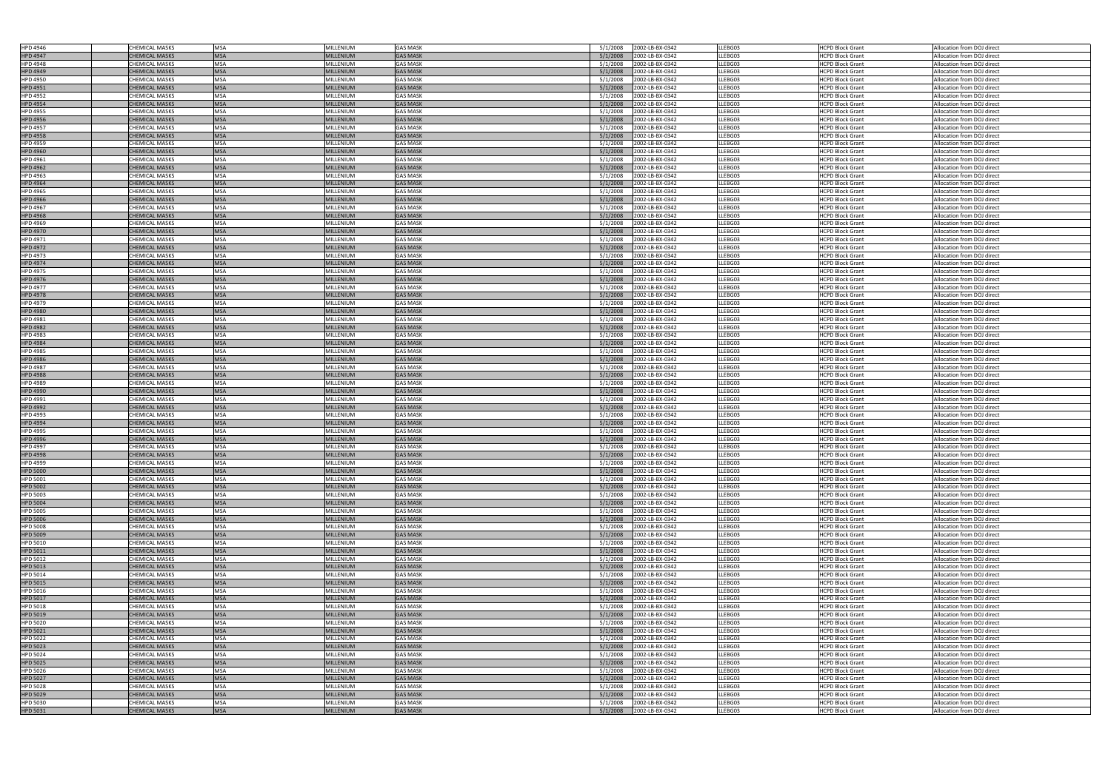| HPD 4946                    | <b>CHEMICAL MASKS</b>                          | <b>MSA</b>               | MILLENIUM                     | <b>GAS MASK</b>                    | 5/1/2008<br>2002-LB-BX-0342                                | LLEBG03            | <b>HCPD Block Grant</b>                            | Allocation from DOJ direct                               |
|-----------------------------|------------------------------------------------|--------------------------|-------------------------------|------------------------------------|------------------------------------------------------------|--------------------|----------------------------------------------------|----------------------------------------------------------|
| <b>HPD 4947</b>             | <b>CHEMICAL MASKS</b>                          | <b>MSA</b>               | <b>MILLENIUM</b>              | <b>GAS MASK</b>                    | 2002-LB-BX-0342<br>5/1/2008                                | LLEBG03            | <b>HCPD Block Grant</b>                            | Allocation from DOJ direct                               |
|                             |                                                |                          |                               |                                    |                                                            |                    |                                                    |                                                          |
| <b>HPD 4948</b>             | <b>CHEMICAL MASKS</b>                          | <b>MSA</b>               | MILLENIUM                     | <b>GAS MASK</b>                    | 5/1/2008<br>2002-LB-BX-0342                                | LLEBG03            | <b>HCPD Block Grant</b>                            | Allocation from DOJ direct                               |
| <b>HPD 4949</b>             | <b>CHEMICAL MASKS</b>                          | <b>MSA</b>               | <b>MILLENIUM</b>              | <b>GAS MASK</b>                    | 5/1/2008<br>2002-LB-BX-0342                                | LLEBG03            | <b>HCPD Block Grant</b>                            | Allocation from DOJ direct                               |
|                             |                                                |                          |                               |                                    |                                                            |                    |                                                    |                                                          |
| <b>HPD 4950</b>             | <b>CHEMICAL MASKS</b>                          | <b>MSA</b>               | MILLENIUM                     | <b>GAS MASK</b>                    | 2002-LB-BX-0342<br>5/1/2008                                | LLEBG03            | <b>HCPD Block Grant</b>                            | Allocation from DOJ direct                               |
| <b>HPD 4951</b>             | <b>CHEMICAL MASKS</b>                          | <b>MSA</b>               | <b>MILLENIUM</b>              | <b>GAS MASK</b>                    | 5/1/2008<br>2002-LB-BX-0342                                | LLEBG03            | <b>HCPD Block Grant</b>                            | Allocation from DOJ direct                               |
|                             |                                                |                          |                               |                                    |                                                            |                    |                                                    |                                                          |
| <b>HPD 4952</b>             | CHEMICAL MASKS                                 | <b>MSA</b>               | MILLENIUM                     | <b>GAS MASK</b>                    | 2002-LB-BX-0342<br>5/1/2008                                | LLEBG03            | <b>HCPD Block Grant</b>                            | Allocation from DOJ direct                               |
| <b>HPD 4954</b>             | <b>CHEMICAL MASKS</b>                          | <b>MSA</b>               | <b>MILLENIUM</b>              | <b>GAS MASK</b>                    | 5/1/2008<br>2002-LB-BX-0342                                | LLEBG03            | <b>HCPD Block Grant</b>                            | Allocation from DOJ direct                               |
|                             |                                                |                          |                               |                                    |                                                            |                    |                                                    |                                                          |
| <b>HPD 4955</b>             | CHEMICAL MASKS                                 | <b>MSA</b>               | MILLENIUM                     | <b>GAS MASK</b>                    | 5/1/2008<br>2002-LB-BX-0342                                | LLEBG03            | <b>HCPD Block Grant</b>                            | Allocation from DOJ direct                               |
| <b>HPD 4956</b>             | <b>CHEMICAL MASKS</b>                          | <b>MSA</b>               | <b>MILLENIUM</b>              | <b>GAS MASK</b>                    | 5/1/2008<br>2002-LB-BX-0342                                | LLEBG03            | <b>HCPD Block Grant</b>                            | Allocation from DOJ direct                               |
|                             |                                                |                          |                               |                                    |                                                            |                    |                                                    |                                                          |
| <b>HPD 4957</b>             | <b>CHEMICAL MASKS</b>                          | <b>MSA</b>               | MILLENIUM                     | <b>GAS MASK</b>                    | 2002-LB-BX-0342<br>5/1/2008                                | LLEBG03            | <b>HCPD Block Grant</b>                            | Allocation from DOJ direct                               |
| <b>HPD 4958</b>             | <b>CHEMICAL MASKS</b>                          | <b>MSA</b>               | <b>MILLENIUM</b>              | <b>GAS MASK</b>                    | 5/1/2008<br>2002-LB-BX-0342                                | LLEBG03            | <b>HCPD Block Grant</b>                            | Allocation from DOJ direct                               |
|                             |                                                |                          |                               |                                    |                                                            |                    |                                                    |                                                          |
| <b>HPD 4959</b>             | CHEMICAL MASKS                                 | <b>MSA</b>               | MILLENIUM                     | <b>GAS MASK</b>                    | 2002-LB-BX-0342<br>5/1/2008                                | LLEBG03            | <b>HCPD Block Grant</b>                            | Allocation from DOJ direct                               |
| <b>HPD 4960</b>             | <b>CHEMICAL MASKS</b>                          | <b>MSA</b>               | <b>MILLENIUM</b>              | <b>GAS MASK</b>                    | 5/1/2008<br>2002-LB-BX-0342                                | LLEBG03            | <b>HCPD Block Grant</b>                            | Allocation from DOJ direct                               |
|                             |                                                |                          |                               |                                    |                                                            |                    |                                                    |                                                          |
| HPD 4961                    | <b>CHEMICAL MASKS</b>                          | <b>MSA</b>               | MILLENIUM                     | <b>GAS MASK</b>                    | 5/1/2008<br>2002-LB-BX-0342                                | LLEBG03            | <b>HCPD Block Grant</b>                            | Allocation from DOJ direct                               |
| <b>HPD 4962</b>             | <b>CHEMICAL MASKS</b>                          | <b>MSA</b>               | <b>MILLENIUM</b>              | <b>GAS MASK</b>                    | 2002-LB-BX-0342<br>5/1/2008                                | LLEBG03            | <b>HCPD Block Grant</b>                            | Allocation from DOJ direct                               |
|                             |                                                |                          |                               |                                    |                                                            |                    |                                                    |                                                          |
| HPD 4963                    | <b>CHEMICAL MASKS</b>                          | <b>MSA</b>               | MILLENIUM                     | <b>GAS MASK</b>                    | 5/1/2008<br>2002-LB-BX-0342                                | LLEBG03            | <b>HCPD Block Grant</b>                            | Allocation from DOJ direct                               |
| <b>HPD 4964</b>             | <b>CHEMICAL MASKS</b>                          | <b>MSA</b>               | <b>MILLENIUM</b>              | <b>GAS MASK</b>                    | 2002-LB-BX-0342<br>5/1/2008                                | LLEBG03            | <b>HCPD Block Grant</b>                            | Allocation from DOJ direct                               |
|                             |                                                |                          |                               |                                    |                                                            |                    |                                                    |                                                          |
| <b>HPD 4965</b>             | <b>CHEMICAL MASKS</b>                          | <b>MSA</b>               | MILLENIUM                     | <b>GAS MASK</b>                    | 2002-LB-BX-0342<br>5/1/2008                                | LLEBG03            | <b>HCPD Block Grant</b>                            | Allocation from DOJ direct                               |
| <b>HPD 4966</b>             | <b>CHEMICAL MASKS</b>                          | <b>MSA</b>               | <b>MILLENIUM</b>              | <b>GAS MASK</b>                    | 5/1/2008<br>2002-LB-BX-0342                                | LLEBG03            | <b>HCPD Block Grant</b>                            | Allocation from DOJ direct                               |
|                             |                                                |                          |                               |                                    |                                                            |                    |                                                    |                                                          |
| <b>HPD 4967</b>             | CHEMICAL MASKS                                 | <b>MSA</b>               | MILLENIUM                     | <b>GAS MASK</b>                    | 5/1/2008<br>2002-LB-BX-0342                                | LLEBG03            | <b>HCPD Block Grant</b>                            | Allocation from DOJ direct                               |
| <b>HPD 4968</b>             | <b>CHEMICAL MASKS</b>                          | <b>MSA</b>               | <b>MILLENIUM</b>              | <b>GAS MASK</b>                    | 2002-LB-BX-0342<br>5/1/2008                                | LLEBG03            | <b>HCPD Block Grant</b>                            | Allocation from DOJ direct                               |
|                             |                                                |                          |                               |                                    |                                                            |                    |                                                    |                                                          |
| HPD 4969                    | <b>CHEMICAL MASKS</b>                          | <b>MSA</b>               | MILLENIUM                     | <b>GAS MASK</b>                    | 5/1/2008<br>2002-LB-BX-0342                                | LLEBG03            | <b>HCPD Block Grant</b>                            | Allocation from DOJ direct                               |
|                             | <b>CHEMICAL MASKS</b>                          | <b>MSA</b>               | <b>MILLENIUM</b>              | <b>GAS MASK</b>                    | 5/1/2008<br>2002-LB-BX-0342                                | LLEBG03            | <b>HCPD Block Grant</b>                            |                                                          |
| <b>HPD 4970</b>             |                                                |                          |                               |                                    |                                                            |                    |                                                    | Allocation from DOJ direct                               |
| HPD 4971                    | <b>CHEMICAL MASKS</b>                          | <b>MSA</b>               | MILLENIUM                     | <b>GAS MASK</b>                    | 2002-LB-BX-0342<br>5/1/2008                                | LLEBG03            | <b>HCPD Block Grant</b>                            | Allocation from DOJ direct                               |
| <b>HPD 4972</b>             | <b>CHEMICAL MASKS</b>                          | <b>MSA</b>               | <b>MILLENIUM</b>              | <b>GAS MASK</b>                    | 5/1/2008                                                   | LLEBG03            |                                                    |                                                          |
|                             |                                                |                          |                               |                                    | 2002-LB-BX-0342                                            |                    | <b>HCPD Block Grant</b>                            | Allocation from DOJ direct                               |
| <b>HPD 4973</b>             | CHEMICAL MASKS                                 | <b>MSA</b>               | MILLENIUM                     | <b>GAS MASK</b>                    | 5/1/2008<br>2002-LB-BX-0342                                | LLEBG03            | <b>HCPD Block Grant</b>                            | Allocation from DOJ direct                               |
|                             |                                                | <b>MSA</b>               |                               |                                    |                                                            |                    |                                                    |                                                          |
| <b>HPD 4974</b>             | <b>CHEMICAL MASKS</b>                          |                          | <b>MILLENIUM</b>              | <b>GAS MASK</b>                    | 5/1/2008<br>2002-LB-BX-0342                                | LLEBG03            | <b>HCPD Block Grant</b>                            | Allocation from DOJ direct                               |
| <b>HPD 4975</b>             | <b>CHEMICAL MASKS</b>                          | <b>MSA</b>               | MILLENIUM                     | <b>GAS MASK</b>                    | 2002-LB-BX-0342<br>5/1/2008                                | LLEBG03            | <b>HCPD Block Grant</b>                            | Allocation from DOJ direct                               |
|                             |                                                | <b>MSA</b>               |                               |                                    |                                                            |                    |                                                    |                                                          |
| <b>HPD 4976</b>             | <b>CHEMICAL MASKS</b>                          |                          | <b>MILLENIUM</b>              | <b>GAS MASK</b>                    | 5/1/2008<br>2002-LB-BX-0342                                | LLEBG03            | <b>HCPD Block Grant</b>                            | Allocation from DOJ direct                               |
| <b>HPD 4977</b>             | CHEMICAL MASKS                                 | <b>MSA</b>               | MILLENIUM                     | <b>GAS MASK</b>                    | 5/1/2008<br>2002-LB-BX-0342                                | LLEBG03            | <b>HCPD Block Grant</b>                            | Allocation from DOJ direct                               |
|                             |                                                |                          |                               |                                    |                                                            |                    |                                                    |                                                          |
| <b>HPD 4978</b>             | <b>CHEMICAL MASKS</b>                          | <b>MSA</b>               | <b>MILLENIUM</b>              | <b>GAS MASK</b>                    | 5/1/2008<br>2002-LB-BX-0342                                | LLEBG03            | <b>HCPD Block Grant</b>                            | Allocation from DOJ direct                               |
| <b>HPD 4979</b>             | <b>CHEMICAL MASKS</b>                          | <b>MSA</b>               | MILLENIUM                     | <b>GAS MASK</b>                    | 5/1/2008<br>2002-LB-BX-0342                                | LLEBG03            | <b>HCPD Block Grant</b>                            | Allocation from DOJ direct                               |
|                             |                                                |                          |                               |                                    |                                                            |                    |                                                    |                                                          |
| <b>HPD 4980</b>             | <b>CHEMICAL MASKS</b>                          | <b>MSA</b>               | <b>MILLENIUM</b>              | <b>GAS MASK</b>                    | 5/1/2008<br>2002-LB-BX-0342                                | LLEBG03            | <b>HCPD Block Grant</b>                            | Allocation from DOJ direct                               |
| <b>HPD 4981</b>             | CHEMICAL MASKS                                 | <b>MSA</b>               | MILLENIUM                     | <b>GAS MASK</b>                    | 5/1/2008<br>2002-LB-BX-0342                                | LLEBG03            | <b>HCPD Block Grant</b>                            | Allocation from DOJ direct                               |
|                             |                                                |                          |                               |                                    |                                                            |                    |                                                    |                                                          |
| <b>HPD 4982</b>             | <b>CHEMICAL MASKS</b>                          | MSA                      | <b>MILLENIUM</b>              | <b>GAS MASK</b>                    | 2002-LB-BX-0342<br>5/1/2008                                | LLEBG03            | <b>HCPD Block Grant</b>                            | Allocation from DOJ direct                               |
| HPD 4983                    | <b>CHEMICAL MASKS</b>                          | <b>MSA</b>               | MILLENIUM                     | <b>GAS MASK</b>                    | 5/1/2008<br>2002-LB-BX-0342                                | LLEBG03            | <b>HCPD Block Grant</b>                            | Allocation from DOJ direct                               |
|                             |                                                |                          |                               |                                    |                                                            |                    |                                                    |                                                          |
| <b>HPD 4984</b>             | <b>CHEMICAL MASKS</b>                          | <b>MSA</b>               | <b>MILLENIUM</b>              | <b>GAS MASK</b>                    | 2002-LB-BX-0342<br>5/1/2008                                | LLEBG03            | <b>HCPD Block Grant</b>                            | Allocation from DOJ direct                               |
| <b>HPD 4985</b>             | <b>CHEMICAL MASKS</b>                          | <b>MSA</b>               | MILLENIUM                     | <b>GAS MASK</b>                    | 5/1/2008<br>2002-LB-BX-0342                                | LLEBG03            | <b>HCPD Block Grant</b>                            | Allocation from DOJ direct                               |
|                             |                                                |                          |                               |                                    |                                                            |                    |                                                    |                                                          |
| <b>HPD 4986</b>             | <b>CHEMICAL MASKS</b>                          | <b>MSA</b>               | <b>MILLENIUM</b>              | <b>GAS MASK</b>                    | 5/1/2008<br>2002-LB-BX-0342                                | LLEBG03            | <b>HCPD Block Grant</b>                            | Allocation from DOJ direct                               |
|                             |                                                | <b>MSA</b>               | MILLENIUM                     | <b>GAS MASK</b>                    | 2002-LB-BX-0342<br>5/1/2008                                |                    |                                                    | Allocation from DOJ direct                               |
|                             |                                                |                          |                               |                                    |                                                            |                    |                                                    |                                                          |
| <b>HPD 4987</b>             | <b>CHEMICAL MASKS</b>                          |                          |                               |                                    |                                                            | LLEBG03            | <b>HCPD Block Grant</b>                            |                                                          |
| <b>HPD 4988</b>             | <b>CHEMICAL MASKS</b>                          | <b>MSA</b>               | MILLENIUM                     | <b>GAS MASK</b>                    | 5/1/2008<br>2002-LB-BX-0342                                | LLEBG03            | <b>HCPD Block Grant</b>                            | Allocation from DOJ direct                               |
|                             |                                                |                          |                               |                                    |                                                            |                    |                                                    |                                                          |
| HPD 4989                    | <b>CHEMICAL MASKS</b>                          | <b>MSA</b>               | MILLENIUM                     | <b>GAS MASK</b>                    | 5/1/2008<br>2002-LB-BX-0342                                | LLEBG03            | <b>HCPD Block Grant</b>                            | Allocation from DOJ direct                               |
| <b>HPD 4990</b>             | <b>CHEMICAL MASKS</b>                          | <b>MSA</b>               | <b>MILLENIUM</b>              | <b>GAS MASK</b>                    | 5/1/2008<br>2002-LB-BX-0342                                | LLEBG03            | <b>HCPD Block Grant</b>                            | Allocation from DOJ direct                               |
|                             |                                                |                          |                               |                                    |                                                            |                    |                                                    |                                                          |
| HPD 4991                    | CHEMICAL MASKS                                 | <b>MSA</b>               | MILLENIUM                     | <b>GAS MASK</b>                    | 5/1/2008<br>2002-LB-BX-0342                                | LLEBG03            | <b>HCPD Block Grant</b>                            | Allocation from DOJ direct                               |
|                             | <b>CHEMICAL MASKS</b>                          | <b>MSA</b>               | MILLENIUM                     | <b>GAS MASK</b>                    | 5/1/2008<br>2002-LB-BX-0342                                | LLEBG03            | <b>HCPD Block Grant</b>                            | Allocation from DOJ direct                               |
| <b>HPD 4992</b>             |                                                |                          |                               |                                    |                                                            |                    |                                                    |                                                          |
| <b>HPD 4993</b>             | <b>CHEMICAL MASKS</b>                          | <b>MSA</b>               | MILLENIUM                     | <b>GAS MASK</b>                    | 2002-LB-BX-0342<br>5/1/2008                                | LLEBG03            | <b>HCPD Block Grant</b>                            | Allocation from DOJ direct                               |
| <b>HPD 4994</b>             | <b>CHEMICAL MASKS</b>                          | <b>MSA</b>               | <b>MILLENIUM</b>              | <b>GAS MASK</b>                    | 5/1/2008<br>2002-LB-BX-0342                                | LLEBG03            | <b>HCPD Block Grant</b>                            | Allocation from DOJ direct                               |
|                             |                                                |                          |                               |                                    |                                                            |                    |                                                    |                                                          |
| <b>HPD 4995</b>             | <b>CHEMICAL MASKS</b>                          | <b>MSA</b>               | MILLENIUM                     | <b>GAS MASK</b>                    | 2002-LB-BX-0342<br>5/1/2008                                | LLEBG03            | <b>HCPD Block Grant</b>                            | Allocation from DOJ direct                               |
| <b>HPD 4996</b>             | <b>CHEMICAL MASKS</b>                          | <b>MSA</b>               | <b>MILLENIUM</b>              | <b>GAS MASK</b>                    | 5/1/2008<br>2002-LB-BX-0342                                | LLEBG03            | <b>HCPD Block Grant</b>                            | Allocation from DOJ direct                               |
|                             |                                                |                          |                               |                                    |                                                            |                    |                                                    |                                                          |
| <b>HPD 4997</b>             | <b>CHEMICAL MASKS</b>                          | <b>MSA</b>               | MILLENIUM                     | <b>GAS MASK</b>                    | 2002-LB-BX-0342<br>5/1/2008                                | LLEBG03            | <b>HCPD Block Grant</b>                            | Allocation from DOJ direct                               |
| <b>HPD 4998</b>             | <b>CHEMICAL MASKS</b>                          | <b>MSA</b>               | <b>MILLENIUM</b>              | <b>GAS MASK</b>                    | 2002-LB-BX-0342<br>5/1/2008                                | LLEBG03            | <b>HCPD Block Grant</b>                            | Allocation from DOJ direct                               |
|                             |                                                |                          |                               |                                    |                                                            |                    |                                                    |                                                          |
| HPD 4999                    | <b>CHEMICAL MASKS</b>                          | <b>MSA</b>               | MILLENIUM                     | <b>GAS MASK</b>                    | 2002-LB-BX-0342<br>5/1/2008                                | LLEBG03            | <b>HCPD Block Grant</b>                            | Allocation from DOJ direct                               |
| <b>HPD 5000</b>             | <b>CHEMICAL MASKS</b>                          | <b>MSA</b>               | <b>MILLENIUM</b>              | <b>GAS MASK</b>                    | 5/1/2008<br>2002-LB-BX-0342                                | LLEBG03            | <b>HCPD Block Grant</b>                            | Allocation from DOJ direct                               |
|                             |                                                |                          |                               |                                    |                                                            |                    |                                                    |                                                          |
| HPD 5001                    | <b>CHEMICAL MASKS</b>                          | <b>MSA</b>               | MILLENIUM                     | <b>GAS MASK</b>                    | 2002-LB-BX-0342<br>5/1/2008                                | LLEBG03            | <b>HCPD Block Grant</b>                            | Allocation from DOJ direct                               |
| <b>HPD 5002</b>             | <b>CHEMICAL MASKS</b>                          | <b>MSA</b>               | <b>MILLENIUM</b>              | <b>GAS MASK</b>                    | 5/1/2008<br>2002-LB-BX-0342                                | LLEBG03            | <b>HCPD Block Grant</b>                            | Allocation from DOJ direct                               |
|                             |                                                |                          |                               |                                    |                                                            |                    |                                                    |                                                          |
| HPD 5003                    | <b>CHEMICAL MASKS</b>                          | <b>MSA</b>               | MILLENIUM                     | <b>GAS MASK</b>                    | 2002-LB-BX-0342<br>5/1/2008                                | LLEBG03            | <b>HCPD Block Grant</b>                            | Allocation from DOJ direct                               |
| <b>HPD 5004</b>             | <b>CHEMICAL MASKS</b>                          | <b>MSA</b>               | <b>MILLENIUM</b>              | <b>GAS MASK</b>                    | 2002-LB-BX-0342<br>5/1/2008                                | LLEBG03            | <b>HCPD Block Grant</b>                            | Allocation from DOJ direct                               |
|                             |                                                |                          |                               |                                    |                                                            |                    |                                                    |                                                          |
| <b>HPD 5005</b>             | CHEMICAL MASKS                                 | <b>MSA</b>               | MILLENIUM                     | <b>GAS MASK</b>                    | 2002-LB-BX-0342<br>5/1/2008                                | LLEBG03            | <b>HCPD Block Grant</b>                            | Allocation from DOJ direct                               |
| <b>HPD 5006</b>             | <b>CHEMICAL MASKS</b>                          | <b>MSA</b>               | MILLENIUM                     | <b>GAS MASK</b>                    | 2002-LB-BX-0342<br>5/1/2008                                | LLEBG03            | <b>HCPD Block Grant</b>                            | Allocation from DOJ direct                               |
|                             |                                                |                          |                               |                                    |                                                            |                    |                                                    |                                                          |
| <b>HPD 5008</b>             | <b>CHEMICAL MASKS</b>                          | <b>MSA</b>               | MILLENIUM                     | <b>GAS MASK</b>                    | 2002-LB-BX-0342<br>5/1/2008                                | LLEBG03            | <b>HCPD Block Grant</b>                            | Allocation from DOJ direct                               |
| <b>HPD 5009</b>             | <b>CHEMICAL MASKS</b>                          | <b>MSA</b>               | <b>MILLENIUM</b>              | <b>GAS MASK</b>                    | 5/1/2008<br>2002-LB-BX-0342                                | LLEBG03            | <b>HCPD Block Grant</b>                            | Allocation from DOJ direct                               |
|                             |                                                |                          |                               |                                    |                                                            |                    |                                                    |                                                          |
| HPD 5010                    | CHEMICAL MASKS                                 | <b>MSA</b>               | MILLENIUM                     | <b>GAS MASK</b>                    | 2002-LB-BX-0342<br>5/1/2008                                | LLEBG03            | <b>HCPD Block Grant</b>                            | Allocation from DOJ direct                               |
| <b>HPD 5011</b>             | <b>CHEMICAL MASKS</b>                          | <b>MSA</b>               | <b>MILLENIUM</b>              | <b>GAS MASK</b>                    | 5/1/2008<br>2002-LB-BX-0342                                | LLEBG03            | <b>HCPD Block Grant</b>                            | Allocation from DOJ direct                               |
|                             |                                                |                          |                               |                                    |                                                            |                    |                                                    |                                                          |
| HPD 5012                    | <b>CHEMICAL MASKS</b>                          | <b>MSA</b>               | MILLENIUM                     | <b>GAS MASK</b>                    | 2002-LB-BX-0342<br>5/1/2008                                | LLEBG03            | <b>HCPD Block Grant</b>                            | Allocation from DOJ direct                               |
| <b>HPD 5013</b>             | <b>CHEMICAL MASKS</b>                          | <b>MSA</b>               | <b>MILLENIUM</b>              | <b>GAS MASK</b>                    | 2002-LB-BX-0342<br>5/1/2008                                | LLEBG03            | <b>HCPD Block Grant</b>                            | Allocation from DOJ direct                               |
|                             |                                                |                          |                               |                                    |                                                            |                    |                                                    |                                                          |
| HPD 5014                    | <b>CHEMICAL MASKS</b>                          | <b>MSA</b>               | MILLENIUM                     | <b>GAS MASK</b>                    | 2002-LB-BX-0342<br>5/1/2008                                | LLEBG03            | <b>HCPD Block Grant</b>                            | Allocation from DOJ direct                               |
| <b>HPD 5015</b>             | <b>CHEMICAL MASKS</b>                          | <b>MSA</b>               | <b>MILLENIUM</b>              | <b>GAS MASK</b>                    | 5/1/2008<br>2002-LB-BX-0342                                | LLEBG03            | <b>HCPD Block Grant</b>                            | Allocation from DOJ direct                               |
|                             |                                                |                          |                               |                                    |                                                            |                    |                                                    |                                                          |
| HPD 5016                    | <b>CHEMICAL MASKS</b>                          | <b>MSA</b>               | MILLENIUM                     | <b>GAS MASK</b>                    | 2002-LB-BX-0342<br>5/1/2008                                | LLEBG03            | <b>HCPD Block Grant</b>                            | Allocation from DOJ direct                               |
| <b>HPD 5017</b>             | <b>CHEMICAL MASKS</b>                          | <b>MSA</b>               | <b>MILLENIUM</b>              | <b>GAS MASK</b>                    | 5/1/2008<br>2002-LB-BX-0342                                | LLEBG03            | <b>HCPD Block Grant</b>                            | Allocation from DOJ direct                               |
|                             |                                                |                          |                               |                                    |                                                            |                    |                                                    |                                                          |
| <b>HPD 5018</b>             | CHEMICAL MASKS                                 | <b>MSA</b>               | MILLENIUM                     | <b>GAS MASK</b>                    | 2002-LB-BX-0342<br>5/1/2008                                | LLEBG03            | <b>HCPD Block Grant</b>                            | Allocation from DOJ direct                               |
| <b>HPD 5019</b>             | <b>CHEMICAL MASKS</b>                          | MSA                      | <b>MILLENIUM</b>              | <b>GAS MASK</b>                    | 2002-LB-BX-0342<br>5/1/2008                                | LLEBG03            | <b>HCPD Block Grant</b>                            | Allocation from DOJ direct                               |
|                             |                                                |                          |                               |                                    |                                                            |                    |                                                    |                                                          |
| <b>HPD 5020</b>             | <b>CHEMICAL MASKS</b>                          | <b>MSA</b>               | MILLENIUM                     | <b>GAS MASK</b>                    | 2002-LB-BX-0342<br>5/1/2008                                | LLEBG03            | <b>HCPD Block Grant</b>                            | Allocation from DOJ direct                               |
| <b>HPD 5021</b>             | <b>CHEMICAL MASKS</b>                          | <b>MSA</b>               | <b>MILLENIUM</b>              | <b>GAS MASK</b>                    | 2002-LB-BX-0342<br>5/1/2008                                | LLEBG03            | <b>HCPD Block Grant</b>                            | Allocation from DOJ direct                               |
|                             |                                                |                          |                               |                                    |                                                            |                    |                                                    |                                                          |
| <b>HPD 5022</b>             | <b>CHEMICAL MASKS</b>                          | <b>MSA</b>               | MILLENIUM                     | <b>GAS MASK</b>                    | 2002-LB-BX-0342<br>5/1/2008                                | LLEBG03            | <b>HCPD Block Grant</b>                            | Allocation from DOJ direct                               |
| <b>HPD 5023</b>             | <b>CHEMICAL MASKS</b>                          | <b>MSA</b>               | <b>MILLENIUM</b>              | <b>GAS MASK</b>                    | 5/1/2008<br>2002-LB-BX-0342                                | LLEBG03            | <b>HCPD Block Grant</b>                            | Allocation from DOJ direct                               |
|                             |                                                |                          |                               |                                    |                                                            |                    |                                                    |                                                          |
| <b>HPD 5024</b>             | <b>CHEMICAL MASKS</b>                          | <b>MSA</b>               | MILLENIUM                     | <b>GAS MASK</b>                    | 2002-LB-BX-0342<br>5/1/2008                                | LLEBG03            | <b>HCPD Block Grant</b>                            | Allocation from DOJ direct                               |
| <b>HPD 5025</b>             | <b>CHEMICAL MASKS</b>                          | <b>MSA</b>               | <b>MILLENIUM</b>              | <b>GAS MASK</b>                    | 5/1/2008<br>2002-LB-BX-0342                                | LLEBG03            | <b>HCPD Block Grant</b>                            | Allocation from DOJ direct                               |
|                             |                                                |                          |                               |                                    |                                                            |                    |                                                    |                                                          |
| <b>HPD 5026</b>             | <b>CHEMICAL MASKS</b>                          | <b>MSA</b>               | MILLENIUM                     | <b>GAS MASK</b>                    | 2002-LB-BX-0342<br>5/1/2008                                | LLEBG03            | <b>HCPD Block Grant</b>                            | Allocation from DOJ direct                               |
| <b>HPD 5027</b>             | <b>CHEMICAL MASKS</b>                          | <b>MSA</b>               | <b>MILLENIUM</b>              | <b>GAS MASK</b>                    | 2002-LB-BX-0342<br>5/1/2008                                | LLEBG03            | <b>HCPD Block Grant</b>                            | Allocation from DOJ direct                               |
|                             |                                                |                          |                               |                                    |                                                            |                    |                                                    |                                                          |
| <b>HPD 5028</b>             | CHEMICAL MASKS                                 | <b>MSA</b>               | MILLENIUM                     | <b>GAS MASK</b>                    | 2002-LB-BX-0342<br>5/1/2008                                | LLEBG03            | <b>HCPD Block Grant</b>                            | Allocation from DOJ direct                               |
| <b>HPD 5029</b>             | <b>CHEMICAL MASKS</b>                          | <b>MSA</b>               | <b>MILLENIUM</b>              | <b>GAS MASK</b>                    | 5/1/2008<br>2002-LB-BX-0342                                | LLEBG03            | <b>HCPD Block Grant</b>                            | Allocation from DOJ direct                               |
|                             |                                                |                          |                               |                                    |                                                            |                    |                                                    |                                                          |
| <b>HPD 5030</b><br>HPD 5031 | <b>CHEMICAL MASKS</b><br><b>CHEMICAL MASKS</b> | <b>MSA</b><br><b>MSA</b> | MILLENIUM<br><b>MILLENIUM</b> | <b>GAS MASK</b><br><b>GAS MASK</b> | 2002-LB-BX-0342<br>5/1/2008<br>5/1/2008<br>2002-LB-BX-0342 | LLEBG03<br>LLEBG03 | <b>HCPD Block Grant</b><br><b>HCPD Block Grant</b> | Allocation from DOJ direct<br>Allocation from DOJ direct |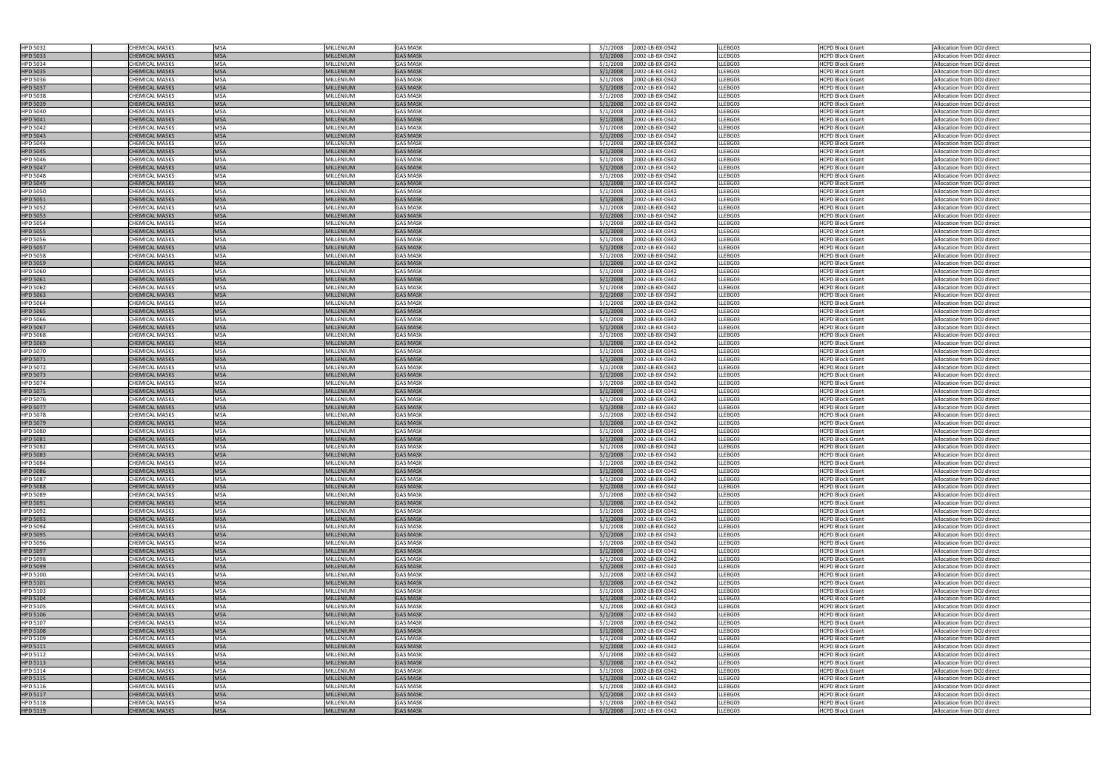| <b>HPD 5032</b> | <b>CHEMICAL MASKS</b> | <b>MSA</b>  | MILLENIUM        | <b>GAS MASK</b> | 5/1/2008 | 2002-LB-BX-0342 | LLEBG03 | <b>HCPD Block Grant</b> | Allocation from DOJ direct |
|-----------------|-----------------------|-------------|------------------|-----------------|----------|-----------------|---------|-------------------------|----------------------------|
| <b>HPD 5033</b> | <b>CHEMICAL MASKS</b> | <b>MSA</b>  | <b>MILLENIUM</b> | <b>GAS MASK</b> | 5/1/2008 | 2002-LB-BX-0342 | LLEBG03 | HCPD Block Grant        | Allocation from DOJ direct |
| <b>HPD 5034</b> | <b>CHEMICAL MASKS</b> | <b>MSA</b>  | <b>MILLENIUM</b> | <b>GAS MASK</b> | 5/1/2008 | 2002-LB-BX-0342 | LLEBG03 | <b>HCPD Block Grant</b> | Allocation from DOJ direct |
|                 |                       |             |                  |                 |          |                 |         |                         |                            |
| <b>HPD 5035</b> | CHEMICAL MASKS        | <b>MSA</b>  | <b>MILLENIUM</b> | <b>GAS MASK</b> | 5/1/2008 | 2002-LB-BX-0342 | LLEBG03 | <b>HCPD Block Grant</b> | Allocation from DOJ direct |
| <b>HPD 5036</b> | CHEMICAL MASKS        | <b>MSA</b>  | <b>MILLENIUM</b> | <b>GAS MASK</b> | 5/1/2008 | 2002-LB-BX-0342 | LLEBG03 | <b>HCPD Block Grant</b> | Allocation from DOJ direct |
| <b>HPD 5037</b> | <b>CHEMICAL MASKS</b> | <b>MSA</b>  | <b>MILLENIUM</b> | <b>GAS MASK</b> | 5/1/2008 | 2002-LB-BX-0342 | LLEBG03 | <b>HCPD Block Grant</b> | Allocation from DOJ direct |
| <b>HPD 5038</b> | <b>CHEMICAL MASKS</b> | <b>MSA</b>  | <b>MILLENIUM</b> | <b>GAS MASK</b> | 5/1/2008 | 2002-LB-BX-0342 | LLEBG03 | <b>HCPD Block Grant</b> | Allocation from DOJ direct |
|                 |                       |             |                  |                 |          |                 |         |                         |                            |
| <b>HPD 5039</b> | <b>CHEMICAL MASKS</b> | <b>MSA</b>  | <b>MILLENIUM</b> | <b>GAS MASK</b> | 5/1/2008 | 2002-LB-BX-0342 | LLEBG03 | <b>HCPD Block Grant</b> | Allocation from DOJ direct |
| <b>HPD 5040</b> | CHEMICAL MASKS        | <b>MSA</b>  | MILLENIUM        | <b>GAS MASK</b> | 5/1/2008 | 2002-LB-BX-0342 | LLEBG03 | <b>HCPD Block Grant</b> | Allocation from DOJ direct |
| <b>HPD 5041</b> | <b>CHEMICAL MASKS</b> | <b>MSA</b>  | <b>MILLENIUM</b> | <b>GAS MASK</b> | 5/1/2008 | 2002-LB-BX-0342 | LLEBG03 | <b>HCPD Block Grant</b> | Allocation from DOJ direct |
|                 |                       |             |                  |                 |          |                 |         |                         |                            |
| <b>HPD 5042</b> | <b>CHEMICAL MASKS</b> | <b>MSA</b>  | <b>MILLENIUM</b> | <b>GAS MASK</b> | 5/1/2008 | 2002-LB-BX-0342 | LLEBG03 | <b>HCPD Block Grant</b> | Allocation from DOJ direct |
| <b>HPD 5043</b> | <b>CHEMICAL MASKS</b> | <b>MSA</b>  | <b>MILLENIUM</b> | <b>GAS MASK</b> | 5/1/2008 | 2002-LB-BX-0342 | LLEBG03 | <b>HCPD Block Grant</b> | Allocation from DOJ direct |
| <b>HPD 5044</b> | CHEMICAL MASKS        | <b>MSA</b>  | MILLENIUM        | <b>GAS MASK</b> | 5/1/2008 | 2002-LB-BX-0342 | LLEBG03 | <b>HCPD Block Grant</b> | Allocation from DOJ direct |
|                 | <b>CHEMICAL MASKS</b> | <b>MSA</b>  | <b>MILLENIUM</b> | <b>GAS MASK</b> | 5/1/2008 |                 | LLEBG03 |                         |                            |
| <b>HPD 5045</b> |                       |             |                  |                 |          | 2002-LB-BX-0342 |         | <b>HCPD Block Grant</b> | Allocation from DOJ direct |
| <b>HPD 5046</b> | CHEMICAL MASKS        | <b>MSA</b>  | <b>MILLENIUM</b> | <b>GAS MASK</b> | 5/1/2008 | 2002-LB-BX-0342 | LLEBG03 | <b>HCPD Block Grant</b> | Allocation from DOJ direct |
| <b>HPD 5047</b> | <b>CHEMICAL MASKS</b> | <b>MSA</b>  | <b>MILLENIUM</b> | <b>GAS MASK</b> | 5/1/2008 | 2002-LB-BX-0342 | LLEBG03 | <b>HCPD Block Grant</b> | Allocation from DOJ direct |
| <b>HPD 5048</b> | CHEMICAL MASKS        | <b>MSA</b>  | <b>MILLENIUM</b> | <b>GAS MASK</b> | 5/1/2008 | 2002-LB-BX-0342 | LLEBG03 | <b>HCPD Block Grant</b> | Allocation from DOJ direct |
|                 |                       |             |                  |                 |          |                 |         |                         |                            |
| <b>HPD 5049</b> | <b>CHEMICAL MASKS</b> | <b>MSA</b>  | <b>MILLENIUM</b> | <b>GAS MASK</b> | 5/1/2008 | 2002-LB-BX-0342 | LLEBG03 | <b>HCPD Block Grant</b> | Allocation from DOJ direct |
| <b>HPD 5050</b> | <b>CHEMICAL MASKS</b> | <b>MSA</b>  | <b>MILLENIUM</b> | <b>GAS MASK</b> | 5/1/2008 | 2002-LB-BX-0342 | LLEBG03 | <b>HCPD Block Grant</b> | Allocation from DOJ direct |
| <b>HPD 5051</b> | <b>CHEMICAL MASKS</b> | <b>MSA</b>  | <b>MILLENIUM</b> | <b>GAS MASK</b> | 5/1/2008 | 2002-LB-BX-0342 | LLEBG03 | <b>HCPD Block Grant</b> | Allocation from DOJ direct |
|                 | CHEMICAL MASKS        | <b>MSA</b>  | <b>MILLENIUM</b> | <b>GAS MASK</b> | 5/1/2008 | 2002-LB-BX-0342 | LLEBG03 | <b>HCPD Block Grant</b> | Allocation from DOJ direct |
| <b>HPD 5052</b> |                       |             |                  |                 |          |                 |         |                         |                            |
| <b>HPD 5053</b> | <b>CHEMICAL MASKS</b> | <b>MSA</b>  | <b>MILLENIUM</b> | <b>GAS MASK</b> | 5/1/2008 | 2002-LB-BX-0342 | LLEBG03 | <b>HCPD Block Grant</b> | Allocation from DOJ direct |
| <b>HPD 5054</b> | <b>CHEMICAL MASKS</b> | <b>MSA</b>  | <b>MILLENIUM</b> | <b>GAS MASK</b> | 5/1/2008 | 2002-LB-BX-0342 | LLEBG03 | <b>HCPD Block Grant</b> | Allocation from DOJ direct |
| <b>HPD 5055</b> | <b>CHEMICAL MASKS</b> | <b>MSA</b>  | <b>MILLENIUM</b> | <b>GAS MASK</b> | 5/1/2008 | 2002-LB-BX-0342 | LLEBG03 | <b>HCPD Block Grant</b> | Allocation from DOJ direct |
|                 |                       |             |                  |                 |          |                 |         |                         |                            |
| <b>HPD 5056</b> | <b>CHEMICAL MASKS</b> | <b>MSA</b>  | <b>MILLENIUM</b> | <b>GAS MASK</b> | 5/1/2008 | 2002-LB-BX-0342 | LLEBG03 | <b>HCPD Block Grant</b> | Allocation from DOJ direct |
| <b>HPD 5057</b> | <b>CHEMICAL MASKS</b> | <b>MSA</b>  | <b>MILLENIUM</b> | <b>GAS MASK</b> | 5/1/2008 | 2002-LB-BX-0342 | LLEBG03 | <b>HCPD Block Grant</b> | Allocation from DOJ direct |
| <b>HPD 5058</b> | CHEMICAL MASKS        | <b>MSA</b>  | <b>MILLENIUM</b> | <b>GAS MASK</b> | 5/1/2008 | 2002-LB-BX-0342 | LLEBG03 | <b>HCPD Block Grant</b> | Allocation from DOJ direct |
|                 |                       | <b>MSA</b>  |                  | <b>GAS MASK</b> | 5/1/2008 |                 |         |                         |                            |
| <b>HPD 5059</b> | <b>CHEMICAL MASKS</b> |             | <b>MILLENIUM</b> |                 |          | 2002-LB-BX-0342 | LLEBG03 | <b>HCPD Block Grant</b> | Allocation from DOJ direct |
| <b>HPD 5060</b> | CHEMICAL MASKS        | <b>MSA</b>  | <b>MILLENIUM</b> | <b>GAS MASK</b> | 5/1/2008 | 2002-LB-BX-0342 | LLEBG03 | <b>HCPD Block Grant</b> | Allocation from DOJ direct |
| <b>HPD 5061</b> | <b>CHEMICAL MASKS</b> | <b>MSA</b>  | <b>MILLENIUM</b> | <b>GAS MASK</b> | 5/1/2008 | 2002-LB-BX-0342 | LLEBG03 | <b>HCPD Block Grant</b> | Allocation from DOJ direct |
|                 | CHEMICAL MASKS        | <b>MSA</b>  | MILLENIUM        | <b>GAS MASK</b> | 5/1/2008 | 2002-LB-BX-0342 | LLEBG03 | <b>HCPD Block Grant</b> | Allocation from DOJ direct |
| <b>HPD 5062</b> |                       |             |                  |                 |          |                 |         |                         |                            |
| <b>HPD 5063</b> | <b>CHEMICAL MASKS</b> | <b>MSA</b>  | <b>MILLENIUM</b> | <b>GAS MASK</b> | 5/1/2008 | 2002-LB-BX-0342 | LLEBG03 | <b>HCPD Block Grant</b> | Allocation from DOJ direct |
| <b>HPD 5064</b> | <b>CHEMICAL MASKS</b> | <b>MSA</b>  | <b>MILLENIUM</b> | <b>GAS MASK</b> | 5/1/2008 | 2002-LB-BX-0342 | LLEBG03 | <b>HCPD Block Grant</b> | Allocation from DOJ direct |
| <b>HPD 5065</b> | <b>CHEMICAL MASKS</b> | <b>MSA</b>  | <b>MILLENIUM</b> | <b>GAS MASK</b> | 5/1/2008 | 2002-LB-BX-0342 | LLEBG03 | <b>HCPD Block Grant</b> | Allocation from DOJ direct |
|                 |                       |             |                  |                 |          |                 |         |                         |                            |
| <b>HPD 5066</b> | CHEMICAL MASKS        | <b>MSA</b>  | MILLENIUM        | <b>GAS MASK</b> | 5/1/2008 | 2002-LB-BX-0342 | LLEBG03 | <b>HCPD Block Grant</b> | Allocation from DOJ direct |
| <b>HPD 5067</b> | <b>CHEMICAL MASKS</b> | <b>MSA</b>  | <b>MILLENIUM</b> | <b>GAS MASK</b> | 5/1/2008 | 2002-LB-BX-0342 | LLEBG03 | <b>HCPD Block Grant</b> | Allocation from DOJ direct |
| <b>HPD 5068</b> | CHEMICAL MASKS        | <b>MSA</b>  | MILLENIUM        | <b>GAS MASK</b> | 5/1/2008 | 2002-LB-BX-0342 | LLEBG03 | <b>HCPD Block Grant</b> | Allocation from DOJ direct |
| <b>HPD 5069</b> | <b>CHEMICAL MASKS</b> | <b>MSA</b>  | <b>MILLENIUM</b> | <b>GAS MASK</b> | 5/1/2008 | 2002-LB-BX-0342 | LLEBG03 | <b>HCPD Block Grant</b> | Allocation from DOJ direct |
|                 |                       |             |                  |                 |          |                 |         |                         |                            |
| <b>HPD 5070</b> | CHEMICAL MASKS        | <b>MSA</b>  | <b>MILLENIUM</b> | <b>GAS MASK</b> | 5/1/2008 | 2002-LB-BX-0342 | LLEBG03 | <b>HCPD Block Grant</b> | Allocation from DOJ direct |
| <b>HPD 5071</b> | <b>CHEMICAL MASKS</b> | <b>MSA</b>  | <b>MILLENIUM</b> | <b>GAS MASK</b> | 5/1/2008 | 2002-LB-BX-0342 | LLEBG03 | <b>HCPD Block Grant</b> | Allocation from DOJ direct |
| <b>HPD 5072</b> | <b>CHEMICAL MASKS</b> | <b>MSA</b>  | MILLENIUM        | <b>GAS MASK</b> | 5/1/2008 | 2002-LB-BX-0342 | LLEBG03 | <b>HCPD Block Grant</b> | Allocation from DOJ direct |
|                 |                       |             |                  |                 |          |                 |         |                         |                            |
| <b>HPD 5073</b> | <b>CHEMICAL MASKS</b> | <b>MSA</b>  | <b>MILLENIUM</b> | <b>GAS MASK</b> | 5/1/2008 | 2002-LB-BX-0342 | LLEBG03 | <b>HCPD Block Grant</b> | Allocation from DOJ direct |
| <b>HPD 5074</b> | CHEMICAL MASKS        | <b>MSA</b>  | <b>MILLENIUM</b> | <b>GAS MASK</b> | 5/1/2008 | 2002-LB-BX-0342 | LLEBG03 | <b>HCPD Block Grant</b> | Allocation from DOJ direct |
| <b>HPD 5075</b> | <b>CHEMICAL MASKS</b> | <b>MSA</b>  | <b>MILLENIUM</b> | <b>GAS MASK</b> | 5/1/2008 | 2002-LB-BX-0342 | LLEBG03 | <b>HCPD Block Grant</b> | Allocation from DOJ direct |
|                 | CHEMICAL MASKS        | <b>MSA</b>  | MILLENIUM        | <b>GAS MASK</b> |          |                 |         |                         |                            |
| <b>HPD 5076</b> |                       |             |                  |                 | 5/1/2008 | 2002-LB-BX-0342 | LLEBG03 | <b>HCPD Block Grant</b> | Allocation from DOJ direct |
| HPD 5077        | <b>CHEMICAL MASKS</b> | <b>IMSA</b> | <b>MILLENIUM</b> | <b>GAS MASK</b> | 5/1/2008 | 2002-LB-BX-0342 | LLEBG03 | <b>HCPD Block Grant</b> | Allocation from DOJ direct |
| <b>HPD 5078</b> | <b>CHEMICAL MASKS</b> | <b>MSA</b>  | MILLENIUM        | <b>GAS MASK</b> | 5/1/2008 | 2002-LB-BX-0342 | LLEBG03 | <b>HCPD Block Grant</b> | Allocation from DOJ direct |
| <b>HPD 5079</b> | <b>CHEMICAL MASKS</b> | <b>MSA</b>  | <b>MILLENIUM</b> | <b>GAS MASK</b> | 5/1/2008 | 2002-LB-BX-0342 | LLEBG03 | <b>HCPD Block Grant</b> | Allocation from DOJ direct |
|                 |                       |             |                  |                 |          |                 |         |                         |                            |
| <b>HPD 5080</b> | CHEMICAL MASKS        | <b>MSA</b>  | MILLENIUM        | <b>GAS MASK</b> | 5/1/2008 | 2002-LB-BX-0342 | LLEBG03 | <b>HCPD Block Grant</b> | Allocation from DOJ direct |
| <b>HPD 5081</b> | <b>CHEMICAL MASKS</b> | <b>MSA</b>  | <b>MILLENIUM</b> | <b>GAS MASK</b> | 5/1/2008 | 2002-LB-BX-0342 | LLEBG03 | <b>HCPD Block Grant</b> | Allocation from DOJ direct |
| <b>HPD 5082</b> | CHEMICAL MASKS        | <b>MSA</b>  | MILLENIUM        | <b>GAS MASK</b> | 5/1/2008 | 2002-LB-BX-0342 | LLEBG03 | <b>HCPD Block Grant</b> | Allocation from DOJ direct |
|                 | <b>CHEMICAL MASKS</b> | <b>MSA</b>  | <b>MILLENIUM</b> | <b>GAS MASK</b> | 5/1/2008 | 2002-LB-BX-0342 | LLEBG03 | <b>HCPD Block Grant</b> | Allocation from DOJ direct |
| <b>HPD 5083</b> |                       |             |                  |                 |          |                 |         |                         |                            |
| <b>HPD 5084</b> | <b>CHEMICAL MASKS</b> | <b>MSA</b>  | MILLENIUM        | <b>GAS MASK</b> | 5/1/2008 | 2002-LB-BX-0342 | LLEBG03 | <b>HCPD Block Grant</b> | Allocation from DOJ direct |
| <b>HPD 5086</b> | <b>CHEMICAL MASKS</b> | <b>MSA</b>  | <b>MILLENIUM</b> | <b>GAS MASK</b> | 5/1/2008 | 2002-LB-BX-0342 | LLEBG03 | <b>HCPD Block Grant</b> | Allocation from DOJ direct |
| <b>HPD 5087</b> | <b>CHEMICAL MASKS</b> | <b>MSA</b>  | MILLENIUM        | <b>GAS MASK</b> | 5/1/2008 | 2002-LB-BX-0342 | LLEBG03 | <b>HCPD Block Grant</b> | Allocation from DOJ direct |
|                 |                       | <b>MSA</b>  |                  |                 |          |                 |         |                         |                            |
| <b>HPD 5088</b> | <b>CHEMICAL MASKS</b> |             | MILLENIUM        | <b>GAS MASK</b> | 5/1/2008 | 2002-LB-BX-0342 | LLEBG03 | <b>HCPD Block Grant</b> | Allocation from DOJ direct |
| <b>HPD 5089</b> | <b>CHEMICAL MASKS</b> | <b>MSA</b>  | <b>MILLENIUM</b> | <b>GAS MASK</b> | 5/1/2008 | 2002-LB-BX-0342 | LLEBG03 | <b>HCPD Block Grant</b> | Allocation from DOJ direct |
| <b>HPD 5091</b> | <b>CHEMICAL MASKS</b> | <b>MSA</b>  | <b>MILLENIUM</b> | <b>GAS MASK</b> | 5/1/2008 | 2002-LB-BX-0342 | LLEBG03 | <b>HCPD Block Grant</b> | Allocation from DOJ direct |
| <b>HPD 5092</b> | CHEMICAL MASKS        | <b>MSA</b>  | MILLENIUM        | <b>GAS MASK</b> | 5/1/2008 | 2002-LB-BX-0342 | LLEBG03 | <b>HCPD Block Grant</b> | Allocation from DOJ direct |
|                 |                       |             |                  |                 |          |                 |         |                         |                            |
| <b>HPD 5093</b> | <b>CHEMICAL MASKS</b> | <b>MSA</b>  | <b>MILLENIUM</b> | <b>GAS MASK</b> | 5/1/2008 | 2002-LB-BX-0342 | LLEBG03 | <b>HCPD Block Grant</b> | Allocation from DOJ direct |
| <b>HPD 5094</b> | <b>CHEMICAL MASKS</b> | <b>MSA</b>  | <b>MILLENIUM</b> | <b>GAS MASK</b> | 5/1/2008 | 2002-LB-BX-0342 | LLEBG03 | <b>HCPD Block Grant</b> | Allocation from DOJ direct |
| <b>HPD 5095</b> | <b>CHEMICAL MASKS</b> | <b>MSA</b>  | <b>MILLENIUM</b> | <b>GAS MASK</b> | 5/1/2008 | 2002-LB-BX-0342 | LLEBG03 | <b>HCPD Block Grant</b> | Allocation from DOJ direct |
| <b>HPD 5096</b> | CHEMICAL MASKS        | <b>MSA</b>  | MILLENIUM        | <b>GAS MASK</b> | 5/1/2008 | 2002-LB-BX-0342 | LLEBG03 | <b>HCPD Block Grant</b> | Allocation from DOJ direct |
|                 |                       |             |                  |                 |          |                 |         |                         |                            |
| <b>HPD 5097</b> | <b>CHEMICAL MASKS</b> | <b>MSA</b>  | <b>MILLENIUM</b> | <b>GAS MASK</b> | 5/1/2008 | 2002-LB-BX-0342 | LLEBG03 | <b>HCPD Block Grant</b> | Allocation from DOJ direct |
| <b>HPD 5098</b> | CHEMICAL MASKS        | <b>MSA</b>  | MILLENIUM        | <b>GAS MASK</b> | 5/1/2008 | 2002-LB-BX-0342 | LLEBG03 | <b>HCPD Block Grant</b> | Allocation from DOJ direct |
| <b>HPD 5099</b> | <b>CHEMICAL MASKS</b> | <b>MSA</b>  | <b>MILLENIUM</b> | <b>GAS MASK</b> | 5/1/2008 | 2002-LB-BX-0342 | LLEBG03 | <b>HCPD Block Grant</b> | Allocation from DOJ direct |
|                 |                       | <b>MSA</b>  |                  | <b>GAS MASK</b> |          |                 |         |                         |                            |
| <b>HPD 5100</b> | <b>CHEMICAL MASKS</b> |             | MILLENIUM        |                 | 5/1/2008 | 2002-LB-BX-0342 | LLEBG03 | <b>HCPD Block Grant</b> | Allocation from DOJ direct |
| <b>HPD 5101</b> | <b>CHEMICAL MASKS</b> | <b>MSA</b>  | <b>MILLENIUM</b> | <b>GAS MASK</b> | 5/1/2008 | 2002-LB-BX-0342 | LLEBG03 | <b>HCPD Block Grant</b> | Allocation from DOJ direct |
| HPD 5103        | <b>CHEMICAL MASKS</b> | <b>MSA</b>  | MILLENIUM        | <b>GAS MASK</b> | 5/1/2008 | 2002-LB-BX-0342 | LLEBG03 | <b>HCPD Block Grant</b> | Allocation from DOJ direct |
| <b>HPD 5104</b> | <b>CHEMICAL MASKS</b> | <b>MSA</b>  | <b>MILLENIUM</b> | <b>GAS MASK</b> | 5/1/2008 | 2002-LB-BX-0342 | LLEBG03 | <b>HCPD Block Grant</b> | Allocation from DOJ direct |
|                 |                       |             |                  |                 |          |                 |         |                         |                            |
| <b>HPD 5105</b> | <b>CHEMICAL MASKS</b> | <b>MSA</b>  | <b>MILLENIUM</b> | <b>GAS MASK</b> | 5/1/2008 | 2002-LB-BX-0342 | LLEBG03 | <b>HCPD Block Grant</b> | Allocation from DOJ direct |
| <b>HPD 5106</b> | <b>CHEMICAL MASKS</b> | <b>MSA</b>  | <b>MILLENIUM</b> | <b>GAS MASK</b> | 5/1/2008 | 2002-LB-BX-0342 | LLEBG03 | <b>HCPD Block Grant</b> | Allocation from DOJ direct |
| HPD 5107        | CHEMICAL MASKS        | <b>MSA</b>  | MILLENIUM        | <b>GAS MASK</b> | 5/1/2008 | 2002-LB-BX-0342 | LLEBG03 | <b>HCPD Block Grant</b> | Allocation from DOJ direct |
| <b>HPD 5108</b> | <b>CHEMICAL MASKS</b> | <b>MSA</b>  | <b>MILLENIUM</b> | <b>GAS MASK</b> | 5/1/2008 | 2002-LB-BX-0342 | LLEBG03 | <b>HCPD Block Grant</b> | Allocation from DOJ direct |
|                 |                       |             |                  |                 |          |                 |         |                         |                            |
| HPD 5109        | <b>CHEMICAL MASKS</b> | <b>MSA</b>  | <b>MILLENIUM</b> | <b>GAS MASK</b> | 5/1/2008 | 2002-LB-BX-0342 | LLEBG03 | <b>HCPD Block Grant</b> | Allocation from DOJ direct |
| <b>HPD 5111</b> | <b>CHEMICAL MASKS</b> | <b>MSA</b>  | <b>MILLENIUM</b> | <b>GAS MASK</b> | 5/1/2008 | 2002-LB-BX-0342 | LLEBG03 | <b>HCPD Block Grant</b> | Allocation from DOJ direct |
| HPD 5112        | CHEMICAL MASKS        | <b>MSA</b>  | MILLENIUM        | <b>GAS MASK</b> | 5/1/2008 | 2002-LB-BX-0342 | LLEBG03 | <b>HCPD Block Grant</b> | Allocation from DOJ direct |
|                 |                       | <b>MSA</b>  |                  |                 |          |                 |         |                         |                            |
| <b>HPD 5113</b> | <b>CHEMICAL MASKS</b> |             | <b>MILLENIUM</b> | <b>GAS MASK</b> | 5/1/2008 | 2002-LB-BX-0342 | LLEBG03 | <b>HCPD Block Grant</b> | Allocation from DOJ direct |
| HPD 5114        |                       | <b>MSA</b>  | MILLENIUM        | <b>GAS MASK</b> | 5/1/2008 | 2002-LB-BX-0342 | LLEBG03 | <b>HCPD Block Grant</b> | Allocation from DOJ direct |
| <b>HPD 5115</b> | <b>CHEMICAL MASKS</b> |             |                  |                 |          |                 |         |                         |                            |
|                 | <b>CHEMICAL MASKS</b> | <b>MSA</b>  | <b>MILLENIUM</b> | <b>GAS MASK</b> | 5/1/2008 | 2002-LB-BX-0342 | LLEBG03 | <b>HCPD Block Grant</b> | Allocation from DOJ direct |
|                 |                       |             |                  |                 |          |                 |         |                         |                            |
| HPD 5116        | <b>CHEMICAL MASKS</b> | <b>MSA</b>  | MILLENIUM        | <b>GAS MASK</b> | 5/1/2008 | 2002-LB-BX-0342 | LLEBG03 | <b>HCPD Block Grant</b> | Allocation from DOJ direct |
| <b>HPD 5117</b> | <b>CHEMICAL MASKS</b> | <b>MSA</b>  | <b>MILLENIUM</b> | <b>GAS MASK</b> | 5/1/2008 | 2002-LB-BX-0342 | LLEBG03 | <b>HCPD Block Grant</b> | Allocation from DOJ direct |
| <b>HPD 5118</b> | <b>CHEMICAL MASKS</b> | <b>MSA</b>  | MILLENIUM        | <b>GAS MASK</b> | 5/1/2008 | 2002-LB-BX-0342 | LLEBG03 | <b>HCPD Block Grant</b> | Allocation from DOJ direct |
| <b>HPD 5119</b> | <b>CHEMICAL MASKS</b> | <b>MSA</b>  | <b>MILLENIUM</b> | <b>GAS MASK</b> | 5/1/2008 | 2002-LB-BX-0342 | LLEBG03 | <b>HCPD Block Grant</b> | Allocation from DOJ direct |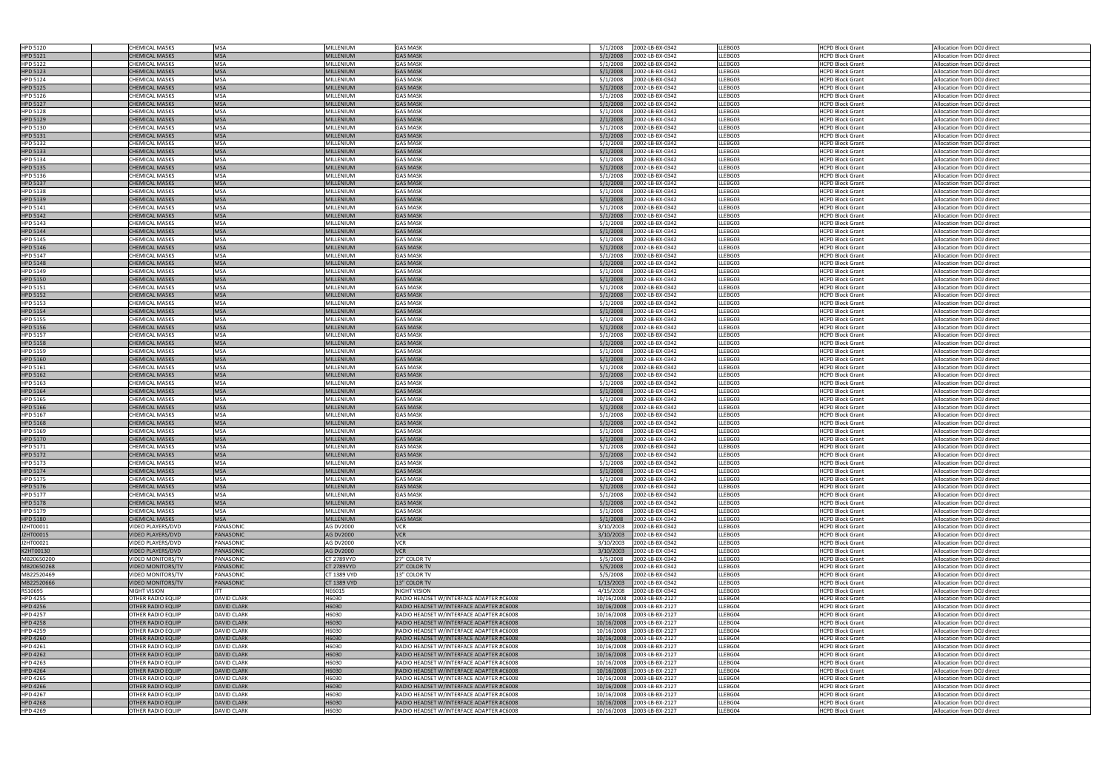| <b>HPD 5120</b>                    | <b>CHEMICAL MASKS</b>                                | <b>MSA</b>                               | MILLENIUM          | <b>GAS MASK</b>                                                                      | 2002-LB-BX-0342<br>5/1/2008                                 | LLEBG03            | <b>HCPD Block Grant</b>                            | Allocation from DOJ direct                               |
|------------------------------------|------------------------------------------------------|------------------------------------------|--------------------|--------------------------------------------------------------------------------------|-------------------------------------------------------------|--------------------|----------------------------------------------------|----------------------------------------------------------|
| <b>HPD 5121</b>                    | <b>CHEMICAL MASKS</b>                                | <b>MSA</b>                               | <b>MILLENIUM</b>   | <b>GAS MASK</b>                                                                      | 2002-LB-BX-0342<br>5/1/2008                                 | LLEBG03            | HCPD Block Grant                                   | Allocation from DOJ direct                               |
| <b>HPD 5122</b>                    | <b>CHEMICAL MASKS</b>                                | <b>MSA</b>                               | MILLENIUM          | <b>GAS MASK</b>                                                                      | 5/1/2008<br>2002-LB-BX-0342                                 | LLEBG03            | <b>HCPD Block Grant</b>                            | Allocation from DOJ direct                               |
| <b>HPD 5123</b>                    | <b>CHEMICAL MASKS</b>                                | <b>MSA</b>                               | <b>MILLENIUM</b>   | <b>GAS MASK</b>                                                                      | 5/1/2008<br>2002-LB-BX-0342                                 | LLEBG03            |                                                    | Allocation from DOJ direct                               |
|                                    |                                                      |                                          |                    |                                                                                      |                                                             |                    | <b>HCPD Block Grant</b>                            |                                                          |
| <b>HPD 5124</b>                    | <b>CHEMICAL MASKS</b>                                | <b>MSA</b>                               | MILLENIUM          | <b>GAS MASK</b>                                                                      | 2002-LB-BX-0342<br>5/1/2008                                 | LLEBG03            | <b>HCPD Block Grant</b>                            | Allocation from DOJ direct                               |
| <b>HPD 5125</b>                    | <b>CHEMICAL MASKS</b>                                | <b>MSA</b>                               | <b>MILLENIUM</b>   | <b>GAS MASK</b>                                                                      | 5/1/2008<br>2002-LB-BX-0342                                 | LLEBG03            | <b>HCPD Block Grant</b>                            | Allocation from DOJ direct                               |
| <b>HPD 5126</b>                    | <b>CHEMICAL MASKS</b>                                | <b>MSA</b>                               | <b>MILLENIUM</b>   | <b>GAS MASK</b>                                                                      | 2002-LB-BX-0342<br>5/1/2008                                 | LLEBG03            | <b>HCPD Block Grant</b>                            | Allocation from DOJ direct                               |
|                                    |                                                      |                                          |                    |                                                                                      |                                                             |                    |                                                    |                                                          |
| <b>HPD 5127</b>                    | <b>CHEMICAL MASKS</b>                                | <b>MSA</b>                               | <b>MILLENIUM</b>   | <b>GAS MASK</b>                                                                      | 2002-LB-BX-0342<br>5/1/2008                                 | LLEBG03            | <b>HCPD Block Grant</b>                            | Allocation from DOJ direct                               |
| <b>HPD 5128</b>                    | <b>CHEMICAL MASKS</b>                                | <b>MSA</b>                               | MILLENIUM          | <b>GAS MASK</b>                                                                      | 5/1/2008<br>2002-LB-BX-0342                                 | LLEBG03            | <b>HCPD Block Grant</b>                            | Allocation from DOJ direct                               |
| <b>HPD 5129</b>                    | <b>CHEMICAL MASKS</b>                                | <b>MSA</b>                               | <b>MILLENIUM</b>   | <b>GAS MASK</b>                                                                      | 2/1/2008<br>2002-LB-BX-0342                                 | LLEBG03            | <b>HCPD Block Grant</b>                            | Allocation from DOJ direct                               |
|                                    |                                                      |                                          |                    |                                                                                      |                                                             |                    |                                                    |                                                          |
| <b>HPD 5130</b>                    | <b>CHEMICAL MASKS</b>                                | <b>MSA</b>                               | <b>MILLENIUM</b>   | <b>GAS MASK</b>                                                                      | 2002-LB-BX-0342<br>5/1/2008                                 | LLEBG03            | <b>HCPD Block Grant</b>                            | Allocation from DOJ direct                               |
| <b>HPD 5131</b>                    | <b>CHEMICAL MASKS</b>                                | <b>MSA</b>                               | <b>MILLENIUM</b>   | <b>GAS MASK</b>                                                                      | 5/1/2008<br>2002-LB-BX-0342                                 | LLEBG03            | <b>HCPD Block Grant</b>                            | Allocation from DOJ direct                               |
|                                    | <b>CHEMICAL MASKS</b>                                | <b>MSA</b>                               |                    |                                                                                      |                                                             |                    |                                                    |                                                          |
| <b>HPD 5132</b>                    |                                                      |                                          | MILLENIUM          | <b>GAS MASK</b>                                                                      | 5/1/2008<br>2002-LB-BX-0342                                 | LLEBG03            | <b>HCPD Block Grant</b>                            | Allocation from DOJ direct                               |
| <b>HPD 5133</b>                    | <b>CHEMICAL MASKS</b>                                | <b>MSA</b>                               | <b>MILLENIUM</b>   | <b>GAS MASK</b>                                                                      | 5/1/2008<br>2002-LB-BX-0342                                 | LLEBG03            | <b>HCPD Block Grant</b>                            | Allocation from DOJ direct                               |
| <b>HPD 5134</b>                    | <b>CHEMICAL MASKS</b>                                | <b>MSA</b>                               | MILLENIUM          | <b>GAS MASK</b>                                                                      | 5/1/2008<br>2002-LB-BX-0342                                 | LLEBG03            | <b>HCPD Block Grant</b>                            | Allocation from DOJ direct                               |
|                                    | <b>CHEMICAL MASKS</b>                                | <b>MSA</b>                               | <b>MILLENIUM</b>   | <b>GAS MASK</b>                                                                      |                                                             | LLEBG03            |                                                    |                                                          |
| <b>HPD 5135</b>                    |                                                      |                                          |                    |                                                                                      | 5/1/2008<br>2002-LB-BX-0342                                 |                    | <b>HCPD Block Grant</b>                            | Allocation from DOJ direct                               |
| <b>HPD 5136</b>                    | <b>CHEMICAL MASKS</b>                                | <b>MSA</b>                               | MILLENIUM          | <b>GAS MASK</b>                                                                      | 5/1/2008<br>2002-LB-BX-0342                                 | LLEBG03            | <b>HCPD Block Grant</b>                            | Allocation from DOJ direct                               |
| <b>HPD 5137</b>                    | <b>CHEMICAL MASKS</b>                                | <b>MSA</b>                               | <b>MILLENIUM</b>   | <b>GAS MASK</b>                                                                      | 5/1/2008<br>2002-LB-BX-0342                                 | LLEBG03            | <b>HCPD Block Grant</b>                            | Allocation from DOJ direct                               |
| <b>HPD 5138</b>                    | <b>CHEMICAL MASKS</b>                                | <b>MSA</b>                               | MILLENIUM          | <b>GAS MASK</b>                                                                      | 5/1/2008<br>2002-LB-BX-0342                                 | LLEBG03            | <b>HCPD Block Grant</b>                            | Allocation from DOJ direct                               |
|                                    |                                                      |                                          |                    |                                                                                      |                                                             |                    |                                                    |                                                          |
| <b>HPD 5139</b>                    | <b>CHEMICAL MASKS</b>                                | <b>MSA</b>                               | <b>MILLENIUM</b>   | <b>GAS MASK</b>                                                                      | 5/1/2008<br>2002-LB-BX-0342                                 | LLEBG03            | <b>HCPD Block Grant</b>                            | Allocation from DOJ direct                               |
| <b>HPD 5141</b>                    | <b>CHEMICAL MASKS</b>                                | <b>MSA</b>                               | <b>MILLENIUM</b>   | <b>GAS MASK</b>                                                                      | 5/1/2008<br>2002-LB-BX-0342                                 | LLEBG03            | <b>HCPD Block Grant</b>                            | Allocation from DOJ direct                               |
| <b>HPD 5142</b>                    | <b>CHEMICAL MASKS</b>                                | <b>MSA</b>                               | <b>MILLENIUM</b>   | <b>GAS MASK</b>                                                                      | 2002-LB-BX-0342<br>5/1/2008                                 | LLEBG03            | <b>HCPD Block Grant</b>                            | Allocation from DOJ direct                               |
|                                    |                                                      |                                          |                    |                                                                                      |                                                             |                    |                                                    |                                                          |
| <b>HPD 5143</b>                    | <b>CHEMICAL MASKS</b>                                | <b>MSA</b>                               | MILLENIUM          | <b>GAS MASK</b>                                                                      | 5/1/2008<br>2002-LB-BX-0342                                 | LLEBG03            | <b>HCPD Block Grant</b>                            | Allocation from DOJ direct                               |
| <b>HPD 5144</b>                    | <b>CHEMICAL MASKS</b>                                | <b>MSA</b>                               | <b>MILLENIUM</b>   | <b>GAS MASK</b>                                                                      | 2002-LB-BX-0342<br>5/1/2008                                 | LLEBG03            | <b>HCPD Block Grant</b>                            | Allocation from DOJ direct                               |
|                                    | <b>CHEMICAL MASKS</b>                                | <b>MSA</b>                               | <b>MILLENIUM</b>   | <b>GAS MASK</b>                                                                      | 2002-LB-BX-0342<br>5/1/2008                                 | LLEBG03            | <b>HCPD Block Grant</b>                            | Allocation from DOJ direct                               |
| <b>HPD 5145</b>                    |                                                      |                                          |                    |                                                                                      |                                                             |                    |                                                    |                                                          |
| <b>HPD 5146</b>                    | <b>CHEMICAL MASKS</b>                                | <b>MSA</b>                               | <b>MILLENIUM</b>   | <b>GAS MASK</b>                                                                      | 5/1/2008<br>2002-LB-BX-0342                                 | LLEBG03            | <b>HCPD Block Grant</b>                            | Allocation from DOJ direct                               |
| <b>HPD 5147</b>                    | <b>CHEMICAL MASKS</b>                                | <b>MSA</b>                               | MILLENIUM          | <b>GAS MASK</b>                                                                      | 5/1/2008<br>2002-LB-BX-0342                                 | LLEBG03            | <b>HCPD Block Grant</b>                            | Allocation from DOJ direct                               |
|                                    |                                                      |                                          |                    |                                                                                      |                                                             |                    |                                                    |                                                          |
| <b>HPD 5148</b>                    | <b>CHEMICAL MASKS</b>                                | <b>MSA</b>                               | <b>MILLENIUM</b>   | <b>GAS MASK</b>                                                                      | 5/1/2008<br>2002-LB-BX-0342                                 | LLEBG03            | <b>HCPD Block Grant</b>                            | Allocation from DOJ direct                               |
| <b>HPD 5149</b>                    | <b>CHEMICAL MASKS</b>                                | <b>MSA</b>                               | MILLENIUM          | <b>GAS MASK</b>                                                                      | 5/1/2008<br>2002-LB-BX-0342                                 | LLEBG03            | <b>HCPD Block Grant</b>                            | Allocation from DOJ direct                               |
| <b>HPD 5150</b>                    | <b>CHEMICAL MASKS</b>                                | <b>MSA</b>                               | <b>MILLENIUM</b>   | <b>GAS MASK</b>                                                                      | 2002-LB-BX-0342<br>5/1/2008                                 | LLEBG03            | <b>HCPD Block Grant</b>                            | Allocation from DOJ direct                               |
|                                    |                                                      |                                          |                    |                                                                                      |                                                             |                    |                                                    |                                                          |
| <b>HPD 5151</b>                    | <b>CHEMICAL MASKS</b>                                | <b>MSA</b>                               | MILLENIUM          | <b>GAS MASK</b>                                                                      | 5/1/2008<br>2002-LB-BX-0342                                 | LLEBG03            | <b>HCPD Block Grant</b>                            | Allocation from DOJ direct                               |
| <b>HPD 5152</b>                    | <b>CHEMICAL MASKS</b>                                | <b>MSA</b>                               | <b>MILLENIUM</b>   | <b>GAS MASK</b>                                                                      | 5/1/2008<br>2002-LB-BX-0342                                 | LLEBG03            | <b>HCPD Block Grant</b>                            | Allocation from DOJ direct                               |
| <b>HPD 5153</b>                    | <b>CHEMICAL MASKS</b>                                | <b>MSA</b>                               | MILLENIUM          | <b>GAS MASK</b>                                                                      | 5/1/2008<br>2002-LB-BX-0342                                 | LLEBG03            | <b>HCPD Block Grant</b>                            | Allocation from DOJ direct                               |
|                                    |                                                      |                                          |                    |                                                                                      |                                                             |                    |                                                    |                                                          |
| <b>HPD 5154</b>                    | <b>CHEMICAL MASKS</b>                                | <b>MSA</b>                               | <b>MILLENIUM</b>   | <b>GAS MASK</b>                                                                      | 5/1/2008<br>2002-LB-BX-0342                                 | LLEBG03            | <b>HCPD Block Grant</b>                            | Allocation from DOJ direct                               |
| <b>HPD 5155</b>                    | <b>CHEMICAL MASKS</b>                                | MSA                                      | MILLENIUM          | <b>GAS MASK</b>                                                                      | 5/1/2008<br>2002-LB-BX-0342                                 | LLEBG03            | <b>HCPD Block Grant</b>                            | Allocation from DOJ direct                               |
| <b>HPD 5156</b>                    | <b>CHEMICAL MASKS</b>                                | <b>MSA</b>                               | <b>MILLENIUM</b>   | <b>GAS MASK</b>                                                                      | 5/1/2008<br>2002-LB-BX-0342                                 | LLEBG03            | <b>HCPD Block Grant</b>                            | Allocation from DOJ direct                               |
|                                    |                                                      |                                          |                    |                                                                                      |                                                             |                    |                                                    |                                                          |
| <b>HPD 5157</b>                    | <b>CHEMICAL MASKS</b>                                | <b>MSA</b>                               | MILLENIUM          | <b>GAS MASK</b>                                                                      | 5/1/2008<br>2002-LB-BX-0342                                 | LLEBG03            | <b>HCPD Block Grant</b>                            | Allocation from DOJ direct                               |
| <b>HPD 5158</b>                    | <b>CHEMICAL MASKS</b>                                | <b>MSA</b>                               | <b>MILLENIUM</b>   | <b>GAS MASK</b>                                                                      | 5/1/2008<br>2002-LB-BX-0342                                 | LLEBG03            | <b>HCPD Block Grant</b>                            | Allocation from DOJ direct                               |
| <b>HPD 5159</b>                    | <b>CHEMICAL MASKS</b>                                | <b>MSA</b>                               | MILLENIUM          | <b>GAS MASK</b>                                                                      | 5/1/2008<br>2002-LB-BX-0342                                 | LLEBG03            | <b>HCPD Block Grant</b>                            | Allocation from DOJ direct                               |
|                                    |                                                      |                                          |                    |                                                                                      |                                                             |                    |                                                    |                                                          |
| <b>HPD 5160</b>                    | <b>CHEMICAL MASKS</b>                                | <b>MSA</b>                               | <b>MILLENIUM</b>   | <b>GAS MASK</b>                                                                      | 5/1/2008<br>2002-LB-BX-0342                                 | LLEBG03            | <b>HCPD Block Grant</b>                            | Allocation from DOJ direct                               |
| HPD 5161                           | <b>CHEMICAL MASKS</b>                                | <b>MSA</b>                               | MILLENIUM          | <b>GAS MASK</b>                                                                      | 2002-LB-BX-0342<br>5/1/2008                                 | LLEBG03            | <b>HCPD Block Grant</b>                            | Allocation from DOJ direct                               |
|                                    |                                                      |                                          | <b>MILLENIUM</b>   |                                                                                      |                                                             |                    | <b>HCPD Block Grant</b>                            | Allocation from DOJ direct                               |
|                                    |                                                      |                                          |                    |                                                                                      |                                                             |                    |                                                    |                                                          |
| <b>HPD 5162</b>                    | <b>CHEMICAL MASKS</b>                                | <b>MSA</b>                               |                    | <b>GAS MASK</b>                                                                      | 5/1/2008<br>2002-LB-BX-0342                                 | LLEBG03            |                                                    |                                                          |
| <b>HPD 5163</b>                    | <b>CHEMICAL MASKS</b>                                | <b>MSA</b>                               | MILLENIUM          | <b>GAS MASK</b>                                                                      | 5/1/2008<br>2002-LB-BX-0342                                 | LLEBG03            | <b>HCPD Block Grant</b>                            | Allocation from DOJ direct                               |
| <b>HPD 5164</b>                    | <b>CHEMICAL MASKS</b>                                | <b>MSA</b>                               | <b>MILLENIUM</b>   | <b>GAS MASK</b>                                                                      | 5/1/2008<br>2002-LB-BX-0342                                 | LLEBG03            | <b>HCPD Block Grant</b>                            | Allocation from DOJ direct                               |
|                                    |                                                      |                                          |                    |                                                                                      |                                                             |                    |                                                    |                                                          |
| <b>HPD 5165</b>                    | <b>CHEMICAL MASKS</b>                                | <b>MSA</b>                               | MILLENIUM          | <b>GAS MASK</b>                                                                      | 5/1/2008<br>2002-LB-BX-0342                                 | LLEBG03            | <b>HCPD Block Grant</b>                            | Allocation from DOJ direct                               |
| HPD 5166                           | CHEMICAL MASKS                                       | <b>MSA</b>                               | <b>MILLENIUM</b>   | IGAS MASK                                                                            | 5/1/2008<br>2002-LB-BX-0342                                 | LLEBG03            | <b>HCPD Block Grant</b>                            | Allocation from DOJ direct                               |
| HPD 5167                           | <b>CHEMICAL MASKS</b>                                | <b>MSA</b>                               | MILLENIUM          | <b>GAS MASK</b>                                                                      | 2002-LB-BX-0342<br>5/1/2008                                 | LLEBG03            | <b>HCPD Block Grant</b>                            | Allocation from DOJ direct                               |
|                                    |                                                      |                                          |                    |                                                                                      |                                                             |                    |                                                    |                                                          |
| <b>HPD 5168</b>                    | <b>CHEMICAL MASKS</b>                                | <b>MSA</b>                               | <b>MILLENIUM</b>   | <b>GAS MASK</b>                                                                      | 5/1/2008<br>2002-LB-BX-0342                                 | LLEBG03            | <b>HCPD Block Grant</b>                            | Allocation from DOJ direct                               |
| HPD 5169                           | <b>CHEMICAL MASKS</b>                                | MSA                                      | MILLENIUM          | <b>GAS MASK</b>                                                                      | 2002-LB-BX-0342<br>5/1/2008                                 | LLEBG03            | <b>HCPD Block Grant</b>                            | Allocation from DOJ direct                               |
| <b>HPD 5170</b>                    | <b>CHEMICAL MASKS</b>                                | <b>MSA</b>                               | <b>MILLENIUM</b>   | <b>GAS MASK</b>                                                                      | 5/1/2008<br>2002-LB-BX-0342                                 | LLEBG03            | <b>HCPD Block Grant</b>                            | Allocation from DOJ direct                               |
|                                    |                                                      |                                          |                    |                                                                                      |                                                             |                    |                                                    |                                                          |
| HPD 5171                           | <b>CHEMICAL MASKS</b>                                | <b>MSA</b>                               | MILLENIUM          | <b>GAS MASK</b>                                                                      | 2002-LB-BX-0342<br>5/1/2008                                 | LLEBG03            | <b>HCPD Block Grant</b>                            | Allocation from DOJ direct                               |
| <b>HPD 5172</b>                    | <b>CHEMICAL MASKS</b>                                | <b>MSA</b>                               | <b>MILLENIUM</b>   | <b>GAS MASK</b>                                                                      | 5/1/2008<br>2002-LB-BX-0342                                 | LLEBG03            | <b>HCPD Block Grant</b>                            | Allocation from DOJ direct                               |
| HPD 5173                           | <b>CHEMICAL MASKS</b>                                | <b>MSA</b>                               | MILLENIUM          | <b>GAS MASK</b>                                                                      | 2002-LB-BX-0342<br>5/1/2008                                 | LLEBG03            | <b>HCPD Block Grant</b>                            | Allocation from DOJ direct                               |
|                                    |                                                      |                                          |                    |                                                                                      |                                                             |                    |                                                    |                                                          |
| <b>HPD 5174</b>                    | <b>CHEMICAL MASKS</b>                                | <b>MSA</b>                               | <b>MILLENIUM</b>   | <b>GAS MASK</b>                                                                      | 5/1/2008<br>2002-LB-BX-0342                                 | LLEBG03            | <b>HCPD Block Grant</b>                            | Allocation from DOJ direct                               |
| <b>HPD 5175</b>                    | <b>CHEMICAL MASKS</b>                                | <b>MSA</b>                               | MILLENIUM          | <b>GAS MASK</b>                                                                      | 2002-LB-BX-0342<br>5/1/2008                                 | LLEBG03            | <b>HCPD Block Grant</b>                            | Allocation from DOJ direct                               |
| <b>HPD 5176</b>                    | <b>CHEMICAL MASKS</b>                                | <b>MSA</b>                               | <b>MILLENIUM</b>   | <b>GAS MASK</b>                                                                      | 5/1/2008<br>2002-LB-BX-0342                                 | LLEBG03            | <b>HCPD Block Grant</b>                            | Allocation from DOJ direct                               |
|                                    |                                                      |                                          |                    |                                                                                      |                                                             |                    |                                                    |                                                          |
| <b>HPD 5177</b>                    | <b>CHEMICAL MASKS</b>                                | <b>MSA</b>                               | MILLENIUM          | <b>GAS MASK</b>                                                                      | 2002-LB-BX-0342<br>5/1/2008                                 | LLEBG03            | <b>HCPD Block Grant</b>                            | Allocation from DOJ direct                               |
| <b>HPD 5178</b>                    | <b>CHEMICAL MASKS</b>                                | <b>MSA</b>                               | <b>MILLENIUM</b>   | <b>GAS MASK</b>                                                                      | 2002-LB-BX-0342<br>5/1/2008                                 | LLEBG03            | <b>HCPD Block Grant</b>                            | Allocation from DOJ direct                               |
| HPD 5179                           | <b>CHEMICAL MASKS</b>                                | <b>MSA</b>                               | MILLENIUM          | <b>GAS MASK</b>                                                                      | 5/1/2008<br>2002-LB-BX-0342                                 | LLEBG03            | <b>HCPD Block Grant</b>                            | Allocation from DOJ direct                               |
| <b>HPD 5180</b>                    | <b>CHEMICAL MASKS</b>                                | <b>MSA</b>                               | <b>MILLENIUM</b>   | <b>GAS MASK</b>                                                                      | 5/1/2008<br>2002-LB-BX-0342                                 | LLEBG03            | <b>HCPD Block Grant</b>                            | Allocation from DOJ direct                               |
|                                    |                                                      |                                          |                    |                                                                                      |                                                             |                    |                                                    |                                                          |
| J2HT00011                          | <b>VIDEO PLAYERS/DVD</b>                             | PANASONIC                                | <b>AG DV2000</b>   | <b>VCR</b>                                                                           | 3/10/2003<br>2002-LB-BX-0342                                | LLEBG03            | <b>HCPD Block Grant</b>                            | Allocation from DOJ direct                               |
| J2HT00015                          | <b>VIDEO PLAYERS/DVD</b>                             | PANASONIC                                | <b>AG DV2000</b>   | <b>VCR</b>                                                                           | 3/10/2003<br>2002-LB-BX-0342                                | LLEBG03            | <b>HCPD Block Grant</b>                            | Allocation from DOJ direct                               |
|                                    |                                                      |                                          |                    |                                                                                      |                                                             |                    |                                                    |                                                          |
| 2HT00021                           | VIDEO PLAYERS/DVD                                    | PANASONIC                                | <b>AG DV2000</b>   | <b>VCR</b>                                                                           | 2002-LB-BX-0342<br>3/10/2003                                | LLEBG03            | <b>HCPD Block Grant</b>                            | Allocation from DOJ direct                               |
| K2HT00130                          | <b>VIDEO PLAYERS/DVD</b>                             | PANASONIC                                | <b>AG DV2000</b>   | <b>VCR</b>                                                                           | 3/10/2003<br>2002-LB-BX-0342                                | LLEBG03            | <b>HCPD Block Grant</b>                            | Allocation from DOJ direct                               |
| MB20650200                         | VIDEO MONITORS/TV                                    | PANASONIC                                | <b>CT 2789VYD</b>  | 27" COLOR TV                                                                         | 5/5/2008<br>2002-LB-BX-0342                                 | LLEBG03            | <b>HCPD Block Grant</b>                            | Allocation from DOJ direct                               |
| MB20650268                         | <b>VIDEO MONITORS/TV</b>                             | PANASONIC                                | CT 2789VYD         | 27" COLOR TV                                                                         | 5/5/2008<br>2002-LB-BX-0342                                 | LLEBG03            | <b>HCPD Block Grant</b>                            | Allocation from DOJ direct                               |
|                                    |                                                      |                                          |                    |                                                                                      |                                                             |                    |                                                    |                                                          |
| MB22520469                         | <b>VIDEO MONITORS/TV</b>                             | PANASONIC                                | CT 1389 VYD        | 13" COLOR TV                                                                         | 5/5/2008<br>2002-LB-BX-0342                                 | LLEBG03            | <b>HCPD Block Grant</b>                            | Allocation from DOJ direct                               |
| MB22520666                         | <b>VIDEO MONITORS/TV</b>                             | <b>PANASONIC</b>                         | <b>CT 1389 VYD</b> | 13" COLOR TV                                                                         | 1/13/2003<br>2002-LB-BX-0342                                | LLEBG03            | <b>HCPD Block Grant</b>                            | Allocation from DOJ direct                               |
| RS10695                            | <b>NIGHT VISION</b>                                  | <b>ITT</b>                               | <b>NE6015</b>      | <b>NIGHT VISION</b>                                                                  | 2002-LB-BX-0342<br>4/15/2008                                | LLEBG03            | <b>HCPD Block Grant</b>                            | Allocation from DOJ direct                               |
|                                    |                                                      |                                          |                    |                                                                                      |                                                             |                    |                                                    |                                                          |
| <b>HPD 4255</b>                    | OTHER RADIO EQUIP                                    | <b>DAVID CLARK</b>                       | H6030              | RADIO HEADSET W/INTERFACE ADAPTER #C6008                                             | 10/16/2008<br>2003-LB-BX-2127                               | LLEBG04            | <b>HCPD Block Grant</b>                            | Allocation from DOJ direct                               |
| <b>HPD 4256</b>                    | <b>OTHER RADIO EQUIP</b>                             | <b>DAVID CLARK</b>                       | H6030              | RADIO HEADSET W/INTERFACE ADAPTER #C6008                                             | 10/16/2008<br>2003-LB-BX-2127                               | LLEBG04            | <b>HCPD Block Grant</b>                            | Allocation from DOJ direct                               |
| <b>HPD 4257</b>                    | <b>OTHER RADIO EQUIP</b>                             | <b>DAVID CLARK</b>                       | H6030              | RADIO HEADSET W/INTERFACE ADAPTER #C6008                                             | 10/16/2008<br>2003-LB-BX-2127                               | LLEBG04            | <b>HCPD Block Grant</b>                            | Allocation from DOJ direct                               |
|                                    |                                                      |                                          |                    |                                                                                      |                                                             |                    |                                                    |                                                          |
| <b>HPD 4258</b>                    | <b>OTHER RADIO EQUIP</b>                             | <b>DAVID CLARK</b>                       | H6030              | RADIO HEADSET W/INTERFACE ADAPTER #C6008                                             | 2003-LB-BX-2127<br>10/16/2008                               | LLEBG04            | <b>HCPD Block Grant</b>                            | Allocation from DOJ direct                               |
| <b>HPD 4259</b>                    | <b>OTHER RADIO EQUIP</b>                             | <b>DAVID CLARK</b>                       | H6030              | RADIO HEADSET W/INTERFACE ADAPTER #C6008                                             | 2003-LB-BX-2127<br>10/16/2008                               | LLEBG04            | <b>HCPD Block Grant</b>                            | Allocation from DOJ direct                               |
| <b>HPD 4260</b>                    | <b>OTHER RADIO EQUIP</b>                             | <b>DAVID CLARK</b>                       | H6030              | RADIO HEADSET W/INTERFACE ADAPTER #C6008                                             | 2003-LB-BX-2127<br>10/16/2008                               | LLEBG04            | <b>HCPD Block Grant</b>                            | Allocation from DOJ direct                               |
|                                    |                                                      |                                          |                    |                                                                                      |                                                             |                    |                                                    |                                                          |
| HPD 4261                           | <b>OTHER RADIO EQUIP</b>                             | <b>DAVID CLARK</b>                       | H6030              | RADIO HEADSET W/INTERFACE ADAPTER #C6008                                             | 2003-LB-BX-2127<br>10/16/2008                               | LLEBG04            | <b>HCPD Block Grant</b>                            | Allocation from DOJ direct                               |
| <b>HPD 4262</b>                    | <b>OTHER RADIO EQUIP</b>                             | <b>DAVID CLARK</b>                       | H6030              | RADIO HEADSET W/INTERFACE ADAPTER #C6008                                             | 10/16/2008 2003-LB-BX-2127                                  | LLEBG04            | <b>HCPD Block Grant</b>                            | Allocation from DOJ direct                               |
| <b>HPD 4263</b>                    | <b>OTHER RADIO EQUIP</b>                             | <b>DAVID CLARK</b>                       | H6030              | RADIO HEADSET W/INTERFACE ADAPTER #C6008                                             | 10/16/2008 2003-LB-BX-2127                                  | LLEBG04            | <b>HCPD Block Grant</b>                            | Allocation from DOJ direct                               |
|                                    |                                                      |                                          |                    |                                                                                      |                                                             |                    |                                                    |                                                          |
| <b>HPD 4264</b>                    | <b>OTHER RADIO EQUIP</b>                             | <b>DAVID CLARK</b>                       | H6030              | RADIO HEADSET W/INTERFACE ADAPTER #C6008                                             | 10/16/2008<br>2003-LB-BX-2127                               | LLEBG04            | <b>HCPD Block Grant</b>                            | Allocation from DOJ direct                               |
| <b>HPD 4265</b>                    | <b>OTHER RADIO EQUIP</b>                             | <b>DAVID CLARK</b>                       | H6030              | RADIO HEADSET W/INTERFACE ADAPTER #C6008                                             | 2003-LB-BX-2127<br>10/16/2008                               | LLEBG04            | <b>HCPD Block Grant</b>                            | Allocation from DOJ direct                               |
| <b>HPD 4266</b>                    | <b>OTHER RADIO EQUIP</b>                             | <b>DAVID CLARK</b>                       | H6030              | RADIO HEADSET W/INTERFACE ADAPTER #C6008                                             | 10/16/2008<br>2003-LB-BX-2127                               | LLEBG04            | <b>HCPD Block Grant</b>                            | Allocation from DOJ direct                               |
|                                    |                                                      |                                          |                    |                                                                                      |                                                             |                    |                                                    |                                                          |
| <b>HPD 4267</b>                    | <b>OTHER RADIO EQUIP</b>                             | <b>DAVID CLARK</b>                       | H6030              | RADIO HEADSET W/INTERFACE ADAPTER #C6008                                             | 10/16/2008<br>2003-LB-BX-2127                               | LLEBG04            | <b>HCPD Block Grant</b>                            | Allocation from DOJ direct                               |
| <b>HPD 4268</b><br><b>HPD 4269</b> | <b>OTHER RADIO EQUIP</b><br><b>OTHER RADIO EQUIP</b> | <b>DAVID CLARK</b><br><b>DAVID CLARK</b> | H6030<br>H6030     | RADIO HEADSET W/INTERFACE ADAPTER #C6008<br>RADIO HEADSET W/INTERFACE ADAPTER #C6008 | 10/16/2008<br>2003-LB-BX-2127<br>10/16/2008 2003-LB-BX-2127 | LLEBG04<br>LLEBG04 | <b>HCPD Block Grant</b><br><b>HCPD Block Grant</b> | Allocation from DOJ direct<br>Allocation from DOJ direct |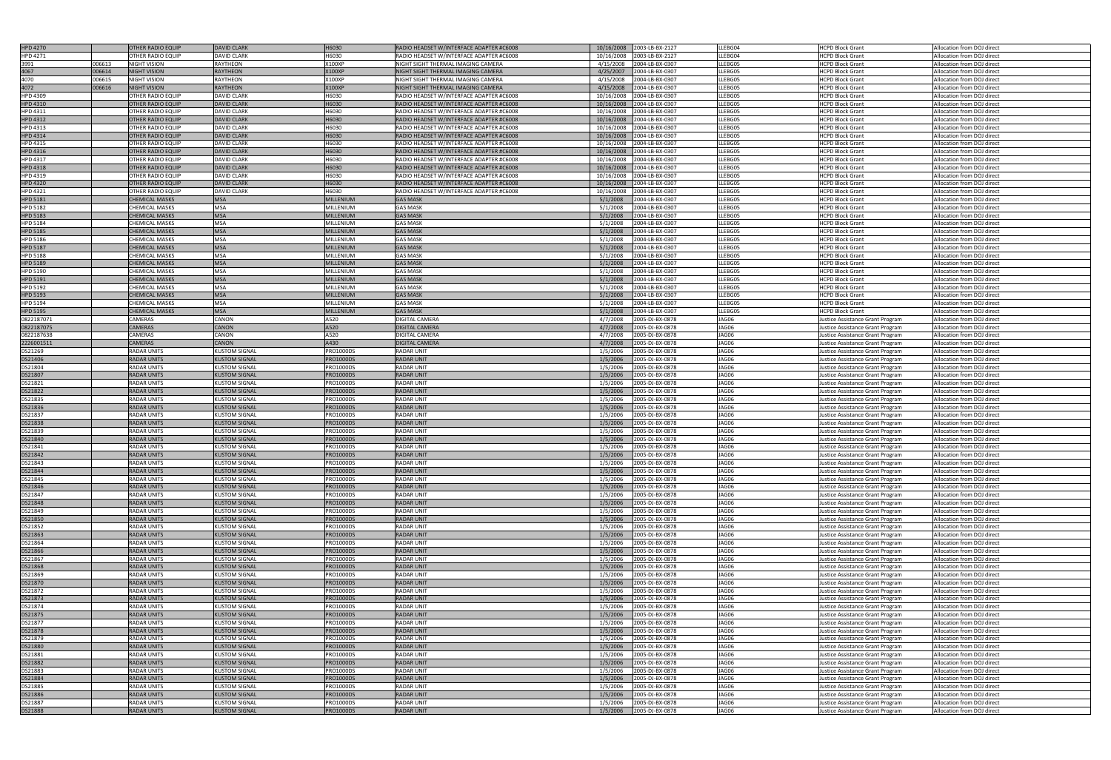| <b>HPD 4270</b>    |        |                                          |                                              |                                      |                                          |                      |                                    |                |                                                                      |                                                          |
|--------------------|--------|------------------------------------------|----------------------------------------------|--------------------------------------|------------------------------------------|----------------------|------------------------------------|----------------|----------------------------------------------------------------------|----------------------------------------------------------|
|                    |        | <b>OTHER RADIO EQUIP</b>                 | <b>DAVID CLARK</b>                           | H6030                                | RADIO HEADSET W/INTERFACE ADAPTER #C6008 |                      | 10/16/2008 2003-LB-BX-2127         | LLEBG04        | <b>HCPD Block Grant</b>                                              | Allocation from DOJ direct                               |
| HPD 4271           |        | <b>OTHER RADIO EQUIP</b>                 | <b>DAVID CLARK</b>                           | H6030                                | RADIO HEADSET W/INTERFACE ADAPTER #C6008 | 10/16/2008           | 2003-LB-BX-2127                    | LLEBG04        | <b>HCPD Block Grant</b>                                              | Allocation from DOJ direct                               |
| 3991               | 006613 | <b>NIGHT VISION</b>                      | RAYTHEON                                     | X100XP                               | NIGHT SIGHT THERMAL IMAGING CAMERA       | 4/15/2008            | 2004-LB-BX-0307                    | LLEBG05        | <b>HCPD Block Grant</b>                                              | Allocation from DOJ direct                               |
| 4067               | 006614 | <b>NIGHT VISION</b>                      | <b>RAYTHEON</b>                              | <b>X100XP</b>                        | NIGHT SIGHT THERMAL IMAGING CAMERA       | 4/25/2007            | 2004-LB-BX-0307                    | LLEBG05        |                                                                      |                                                          |
|                    |        |                                          |                                              |                                      |                                          |                      |                                    |                | <b>HCPD Block Grant</b>                                              | Allocation from DOJ direct                               |
| 4070               | 006615 | <b>NIGHT VISION</b>                      | RAYTHEON                                     | X100XP                               | NIGHT SIGHT THERMAL IMAGING CAMERA       | 4/15/2008            | 2004-LB-BX-0307                    | LLEBG05        | <b>HCPD Block Grant</b>                                              | Allocation from DOJ direct                               |
| 4072               | 006616 | <b>NIGHT VISION</b>                      | <b>RAYTHEON</b>                              | <b>X100XP</b>                        | NIGHT SIGHT THERMAL IMAGING CAMERA       | 4/15/2008            | 2004-LB-BX-0307                    | LLEBG05        | <b>HCPD Block Grant</b>                                              | Allocation from DOJ direct                               |
| <b>HPD 4309</b>    |        | OTHER RADIO EQUIP                        | <b>DAVID CLARK</b>                           | H6030                                | RADIO HEADSET W/INTERFACE ADAPTER #C6008 | 10/16/2008           | 2004-LB-BX-0307                    | LLEBG05        | <b>HCPD Block Grant</b>                                              | Allocation from DOJ direct                               |
|                    |        |                                          |                                              |                                      |                                          |                      |                                    |                |                                                                      |                                                          |
| <b>HPD 4310</b>    |        | <b>OTHER RADIO EQUIP</b>                 | <b>DAVID CLARK</b>                           | H6030                                | RADIO HEADSET W/INTERFACE ADAPTER #C6008 | 10/16/2008           | 2004-LB-BX-0307                    | LLEBG05        | <b>HCPD Block Grant</b>                                              | Allocation from DOJ direct                               |
| HPD 4311           |        | <b>OTHER RADIO EQUIP</b>                 | <b>DAVID CLARK</b>                           | H6030                                | RADIO HEADSET W/INTERFACE ADAPTER #C6008 | 10/16/2008           | 2004-LB-BX-0307                    | LLEBG05        | <b>HCPD Block Grant</b>                                              | Allocation from DOJ direct                               |
| <b>HPD 4312</b>    |        | <b>OTHER RADIO EQUIP</b>                 | <b>DAVID CLARK</b>                           | H6030                                |                                          | 10/16/2008           | 2004-LB-BX-0307                    | LLEBG05        | <b>HCPD Block Grant</b>                                              | Allocation from DOJ direct                               |
|                    |        |                                          |                                              |                                      | RADIO HEADSET W/INTERFACE ADAPTER #C6008 |                      |                                    |                |                                                                      |                                                          |
| <b>HPD 4313</b>    |        | <b>OTHER RADIO EQUIP</b>                 | <b>DAVID CLARK</b>                           | H6030                                | RADIO HEADSET W/INTERFACE ADAPTER #C6008 | 10/16/2008           | 2004-LB-BX-0307                    | LLEBG05        | <b>HCPD Block Grant</b>                                              | Allocation from DOJ direct                               |
| <b>HPD 4314</b>    |        | <b>OTHER RADIO EQUIP</b>                 | <b>DAVID CLARK</b>                           | H6030                                | RADIO HEADSET W/INTERFACE ADAPTER #C6008 | 10/16/2008           | 2004-LB-BX-0307                    | LLEBG05        | <b>HCPD Block Grant</b>                                              | Allocation from DOJ direct                               |
|                    |        |                                          |                                              | H6030                                |                                          |                      |                                    | LLEBG05        |                                                                      |                                                          |
| HPD 4315           |        | <b>OTHER RADIO EQUIP</b>                 | <b>DAVID CLARK</b>                           |                                      | RADIO HEADSET W/INTERFACE ADAPTER #C6008 | 10/16/2008           | 2004-LB-BX-0307                    |                | <b>HCPD Block Grant</b>                                              | Allocation from DOJ direct                               |
| <b>HPD 4316</b>    |        | <b>OTHER RADIO EQUIP</b>                 | <b>DAVID CLARK</b>                           | H6030                                | RADIO HEADSET W/INTERFACE ADAPTER #C6008 | 10/16/2008           | 2004-LB-BX-0307                    | LLEBG05        | <b>HCPD Block Grant</b>                                              | Allocation from DOJ direct                               |
| <b>HPD 4317</b>    |        | <b>OTHER RADIO EQUIP</b>                 | <b>DAVID CLARK</b>                           | H6030                                | RADIO HEADSET W/INTERFACE ADAPTER #C6008 | 10/16/2008           | 2004-LB-BX-0307                    | LLEBG05        | <b>HCPD Block Grant</b>                                              | Allocation from DOJ direct                               |
|                    |        |                                          | <b>DAVID CLARK</b>                           | H6030                                |                                          |                      | 2004-LB-BX-0307                    | LLEBG05        | <b>HCPD Block Grant</b>                                              |                                                          |
| <b>HPD 4318</b>    |        | <b>OTHER RADIO EQUIP</b>                 |                                              |                                      | RADIO HEADSET W/INTERFACE ADAPTER #C6008 | 10/16/2008           |                                    |                |                                                                      | Allocation from DOJ direct                               |
| HPD 4319           |        | <b>OTHER RADIO EQUIP</b>                 | <b>DAVID CLARK</b>                           | H6030                                | RADIO HEADSET W/INTERFACE ADAPTER #C6008 | 10/16/2008           | 2004-LB-BX-0307                    | LLEBG05        | <b>HCPD Block Grant</b>                                              | Allocation from DOJ direct                               |
| <b>HPD 4320</b>    |        | <b>OTHER RADIO EQUIP</b>                 | <b>DAVID CLARK</b>                           | H6030                                | RADIO HEADSET W/INTERFACE ADAPTER #C6008 | 10/16/2008           | 2004-LB-BX-0307                    | LLEBG05        | <b>HCPD Block Grant</b>                                              | Allocation from DOJ direct                               |
|                    |        |                                          |                                              | H6030                                |                                          |                      |                                    | LLEBG05        |                                                                      |                                                          |
| <b>HPD 4321</b>    |        | <b>OTHER RADIO EQUIP</b>                 | <b>DAVID CLARK</b>                           |                                      | RADIO HEADSET W/INTERFACE ADAPTER #C6008 | 10/16/2008           | 2004-LB-BX-0307                    |                | <b>HCPD Block Grant</b>                                              | Allocation from DOJ direct                               |
| <b>HPD 5181</b>    |        | <b>CHEMICAL MASKS</b>                    | <b>MSA</b>                                   | <b>MILLENIUM</b>                     | <b>GAS MASK</b>                          | 5/1/2008             | 2004-LB-BX-0307                    | LLEBG05        | <b>HCPD Block Grant</b>                                              | Allocation from DOJ direct                               |
| HPD 5182           |        | <b>CHEMICAL MASKS</b>                    | <b>MSA</b>                                   | MILLENIUM                            | <b>GAS MASK</b>                          | 5/1/2008             | 2004-LB-BX-0307                    | LLEBG05        | <b>HCPD Block Grant</b>                                              | Allocation from DOJ direct                               |
|                    |        | <b>CHEMICAL MASKS</b>                    | <b>MSA</b>                                   | <b>MILLENIUM</b>                     | <b>GAS MASK</b>                          |                      |                                    | LLEBG05        |                                                                      |                                                          |
| <b>HPD 5183</b>    |        |                                          |                                              |                                      |                                          | 5/1/2008             | 2004-LB-BX-0307                    |                | <b>HCPD Block Grant</b>                                              | Allocation from DOJ direct                               |
| <b>HPD 5184</b>    |        | <b>CHEMICAL MASKS</b>                    | <b>MSA</b>                                   | MILLENIUM                            | <b>GAS MASK</b>                          | 5/1/2008             | 2004-LB-BX-0307                    | LLEBG05        | <b>HCPD Block Grant</b>                                              | Allocation from DOJ direct                               |
| <b>HPD 5185</b>    |        | <b>CHEMICAL MASKS</b>                    | <b>MSA</b>                                   | MILLENIUM                            | <b>GAS MASK</b>                          | 5/1/2008             | 2004-LB-BX-0307                    | LLEBG05        | <b>HCPD Block Grant</b>                                              | Allocation from DOJ direct                               |
|                    |        |                                          |                                              |                                      |                                          |                      |                                    |                |                                                                      |                                                          |
| <b>HPD 5186</b>    |        | <b>CHEMICAL MASKS</b>                    | <b>MSA</b>                                   | MILLENIUM                            | <b>GAS MASK</b>                          | 5/1/2008             | 2004-LB-BX-0307                    | LLEBG05        | <b>HCPD Block Grant</b>                                              | Allocation from DOJ direct                               |
| <b>HPD 5187</b>    |        | <b>CHEMICAL MASKS</b>                    | <b>MSA</b>                                   | <b>MILLENIUM</b>                     | <b>GAS MASK</b>                          | 5/1/2008             | 2004-LB-BX-0307                    | LLEBG05        | <b>HCPD Block Grant</b>                                              | Allocation from DOJ direct                               |
| HPD 5188           |        | <b>CHEMICAL MASKS</b>                    | <b>MSA</b>                                   | MILLENIUM                            | <b>GAS MASK</b>                          | 5/1/2008             | 2004-LB-BX-0307                    | LLEBG05        | <b>HCPD Block Grant</b>                                              | Allocation from DOJ direct                               |
|                    |        |                                          |                                              |                                      |                                          |                      |                                    |                |                                                                      |                                                          |
| <b>HPD 5189</b>    |        | <b>CHEMICAL MASKS</b>                    | <b>MSA</b>                                   | <b>MILLENIUM</b>                     | <b>GAS MASK</b>                          | 5/1/2008             | 2004-LB-BX-0307                    | LLEBG05        | <b>HCPD Block Grant</b>                                              | Allocation from DOJ direct                               |
| HPD 5190           |        | <b>CHEMICAL MASKS</b>                    | <b>MSA</b>                                   | MILLENIUM                            | <b>GAS MASK</b>                          | 5/1/2008             | 2004-LB-BX-0307                    | LLEBG05        | <b>HCPD Block Grant</b>                                              | Allocation from DOJ direct                               |
|                    |        |                                          |                                              |                                      |                                          |                      |                                    |                |                                                                      |                                                          |
| <b>HPD 5191</b>    |        | <b>CHEMICAL MASKS</b>                    | <b>MSA</b>                                   | <b>MILLENIUM</b>                     | <b>GAS MASK</b>                          | 5/1/2008             | 2004-LB-BX-0307                    | LLEBG05        | <b>HCPD Block Grant</b>                                              | Allocation from DOJ direct                               |
| <b>HPD 5192</b>    |        | <b>CHEMICAL MASKS</b>                    | <b>MSA</b>                                   | MILLENIUM                            | <b>GAS MASK</b>                          | 5/1/2008             | 2004-LB-BX-0307                    | LLEBG05        | <b>HCPD Block Grant</b>                                              | Allocation from DOJ direct                               |
| <b>HPD 5193</b>    |        | <b>CHEMICAL MASKS</b>                    | <b>MSA</b>                                   | <b>MILLENIUM</b>                     | <b>GAS MASK</b>                          | 5/1/2008             | 2004-LB-BX-0307                    | LLEBG05        | <b>HCPD Block Grant</b>                                              | Allocation from DOJ direct                               |
|                    |        |                                          |                                              |                                      |                                          |                      |                                    |                |                                                                      |                                                          |
| <b>HPD 5194</b>    |        | <b>CHEMICAL MASKS</b>                    | <b>MSA</b>                                   | MILLENIUM                            | <b>GAS MASK</b>                          | 5/1/2008             | 2004-LB-BX-0307                    | LLEBG05        | <b>HCPD Block Grant</b>                                              | Allocation from DOJ direct                               |
| <b>HPD 5195</b>    |        | <b>CHEMICAL MASKS</b>                    | <b>MSA</b>                                   | <b>MILLENIUM</b>                     | <b>GAS MASK</b>                          | 5/1/2008             | 2004-LB-BX-0307                    | LLEBG05        | <b>HCPD Block Grant</b>                                              | Allocation from DOJ direct                               |
| 0822187071         |        | CAMERAS                                  | CANON                                        | A520                                 | DIGITAL CAMERA                           | 4/7/2008             | 2005-DJ-BX-0878                    | JAG06          | Justice Assistance Grant Program                                     | Allocation from DOJ direct                               |
|                    |        |                                          |                                              |                                      |                                          |                      |                                    |                |                                                                      |                                                          |
| 0822187075         |        | <b>CAMERAS</b>                           | <b>CANON</b>                                 | A520                                 | <b>DIGITAL CAMERA</b>                    | 4/7/2008             | 2005-DJ-BX-0878                    | JAG06          | Justice Assistance Grant Program                                     | Allocation from DOJ direct                               |
| 0822187638         |        | CAMERAS                                  | CANON                                        | A520                                 | DIGITAL CAMERA                           | 4/7/2008             | 2005-DJ-BX-0878                    | JAG06          | Justice Assistance Grant Program                                     | Allocation from DOJ direct                               |
| 2226001511         |        | <b>CAMERAS</b>                           | <b>CANON</b>                                 | A430                                 | <b>DIGITAL CAMERA</b>                    | 4/7/2008             | 2005-DJ-BX-0878                    | JAG06          | Justice Assistance Grant Program                                     | Allocation from DOJ direct                               |
|                    |        |                                          |                                              |                                      |                                          |                      |                                    |                |                                                                      |                                                          |
| DS21269            |        | <b>RADAR UNITS</b>                       | KUSTOM SIGNAL                                | <b>PRO1000DS</b>                     | <b>RADAR UNIT</b>                        | 1/5/2006             | 2005-DJ-BX-0878                    | JAG06          | Justice Assistance Grant Program                                     | Allocation from DOJ direct                               |
| DS21406            |        | <b>RADAR UNITS</b>                       | KUSTOM SIGNAL                                | <b>PRO1000DS</b>                     | <b>RADAR UNIT</b>                        | 1/5/2006             | 2005-DJ-BX-0878                    | JAG06          | Justice Assistance Grant Program                                     | Allocation from DOJ direct                               |
| DS21804            |        | <b>RADAR UNITS</b>                       | <b>KUSTOM SIGNAL</b>                         | PRO1000DS                            | <b>RADAR UNIT</b>                        | 1/5/2006             | 2005-DJ-BX-0878                    | JAG06          |                                                                      | Allocation from DOJ direct                               |
|                    |        |                                          |                                              |                                      |                                          |                      |                                    |                | Justice Assistance Grant Program                                     |                                                          |
| DS21807            |        | <b>RADAR UNITS</b>                       | <b>KUSTOM SIGNAL</b>                         | PRO1000DS                            | <b>RADAR UNIT</b>                        | 1/5/2006             | 2005-DJ-BX-0878                    | JAG06          | Justice Assistance Grant Program                                     | Allocation from DOJ direct                               |
| DS21821            |        | <b>RADAR UNITS</b>                       | KUSTOM SIGNAL                                | PRO1000DS                            | <b>RADAR UNIT</b>                        | 1/5/2006             | 2005-DJ-BX-0878                    | JAG06          | Justice Assistance Grant Program                                     | Allocation from DOJ direct                               |
|                    |        |                                          |                                              |                                      |                                          |                      |                                    |                |                                                                      |                                                          |
| <b>DS21822</b>     |        | <b>RADAR UNITS</b>                       | <b>KUSTOM SIGNAL</b>                         | <b>PRO1000DS</b>                     | <b>RADAR UNIT</b>                        | 1/5/2006             | 2005-DJ-BX-0878                    | JAG06          | Justice Assistance Grant Program                                     | Allocation from DOJ direct                               |
| DS21835            |        | <b>RADAR UNITS</b>                       | <b>KUSTOM SIGNAL</b>                         | PRO1000DS                            | <b>RADAR UNIT</b>                        | 1/5/2006             | 2005-DJ-BX-0878                    | JAG06          | Justice Assistance Grant Program                                     | Allocation from DOJ direct                               |
|                    |        | RADAR UNITS                              |                                              |                                      |                                          |                      |                                    |                |                                                                      |                                                          |
| DS21836            |        |                                          | KUSTOM SIGNAL                                | PRO1000DS                            | <b>RADAR UNIT</b>                        | 1/5/2006             | 2005-DJ-BX-0878                    | JAG06          | Justice Assistance Grant Program                                     | Allocation from DOJ direct                               |
| DS21837            |        | <b>RADAR UNITS</b>                       |                                              |                                      |                                          |                      |                                    |                |                                                                      |                                                          |
|                    |        |                                          | <b>KUSTOM SIGNAL</b>                         | PRO1000DS                            | <b>RADAR UNIT</b>                        | 1/5/2006             | 2005-DJ-BX-0878                    | JAG06          | Justice Assistance Grant Program                                     | Allocation from DOJ direct                               |
| DS21838            |        | <b>RADAR UNITS</b>                       | <b>KUSTOM SIGNAL</b>                         | <b>PRO1000DS</b>                     | <b>RADAR UNIT</b>                        | 1/5/2006             | 2005-DJ-BX-0878                    | JAG06          |                                                                      | Allocation from DOJ direct                               |
|                    |        |                                          |                                              |                                      |                                          |                      |                                    |                | Justice Assistance Grant Program                                     |                                                          |
| DS21839            |        | <b>RADAR UNITS</b>                       | KUSTOM SIGNAL                                | PRO1000DS                            | RADAR UNIT                               | 1/5/2006             | 2005-DJ-BX-0878                    | JAG06          | Justice Assistance Grant Program                                     | Allocation from DOJ direct                               |
| DS21840            |        | <b>RADAR UNITS</b>                       | <b>KUSTOM SIGNAL</b>                         | <b>PRO1000DS</b>                     | <b>RADAR UNIT</b>                        | 1/5/2006             | 2005-DJ-BX-0878                    | JAG06          | Justice Assistance Grant Program                                     | Allocation from DOJ direct                               |
|                    |        |                                          |                                              |                                      |                                          |                      |                                    |                |                                                                      |                                                          |
| DS21841            |        | <b>RADAR UNITS</b>                       | <b>KUSTOM SIGNAL</b>                         | PRO1000DS                            | <b>RADAR UNIT</b>                        | 1/5/2006             | 2005-DJ-BX-0878                    | JAG06          | Justice Assistance Grant Program                                     | Allocation from DOJ direct                               |
| DS21842            |        | <b>RADAR UNITS</b>                       | <b>KUSTOM SIGNAL</b>                         | <b>PRO1000DS</b>                     | <b>RADAR UNIT</b>                        | 1/5/2006             | 2005-DJ-BX-0878                    | JAG06          | Justice Assistance Grant Program                                     | Allocation from DOJ direct                               |
| DS21843            |        | <b>RADAR UNITS</b>                       | <b>KUSTOM SIGNAL</b>                         | PRO1000DS                            | <b>RADAR UNIT</b>                        | 1/5/2006             | 2005-DJ-BX-0878                    | JAG06          | Justice Assistance Grant Program                                     | Allocation from DOJ direct                               |
|                    |        | <b>RADAR UNITS</b>                       |                                              | <b>PRO1000DS</b>                     | <b>RADAR UNIT</b>                        |                      |                                    | JAG06          |                                                                      |                                                          |
| DS21844            |        |                                          | <b>KUSTOM SIGNAL</b>                         |                                      |                                          | 1/5/2006             | 2005-DJ-BX-0878                    |                | Justice Assistance Grant Program                                     | Allocation from DOJ direct                               |
| DS21845            |        | <b>RADAR UNITS</b>                       | <b>KUSTOM SIGNAL</b>                         | PRO1000DS                            | <b>RADAR UNIT</b>                        | 1/5/2006             | 2005-DJ-BX-0878                    | JAG06          | Justice Assistance Grant Program                                     | Allocation from DOJ direct                               |
| DS21846            |        | <b>RADAR UNITS</b>                       | KUSTOM SIGNAL                                | <b>PRO1000DS</b>                     | <b>RADAR UNIT</b>                        | 1/5/2006             | 2005-DJ-BX-0878                    | JAG06          | Justice Assistance Grant Program                                     | Allocation from DOJ direct                               |
|                    |        |                                          |                                              |                                      |                                          |                      |                                    |                |                                                                      |                                                          |
| DS21847            |        | <b>RADAR UNITS</b>                       | <b>KUSTOM SIGNAL</b>                         | PRO1000DS                            | <b>RADAR UNIT</b>                        | 1/5/2006             | 2005-DJ-BX-0878                    | JAG06          | Justice Assistance Grant Program                                     | Allocation from DOJ direct                               |
| DS21848            |        | <b>RADAR UNITS</b>                       | <b>KUSTOM SIGNAL</b>                         | <b>PRO1000DS</b>                     | <b>RADAR UNIT</b>                        | 1/5/2006             | 2005-DJ-BX-0878                    | JAG06          | Justice Assistance Grant Program                                     | Allocation from DOJ direct                               |
| DS21849            |        | <b>RADAR UNITS</b>                       | <b>KUSTOM SIGNAL</b>                         | PRO1000DS                            | <b>RADAR UNIT</b>                        | 1/5/2006             | 2005-DJ-BX-0878                    | JAG06          | Justice Assistance Grant Program                                     | Allocation from DOJ direct                               |
|                    |        |                                          |                                              |                                      |                                          |                      |                                    |                |                                                                      |                                                          |
| DS21850            |        | <b>RADAR UNITS</b>                       | <b>KUSTOM SIGNAL</b>                         | PRO1000DS                            | <b>RADAR UNIT</b>                        | 1/5/2006             | 2005-DJ-BX-0878                    | JAG06          | Justice Assistance Grant Program                                     | Allocation from DOJ direct                               |
| DS21852            |        | <b>RADAR UNITS</b>                       | <b>KUSTOM SIGNAL</b>                         | <b>PRO1000DS</b>                     | <b>RADAR UNIT</b>                        | 1/5/2006             | 2005-DJ-BX-0878                    | JAG06          | Justice Assistance Grant Program                                     | Allocation from DOJ direct                               |
| DS21863            |        | <b>RADAR UNITS</b>                       | <b>KUSTOM SIGNAL</b>                         | <b>PRO1000DS</b>                     | <b>RADAR UNIT</b>                        | 1/5/2006             | 2005-DJ-BX-0878                    | JAG06          | Justice Assistance Grant Program                                     | Allocation from DOJ direct                               |
|                    |        |                                          |                                              |                                      |                                          |                      |                                    |                |                                                                      |                                                          |
| DS21864            |        | <b>RADAR UNITS</b>                       | KUSTOM SIGNAL                                | PRO1000DS                            | <b>RADAR UNIT</b>                        | 1/5/2006             | 2005-DJ-BX-0878                    | JAG06          | Justice Assistance Grant Program                                     | Allocation from DOJ direct                               |
| DS21866            |        | <b>RADAR UNITS</b>                       | <b>KUSTOM SIGNAL</b>                         | <b>PRO1000DS</b>                     | <b>RADAR UNIT</b>                        | 1/5/2006             | 2005-DJ-BX-0878                    | JAG06          | Justice Assistance Grant Program                                     | Allocation from DOJ direct                               |
|                    |        | <b>RADAR UNITS</b>                       | <b>KUSTOM SIGNAL</b>                         | PRO1000DS                            | <b>RADAR UNIT</b>                        | 1/5/2006             |                                    | JAG06          |                                                                      |                                                          |
| DS21867            |        |                                          |                                              |                                      |                                          |                      | 2005-DJ-BX-0878                    |                | Justice Assistance Grant Program                                     | Allocation from DOJ direct                               |
| DS21868            |        | <b>RADAR UNITS</b>                       | <b>KUSTOM SIGNAL</b>                         | <b>PRO1000DS</b>                     | <b>RADAR UNIT</b>                        | 1/5/2006             | 2005-DJ-BX-0878                    | JAG06          | Justice Assistance Grant Program                                     | Allocation from DOJ direct                               |
| DS21869            |        | <b>RADAR UNITS</b>                       | <b>KUSTOM SIGNAL</b>                         | PRO1000DS                            | <b>RADAR UNIT</b>                        | 1/5/2006             | 2005-DJ-BX-0878                    | JAG06          | Justice Assistance Grant Program                                     | Allocation from DOJ direct                               |
|                    |        |                                          |                                              |                                      |                                          |                      |                                    |                |                                                                      |                                                          |
| DS21870            |        | <b>RADAR UNITS</b>                       | <b>KUSTOM SIGNAL</b>                         | <b>PRO1000DS</b>                     | <b>RADAR UNIT</b>                        | 1/5/2006             | 2005-DJ-BX-0878                    | JAG06          | Justice Assistance Grant Program                                     | Allocation from DOJ direct                               |
| DS21872            |        | <b>RADAR UNITS</b>                       | <b>KUSTOM SIGNAL</b>                         | PRO1000DS                            | <b>RADAR UNIT</b>                        | 1/5/2006             | 2005-DJ-BX-0878                    | JAG06          | Justice Assistance Grant Program                                     | Allocation from DOJ direct                               |
| DS21873            |        | <b>RADAR UNITS</b>                       | <b>KUSTOM SIGNAL</b>                         | PRO1000DS                            | <b>RADAR UNIT</b>                        | 1/5/2006             | 2005-DJ-BX-0878                    | JAG06          | Justice Assistance Grant Program                                     | Allocation from DOJ direct                               |
|                    |        |                                          |                                              |                                      |                                          |                      |                                    |                |                                                                      |                                                          |
| DS21874            |        | <b>RADAR UNITS</b>                       | <b>KUSTOM SIGNAL</b>                         | PRO1000DS                            | <b>RADAR UNIT</b>                        | 1/5/2006             | 2005-DJ-BX-0878                    | JAG06          | Justice Assistance Grant Program                                     | Allocation from DOJ direct                               |
| DS21875            |        | <b>RADAR UNITS</b>                       | <b>KUSTOM SIGNAL</b>                         | <b>PRO1000DS</b>                     | <b>RADAR UNIT</b>                        | 1/5/2006             | 2005-DJ-BX-0878                    | JAG06          | Justice Assistance Grant Program                                     | Allocation from DOJ direct                               |
| DS21877            |        | <b>RADAR UNITS</b>                       | <b>KUSTOM SIGNAL</b>                         | PRO1000DS                            | <b>RADAR UNIT</b>                        | 1/5/2006             | 2005-DJ-BX-0878                    | JAG06          | Justice Assistance Grant Program                                     | Allocation from DOJ direct                               |
|                    |        |                                          |                                              |                                      |                                          |                      |                                    |                |                                                                      |                                                          |
| <b>DS21878</b>     |        | <b>RADAR UNITS</b>                       | <b>KUSTOM SIGNAL</b>                         | PRO1000DS                            | <b>RADAR UNIT</b>                        | 1/5/2006             | 2005-DJ-BX-0878                    | JAG06          | Justice Assistance Grant Program                                     | Allocation from DOJ direct                               |
| DS21879            |        | <b>RADAR UNITS</b>                       | <b>KUSTOM SIGNAL</b>                         | PRO1000DS                            | <b>RADAR UNIT</b>                        | 1/5/2006             | 2005-DJ-BX-0878                    | JAG06          | Justice Assistance Grant Program                                     | Allocation from DOJ direct                               |
| DS21880            |        | <b>RADAR UNITS</b>                       | <b>KUSTOM SIGNAL</b>                         | PRO1000DS                            | <b>RADAR UNIT</b>                        | 1/5/2006             | 2005-DJ-BX-0878                    | JAG06          | Justice Assistance Grant Program                                     | Allocation from DOJ direct                               |
|                    |        |                                          |                                              |                                      |                                          |                      |                                    |                |                                                                      |                                                          |
| DS21881            |        | <b>RADAR UNITS</b>                       | <b>KUSTOM SIGNAL</b>                         | PRO1000DS                            | <b>RADAR UNIT</b>                        | 1/5/2006             | 2005-DJ-BX-0878                    | JAG06          | Justice Assistance Grant Program                                     | Allocation from DOJ direct                               |
| DS21882            |        | <b>RADAR UNITS</b>                       | <b>KUSTOM SIGNAL</b>                         | <b>PRO1000DS</b>                     | <b>RADAR UNIT</b>                        | 1/5/2006             | 2005-DJ-BX-0878                    | JAG06          | Justice Assistance Grant Program                                     | Allocation from DOJ direct                               |
| DS21883            |        | <b>RADAR UNITS</b>                       | KUSTOM SIGNAL                                | <b>PRO1000DS</b>                     | <b>RADAR UNIT</b>                        | 1/5/2006             | 2005-DJ-BX-0878                    | JAG06          | Justice Assistance Grant Program                                     | Allocation from DOJ direct                               |
|                    |        |                                          |                                              |                                      |                                          |                      |                                    |                |                                                                      |                                                          |
| DS21884            |        | <b>RADAR UNITS</b>                       | <b>KUSTOM SIGNAL</b>                         | <b>PRO1000DS</b>                     | <b>RADAR UNIT</b>                        | 1/5/2006             | 2005-DJ-BX-0878                    | JAG06          | Justice Assistance Grant Program                                     | Allocation from DOJ direct                               |
| DS21885            |        | <b>RADAR UNITS</b>                       | KUSTOM SIGNAL                                | PRO1000DS                            | <b>RADAR UNIT</b>                        | 1/5/2006             | 2005-DJ-BX-0878                    | JAG06          | Justice Assistance Grant Program                                     | Allocation from DOJ direct                               |
|                    |        | <b>RADAR UNITS</b>                       | <b>KUSTOM SIGNAL</b>                         | <b>PRO1000DS</b>                     | <b>RADAR UNIT</b>                        | 1/5/2006             | 2005-DJ-BX-0878                    | JAG06          |                                                                      | Allocation from DOJ direct                               |
| DS21886            |        |                                          |                                              |                                      |                                          |                      |                                    |                | Justice Assistance Grant Program                                     |                                                          |
| DS21887<br>DS21888 |        | <b>RADAR UNITS</b><br><b>RADAR UNITS</b> | <b>KUSTOM SIGNAL</b><br><b>KUSTOM SIGNAL</b> | <b>PRO1000DS</b><br><b>PRO1000DS</b> | <b>RADAR UNIT</b><br><b>RADAR UNIT</b>   | 1/5/2006<br>1/5/2006 | 2005-DJ-BX-0878<br>2005-DJ-BX-0878 | JAG06<br>JAG06 | Justice Assistance Grant Program<br>Justice Assistance Grant Program | Allocation from DOJ direct<br>Allocation from DOJ direct |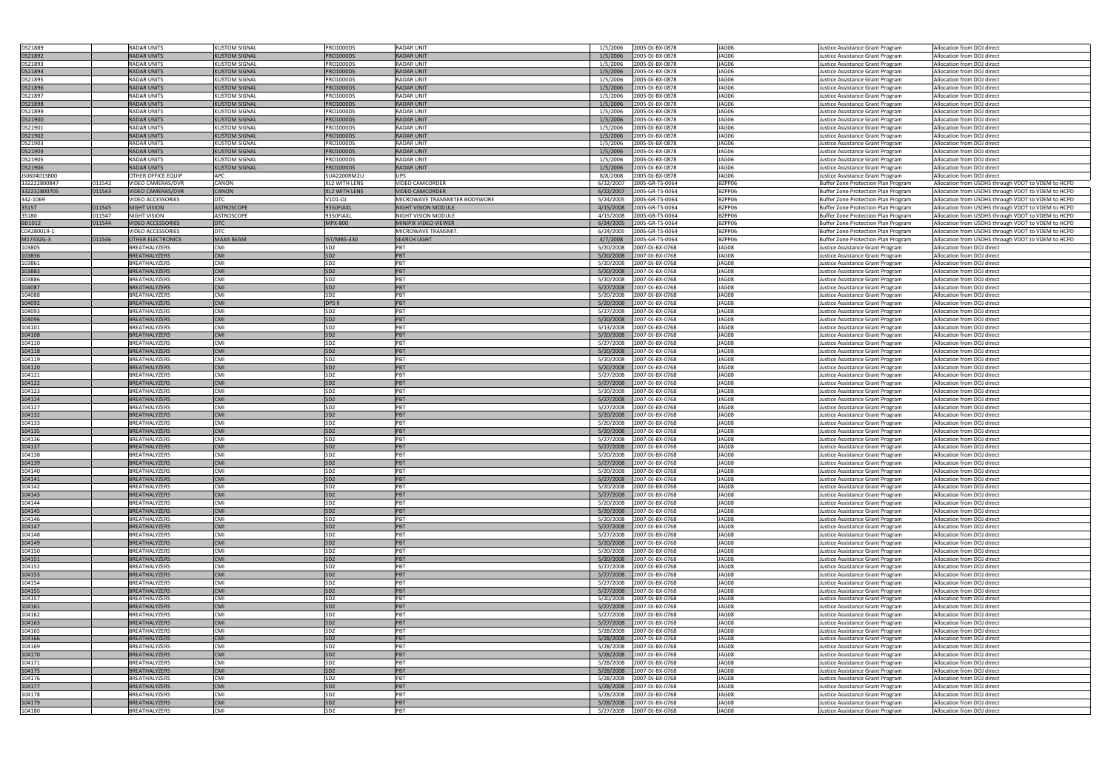| DS21889                  |        | <b>RADAR UNITS</b>                                   | <b>KUSTOM SIGNAL</b>                         | PRO1000DS                          | <b>RADAR UNIT</b>                                       | 1/5/2006               | 2005-DJ-BX-0878                    | JAG06            | Justice Assistance Grant Program                                           | Allocation from DOJ direct                                                                               |
|--------------------------|--------|------------------------------------------------------|----------------------------------------------|------------------------------------|---------------------------------------------------------|------------------------|------------------------------------|------------------|----------------------------------------------------------------------------|----------------------------------------------------------------------------------------------------------|
| DS21892                  |        | RADAR UNITS                                          | <b>KUSTOM SIGNAL</b>                         | RO1000DS                           | <b>RADAR UNIT</b>                                       | 1/5/2006               | 2005-DJ-BX-0878                    | JAG06            | Justice Assistance Grant Program                                           | Allocation from DOJ direct                                                                               |
| DS21893                  |        | <b>RADAR UNITS</b>                                   | <b>KUSTOM SIGNAL</b>                         | PRO1000DS                          | <b>RADAR UNIT</b>                                       | 1/5/2006               | 2005-DJ-BX-0878                    | JAG06            | Justice Assistance Grant Program                                           | Allocation from DOJ direct                                                                               |
| DS21894                  |        | <b>RADAR UNITS</b>                                   | <b>KUSTOM SIGNAL</b>                         | PRO1000DS                          | <b>RADAR UNIT</b>                                       | 1/5/2006               | 2005-DJ-BX-0878                    | JAG06            | Justice Assistance Grant Program                                           | Allocation from DOJ direct                                                                               |
| DS21895                  |        | <b>RADAR UNITS</b>                                   | <b>KUSTOM SIGNAL</b>                         | PRO1000DS                          | <b>RADAR UNIT</b>                                       | 1/5/2006               | 2005-DJ-BX-0878                    | JAG06            | Justice Assistance Grant Program                                           | Allocation from DOJ direct                                                                               |
| DS21896                  |        | <b>RADAR UNITS</b>                                   | <b>KUSTOM SIGNAL</b>                         | PRO1000DS                          | <b>RADAR UNIT</b>                                       | 1/5/2006               | 2005-DJ-BX-0878                    | JAG06            | Justice Assistance Grant Program                                           | Allocation from DOJ direct                                                                               |
|                          |        | RADAR UNITS                                          | <b>KUSTOM SIGNAL</b>                         | PRO1000DS                          | <b>RADAR UNIT</b>                                       | 1/5/2006               | 2005-DJ-BX-0878                    | JAG06            |                                                                            | Allocation from DOJ direct                                                                               |
| DS21897<br>DS21898       |        | <b>RADAR UNITS</b>                                   | <b>KUSTOM SIGNAL</b>                         | PRO1000DS                          | <b>RADAR UNIT</b>                                       | 1/5/2006               | 2005-DJ-BX-0878                    | JAG06            | Justice Assistance Grant Program                                           | Allocation from DOJ direct                                                                               |
| DS21899                  |        | <b>RADAR UNITS</b>                                   | <b>KUSTOM SIGNAL</b>                         | PRO1000DS                          | <b>RADAR UNIT</b>                                       | 1/5/2006               | 2005-DJ-BX-0878                    | JAG06            | Justice Assistance Grant Program                                           |                                                                                                          |
| DS21900                  |        | <b>RADAR UNITS</b>                                   | <b>KUSTOM SIGNAL</b>                         | PRO1000DS                          | <b>RADAR UNIT</b>                                       | 1/5/2006               | 2005-DJ-BX-0878                    | JAG06            | Justice Assistance Grant Program                                           | Allocation from DOJ direct<br>Allocation from DOJ direct                                                 |
|                          |        | <b>RADAR UNITS</b>                                   |                                              |                                    |                                                         |                        |                                    | JAG06            | Justice Assistance Grant Program                                           | Allocation from DOJ direct                                                                               |
| DS21901                  |        | <b>RADAR UNITS</b>                                   | <b>KUSTOM SIGNAL</b>                         | PRO1000DS                          | <b>RADAR UNIT</b>                                       | 1/5/2006               | 2005-DJ-BX-0878                    | JAG06            | Justice Assistance Grant Program                                           |                                                                                                          |
| DS21902                  |        |                                                      | <b>KUSTOM SIGNAL</b>                         | PRO1000DS                          | <b>RADAR UNIT</b>                                       | 1/5/2006               | 2005-DJ-BX-0878                    |                  | Justice Assistance Grant Program                                           | Allocation from DOJ direct                                                                               |
| DS21903<br>DS21904       |        | RADAR UNITS<br><b>RADAR UNITS</b>                    | <b>KUSTOM SIGNAL</b><br><b>KUSTOM SIGNAL</b> | PRO1000DS<br><b>PRO1000DS</b>      | RADAR UNIT<br><b>RADAR UNIT</b>                         | 1/5/2006               | 2005-DJ-BX-0878<br>2005-DJ-BX-0878 | JAG06<br>JAG06   | Justice Assistance Grant Program                                           | Allocation from DOJ direct                                                                               |
|                          |        | <b>RADAR UNITS</b>                                   |                                              |                                    |                                                         | 1/5/2006               |                                    | JAG06            | Justice Assistance Grant Program                                           | Allocation from DOJ direct                                                                               |
| DS21905                  |        |                                                      | <b>KUSTOM SIGNAL</b>                         | PRO1000DS                          | <b>RADAR UNIT</b>                                       | 1/5/2006               | 2005-DJ-BX-0878                    |                  | Justice Assistance Grant Program                                           | Allocation from DOJ direct                                                                               |
| DS21906                  |        | RADAR UNITS                                          | <b>KUSTOM SIGNAL</b>                         | PRO1000DS                          | <b>RADAR UNIT</b>                                       | 1/5/2006               | 2005-DJ-BX-0878                    | JAG06            | Justice Assistance Grant Program                                           | Allocation from DOJ direct                                                                               |
| JS0604013800             |        | OTHER OFFICE EQUIP                                   | APC                                          | SUA2200RM2U                        | UPS                                                     | 8/8/2008               | 2005-DJ-BX-0878                    | JAG06            | Justice Assistance Grant Program                                           | Allocation from DOJ direct                                                                               |
| 332222800847             | 011542 | VIDEO CAMERAS/DVR                                    | <b>CANON</b>                                 | <b>XL2 WITH LENS</b>               | VIDEO CAMCORDER                                         | 6/22/2007              | 2005-GR-T5-0064                    | BZPP06           | Buffer Zone Protection Plan Program                                        | Allocation from USDHS through VDOT to VDEM to HCPD                                                       |
| 332232800705<br>342-1069 | 011543 | <b>VIDEO CAMERAS/DVR</b><br><b>VIDEO ACCESSORIES</b> | <b>CANON</b><br><b>DTC</b>                   | <b>XL2 WITH LENS</b><br>$V1D1-DJ$  | <b>VIDEO CAMCORDER</b><br>MICROWAVE TRANSMITER BODYWORE | 6/22/2007<br>5/24/2005 | 2005-GR-T5-0064                    | BZPP06<br>BZPP06 | Buffer Zone Protection Plan Program                                        | Allocation from USDHS through VDOT to VDEM to HCPD                                                       |
| 35157                    | 011545 | <b>NIGHT VISION</b>                                  | <b>ASTROSCOPE</b>                            | 9350FIAXL                          | NIGHT VISION MODULE                                     | 4/15/2008              | 2005-GR-T5-0064<br>2005-GR-T5-0064 | BZPP06           | Buffer Zone Protection Plan Program<br>Buffer Zone Protection Plan Program | Allocation from USDHS through VDOT to VDEM to HCPD                                                       |
| 35180                    | 011547 | <b>NIGHT VISION</b>                                  | <b>ASTROSCOPE</b>                            | 9350FIAXL                          | NIGHT VISION MODULE                                     | 4/15/2008              | 2005-GR-T5-0064                    | BZPP06           |                                                                            | Allocation from USDHS through VDOT to VDEM to HCPD                                                       |
| BD1012                   |        |                                                      | DTC                                          | <b>MPX-800</b>                     | MINIPIX VIDEO VIEWER                                    |                        | 2005-GR-T5-0064                    | BZPP06           | Buffer Zone Protection Plan Program                                        | Allocation from USDHS through VDOT to VDEM to HCPD                                                       |
|                          | 011544 | <b>VIDEO ACCESSORIES</b><br><b>VIDEO ACCESSORIES</b> |                                              |                                    | <b>MICROWAVE TRANSMIT.</b>                              | 6/24/2005              |                                    |                  | Buffer Zone Protection Plan Program                                        | Allocation from USDHS through VDOT to VDEM to HCPD                                                       |
| C04280019-1<br>M17432G-3 | 011546 |                                                      | <b>DTC</b><br>MAXA BEAM                      | IST/MBS-430                        | <b>SEARCH LIGHT</b>                                     | 6/24/2005<br>4/7/2008  | 2005-GR-T5-0064<br>2005-GR-T5-0064 | BZPP06<br>BZPP06 | Buffer Zone Protection Plan Program                                        | Allocation from USDHS through VDOT to VDEM to HCPD<br>Allocation from USDHS through VDOT to VDEM to HCPD |
| 103805                   |        | <b>OTHER ELECTRONICS</b><br>BREATHALYZERS            | <b>CMI</b>                                   | SD <sub>2</sub>                    | PBT                                                     | 5/20/2008              |                                    | JAG08            | Buffer Zone Protection Plan Program<br>Justice Assistance Grant Program    |                                                                                                          |
|                          |        |                                                      |                                              |                                    |                                                         |                        | 2007-DJ-BX-0768                    |                  |                                                                            | Allocation from DOJ direct                                                                               |
| 103836                   |        | <b>BREATHALYZERS</b>                                 | <b>CMI</b>                                   | SD <sub>2</sub><br>SD <sub>2</sub> | PBT<br>PBT                                              | 5/20/2008              | 2007-DJ-BX-0768                    | JAG08            | Justice Assistance Grant Program                                           | Allocation from DOJ direct                                                                               |
| 103861                   |        | <b>BREATHALYZERS</b>                                 | <b>CMI</b>                                   |                                    |                                                         | 5/20/2008              | 2007-DJ-BX-0768                    | JAG08            | Justice Assistance Grant Program                                           | Allocation from DOJ direct                                                                               |
| 103883                   |        | <b>BREATHALYZERS</b>                                 | <b>CMI</b>                                   | SD <sub>2</sub>                    | PBT                                                     | 5/20/2008              | 2007-DJ-BX-0768                    | JAG08            | Justice Assistance Grant Program                                           | Allocation from DOJ direct                                                                               |
| 103886                   |        | BREATHALYZERS                                        | <b>CMI</b>                                   | SD <sub>2</sub>                    | PBT                                                     | 5/20/2008              | 2007-DJ-BX-0768                    | JAG08            | Justice Assistance Grant Program                                           | Allocation from DOJ direct                                                                               |
| 104087                   |        | <b>BREATHALYZERS</b>                                 | <b>CMI</b><br><b>CMI</b>                     | SD <sub>2</sub>                    | PBT<br>PBT                                              | 5/27/2008              | 2007-DJ-BX-0768                    | JAG08            | Justice Assistance Grant Program                                           | Allocation from DOJ direct                                                                               |
| 104088                   |        | BREATHALYZERS                                        |                                              | SD <sub>2</sub>                    |                                                         | 5/20/2008              | 2007-DJ-BX-0768                    | JAG08            | Justice Assistance Grant Program                                           | Allocation from DOJ direct                                                                               |
| 104092                   |        | BREATHALYZERS                                        | <b>CMI</b>                                   | <b>DPS II</b>                      | PBT                                                     | 5/20/2008              | 2007-DJ-BX-0768                    | JAG08            | Justice Assistance Grant Program                                           | Allocation from DOJ direct                                                                               |
| 104093                   |        | BREATHALYZERS                                        | <b>CMI</b>                                   | SD <sub>2</sub>                    | PBT                                                     | 5/27/2008              | 2007-DJ-BX-0768                    | JAG08            | Justice Assistance Grant Program                                           | Allocation from DOJ direct                                                                               |
| 104096                   |        | <b>BREATHALYZERS</b>                                 | <b>CMI</b>                                   | SD <sub>2</sub>                    | PBT                                                     | 5/20/2008              | 2007-DJ-BX-0768                    | JAG08            | Justice Assistance Grant Program                                           | Allocation from DOJ direct                                                                               |
| 104101                   |        | BREATHALYZERS                                        | <b>CMI</b>                                   | SD <sub>2</sub>                    | PBT                                                     | 5/13/2008              | 2007-DJ-BX-0768                    | JAG08            | Justice Assistance Grant Program                                           | Allocation from DOJ direct                                                                               |
| 104108                   |        | <b>BREATHALYZERS</b>                                 | <b>CMI</b>                                   | SD <sub>2</sub>                    | PBT                                                     | 5/20/2008              | 2007-DJ-BX-0768                    | JAG08            | Justice Assistance Grant Program                                           | Allocation from DOJ direct                                                                               |
| 104110                   |        | BREATHALYZERS                                        | <b>CMI</b>                                   | SD <sub>2</sub>                    | PBT                                                     | 5/27/2008              | 2007-DJ-BX-0768                    | JAG08            | Justice Assistance Grant Program                                           | Allocation from DOJ direct                                                                               |
| 104118                   |        | <b>BREATHALYZERS</b>                                 | <b>CMI</b>                                   | SD <sub>2</sub>                    | PBT                                                     | 5/20/2008              | 2007-DJ-BX-0768                    | JAG08            | Justice Assistance Grant Program                                           | Allocation from DOJ direct                                                                               |
| 104119                   |        | <b>BREATHALYZERS</b>                                 | <b>CMI</b>                                   | SD <sub>2</sub>                    | PBT                                                     | 5/20/2008              | 2007-DJ-BX-0768                    | JAG08            | Justice Assistance Grant Program                                           | Allocation from DOJ direct                                                                               |
| 104120                   |        | <b>BREATHALYZERS</b>                                 | <b>CMI</b>                                   | SD <sub>2</sub>                    | PBT                                                     | 5/20/2008              | 2007-DJ-BX-0768                    | JAG08            | Justice Assistance Grant Program                                           | Allocation from DOJ direct                                                                               |
| 104121                   |        | BREATHALYZERS                                        | <b>CMI</b>                                   | SD <sub>2</sub>                    | PBT                                                     | 5/27/2008              | 2007-DJ-BX-0768                    | JAG08            | Justice Assistance Grant Program                                           | Allocation from DOJ direct                                                                               |
| 104122                   |        | <b>BREATHALYZERS</b>                                 | <b>CMI</b>                                   | SD <sub>2</sub>                    | PBT                                                     | 5/27/2008              | 2007-DJ-BX-0768                    | JAG08            | Justice Assistance Grant Program                                           | Allocation from DOJ direct                                                                               |
| 104123                   |        | BREATHALYZERS                                        | <b>CMI</b>                                   | SD <sub>2</sub>                    | PBT                                                     | 5/20/2008              | 2007-DJ-BX-0768                    | JAG08            | Justice Assistance Grant Program                                           | Allocation from DOJ direct                                                                               |
| 104124                   |        | <b>BREATHALYZERS</b>                                 | <b>CMI</b>                                   | SD <sub>2</sub>                    | PBT                                                     | 5/27/2008              | 2007-DJ-BX-0768                    | JAG08            | Justice Assistance Grant Program                                           | Allocation from DOJ direct                                                                               |
| 104127                   |        | <b>BREATHALYZERS</b>                                 | <b>CMI</b>                                   | SD <sub>2</sub>                    | <b>IPBT</b>                                             | 5/27/2008              | 2007-DJ-BX-0768                    | JAG08            | Justice Assistance Grant Program                                           | Allocation from DOJ direct                                                                               |
| 104132                   |        | <b>BREATHALYZERS</b>                                 | <b>CMI</b>                                   | SD <sub>2</sub>                    | PBT<br>PBT                                              | 5/20/2008              | 2007-DJ-BX-0768                    | JAG08            | Justice Assistance Grant Program                                           | Allocation from DOJ direct                                                                               |
| 104133                   |        | BREATHALYZERS                                        | <b>CMI</b>                                   | SD <sub>2</sub>                    |                                                         | 5/20/2008              | 2007-DJ-BX-0768                    | JAG08            | Justice Assistance Grant Program                                           | Allocation from DOJ direct                                                                               |
| 104135                   |        | <b>BREATHALYZERS</b>                                 | <b>CMI</b>                                   | SD <sub>2</sub>                    | PBT                                                     | 5/20/2008              | 2007-DJ-BX-0768                    | JAG08            | Justice Assistance Grant Program                                           | Allocation from DOJ direct                                                                               |
| 104136                   |        | <b>BREATHALYZERS</b>                                 | <b>CMI</b>                                   | SD <sub>2</sub>                    | PBT                                                     | 5/27/2008              | 2007-DJ-BX-0768                    | JAG08            | Justice Assistance Grant Program                                           | Allocation from DOJ direct                                                                               |
| 104137                   |        | <b>BREATHALYZERS</b>                                 | <b>CMI</b>                                   | SD <sub>2</sub>                    | PBT                                                     | 5/27/2008              | 2007-DJ-BX-0768                    | JAG08            | Justice Assistance Grant Program                                           | Allocation from DOJ direct                                                                               |
| 104138                   |        | BREATHALYZERS                                        | <b>CMI</b>                                   | SD <sub>2</sub>                    | PBT                                                     | 5/20/2008              | 2007-DJ-BX-0768                    | JAG08            | Justice Assistance Grant Program                                           | Allocation from DOJ direct                                                                               |
| 104139                   |        | <b>BREATHALYZERS</b>                                 | <b>CMI</b>                                   | SD <sub>2</sub>                    | <b>PBT</b>                                              | 5/27/2008              | 2007-DJ-BX-0768                    | JAG08            | Justice Assistance Grant Program                                           | Allocation from DOJ direct                                                                               |
| 104140                   |        | BREATHALYZERS                                        | <b>CMI</b>                                   | SD <sub>2</sub>                    | PBT                                                     | 5/20/2008              | 2007-DJ-BX-0768                    | JAG08            | Justice Assistance Grant Program                                           | Allocation from DOJ direct                                                                               |
| 104141                   |        | <b>BREATHALYZERS</b>                                 | <b>CMI</b>                                   | SD <sub>2</sub>                    | PBT                                                     | 5/27/2008              | 2007-DJ-BX-0768                    | JAG08            | Justice Assistance Grant Program                                           | Allocation from DOJ direct                                                                               |
| 104142                   |        | BREATHALYZERS                                        | <b>CMI</b>                                   | SD <sub>2</sub>                    | PBT                                                     | 5/20/2008              | 2007-DJ-BX-0768                    | JAG08            | Justice Assistance Grant Program                                           | Allocation from DOJ direct                                                                               |
| 104143                   |        | <b>BREATHALYZERS</b>                                 | <b>CMI</b>                                   | SD <sub>2</sub>                    | PBT                                                     | 5/27/2008              | 2007-DJ-BX-0768                    | JAG08            | Justice Assistance Grant Program                                           | Allocation from DOJ direct                                                                               |
| 104144                   |        | BREATHALYZERS                                        | <b>CMI</b>                                   | SD <sub>2</sub>                    | PBT                                                     | 5/20/2008              | 2007-DJ-BX-0768                    | JAG08            | Justice Assistance Grant Program                                           | Allocation from DOJ direct                                                                               |
| 104145                   |        | BREATHALYZERS                                        | <b>CMI</b>                                   | SD <sub>2</sub>                    | PBT                                                     | 5/20/2008              | 2007-DJ-BX-0768                    | JAG08            | Justice Assistance Grant Program                                           | Allocation from DOJ direct                                                                               |
| 104146                   |        | BREATHALYZERS                                        | <b>CMI</b>                                   | SD <sub>2</sub>                    | PBT<br>PBT                                              | 5/20/2008              | 2007-DJ-BX-0768                    | JAG08            | Justice Assistance Grant Program                                           | Allocation from DOJ direct                                                                               |
| 104147                   |        | <b>BREATHALYZERS</b>                                 | <b>CMI</b><br><b>CMI</b>                     | SD <sub>2</sub><br>SD <sub>2</sub> | PBT                                                     | 5/27/2008              | 2007-DJ-BX-0768                    | JAG08<br>JAG08   | Justice Assistance Grant Program                                           | Allocation from DOJ direct                                                                               |
| 104148<br>104149         |        | BREATHALYZERS<br><b>BREATHALYZERS</b>                | <b>CMI</b>                                   | SD <sub>2</sub>                    | PBT                                                     | 5/27/2008<br>5/20/2008 | 2007-DJ-BX-0768<br>2007-DJ-BX-0768 | JAG08            | Justice Assistance Grant Program<br>Justice Assistance Grant Program       | Allocation from DOJ direct                                                                               |
|                          |        |                                                      |                                              |                                    | PBT                                                     |                        |                                    |                  |                                                                            | Allocation from DOJ direct                                                                               |
| 104150                   |        | BREATHALYZERS<br><b>BREATHALYZERS</b>                | <b>CMI</b><br><b>CMI</b>                     | SD <sub>2</sub><br>SD <sub>2</sub> | PBT                                                     | 5/20/2008              | 2007-DJ-BX-0768<br>2007-DJ-BX-0768 | JAG08<br>JAG08   | Justice Assistance Grant Program                                           | Allocation from DOJ direct                                                                               |
| 104151                   |        |                                                      | <b>CMI</b>                                   |                                    | PBT                                                     | 5/20/2008              |                                    |                  | Justice Assistance Grant Program                                           | Allocation from DOJ direct                                                                               |
| 104152<br>104153         |        | BREATHALYZERS<br><b>BREATHALYZERS</b>                | <b>CMI</b>                                   | SD <sub>2</sub><br>SD <sub>2</sub> | PBT                                                     | 5/27/2008<br>5/27/2008 | 2007-DJ-BX-0768<br>2007-DJ-BX-0768 | JAG08<br>JAG08   | Justice Assistance Grant Program                                           | Allocation from DOJ direct<br>Allocation from DOJ direct                                                 |
| 104154                   |        | BREATHALYZERS                                        | <b>CMI</b>                                   | SD <sub>2</sub>                    | PBT                                                     | 5/27/2008              | 2007-DJ-BX-0768                    | JAG08            | Justice Assistance Grant Program<br>Justice Assistance Grant Program       | Allocation from DOJ direct                                                                               |
| 104155                   |        | <b>BREATHALYZERS</b>                                 | <b>CMI</b>                                   | SD <sub>2</sub>                    | PBT                                                     | 5/27/2008              | 2007-DJ-BX-0768                    | JAG08            |                                                                            |                                                                                                          |
| 104157                   |        | BREATHALYZERS                                        | <b>CMI</b>                                   | SD <sub>2</sub>                    | PBT                                                     |                        |                                    | JAG08            | Justice Assistance Grant Program                                           | Allocation from DOJ direct                                                                               |
| 104161                   |        | <b>BREATHALYZERS</b>                                 | <b>CMI</b>                                   | SD <sub>2</sub>                    | PBT                                                     | 5/20/2008<br>5/27/2008 | 2007-DJ-BX-0768<br>2007-DJ-BX-0768 | JAG08            | Justice Assistance Grant Program                                           | Allocation from DOJ direct                                                                               |
|                          |        |                                                      |                                              |                                    |                                                         |                        |                                    |                  | Justice Assistance Grant Program                                           | Allocation from DOJ direct                                                                               |
| 104162<br>104163         |        | BREATHALYZERS                                        | <b>CMI</b><br><b>CMI</b>                     | SD <sub>2</sub><br>SD <sub>2</sub> | PBT<br>PBT                                              | 5/27/2008              | 2007-DJ-BX-0768                    | JAG08<br>JAG08   | Justice Assistance Grant Program                                           | Allocation from DOJ direct                                                                               |
|                          |        | BREATHALYZERS                                        | <b>CMI</b>                                   |                                    |                                                         | 5/27/2008              | 2007-DJ-BX-0768                    |                  | Justice Assistance Grant Program                                           | Allocation from DOJ direct                                                                               |
| 104165<br>104166         |        | BREATHALYZERS<br><b>BREATHALYZERS</b>                | <b>CMI</b>                                   | SD <sub>2</sub><br>SD <sub>2</sub> | PBT<br><b>PBT</b>                                       | 5/28/2008              | 2007-DJ-BX-0768                    | JAG08<br>JAG08   | Justice Assistance Grant Program                                           | Allocation from DOJ direct                                                                               |
|                          |        |                                                      |                                              |                                    | PBT                                                     | 5/28/2008              | 2007-DJ-BX-0768                    |                  | Justice Assistance Grant Program                                           | Allocation from DOJ direct                                                                               |
| 104169                   |        | BREATHALYZERS                                        | <b>CMI</b>                                   | SD <sub>2</sub>                    | PBT                                                     | 5/28/2008              | 2007-DJ-BX-0768                    | JAG08            | Justice Assistance Grant Program                                           | Allocation from DOJ direct                                                                               |
| 104170                   |        | <b>BREATHALYZERS</b><br><b>BREATHALYZERS</b>         | <b>CMI</b><br><b>CMI</b>                     | SD <sub>2</sub><br>SD <sub>2</sub> | PBT                                                     | 5/28/2008              | 2007-DJ-BX-0768                    | JAG08<br>JAG08   | Justice Assistance Grant Program                                           | Allocation from DOJ direct                                                                               |
| 104171                   |        |                                                      | <b>CMI</b>                                   | SD <sub>2</sub>                    | PBT                                                     | 5/28/2008              | 2007-DJ-BX-0768                    |                  | Justice Assistance Grant Program                                           | Allocation from DOJ direct                                                                               |
| 104175                   |        | <b>BREATHALYZERS</b><br>BREATHALYZERS                | <b>CMI</b>                                   |                                    | PBT                                                     | 5/28/2008              | 2007-DJ-BX-0768                    | JAG08<br>JAG08   | Justice Assistance Grant Program                                           | Allocation from DOJ direct                                                                               |
| 104176                   |        |                                                      |                                              | SD <sub>2</sub>                    |                                                         | 5/28/2008              | 2007-DJ-BX-0768                    | JAG08            | Justice Assistance Grant Program<br>Justice Assistance Grant Program       | Allocation from DOJ direct                                                                               |
|                          |        |                                                      |                                              |                                    |                                                         |                        |                                    |                  |                                                                            |                                                                                                          |
| 104177                   |        | <b>BREATHALYZERS</b>                                 | <b>CMI</b>                                   | SD <sub>2</sub>                    | PBT                                                     | 5/28/2008              | 2007-DJ-BX-0768                    |                  |                                                                            | Allocation from DOJ direct                                                                               |
| 104178                   |        | BREATHALYZERS                                        | <b>CMI</b>                                   | SD <sub>2</sub>                    | PBT                                                     | 5/28/2008              | 2007-DJ-BX-0768                    | JAG08            | Justice Assistance Grant Program                                           | Allocation from DOJ direct                                                                               |
| 104179<br>104180         |        | <b>BREATHALYZERS</b><br>BREATHALYZERS                | <b>CMI</b><br>CMI                            | SD <sub>2</sub><br>SD <sub>2</sub> | PBT<br>PBT                                              | 5/28/2008<br>5/27/2008 | 2007-DJ-BX-0768<br>2007-DJ-BX-0768 | JAG08<br>JAG08   | Justice Assistance Grant Program<br>Justice Assistance Grant Program       | Allocation from DOJ direct<br>Allocation from DOJ direct                                                 |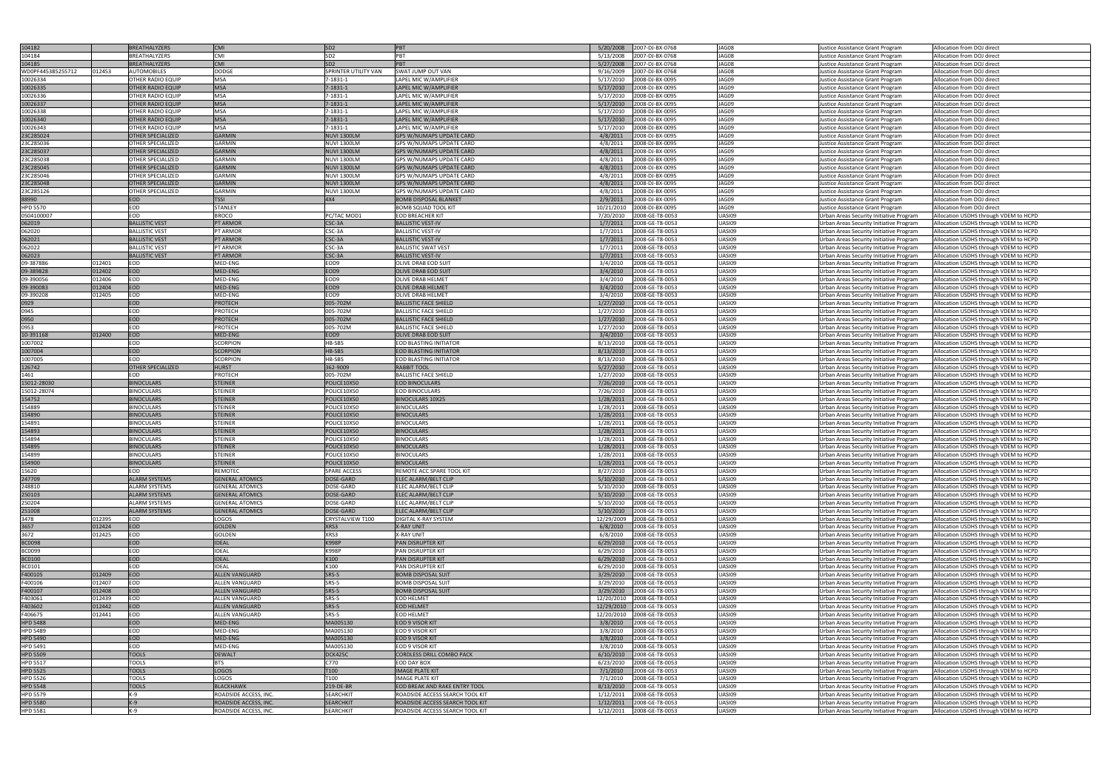| 104182                             |        | BREATHALYZERS            | <b>CMI</b>                                     | SD <sub>2</sub>                      | PBT                                                                | 5/20/2008              | 2007-DJ-BX-0768                    | JAG08            | Justice Assistance Grant Program                                                   | Allocation from DOJ direct                                                     |
|------------------------------------|--------|--------------------------|------------------------------------------------|--------------------------------------|--------------------------------------------------------------------|------------------------|------------------------------------|------------------|------------------------------------------------------------------------------------|--------------------------------------------------------------------------------|
|                                    |        |                          |                                                |                                      |                                                                    |                        |                                    |                  |                                                                                    |                                                                                |
| 104184                             |        | BREATHALYZERS            | CMI                                            | SD <sub>2</sub>                      | PB <sub>1</sub>                                                    | 5/13/2008              | 2007-DJ-BX-0768                    | JAG08            | Justice Assistance Grant Program                                                   | Allocation from DOJ direct                                                     |
| 104185                             |        | <b>BREATHALYZERS</b>     | <b>CMI</b>                                     | SD <sub>2</sub>                      | PBT                                                                | 5/27/2008              | 2007-DJ-BX-0768                    | JAG08            | Justice Assistance Grant Program                                                   | Allocation from DOJ direct                                                     |
| WD0PF445385255712                  | 012453 | <b>AUTOMOBILES</b>       | <b>DODGE</b>                                   | SPRINTER UTILITY VAN                 | SWAT JUMP OUT VAN                                                  | 9/16/2009              | 2007-DJ-BX-0768                    | JAG08            | Justice Assistance Grant Program                                                   | Allocation from DOJ direct                                                     |
| 10026334                           |        | OTHER RADIO EQUIP        | <b>MSA</b>                                     | 1-1831-1                             | LAPEL MIC W/AMPLIFIER                                              | 5/17/2010              | 2008-DJ-BX-0095                    | JAG09            | Justice Assistance Grant Program                                                   | Allocation from DOJ direct                                                     |
| 10026335                           |        | <b>OTHER RADIO EQUIP</b> | <b>MSA</b>                                     | $7 - 1831 - 1$                       | LAPEL MIC W/AMPLIFIER                                              | 5/17/2010              | 2008-DJ-BX-0095                    | JAG09            | Justice Assistance Grant Program                                                   | Allocation from DOJ direct                                                     |
|                                    |        |                          |                                                |                                      |                                                                    |                        |                                    |                  |                                                                                    |                                                                                |
| 10026336                           |        | OTHER RADIO EQUIP        | <b>MSA</b>                                     | 7-1831-1                             | LAPEL MIC W/AMPLIFIER                                              | 5/17/2010              | 2008-DJ-BX-0095                    | JAG09            | Justice Assistance Grant Program                                                   | Allocation from DOJ direct                                                     |
| 10026337                           |        | <b>OTHER RADIO EQUIP</b> | <b>MSA</b>                                     | $7-1831-1$                           | LAPEL MIC W/AMPLIFIER                                              | 5/17/2010              | 2008-DJ-BX-0095                    | JAG09            | Justice Assistance Grant Program                                                   | Allocation from DOJ direct                                                     |
| 10026338                           |        | OTHER RADIO EQUIP        | <b>MSA</b>                                     | 7-1831-1                             | LAPEL MIC W/AMPLIFIER                                              | 5/17/2010              | 2008-DJ-BX-0095                    | JAG09            | Justice Assistance Grant Program                                                   | Allocation from DOJ direct                                                     |
|                                    |        | OTHER RADIO EQUIP        | <b>MSA</b>                                     | $7 - 1831 - 1$                       | LAPEL MIC W/AMPLIFIER                                              | 5/17/2010              | 2008-DJ-BX-0095                    | JAG09            |                                                                                    | Allocation from DOJ direct                                                     |
| 10026340                           |        |                          |                                                |                                      |                                                                    |                        |                                    |                  | Justice Assistance Grant Program                                                   |                                                                                |
| 10026343                           |        | OTHER RADIO EQUIP        | <b>MSA</b>                                     | 7-1831-1                             | LAPEL MIC W/AMPLIFIER                                              | 5/17/2010              | 2008-DJ-BX-0095                    | JAG09            | Justice Assistance Grant Program                                                   | Allocation from DOJ direct                                                     |
| 23C285024                          |        | <b>OTHER SPECIALIZED</b> | <b>GARMIN</b>                                  | <b>NUVI 1300LM</b>                   | GPS W/NUMAPS UPDATE CARD                                           | 4/8/2011               | 2008-DJ-BX-0095                    | JAG09            | Justice Assistance Grant Program                                                   | Allocation from DOJ direct                                                     |
| :3C285036                          |        | OTHER SPECIALIZED        | <b>GARMIN</b>                                  | <b>NUVI 1300LM</b>                   | GPS W/NUMAPS UPDATE CARD                                           | 4/8/2011               | 2008-DJ-BX-0095                    | JAG09            | Justice Assistance Grant Program                                                   | Allocation from DOJ direct                                                     |
|                                    |        |                          |                                                |                                      |                                                                    |                        |                                    |                  |                                                                                    |                                                                                |
| 23C285037                          |        | <b>OTHER SPECIALIZED</b> | <b>GARMIN</b>                                  | <b>NUVI 1300LM</b>                   | GPS W/NUMAPS UPDATE CARD                                           | 4/8/2011               | 2008-DJ-BX-0095                    | JAG09            | Justice Assistance Grant Program                                                   | Allocation from DOJ direct                                                     |
| SC285038                           |        | <b>OTHER SPECIALIZED</b> | <b>GARMIN</b>                                  | <b>NUVI 1300LM</b>                   | GPS W/NUMAPS UPDATE CARD                                           | 4/8/2011               | 2008-DJ-BX-0095                    | JAG09            | Justice Assistance Grant Program                                                   | Allocation from DOJ direct                                                     |
| 23C285045                          |        | <b>OTHER SPECIALIZED</b> | <b>GARMIN</b>                                  | <b>NUVI 1300LM</b>                   | <b>GPS W/NUMAPS UPDATE CARD</b>                                    | 4/8/2011               | 2008-DJ-BX-0095                    | JAG09            | Justice Assistance Grant Program                                                   | Allocation from DOJ direct                                                     |
| 23C285046                          |        | <b>OTHER SPECIALIZED</b> | <b>GARMIN</b>                                  | <b>NUVI 1300LM</b>                   | GPS W/NUMAPS UPDATE CARD                                           | 4/8/2011               | 2008-DJ-BX-0095                    | JAG09            | Justice Assistance Grant Program                                                   | Allocation from DOJ direct                                                     |
|                                    |        |                          |                                                |                                      |                                                                    |                        |                                    |                  |                                                                                    |                                                                                |
| 23C285048                          |        | <b>OTHER SPECIALIZED</b> | <b>GARMIN</b>                                  | <b>NUVI 1300LM</b>                   | GPS W/NUMAPS UPDATE CARD                                           | 4/8/2011               | 2008-DJ-BX-0095                    | JAG09            | Justice Assistance Grant Program                                                   | Allocation from DOJ direct                                                     |
| :3C285126                          |        | OTHER SPECIALIZED        | <b>GARMIN</b>                                  | <b>NUVI 1300LM</b>                   | GPS W/NUMAPS UPDATE CARD                                           | 4/8/2011               | 2008-DJ-BX-0095                    | JAG09            | Iustice Assistance Grant Program                                                   | Allocation from DOJ direct                                                     |
| 88990                              |        | <b>EOD</b>               | <b>TSSI</b>                                    | 4X4                                  | <b>BOMB DISPOSAL BLANKET</b>                                       | 2/9/2011               | 2008-DJ-BX-0095                    | JAG09            | Justice Assistance Grant Program                                                   | Allocation from DOJ direct                                                     |
| <b>HPD 5570</b>                    |        | EOD                      | <b>STANLEY</b>                                 |                                      | BOMB SQUAD TOOL KIT                                                | 10/21/2010             | 2008-DJ-BX-0095                    | JAG09            | Justice Assistance Grant Program                                                   | Allocation from DOJ direct                                                     |
|                                    |        |                          |                                                |                                      |                                                                    |                        |                                    |                  |                                                                                    |                                                                                |
| 0504100007                         |        | EOD                      | <b>BROCO</b>                                   | PC/TAC MOD1                          | EOD BREACHER KIT                                                   | 7/20/2010              | 2008-GE-T8-0053                    | UASI09           | Urban Areas Security Initiative Program                                            | Allocation USDHS through VDEM to HCPD                                          |
| 062019                             |        | <b>BALLISTIC VEST</b>    | <b>PT ARMOR</b>                                | CSC-3A                               | <b>BALLISTIC VEST-IV</b>                                           | 1/7/2011               | 2008-GE-T8-0053                    | UASI09           | Urban Areas Security Initiative Program                                            | Allocation USDHS through VDEM to HCPD                                          |
| 062020                             |        | <b>BALLISTIC VEST</b>    | PT ARMOR                                       | CSC-3A                               | <b>BALLISTIC VEST-IV</b>                                           | 1/7/2011               | 2008-GE-T8-0053                    | UASI09           | Urban Areas Security Initiative Program                                            | Allocation USDHS through VDEM to HCPD                                          |
| 062021                             |        | <b>BALLISTIC VEST</b>    | <b>PT ARMOR</b>                                | CSC-3A                               | <b>BALLISTIC VEST-IV</b>                                           | 1/7/2011               | 2008-GE-T8-0053                    | UASI09           | Urban Areas Security Initiative Program                                            | Allocation USDHS through VDEM to HCPD                                          |
|                                    |        |                          |                                                |                                      |                                                                    |                        |                                    |                  |                                                                                    |                                                                                |
| 062022                             |        | <b>BALLISTIC VEST</b>    | PT ARMOR                                       | CSC-3A                               | BALLISTIC SWAT VEST                                                | 1/7/2011               | 2008-GE-T8-0053                    | UASI09           | Urban Areas Security Initiative Program                                            | Allocation USDHS through VDEM to HCPD                                          |
| 062023                             |        | <b>BALLISTIC VEST</b>    | PT ARMOR                                       | CSC-3A                               | <b>BALLISTIC VEST-IV</b>                                           | 1/7/2011               | 2008-GE-T8-0053                    | UASI09           | Urban Areas Security Initiative Program                                            | Allocation USDHS through VDEM to HCPD                                          |
| 09-387886                          | 012401 | EOD                      | MED-ENG                                        | EOD9                                 | OLIVE DRAB EOD SUIT                                                | 3/4/2010               | 2008-GE-T8-0053                    | UASI09           | Urban Areas Security Initiative Program                                            | Allocation USDHS through VDEM to HCPD                                          |
| 09-389828                          | 012402 | <b>EOD</b>               | MED-ENG                                        | EOD9                                 | <b>OLIVE DRAB EOD SUIT</b>                                         | 3/4/2010               | 2008-GE-T8-0053                    | UASI09           | Urban Areas Security Initiative Program                                            | Allocation USDHS through VDEM to HCPD                                          |
|                                    |        |                          |                                                |                                      |                                                                    |                        |                                    |                  |                                                                                    |                                                                                |
| 09-390056                          | 012406 | EOD                      | MED-ENG                                        | EOD9                                 | OLIVE DRAB HELMET                                                  | 3/4/2010               | 2008-GE-T8-0053                    | UASI09           | Urban Areas Security Initiative Program                                            | Allocation USDHS through VDEM to HCPD                                          |
| 09-390083                          | 012404 | EOD                      | MED-ENG                                        | EOD9                                 | <b>OLIVE DRAB HELMET</b>                                           | 3/4/2010               | 2008-GE-T8-0053                    | UASI09           | Urban Areas Security Initiative Program                                            | Allocation USDHS through VDEM to HCPD                                          |
| 09-390208                          | 012405 | EOD                      | MED-ENG                                        | EOD9                                 | <b>OLIVE DRAB HELMET</b>                                           | 3/4/2010               | 2008-GE-T8-0053                    | UASI09           | Urban Areas Security Initiative Program                                            | Allocation USDHS through VDEM to HCPD                                          |
| 0929                               |        | EOD                      | <b>PROTECH</b>                                 | 005-702M                             | <b>BALLISTIC FACE SHIELD</b>                                       |                        | 2008-GE-T8-0053                    | UASI09           |                                                                                    |                                                                                |
|                                    |        |                          |                                                |                                      |                                                                    | 1/27/2010              |                                    |                  | Urban Areas Security Initiative Program                                            | Allocation USDHS through VDEM to HCPD                                          |
| 0945                               |        | EOD                      | <b>PROTECH</b>                                 | 005-702M                             | <b>BALLISTIC FACE SHIELD</b>                                       | 1/27/2010              | 2008-GE-T8-0053                    | UASI09           | Urban Areas Security Initiative Program                                            | Allocation USDHS through VDEM to HCPD                                          |
| 0950                               |        | <b>EOD</b>               | <b>PROTECH</b>                                 | 005-702M                             | <b>BALLISTIC FACE SHIELD</b>                                       | 1/27/2010              | 2008-GE-T8-0053                    | UASI09           | Urban Areas Security Initiative Program                                            | Allocation USDHS through VDEM to HCPD                                          |
| 0953                               |        | EOD                      | PROTECH                                        | 005-702M                             | <b>BALLISTIC FACE SHIELD</b>                                       | 1/27/2010              | 2008-GE-T8-0053                    | UASI09           | Urban Areas Security Initiative Program                                            | Allocation USDHS through VDEM to HCPD                                          |
|                                    |        |                          |                                                |                                      |                                                                    |                        |                                    |                  |                                                                                    |                                                                                |
| 10-391168                          | 012400 | EOD                      | MED-ENG                                        | EOD9                                 | OLIVE DRAB EOD SUIT                                                | 3/4/2010               | 2008-GE-T8-0053                    | UASI09           | Urban Areas Security Initiative Program                                            | Allocation USDHS through VDEM to HCPD                                          |
| 1007002                            |        | EOD                      | <b>SCORPION</b>                                | HB-SBS                               | EOD BLASTING INITIATOR                                             | 8/13/2010              | 2008-GE-T8-0053                    | UASI09           | Urban Areas Security Initiative Program                                            | Allocation USDHS through VDEM to HCPD                                          |
| 1007004                            |        | EOD                      | <b>SCORPION</b>                                | HB-SBS                               | <b>EOD BLASTING INITIATOR</b>                                      | 8/13/2010              | 2008-GE-T8-0053                    | UASI09           | Urban Areas Security Initiative Program                                            | Allocation USDHS through VDEM to HCPD                                          |
| 1007005                            |        | EOD                      | <b>SCORPION</b>                                | HB-SBS                               | <b>EOD BLASTING INITIATOR</b>                                      | 8/13/2010              | 2008-GE-T8-0053                    | UASI09           |                                                                                    | Allocation USDHS through VDEM to HCPD                                          |
|                                    |        |                          |                                                |                                      |                                                                    |                        |                                    |                  | Urban Areas Security Initiative Program                                            |                                                                                |
| 126742                             |        | <b>OTHER SPECIALIZED</b> | <b>HURST</b>                                   | 362-9009                             | RABBIT TOOL                                                        | 5/27/2010              | 2008-GE-T8-0053                    | UASI09           | Urban Areas Security Initiative Program                                            | Allocation USDHS through VDEM to HCPD                                          |
| 1461                               |        | <b>EOD</b>               | <b>PROTECH</b>                                 | 005-702M                             | <b>BALLISTIC FACE SHIELD</b>                                       | 1/27/2010              |                                    | UASI09           | Urban Areas Security Initiative Program                                            | Allocation USDHS through VDEM to HCPD                                          |
|                                    |        |                          |                                                |                                      |                                                                    |                        | 2008-GE-T8-0053                    |                  |                                                                                    |                                                                                |
|                                    |        |                          |                                                |                                      |                                                                    |                        |                                    |                  |                                                                                    |                                                                                |
| 15012-28030                        |        | <b>BINOCULARS</b>        | <b>STEINER</b>                                 | POLICE10X50                          | <b>EOD BINOCULARS</b>                                              | 7/26/2010              | 2008-GE-T8-0053                    | UASI09           | Urban Areas Security Initiative Program                                            | Allocation USDHS through VDEM to HCPD                                          |
| 15012-28074                        |        | <b>BINOCULARS</b>        | <b>STEINER</b>                                 | POLICE10X50                          | <b>EOD BINOCULARS</b>                                              | 7/26/2010              | 2008-GE-T8-0053                    | UASI09           | Urban Areas Security Initiative Program                                            | Allocation USDHS through VDEM to HCPD                                          |
| 154752                             |        | <b>BINOCULARS</b>        | <b>STEINER</b>                                 | POLICE10X50                          | <b>BINOCULARS 10X25</b>                                            | 1/28/2011              | 2008-GE-T8-0053                    | UASI09           | Urban Areas Security Initiative Program                                            | Allocation USDHS through VDEM to HCPD                                          |
|                                    |        |                          |                                                |                                      |                                                                    |                        |                                    |                  |                                                                                    | Allocation USDHS through VDEM to HCPD                                          |
| 154889                             |        | BINOCULARS               | STEINER                                        | POLICE10X50                          | BINOCULARS                                                         | 1/28/2011              | 2008-GE-T8-0053                    | UASI09           | Urban Areas Security Initiative Program                                            |                                                                                |
| 154890                             |        | <b>BINOCULARS</b>        | <b>STEINER</b>                                 | POLICE10X50                          | <b>BINOCULARS</b>                                                  | 1/28/2011              | 2008-GE-T8-0053                    | UASI09           | Urban Areas Security Initiative Program                                            | Allocation USDHS through VDEM to HCPD                                          |
| 154891                             |        | BINOCULARS               | <b>STEINER</b>                                 | POLICE10X50                          | <b>BINOCULARS</b>                                                  | 1/28/2011              | 2008-GE-T8-0053                    | UASI09           | Urban Areas Security Initiative Program                                            | Allocation USDHS through VDEM to HCPD                                          |
| 154893                             |        | <b>BINOCULARS</b>        | <b>STEINER</b>                                 | POLICE10X50                          | <b>BINOCULARS</b>                                                  | 1/28/2011              | 2008-GE-T8-0053                    | UASI09           | Urban Areas Security Initiative Program                                            | Allocation USDHS through VDEM to HCPD                                          |
|                                    |        |                          |                                                |                                      |                                                                    |                        |                                    |                  |                                                                                    |                                                                                |
| 154894                             |        | <b>BINOCULARS</b>        | <b>STEINER</b>                                 | POLICE10X50                          | <b>BINOCULARS</b>                                                  | 1/28/2011              | 2008-GE-T8-0053                    | UASI09           | Urban Areas Security Initiative Program                                            | Allocation USDHS through VDEM to HCPD                                          |
| 154895                             |        | <b>BINOCULARS</b>        | <b>STEINER</b>                                 | POLICE10X50                          | <b>BINOCULARS</b>                                                  | 1/28/2011              | 2008-GE-T8-0053                    | UASI09           | Urban Areas Security Initiative Program                                            | Allocation USDHS through VDEM to HCPD                                          |
| 154899                             |        | BINOCULARS               | <b>STEINER</b>                                 | POLICE10X50                          | <b>BINOCULARS</b>                                                  | 1/28/2011              | 2008-GE-T8-0053                    | UASI09           | Urban Areas Security Initiative Program                                            | Allocation USDHS through VDEM to HCPD                                          |
| 154900                             |        | <b>BINOCULARS</b>        | <b>STEINER</b>                                 | POLICE10X50                          | <b>BINOCULARS</b>                                                  | 1/28/2011              | 2008-GE-T8-0053                    | UASI09           | Urban Areas Security Initiative Program                                            | Allocation USDHS through VDEM to HCPD                                          |
| 15620                              |        | EOD                      | <b>REMOTEC</b>                                 | <b>SPARE ACCESS</b>                  | REMOTE ACC SPARE TOOL KIT                                          | 8/27/2010              | 2008-GE-T8-0053                    | UASI09           | Urban Areas Security Initiative Program                                            | Allocation USDHS through VDEM to HCPD                                          |
|                                    |        |                          |                                                |                                      |                                                                    |                        |                                    |                  |                                                                                    |                                                                                |
| 247709                             |        | <b>ALARM SYSTEMS</b>     | <b>GENERAL ATOMICS</b>                         | DOSE-GARD                            | ELEC ALARM/BELT CLIP                                               | 5/10/2010              | 2008-GE-T8-0053                    | UASI09           | Urban Areas Security Initiative Program                                            | Allocation USDHS through VDEM to HCPD                                          |
| 248810                             |        | <b>ALARM SYSTEMS</b>     | <b>GENERAL ATOMICS</b>                         | DOSE-GARD                            | ELEC ALARM/BELT CLIP                                               | 5/10/2010              | 2008-GE-T8-0053                    | UASI09           | Urban Areas Security Initiative Program                                            | Allocation USDHS through VDEM to HCPD                                          |
| 250103                             |        | <b>ALARM SYSTEMS</b>     | <b>GENERAL ATOMICS</b>                         | DOSE-GARD                            | ELEC ALARM/BELT CLIP                                               | 5/10/2010              | 2008-GE-T8-0053                    | UASI09           | Urban Areas Security Initiative Program                                            | Allocation USDHS through VDEM to HCPD                                          |
| 250204                             |        | <b>ALARM SYSTEMS</b>     | <b>GENERAL ATOMICS</b>                         | DOSE-GARD                            | ELEC ALARM/BELT CLIP                                               | 5/10/2010              | 2008-GE-T8-0053                    | UASI09           |                                                                                    |                                                                                |
|                                    |        |                          |                                                |                                      |                                                                    |                        |                                    |                  | Urban Areas Security Initiative Program                                            | Allocation USDHS through VDEM to HCPD                                          |
| 251008                             |        | <b>ALARM SYSTEMS</b>     | <b>GENERAL ATOMICS</b>                         | DOSE-GARD                            | ELEC ALARM/BELT CLIP                                               | 5/10/2010              | 2008-GE-T8-0053                    | UASI09           | Urban Areas Security Initiative Program                                            | Allocation USDHS through VDEM to HCPD                                          |
| 3478                               | 012395 | EOD                      | LOGOS                                          | CRYSTALVIEW T100                     | DIGITAL X-RAY SYSTEM                                               | 12/29/2009             | 2008-GE-T8-0053                    | UASI09           | Urban Areas Security Initiative Program                                            | Allocation USDHS through VDEM to HCPD                                          |
| 3657                               | 012424 | <b>EOD</b>               | <b>GOLDEN</b>                                  | XRS3                                 | <b>X-RAY UNIT</b>                                                  | 6/8/2010               | 2008-GE-T8-0053                    | UASI09           | Urban Areas Security Initiative Program                                            | Allocation USDHS through VDEM to HCPD                                          |
| 3672                               | 012425 | EOD                      | <b>GOLDEN</b>                                  | XRS3                                 | <b>X-RAY UNIT</b>                                                  | 6/8/2010               | 2008-GE-T8-0053                    | UASI09           | Urban Areas Security Initiative Program                                            | Allocation USDHS through VDEM to HCPD                                          |
|                                    |        |                          |                                                |                                      |                                                                    |                        |                                    |                  |                                                                                    |                                                                                |
| <b>BC0098</b>                      |        | <b>EOD</b>               | <b>IDEAL</b>                                   | <b>K998P</b>                         | PAN DISRUPTER KIT                                                  | 6/29/2010              | 2008-GE-T8-0053                    | UASI09           | Urban Areas Security Initiative Program                                            | Allocation USDHS through VDEM to HCPD                                          |
| BC0099                             |        | EOD                      | <b>IDEAL</b>                                   | <b>K998P</b>                         | PAN DISRUPTER KIT                                                  | 6/29/2010              | 2008-GE-T8-0053                    | UASI09           | Urban Areas Security Initiative Program                                            | Allocation USDHS through VDEM to HCPD                                          |
| <b>BC0100</b>                      |        | EOD                      | <b>IDEAL</b>                                   | K100                                 | PAN DISRUPTER KIT                                                  | 6/29/2010              | 2008-GE-T8-0053                    | UASI09           | Urban Areas Security Initiative Program                                            | Allocation USDHS through VDEM to HCPD                                          |
| BC0101                             |        | EOD                      | <b>IDEAL</b>                                   | K100                                 | PAN DISRUPTER KIT                                                  | 6/29/2010              | 2008-GE-T8-0053                    | UASI09           | Urban Areas Security Initiative Program                                            | Allocation USDHS through VDEM to HCPD                                          |
|                                    |        |                          |                                                |                                      |                                                                    |                        |                                    |                  |                                                                                    |                                                                                |
| F400105                            | 012409 | <b>EOD</b>               | <b>ALLEN VANGUARD</b>                          | SRS-5                                | <b>BOMB DISPOSAL SUIT</b>                                          | 3/29/2010              | 2008-GE-T8-0053                    | UASI09           | Urban Areas Security Initiative Program                                            | Allocation USDHS through VDEM to HCPD                                          |
| F400106                            | 012407 | <b>EOD</b>               | <b>ALLEN VANGUARD</b>                          | SRS-5                                | <b>BOMB DISPOSAL SUIT</b>                                          | 3/29/2010              | 2008-GE-T8-0053                    | UASI09           | Urban Areas Security Initiative Program                                            | Allocation USDHS through VDEM to HCPD                                          |
| F400107                            | 012408 | EOD                      | <b>ALLEN VANGUARD</b>                          | SRS-5                                | <b>BOMB DISPOSAL SUIT</b>                                          | 3/29/2010              | 2008-GE-T8-0053                    | UASI09           | Urban Areas Security Initiative Program                                            | Allocation USDHS through VDEM to HCPD                                          |
| F403061                            | 012439 | EOD                      | <b>ALLEN VANGUARD</b>                          | SRS-5                                | <b>EOD HELMET</b>                                                  | 12/20/2010             | 2008-GE-T8-0053                    | UASI09           |                                                                                    |                                                                                |
|                                    |        |                          |                                                |                                      |                                                                    |                        |                                    |                  | Urban Areas Security Initiative Program                                            | Allocation USDHS through VDEM to HCPD                                          |
| F403602                            | 012442 | EOD                      | <b>ALLEN VANGUARD</b>                          | SRS-5                                | <b>EOD HELMET</b>                                                  | 12/29/2010             | 2008-GE-T8-0053                    | UASI09           | Urban Areas Security Initiative Program                                            | Allocation USDHS through VDEM to HCPD                                          |
| F406675                            | 012441 | EOD                      | <b>ALLEN VANGUARD</b>                          | SRS-5                                | EOD HELMET                                                         | 12/20/2010             | 2008-GE-T8-0053                    | UASI09           | Urban Areas Security Initiative Program                                            | Allocation USDHS through VDEM to HCPD                                          |
| <b>HPD 5488</b>                    |        | EOD                      | MED-ENG                                        | MA005130                             | <b>EOD 9 VISOR KIT</b>                                             | 3/8/2010               | 2008-GE-T8-0053                    | UASI09           | Urban Areas Security Initiative Program                                            | Allocation USDHS through VDEM to HCPD                                          |
|                                    |        |                          |                                                |                                      |                                                                    |                        |                                    |                  |                                                                                    |                                                                                |
| <b>HPD 5489</b>                    |        | EOD                      | MED-ENG                                        | MA005130                             | EOD 9 VISOR KIT                                                    | 3/8/2010               | 2008-GE-T8-0053                    | UASI09           | Urban Areas Security Initiative Program                                            | Allocation USDHS through VDEM to HCPD                                          |
| <b>HPD 5490</b>                    |        | EOD                      | MED-ENG                                        | MA005130                             | <b>EOD 9 VISOR KIT</b>                                             | 3/8/2010               | 2008-GE-T8-0053                    | UASI09           | Urban Areas Security Initiative Program                                            | Allocation USDHS through VDEM to HCPD                                          |
| <b>HPD 5491</b>                    |        | EOD                      | MED-ENG                                        | MA005130                             | EOD 9 VISOR KIT                                                    | 3/8/2010               | 2008-GE-T8-0053                    | UASI09           | Urban Areas Security Initiative Program                                            | Allocation USDHS through VDEM to HCPD                                          |
| <b>HPD 5509</b>                    |        | <b>TOOLS</b>             | <b>DEWALT</b>                                  | DCK425C                              | CORDLESS DRILL COMBO PACK                                          | 6/10/2010              | 2008-GE-T8-0053                    | UASI09           | Urban Areas Security Initiative Program                                            | Allocation USDHS through VDEM to HCPD                                          |
|                                    |        |                          |                                                |                                      |                                                                    |                        |                                    |                  |                                                                                    |                                                                                |
| <b>HPD 5517</b>                    |        | <b>TOOLS</b>             | <b>BTS</b>                                     | C770                                 | EOD DAY BOX                                                        | 6/23/2010              | 2008-GE-T8-0053                    | UASI09           | Urban Areas Security Initiative Program                                            | Allocation USDHS through VDEM to HCPD                                          |
| <b>HPD 5525</b>                    |        | <b>TOOLS</b>             | LOGOS                                          | T100                                 | <b>IMAGE PLATE KIT</b>                                             | 7/1/2010               | 2008-GE-T8-0053                    | UASI09           | Urban Areas Security Initiative Program                                            | Allocation USDHS through VDEM to HCPD                                          |
| <b>HPD 5526</b>                    |        | TOOLS                    | <b>LOGOS</b>                                   | T100                                 | <b>IMAGE PLATE KIT</b>                                             | 7/1/2010               | 2008-GE-T8-0053                    | UASI09           | Urban Areas Security Initiative Program                                            | Allocation USDHS through VDEM to HCPD                                          |
| <b>HPD 5548</b>                    |        | <b>TOOLS</b>             | <b>BLACKHAWK</b>                               | 219-DE-BR                            | EOD BREAK AND RAKE ENTRY TOOL                                      | 8/13/2010              | 2008-GE-T8-0053                    | UASI09           | Urban Areas Security Initiative Program                                            | Allocation USDHS through VDEM to HCPD                                          |
|                                    |        |                          |                                                |                                      |                                                                    |                        |                                    |                  |                                                                                    |                                                                                |
| <b>HPD 5579</b>                    |        | K-9                      | ROADSIDE ACCESS, INC.                          | <b>SEARCHKIT</b>                     | ROADSIDE ACCESS SEARCH TOOL KIT                                    | 1/12/2011              | 2008-GE-T8-0053                    | UASI09           | Urban Areas Security Initiative Program                                            | Allocation USDHS through VDEM to HCPD                                          |
| <b>HPD 5580</b><br><b>HPD 5581</b> |        | $K-9$<br>K-9             | ROADSIDE ACCESS, INC.<br>ROADSIDE ACCESS, INC. | <b>SEARCHKIT</b><br><b>SEARCHKIT</b> | ROADSIDE ACCESS SEARCH TOOL KIT<br>ROADSIDE ACCESS SEARCH TOOL KIT | 1/12/2011<br>1/12/2011 | 2008-GE-T8-0053<br>2008-GE-T8-0053 | UASI09<br>UASI09 | Urban Areas Security Initiative Program<br>Urban Areas Security Initiative Program | Allocation USDHS through VDEM to HCPD<br>Allocation USDHS through VDEM to HCPD |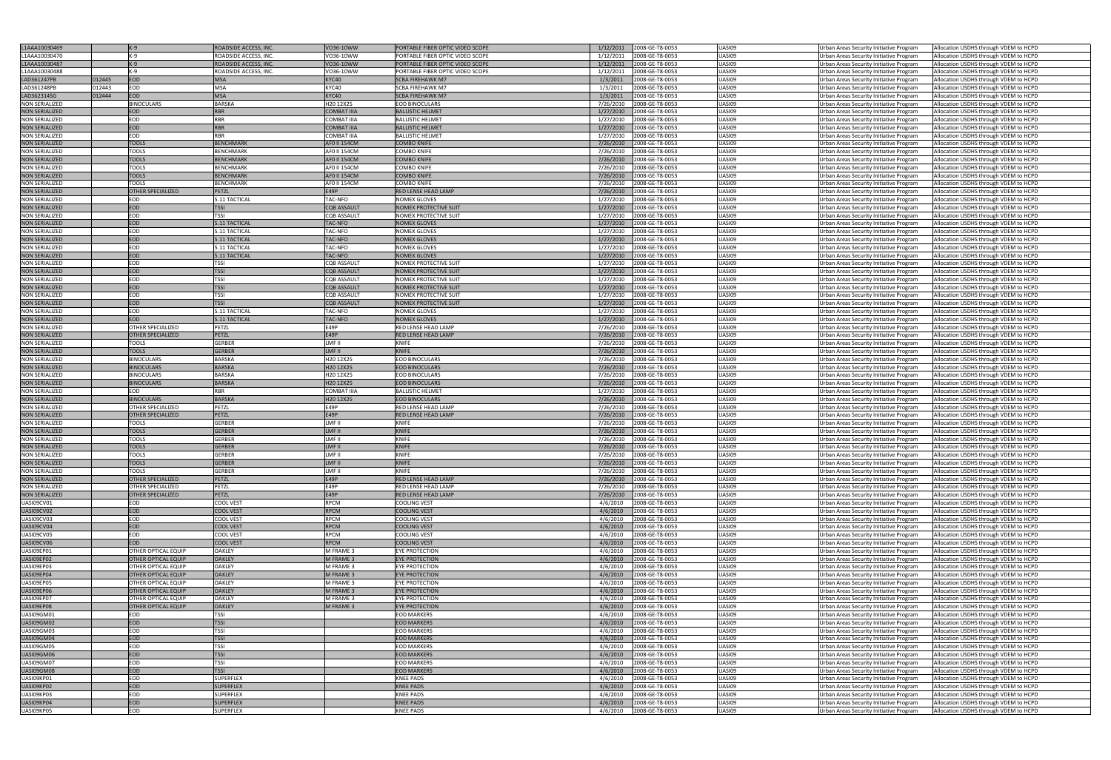| L1AAA10030469         |        | $K-9$                      | ROADSIDE ACCESS, INC. | VO36-10WW           | PORTABLE FIBER OPTIC VIDEO SCOPE | 1/12/2011 | 2008-GE-T8-0053 | UASI09        | Urban Areas Security Initiative Program | Allocation USDHS through VDEM to HCPD |
|-----------------------|--------|----------------------------|-----------------------|---------------------|----------------------------------|-----------|-----------------|---------------|-----------------------------------------|---------------------------------------|
| L1AAA10030470         |        | $K-9$                      |                       |                     |                                  |           |                 | UASI09        |                                         |                                       |
|                       |        |                            | ROADSIDE ACCESS, INC  | VO36-10WW           | PORTABLE FIBER OPTIC VIDEO SCOPE | 1/12/2011 | 2008-GE-T8-0053 |               | Urban Areas Security Initiative Program | Allocation USDHS through VDEM to HCPD |
| L1AAA10030487         |        | $K-9$                      | ROADSIDE ACCESS, INC. | VO36-10WW           | PORTABLE FIBER OPTIC VIDEO SCOPE | 1/12/2011 | 2008-GE-T8-0053 | UASI09        | Urban Areas Security Initiative Program | Allocation USDHS through VDEM to HCPD |
| L1AAA10030488         |        | $K-9$                      | ROADSIDE ACCESS, INC  | VO36-10WW           | PORTABLE FIBER OPTIC VIDEO SCOPE | 1/12/2011 | 2008-GE-T8-0053 | UASI09        | Urban Areas Security Initiative Program | Allocation USDHS through VDEM to HCPD |
| LAD361247PB           | 012445 | <b>EOD</b>                 | <b>MSA</b>            | KYC40               | <b>SCBA FIREHAWK M7</b>          | 1/3/2011  | 2008-GE-T8-0053 | UASI09        | Urban Areas Security Initiative Program | Allocation USDHS through VDEM to HCPD |
| LAD361248PB           | 012443 | EOD                        | <b>MSA</b>            | KYC40               | SCBA FIREHAWK M7                 | 1/3/2011  | 2008-GE-T8-0053 | UASI09        | Urban Areas Security Initiative Program | Allocation USDHS through VDEM to HCPD |
|                       |        |                            |                       |                     |                                  |           |                 |               |                                         |                                       |
| LAD362314SG           | 12444  | <b>EOD</b>                 | <b>MSA</b>            | KYC40               | SCBA FIREHAWK M7                 | 1/3/2011  | 2008-GE-T8-0053 | UASI09        | Urban Areas Security Initiative Program | Allocation USDHS through VDEM to HCPD |
| <b>NON SERIALIZED</b> |        | <b>BINOCULARS</b>          | BARSKA                | H20 12X25           | <b>EOD BINOCULARS</b>            | 7/26/2010 | 2008-GE-T8-0053 | <b>UASI09</b> | Urban Areas Security Initiative Program | Allocation USDHS through VDEM to HCPD |
| <b>NON SERIALIZED</b> |        | <b>EOD</b>                 | <b>RBR</b>            | <b>COMBAT IIIA</b>  | <b>BALLISTIC HELMET</b>          | 1/27/2010 | 2008-GE-T8-0053 | UASI09        | Urban Areas Security Initiative Program | Allocation USDHS through VDEM to HCPD |
| <b>NON SERIALIZED</b> |        | EOD                        | RBR                   | <b>COMBAT IIIA</b>  | BALLISTIC HELMET                 | 1/27/2010 | 2008-GE-T8-0053 | UASI09        | Urban Areas Security Initiative Program | Allocation USDHS through VDEM to HCPD |
|                       |        | <b>EOD</b>                 | <b>RBR</b>            |                     | <b>BALLISTIC HELMET</b>          |           |                 |               |                                         |                                       |
| <b>NON SERIALIZED</b> |        |                            |                       | <b>COMBAT IIIA</b>  |                                  | 1/27/2010 | 2008-GE-T8-0053 | UASI09        | Urban Areas Security Initiative Program | Allocation USDHS through VDEM to HCPD |
| <b>NON SERIALIZED</b> |        | EOD                        | <b>RBR</b>            | <b>COMBAT IIIA</b>  | <b>BALLISTIC HELMET</b>          | 1/27/2010 | 2008-GE-T8-0053 | UASI09        | Urban Areas Security Initiative Program | Allocation USDHS through VDEM to HCPD |
| <b>NON SERIALIZED</b> |        | <b>TOOLS</b>               | <b>BENCHMARK</b>      | <b>AFO II 154CM</b> | COMBO KNIFE                      | 7/26/2010 | 2008-GE-T8-0053 | UASI09        | Urban Areas Security Initiative Program | Allocation USDHS through VDEM to HCPD |
| <b>NON SERIALIZED</b> |        | <b>TOOLS</b>               | <b>BENCHMARK</b>      | AF0 II 154CM        | COMBO KNIFE                      | 7/26/2010 | 2008-GE-T8-0053 | UASI09        | Urban Areas Security Initiative Program | Allocation USDHS through VDEM to HCPD |
| <b>NON SERIALIZED</b> |        | <b>TOOLS</b>               | <b>BENCHMARK</b>      | <b>AFO II 154CM</b> | <b>COMBO KNIFE</b>               | 7/26/2010 | 2008-GE-T8-0053 | UASI09        | Urban Areas Security Initiative Program | Allocation USDHS through VDEM to HCPD |
|                       |        |                            |                       |                     |                                  |           |                 |               |                                         |                                       |
| <b>NON SERIALIZED</b> |        | <b>TOOLS</b>               | <b>BENCHMARK</b>      | <b>AFO II 154CM</b> | COMBO KNIFE                      | 7/26/2010 | 2008-GE-T8-0053 | <b>UASI09</b> | Urban Areas Security Initiative Program | Allocation USDHS through VDEM to HCPD |
| <b>NON SERIALIZED</b> |        | <b>TOOLS</b>               | <b>BENCHMARK</b>      | <b>AFO II 154CM</b> | <b>COMBO KNIFE</b>               | 7/26/2010 | 2008-GE-T8-0053 | UASI09        | Urban Areas Security Initiative Program | Allocation USDHS through VDEM to HCPD |
| <b>NON SERIALIZED</b> |        | <b>TOOLS</b>               | <b>BENCHMARK</b>      | AF0 II 154CM        | COMBO KNIFE                      | 7/26/2010 | 2008-GE-T8-0053 | UASI09        | Urban Areas Security Initiative Program | Allocation USDHS through VDEM to HCPD |
| <b>NON SERIALIZED</b> |        | <b>OTHER SPECIALIZED</b>   | <b>PETZL</b>          | E49P                | RED LENSE HEAD LAMP              | 7/26/2010 | 2008-GE-T8-0053 | UASI09        | Urban Areas Security Initiative Program | Allocation USDHS through VDEM to HCPD |
|                       |        | EOD                        | 5.11 TACTICAL         | TAC-NFO             | NOMEX GLOVES                     |           |                 | UASI09        |                                         |                                       |
| <b>NON SERIALIZED</b> |        |                            |                       |                     |                                  | 1/27/2010 | 2008-GE-T8-0053 |               | Urban Areas Security Initiative Program | Allocation USDHS through VDEM to HCPD |
| <b>NON SERIALIZED</b> |        | <b>EOD</b>                 | <b>TSSI</b>           | <b>CQB ASSAULT</b>  | NOMEX PROTECTIVE SUIT            | 1/27/2010 | 2008-GE-T8-0053 | UASI09        | Urban Areas Security Initiative Program | Allocation USDHS through VDEM to HCPD |
| <b>NON SERIALIZED</b> |        | EOD                        | tssi                  | <b>CQB ASSAULT</b>  | NOMEX PROTECTIVE SUIT            | 1/27/2010 | 2008-GE-T8-0053 | UASI09        | Urban Areas Security Initiative Program | Allocation USDHS through VDEM to HCPD |
| <b>NON SERIALIZED</b> |        | <b>EOD</b>                 | 5.11 TACTICAL         | <b>TAC-NFO</b>      | <b>NOMEX GLOVES</b>              | 1/27/2010 | 2008-GE-T8-0053 | UASI09        | Urban Areas Security Initiative Program | Allocation USDHS through VDEM to HCPD |
|                       |        | EOD                        |                       |                     |                                  |           |                 |               |                                         |                                       |
| <b>NON SERIALIZED</b> |        |                            | 5.11 TACTICAL         | TAC-NFO             | NOMEX GLOVES                     | 1/27/2010 | 2008-GE-T8-0053 | UASI09        | Urban Areas Security Initiative Program | Allocation USDHS through VDEM to HCPD |
| <b>NON SERIALIZED</b> |        | <b>EOD</b>                 | 5.11 TACTICAL         | <b>TAC-NFO</b>      | <b>NOMEX GLOVES</b>              | 1/27/2010 | 2008-GE-T8-0053 | <b>UASI09</b> | Urban Areas Security Initiative Program | Allocation USDHS through VDEM to HCPD |
| <b>NON SERIALIZED</b> |        | <b>EOD</b>                 | 5.11 TACTICAL         | TAC-NFO             | NOMEX GLOVES                     | 1/27/2010 | 2008-GE-T8-0053 | <b>UASI09</b> | Urban Areas Security Initiative Program | Allocation USDHS through VDEM to HCPD |
| <b>NON SERIALIZED</b> |        | <b>EOD</b>                 | 5.11 TACTICAL         | <b>TAC-NFO</b>      | <b>NOMEX GLOVES</b>              | 1/27/2010 | 2008-GE-T8-0053 | UASI09        | Urban Areas Security Initiative Program | Allocation USDHS through VDEM to HCPD |
|                       |        | EOD                        | tssi                  | <b>CQB ASSAULT</b>  |                                  |           |                 | <b>UASI09</b> |                                         |                                       |
| <b>NON SERIALIZED</b> |        |                            |                       |                     | NOMEX PROTECTIVE SUIT            | 1/27/2010 | 2008-GE-T8-0053 |               | Urban Areas Security Initiative Program | Allocation USDHS through VDEM to HCPD |
| <b>NON SERIALIZED</b> |        | <b>EOD</b>                 | <b>TSSI</b>           | <b>CQB ASSAULT</b>  | NOMEX PROTECTIVE SUIT            | 1/27/2010 | 2008-GE-T8-0053 | UASI09        | Urban Areas Security Initiative Program | Allocation USDHS through VDEM to HCPD |
| <b>NON SERIALIZED</b> |        | EOD                        | <b>TSSI</b>           | <b>CQB ASSAULT</b>  | NOMEX PROTECTIVE SUIT            | 1/27/2010 | 2008-GE-T8-0053 | UASI09        | Urban Areas Security Initiative Program | Allocation USDHS through VDEM to HCPD |
| <b>NON SERIALIZED</b> |        | <b>EOD</b>                 | <b>TSSI</b>           | <b>CQB ASSAULT</b>  | NOMEX PROTECTIVE SUIT            | 1/27/2010 | 2008-GE-T8-0053 | UASI09        | Urban Areas Security Initiative Program | Allocation USDHS through VDEM to HCPD |
|                       |        |                            |                       |                     |                                  |           |                 |               |                                         |                                       |
| <b>NON SERIALIZED</b> |        | EOD                        | <b>TSSI</b>           | <b>CQB ASSAULT</b>  | NOMEX PROTECTIVE SUIT            | 1/27/2010 | 2008-GE-T8-0053 | UASI09        | Urban Areas Security Initiative Program | Allocation USDHS through VDEM to HCPD |
| <b>NON SERIALIZED</b> |        | <b>EOD</b>                 | <b>TSSI</b>           | <b>CQB ASSAULT</b>  | NOMEX PROTECTIVE SUIT            | 1/27/2010 | 2008-GE-T8-0053 | UASI09        | Urban Areas Security Initiative Program | Allocation USDHS through VDEM to HCPD |
| <b>NON SERIALIZED</b> |        | EOD                        | 5.11 TACTICAL         | TAC-NFO             | NOMEX GLOVES                     | 1/27/2010 | 2008-GE-T8-0053 | UASI09        | Urban Areas Security Initiative Program | Allocation USDHS through VDEM to HCPD |
| <b>NON SERIALIZED</b> |        | <b>EOD</b>                 | 5.11 TACTICAL         | <b>TAC-NFO</b>      | <b>NOMEX GLOVES</b>              | 1/27/2010 | 2008-GE-T8-0053 | UASI09        | Urban Areas Security Initiative Program | Allocation USDHS through VDEM to HCPD |
|                       |        |                            |                       |                     |                                  |           |                 |               |                                         |                                       |
| <b>NON SERIALIZED</b> |        | <b>OTHER SPECIALIZED</b>   | PETZL                 | E49P                | RED LENSE HEAD LAMP              | 7/26/2010 | 2008-GE-T8-0053 | <b>UASI09</b> | Urban Areas Security Initiative Program | Allocation USDHS through VDEM to HCPD |
| <b>NON SERIALIZED</b> |        | <b>OTHER SPECIALIZED</b>   | <b>PETZL</b>          | E49P                | RED LENSE HEAD LAMP              | 7/26/2010 | 2008-GE-T8-0053 | <b>UASI09</b> | Urban Areas Security Initiative Program | Allocation USDHS through VDEM to HCPD |
| <b>NON SERIALIZED</b> |        | <b>TOOLS</b>               | <b>GERBER</b>         | LMF II              | KNIFE                            | 7/26/2010 | 2008-GE-T8-0053 | UASI09        | Urban Areas Security Initiative Program | Allocation USDHS through VDEM to HCPD |
| <b>NON SERIALIZED</b> |        | <b>TOOLS</b>               | <b>GERBER</b>         | LMF II              | <b>KNIFE</b>                     | 7/26/2010 | 2008-GE-T8-0053 | UASI09        | Urban Areas Security Initiative Program | Allocation USDHS through VDEM to HCPD |
|                       |        |                            |                       |                     |                                  |           |                 |               |                                         |                                       |
| <b>NON SERIALIZED</b> |        | <b>BINOCULARS</b>          | BARSKA                | H20 12X25           | EOD BINOCULARS                   | 7/26/2010 | 2008-GE-T8-0053 | UASI09        | Urban Areas Security Initiative Program | Allocation USDHS through VDEM to HCPD |
| <b>NON SERIALIZED</b> |        | <b>BINOCULARS</b>          | <b>BARSKA</b>         | H20 12X25           | <b>EOD BINOCULARS</b>            | 7/26/2010 | 2008-GE-T8-0053 | UASI09        | Urban Areas Security Initiative Program | Allocation USDHS through VDEM to HCPD |
| <b>NON SERIALIZED</b> |        | <b>BINOCULARS</b>          | <b>BARSKA</b>         | H20 12X25           | EOD BINOCULARS                   | 7/26/2010 | 2008-GE-T8-0053 | <b>UASI09</b> | Urban Areas Security Initiative Program | Allocation USDHS through VDEM to HCPD |
| <b>NON SERIALIZED</b> |        | <b>BINOCULARS</b>          | <b>BARSKA</b>         | H20 12X25           | <b>EOD BINOCULARS</b>            | 7/26/2010 | 2008-GE-T8-0053 | UASI09        | Urban Areas Security Initiative Program | Allocation USDHS through VDEM to HCPD |
|                       |        |                            |                       |                     |                                  |           |                 |               |                                         |                                       |
| <b>NON SERIALIZED</b> |        | EOD                        | RBR                   | <b>COMBAT IIIA</b>  | <b>BALLISTIC HELMET</b>          | 1/27/2010 | 2008-GE-T8-0053 | UASI09        | Urban Areas Security Initiative Program | Allocation USDHS through VDEM to HCPD |
| <b>NON SERIALIZED</b> |        | <b>BINOCULARS</b>          | <b>BARSKA</b>         | H20 12X25           | <b>EOD BINOCULARS</b>            | 7/26/2010 | 2008-GE-T8-0053 | UASI09        | Urban Areas Security Initiative Program | Allocation USDHS through VDEM to HCPD |
| NON SERIALIZED        |        | OTHER SPECIALIZED          | PEIZL                 | E49P                | RED LENSE HEAD LAMP              | //26/2010 | 2008-GE-18-0053 | UASI09        | Urban Areas Security Initiative Program | Allocation USDHS through VDEM to HCPD |
| <b>NON SERIALIZED</b> |        | <b>OTHER SPECIALIZED</b>   | PETZL                 | E49P                | <b>RED LENSE HEAD LAMP</b>       | 7/26/2010 | 2008-GE-T8-0053 | UASI09        | Urban Areas Security Initiative Program | Allocation USDHS through VDEM to HCPD |
|                       |        |                            |                       |                     |                                  |           |                 |               |                                         |                                       |
| <b>NON SERIALIZED</b> |        | <b>TOOLS</b>               | <b>GERBER</b>         | LMF II              | KNIFE                            | 7/26/2010 | 2008-GE-T8-0053 | UASI09        | Urban Areas Security Initiative Program | Allocation USDHS through VDEM to HCPD |
| <b>NON SERIALIZED</b> |        | <b>TOOLS</b>               | <b>GERBER</b>         | LMF II              | KNIFE                            | 7/26/2010 | 2008-GE-T8-0053 | UASI09        | Urban Areas Security Initiative Program | Allocation USDHS through VDEM to HCPD |
| <b>NON SERIALIZED</b> |        | <b>TOOLS</b>               | <b>GERBER</b>         | LMF II              | KNIFE                            | 7/26/2010 | 2008-GE-T8-0053 | UASI09        | Urban Areas Security Initiative Program | Allocation USDHS through VDEM to HCPD |
| <b>NON SERIALIZED</b> |        | <b>TOOLS</b>               | <b>GERBER</b>         | LMF II              | <b>KNIFE</b>                     | 7/26/2010 | 2008-GE-T8-0053 | UASI09        | Urban Areas Security Initiative Program | Allocation USDHS through VDEM to HCPD |
|                       |        |                            |                       |                     |                                  |           |                 |               |                                         |                                       |
| <b>NON SERIALIZED</b> |        | <b>TOOLS</b>               | GERBER                | LMF II              | KNIFE                            | 7/26/2010 | 2008-GE-T8-0053 | UASI09        | Urban Areas Security Initiative Program | Allocation USDHS through VDEM to HCPD |
| <b>NON SERIALIZED</b> |        | <b>TOOLS</b>               | <b>GERBER</b>         | LMF II              | <b>KNIFE</b>                     | 7/26/2010 | 2008-GE-T8-0053 | UASI09        | Urban Areas Security Initiative Program | Allocation USDHS through VDEM to HCPD |
| <b>NON SERIALIZED</b> |        | <b>TOOLS</b>               | GERBER                | LMF II              | KNIFE                            | 7/26/2010 | 2008-GE-T8-0053 | UASI09        | Urban Areas Security Initiative Program | Allocation USDHS through VDEM to HCPD |
| <b>NON SERIALIZED</b> |        | <b>OTHER SPECIALIZED</b>   | PETZL                 | <b>E49P</b>         | <b>RED LENSE HEAD LAMP</b>       | 7/26/2010 | 2008-GE-T8-0053 | <b>UASI09</b> | Urban Areas Security Initiative Program | Allocation USDHS through VDEM to HCPD |
|                       |        |                            |                       |                     |                                  |           |                 |               |                                         |                                       |
| <b>NON SERIALIZED</b> |        | <b>OTHER SPECIALIZED</b>   | PETZL                 | E49P                | RED LENSE HEAD LAMP              | 7/26/2010 | 2008-GE-T8-0053 | UASI09        | Urban Areas Security Initiative Program | Allocation USDHS through VDEM to HCPD |
| <b>NON SERIALIZED</b> |        | <b>OTHER SPECIALIZED</b>   | PETZL                 | E49P                | RED LENSE HEAD LAMP              | 7/26/2010 | 2008-GE-T8-0053 | UASI09        | Urban Areas Security Initiative Program | Allocation USDHS through VDEM to HCPD |
| UASI09CV01            |        | EOD                        | COOL VEST             | <b>RPCM</b>         | COOLING VEST                     | 4/6/2010  | 2008-GE-T8-0053 | UASI09        | Urban Areas Security Initiative Program | Allocation USDHS through VDEM to HCPD |
| UASI09CV02            |        | EOD                        | <b>COOL VEST</b>      | RPCM                | <b>COOLING VEST</b>              | 4/6/2010  | 2008-GE-T8-0053 | UASI09        | Urban Areas Security Initiative Program | Allocation USDHS through VDEM to HCPD |
|                       |        |                            |                       |                     |                                  |           |                 |               |                                         |                                       |
| UASI09CV03            |        | EOD                        | COOL VEST             | <b>RPCM</b>         | COOLING VEST                     | 4/6/2010  | 2008-GE-T8-0053 | UASI09        | Urban Areas Security Initiative Program | Allocation USDHS through VDEM to HCPD |
| UASI09CV04            |        | <b>EOD</b>                 | <b>COOL VEST</b>      | RPCM                | <b>COOLING VEST</b>              | 4/6/2010  | 2008-GE-T8-0053 | UASI09        | Urban Areas Security Initiative Program | Allocation USDHS through VDEM to HCPD |
| UASI09CV05            |        | EOD                        | COOL VEST             | <b>RPCM</b>         | COOLING VEST                     | 4/6/2010  | 2008-GE-T8-0053 | UASI09        | Urban Areas Security Initiative Program | Allocation USDHS through VDEM to HCPD |
| UASI09CV06            |        | <b>EOD</b>                 | <b>COOL VEST</b>      | RPCM                | <b>COOLING VEST</b>              | 4/6/2010  | 2008-GE-T8-0053 | <b>UASI09</b> | Urban Areas Security Initiative Program | Allocation USDHS through VDEM to HCPD |
| UASI09EP01            |        | <b>OTHER OPTICAL EQUIP</b> | <b>OAKLEY</b>         | M FRAME 3           | EYE PROTECTION                   | 4/6/2010  | 2008-GE-T8-0053 | UASI09        | Urban Areas Security Initiative Program | Allocation USDHS through VDEM to HCPD |
|                       |        |                            |                       |                     |                                  |           |                 |               |                                         |                                       |
| UASI09EP02            |        | <b>OTHER OPTICAL EQUIP</b> | <b>OAKLEY</b>         | M FRAME 3           | EYE PROTECTION                   | 4/6/2010  | 2008-GE-T8-0053 | <b>UASI09</b> | Urban Areas Security Initiative Program | Allocation USDHS through VDEM to HCPD |
| UASI09EP03            |        | <b>OTHER OPTICAL EQUIP</b> | <b>OAKLEY</b>         | M FRAME 3           | EYE PROTECTION                   | 4/6/2010  | 2008-GE-T8-0053 | <b>UASI09</b> | Urban Areas Security Initiative Program | Allocation USDHS through VDEM to HCPD |
| UASI09EP04            |        | <b>OTHER OPTICAL EQUIP</b> | <b>OAKLEY</b>         | M FRAME 3           | EYE PROTECTION                   | 4/6/2010  | 2008-GE-T8-0053 | <b>UASI09</b> | Urban Areas Security Initiative Program | Allocation USDHS through VDEM to HCPD |
| UASI09EP05            |        | OTHER OPTICAL EQUIP        | <b>OAKLEY</b>         | M FRAME 3           | <b>EYE PROTECTION</b>            | 4/6/2010  | 2008-GE-T8-0053 | UASI09        | Urban Areas Security Initiative Program | Allocation USDHS through VDEM to HCPD |
|                       |        |                            |                       |                     |                                  |           |                 |               |                                         |                                       |
| UASI09EP06            |        | <b>OTHER OPTICAL EQUIP</b> | <b>OAKLEY</b>         | M FRAME 3           | <b>EYE PROTECTION</b>            | 4/6/2010  | 2008-GE-T8-0053 | UASI09        | Urban Areas Security Initiative Program | Allocation USDHS through VDEM to HCPD |
| UASI09EP07            |        | OTHER OPTICAL EQUIP        | <b>OAKLEY</b>         | M FRAME 3           | <b>EYE PROTECTION</b>            | 4/6/2010  | 2008-GE-T8-0053 | <b>UASI09</b> | Urban Areas Security Initiative Program | Allocation USDHS through VDEM to HCPD |
| UASI09EP08            |        | <b>OTHER OPTICAL EQUIP</b> | <b>OAKLEY</b>         | M FRAME 3           | EYE PROTECTION                   | 4/6/2010  | 2008-GE-T8-0053 | UASI09        | Urban Areas Security Initiative Program | Allocation USDHS through VDEM to HCPD |
| UASI09GM01            |        | EOD                        | TSSI                  |                     | <b>EOD MARKERS</b>               | 4/6/2010  | 2008-GE-T8-0053 | UASI09        | Urban Areas Security Initiative Program | Allocation USDHS through VDEM to HCPD |
|                       |        |                            |                       |                     |                                  |           |                 |               |                                         |                                       |
| UASI09GM02            |        | <b>EOD</b>                 | <b>TSSI</b>           |                     | <b>EOD MARKERS</b>               | 4/6/2010  | 2008-GE-T8-0053 | UASI09        | Urban Areas Security Initiative Program | Allocation USDHS through VDEM to HCPD |
| UASI09GM03            |        | EOD                        | <b>TSSI</b>           |                     | <b>EOD MARKERS</b>               | 4/6/2010  | 2008-GE-T8-0053 | <b>UASI09</b> | Urban Areas Security Initiative Program | Allocation USDHS through VDEM to HCPD |
| UASI09GM04            |        | EOD                        | <b>TSSI</b>           |                     | <b>EOD MARKERS</b>               | 4/6/2010  | 2008-GE-T8-0053 | <b>UASI09</b> | Urban Areas Security Initiative Program | Allocation USDHS through VDEM to HCPD |
| UASI09GM05            |        | <b>EOD</b>                 | <b>TSSI</b>           |                     | <b>EOD MARKERS</b>               | 4/6/2010  | 2008-GE-T8-0053 | <b>UASI09</b> | Urban Areas Security Initiative Program | Allocation USDHS through VDEM to HCPD |
|                       |        |                            |                       |                     |                                  |           |                 |               |                                         |                                       |
| UASI09GM06            |        | EOD                        | <b>TSSI</b>           |                     | <b>EOD MARKERS</b>               | 4/6/2010  | 2008-GE-T8-0053 | UASI09        | Urban Areas Security Initiative Program | Allocation USDHS through VDEM to HCPD |
| UASI09GM07            |        | <b>EOD</b>                 | <b>TSSI</b>           |                     | <b>EOD MARKERS</b>               | 4/6/2010  | 2008-GE-T8-0053 | UASI09        | Urban Areas Security Initiative Program | Allocation USDHS through VDEM to HCPD |
| UASI09GM08            |        | EOD                        | <b>TSSI</b>           |                     | <b>EOD MARKERS</b>               | 4/6/2010  | 2008-GE-T8-0053 | UASI09        | Urban Areas Security Initiative Program | Allocation USDHS through VDEM to HCPD |
| UASI09KP01            |        | EOD                        | <b>SUPERFLEX</b>      |                     | KNEE PADS                        | 4/6/2010  | 2008-GE-T8-0053 | UASI09        | Urban Areas Security Initiative Program | Allocation USDHS through VDEM to HCPD |
|                       |        |                            |                       |                     |                                  |           |                 |               |                                         |                                       |
| UASI09KP02            |        | EOD                        | <b>SUPERFLEX</b>      |                     | <b>KNEE PADS</b>                 | 4/6/2010  | 2008-GE-T8-0053 | UASI09        | Urban Areas Security Initiative Program | Allocation USDHS through VDEM to HCPD |
| UASI09KP03            |        | EOD                        | <b>SUPERFLEX</b>      |                     | <b>KNEE PADS</b>                 | 4/6/2010  | 2008-GE-T8-0053 | UASI09        | Urban Areas Security Initiative Program | Allocation USDHS through VDEM to HCPD |
| UASI09KP04            |        | EOD                        | <b>SUPERFLEX</b>      |                     | <b>KNEE PADS</b>                 | 4/6/2010  | 2008-GE-T8-0053 | UASI09        | Urban Areas Security Initiative Program | Allocation USDHS through VDEM to HCPD |
| UASI09KP05            |        | EOD                        | SUPERFLEX             |                     | <b>KNEE PADS</b>                 | 4/6/2010  | 2008-GE-T8-0053 | UASI09        | Urban Areas Security Initiative Program | Allocation USDHS through VDEM to HCPD |
|                       |        |                            |                       |                     |                                  |           |                 |               |                                         |                                       |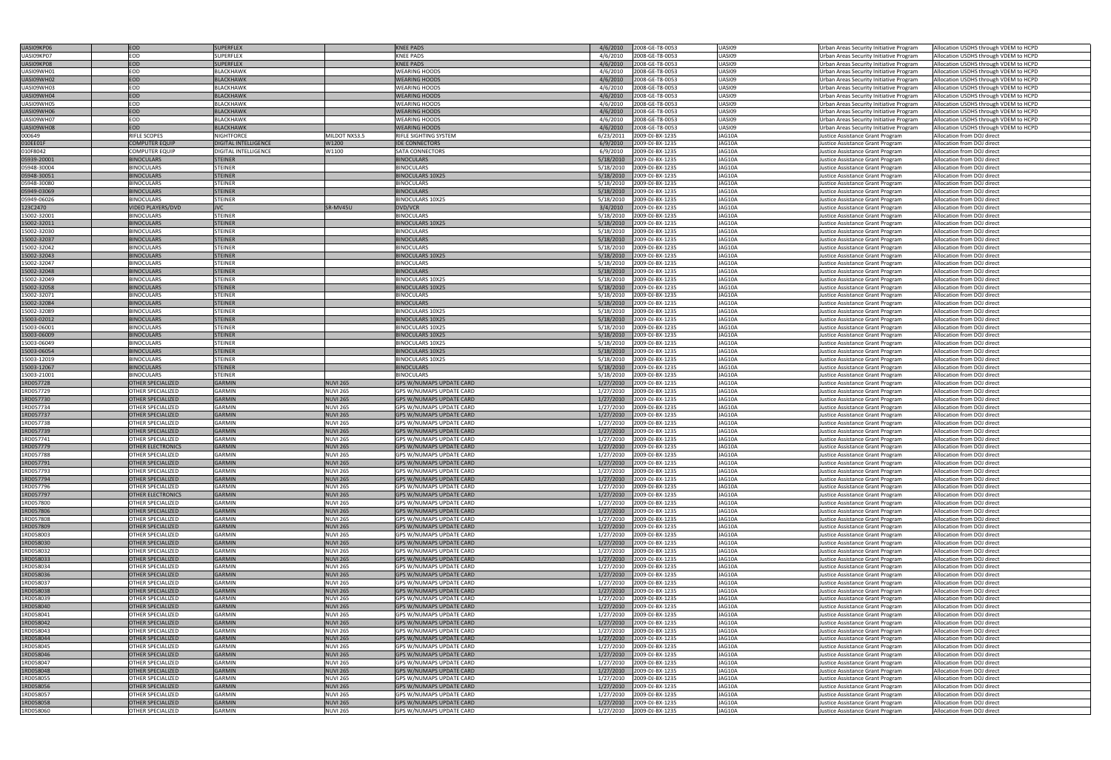| UASI09KP06  | EOD                      | <b>SUPERFLEX</b>     |                 | <b>KNEE PADS</b>                | 4/6/2010  | 2008-GE-T8-0053 | UASI09        | Urban Areas Security Initiative Program | Allocation USDHS through VDEM to HCPD |
|-------------|--------------------------|----------------------|-----------------|---------------------------------|-----------|-----------------|---------------|-----------------------------------------|---------------------------------------|
|             | <b>EOD</b>               |                      |                 |                                 |           |                 |               |                                         |                                       |
| UASI09KP07  |                          | SUPERFLEX            |                 | KNEE PADS                       | 4/6/2010  | 2008-GE-T8-0053 | UASI09        | Urban Areas Security Initiative Program | Allocation USDHS through VDEM to HCPD |
| UASI09KP08  | <b>EOD</b>               | <b>SUPERFLEX</b>     |                 | <b>KNEE PADS</b>                | 4/6/2010  | 2008-GE-T8-0053 | UASI09        | Urban Areas Security Initiative Program | Allocation USDHS through VDEM to HCPD |
| UASI09WH01  | <b>EOD</b>               | <b>BLACKHAWK</b>     |                 | <b>WEARING HOODS</b>            | 4/6/2010  | 2008-GE-T8-0053 | UASI09        | Urban Areas Security Initiative Program | Allocation USDHS through VDEM to HCPD |
| UASI09WH02  | EOD                      | <b>BLACKHAWK</b>     |                 | <b>WEARING HOODS</b>            | 4/6/2010  | 2008-GE-T8-0053 | UASI09        | Urban Areas Security Initiative Program | Allocation USDHS through VDEM to HCPD |
| UASI09WH03  | <b>EOD</b>               | <b>BLACKHAWK</b>     |                 | <b>WEARING HOODS</b>            | 4/6/2010  | 2008-GE-T8-0053 | UASI09        | Urban Areas Security Initiative Program | Allocation USDHS through VDEM to HCPD |
| UASI09WH04  | <b>EOD</b>               | <b>BLACKHAWK</b>     |                 | <b>WEARING HOODS</b>            | 4/6/2010  | 2008-GE-T8-0053 | UASI09        | Urban Areas Security Initiative Program | Allocation USDHS through VDEM to HCPD |
|             | <b>EOD</b>               |                      |                 |                                 |           |                 |               |                                         |                                       |
| UASI09WH05  |                          | <b>BLACKHAWK</b>     |                 | <b>WEARING HOODS</b>            | 4/6/2010  | 2008-GE-T8-0053 | UASI09        | Urban Areas Security Initiative Program | Allocation USDHS through VDEM to HCPD |
| UASI09WH06  | <b>EOD</b>               | <b>BLACKHAWK</b>     |                 | <b>WEARING HOODS</b>            | 4/6/2010  | 2008-GE-T8-0053 | UASI09        | Urban Areas Security Initiative Program | Allocation USDHS through VDEM to HCPD |
| UASI09WH07  | EOD                      | BLACKHAWK            |                 | <b>WEARING HOODS</b>            | 4/6/2010  | 2008-GE-T8-0053 | UASI09        | Urban Areas Security Initiative Program | Allocation USDHS through VDEM to HCPD |
| UASI09WH08  | <b>EOD</b>               | <b>BLACKHAWK</b>     |                 | <b>WEARING HOODS</b>            | 4/6/2010  | 2008-GE-T8-0053 | UASI09        | Urban Areas Security Initiative Program | Allocation USDHS through VDEM to HCPD |
| 000649      | <b>RIFLE SCOPES</b>      | NIGHTFORCE           | MILDOT NXS3.5   | RIFLE SIGHTING SYSTEM           | 6/23/2011 | 2009-DJ-BX-1235 | JAG10A        | Justice Assistance Grant Program        | Allocation from DOJ direct            |
| 010EE01F    | <b>COMPUTER EQUIP</b>    | DIGITAL INTELLIGENCE | W1200           | <b>IDE CONNECTORS</b>           | 6/9/2010  | 2009-DJ-BX-1235 | JAG10A        | Justice Assistance Grant Program        | Allocation from DOJ direct            |
|             |                          |                      |                 |                                 |           |                 |               |                                         |                                       |
| 010F8042    | <b>COMPUTER EQUIP</b>    | DIGITAL INTELLIGENCE | W1100           | SATA CONNECTORS                 | 6/9/2010  | 2009-DJ-BX-1235 | JAG10A        | Justice Assistance Grant Program        | Allocation from DOJ direct            |
| 05939-20001 | <b>BINOCULARS</b>        | <b>STEINER</b>       |                 | <b>BINOCULARS</b>               | 5/18/2010 | 2009-DJ-BX-1235 | JAG10A        | Justice Assistance Grant Program        | Allocation from DOJ direct            |
| 05948-30004 | <b>BINOCULARS</b>        | <b>STEINER</b>       |                 | <b>BINOCULARS</b>               | 5/18/2010 | 2009-DJ-BX-1235 | JAG10A        | Justice Assistance Grant Program        | Allocation from DOJ direct            |
| 05948-30051 | <b>BINOCULARS</b>        | <b>STEINER</b>       |                 | <b>BINOCULARS 10X25</b>         | 5/18/2010 | 2009-DJ-BX-1235 | JAG10A        | Justice Assistance Grant Program        | Allocation from DOJ direct            |
| 05948-30080 | <b>BINOCULARS</b>        | STEINER              |                 | BINOCULARS                      | 5/18/2010 | 2009-DJ-BX-1235 | JAG10A        | Justice Assistance Grant Program        | Allocation from DOJ direct            |
| 05949-03069 | <b>BINOCULARS</b>        | <b>STEINER</b>       |                 | <b>BINOCULARS</b>               | 5/18/2010 | 2009-DJ-BX-1235 | JAG10A        | Justice Assistance Grant Program        | Allocation from DOJ direct            |
| 05949-06026 | <b>BINOCULARS</b>        | <b>STEINER</b>       |                 | BINOCULARS 10X25                | 5/18/2010 | 2009-DJ-BX-1235 | JAG10A        | Justice Assistance Grant Program        | Allocation from DOJ direct            |
|             |                          |                      |                 |                                 |           |                 |               |                                         |                                       |
| 123C2470    | <b>VIDEO PLAYERS/DVD</b> | <b>JVC</b>           | SR-MV45U        | DVD/VCR                         | 3/4/2010  | 2009-DJ-BX-1235 | JAG10A        | Justice Assistance Grant Program        | Allocation from DOJ direct            |
| 15002-32001 | <b>BINOCULARS</b>        | <b>STEINER</b>       |                 | BINOCULARS                      | 5/18/2010 | 2009-DJ-BX-1235 | JAG10A        | Justice Assistance Grant Program        | Allocation from DOJ direct            |
| 15002-32011 | <b>BINOCULARS</b>        | <b>STEINER</b>       |                 | <b>BINOCULARS 10X25</b>         | 5/18/2010 | 2009-DJ-BX-1235 | JAG10A        | Justice Assistance Grant Program        | Allocation from DOJ direct            |
| 15002-32030 | <b>BINOCULARS</b>        | STEINER              |                 | <b>BINOCULARS</b>               | 5/18/2010 | 2009-DJ-BX-1235 | JAG10A        | Justice Assistance Grant Program        | Allocation from DOJ direct            |
| 15002-32037 | <b>BINOCULARS</b>        | <b>STEINER</b>       |                 | <b>BINOCULARS</b>               | 5/18/2010 | 2009-DJ-BX-1235 | JAG10A        | Justice Assistance Grant Program        | Allocation from DOJ direct            |
| 15002-32042 | <b>BINOCULARS</b>        | <b>STEINER</b>       |                 | <b>BINOCULARS</b>               | 5/18/2010 | 2009-DJ-BX-1235 | JAG10A        | Justice Assistance Grant Program        | Allocation from DOJ direct            |
|             | <b>BINOCULARS</b>        | <b>STEINER</b>       |                 | BINOCULARS 10X25                | 5/18/2010 | 2009-DJ-BX-1235 | JAG10A        |                                         |                                       |
| 15002-32043 |                          |                      |                 |                                 |           |                 |               | Justice Assistance Grant Program        | Allocation from DOJ direct            |
| 15002-32047 | <b>BINOCULARS</b>        | <b>STEINER</b>       |                 | <b>BINOCULARS</b>               | 5/18/2010 | 2009-DJ-BX-1235 | JAG10A        | Justice Assistance Grant Program        | Allocation from DOJ direct            |
| 15002-32048 | <b>BINOCULARS</b>        | <b>STEINER</b>       |                 | <b>BINOCULARS</b>               | 5/18/2010 | 2009-DJ-BX-1235 | JAG10A        | Justice Assistance Grant Program        | Allocation from DOJ direct            |
| 15002-32049 | <b>BINOCULARS</b>        | <b>STEINER</b>       |                 | <b>BINOCULARS 10X25</b>         | 5/18/2010 | 2009-DJ-BX-1235 | JAG10A        | Justice Assistance Grant Program        | Allocation from DOJ direct            |
| 15002-32058 | <b>BINOCULARS</b>        | <b>STEINER</b>       |                 | <b>BINOCULARS 10X25</b>         | 5/18/2010 | 2009-DJ-BX-1235 | JAG10A        | Justice Assistance Grant Program        | Allocation from DOJ direct            |
| 15002-32071 | <b>BINOCULARS</b>        | <b>STEINER</b>       |                 | BINOCULARS                      | 5/18/2010 | 2009-DJ-BX-1235 | JAG10A        | Justice Assistance Grant Program        | Allocation from DOJ direct            |
|             | <b>BINOCULARS</b>        | <b>STEINER</b>       |                 | <b>BINOCULARS</b>               |           |                 | JAG10A        |                                         |                                       |
| 15002-32084 |                          |                      |                 |                                 | 5/18/2010 | 2009-DJ-BX-1235 |               | Justice Assistance Grant Program        | Allocation from DOJ direct            |
| 15002-32089 | <b>BINOCULARS</b>        | <b>STEINER</b>       |                 | BINOCULARS 10X25                | 5/18/2010 | 2009-DJ-BX-1235 | JAG10A        | Justice Assistance Grant Program        | Allocation from DOJ direct            |
| 15003-02012 | <b>BINOCULARS</b>        | <b>STEINER</b>       |                 | BINOCULARS 10X25                | 5/18/2010 | 2009-DJ-BX-1235 | JAG10A        | Justice Assistance Grant Program        | Allocation from DOJ direct            |
| 15003-06001 | <b>BINOCULARS</b>        | <b>STEINER</b>       |                 | <b>BINOCULARS 10X25</b>         | 5/18/2010 | 2009-DJ-BX-1235 | JAG10A        | Justice Assistance Grant Program        | Allocation from DOJ direct            |
| 15003-06009 | <b>BINOCULARS</b>        | <b>STEINER</b>       |                 | <b>BINOCULARS 10X25</b>         | 5/18/2010 | 2009-DJ-BX-1235 | JAG10A        | Justice Assistance Grant Program        | Allocation from DOJ direct            |
| 15003-06049 | <b>BINOCULARS</b>        | STEINER              |                 | <b>BINOCULARS 10X25</b>         | 5/18/2010 | 2009-DJ-BX-1235 | JAG10A        | Justice Assistance Grant Program        | Allocation from DOJ direct            |
|             | <b>BINOCULARS</b>        | <b>STEINER</b>       |                 | BINOCULARS 10X25                | 5/18/2010 |                 | JAG10A        |                                         |                                       |
| 15003-06054 |                          |                      |                 |                                 |           | 2009-DJ-BX-1235 |               | Justice Assistance Grant Program        | Allocation from DOJ direct            |
| 15003-12019 | <b>BINOCULARS</b>        | <b>STEINER</b>       |                 | <b>BINOCULARS 10X25</b>         | 5/18/2010 | 2009-DJ-BX-1235 | JAG10A        | Justice Assistance Grant Program        | Allocation from DOJ direct            |
| 15003-12067 | <b>BINOCULARS</b>        | <b>STEINER</b>       |                 | <b>BINOCULARS</b>               | 5/18/2010 | 2009-DJ-BX-1235 | JAG10A        | Justice Assistance Grant Program        | Allocation from DOJ direct            |
| 15003-21001 | <b>BINOCULARS</b>        | <b>STEINER</b>       |                 | <b>BINOCULARS</b>               | 5/18/2010 | 2009-DJ-BX-1235 | JAG10A        | Justice Assistance Grant Program        | Allocation from DOJ direct            |
| 1RD057728   | <b>OTHER SPECIALIZED</b> | <b>GARMIN</b>        | <b>NUVI 265</b> | <b>GPS W/NUMAPS UPDATE CARD</b> | 1/27/2010 | 2009-DJ-BX-1235 | JAG10A        | Justice Assistance Grant Program        | Allocation from DOJ direct            |
| 1RD057729   | <b>OTHER SPECIALIZED</b> | <b>GARMIN</b>        | <b>NUVI 265</b> | GPS W/NUMAPS UPDATE CARD        | 1/27/2010 | 2009-DJ-BX-1235 | JAG10A        | Justice Assistance Grant Program        | Allocation from DOJ direct            |
| 1RD057730   | <b>OTHER SPECIALIZED</b> | <b>GARMIN</b>        | <b>NUVI 265</b> | <b>GPS W/NUMAPS UPDATE CARD</b> | 1/27/2010 | 2009-DJ-BX-1235 | <b>IAG10A</b> | Justice Assistance Grant Program        | Allocation from DOJ direct            |
|             |                          |                      |                 |                                 |           |                 |               |                                         |                                       |
| 1RD05/734   | <b>OTHER SPECIALIZED</b> | GARMIN               | <b>NUVI 265</b> | GPS W/NUMAPS UPDATE CARD        | 1/27/2010 | 2009-DJ-BX-1235 | JAG10A        | Justice Assistance Grant Program        | Allocation from DOJ direct            |
| 1RD057737   | <b>OTHER SPECIALIZED</b> | <b>GARMIN</b>        | <b>NUVI 265</b> | <b>GPS W/NUMAPS UPDATE CARD</b> | 1/27/2010 | 2009-DJ-BX-1235 | JAG10A        | Justice Assistance Grant Program        | Allocation from DOJ direct            |
| 1RD057738   | <b>OTHER SPECIALIZED</b> | <b>GARMIN</b>        | <b>NUVI 265</b> | GPS W/NUMAPS UPDATE CARD        | 1/27/2010 | 2009-DJ-BX-1235 | JAG10A        | Justice Assistance Grant Program        | Allocation from DOJ direct            |
| 1RD057739   | <b>OTHER SPECIALIZED</b> | <b>GARMIN</b>        | <b>NUVI 265</b> | <b>GPS W/NUMAPS UPDATE CARD</b> | 1/27/2010 | 2009-DJ-BX-1235 | JAG10A        | Justice Assistance Grant Program        | Allocation from DOJ direct            |
| 1RD057741   | <b>OTHER SPECIALIZED</b> | <b>GARMIN</b>        | <b>NUVI 265</b> | <b>GPS W/NUMAPS UPDATE CARD</b> | 1/27/2010 | 2009-DJ-BX-1235 | JAG10A        | Justice Assistance Grant Program        | Allocation from DOJ direct            |
| 1RD057779   | <b>OTHER ELECTRONICS</b> | <b>GARMIN</b>        | <b>NUVI 265</b> | <b>GPS W/NUMAPS UPDATE CARD</b> | 1/27/2010 | 2009-DJ-BX-1235 | JAG10A        | Justice Assistance Grant Program        | Allocation from DOJ direct            |
|             |                          |                      |                 |                                 |           |                 |               |                                         |                                       |
| 1RD057788   | <b>OTHER SPECIALIZED</b> | <b>GARMIN</b>        | <b>NUVI 265</b> | <b>GPS W/NUMAPS UPDATE CARD</b> | 1/27/2010 | 2009-DJ-BX-1235 | JAG10A        | Justice Assistance Grant Program        | Allocation from DOJ direct            |
| 1RD057791   | <b>OTHER SPECIALIZED</b> | <b>GARMIN</b>        | <b>NUVI 265</b> | <b>GPS W/NUMAPS UPDATE CARD</b> | 1/27/2010 | 2009-DJ-BX-1235 | JAG10A        | Justice Assistance Grant Program        | Allocation from DOJ direct            |
| 1RD057793   | <b>OTHER SPECIALIZED</b> | <b>GARMIN</b>        | <b>NUVI 265</b> | GPS W/NUMAPS UPDATE CARD        | 1/27/2010 | 2009-DJ-BX-1235 | JAG10A        | Justice Assistance Grant Program        | Allocation from DOJ direct            |
| 1RD057794   | <b>OTHER SPECIALIZED</b> | <b>GARMIN</b>        | <b>NUVI 265</b> | <b>GPS W/NUMAPS UPDATE CARD</b> | 1/27/2010 | 2009-DJ-BX-1235 | JAG10A        | Justice Assistance Grant Program        | Allocation from DOJ direct            |
| 1RD057796   | <b>OTHER SPECIALIZED</b> | <b>GARMIN</b>        | <b>NUVI 265</b> | GPS W/NUMAPS UPDATE CARD        | 1/27/2010 | 2009-DJ-BX-1235 | JAG10A        | Justice Assistance Grant Program        | Allocation from DOJ direct            |
| 1RD057797   | <b>OTHER ELECTRONICS</b> | <b>GARMIN</b>        | <b>NUVI 265</b> | <b>GPS W/NUMAPS UPDATE CARD</b> | 1/27/2010 | 2009-DJ-BX-1235 | JAG10A        | Justice Assistance Grant Program        | Allocation from DOJ direct            |
|             | <b>OTHER SPECIALIZED</b> | <b>GARMIN</b>        | <b>NUVI 265</b> |                                 |           |                 | JAG10A        |                                         |                                       |
| 1RD057800   |                          |                      |                 | <b>GPS W/NUMAPS UPDATE CARD</b> | 1/27/2010 | 2009-DJ-BX-1235 |               | Justice Assistance Grant Program        | Allocation from DOJ direct            |
| 1RD057806   | <b>OTHER SPECIALIZED</b> | <b>GARMIN</b>        | <b>NUVI 265</b> | <b>GPS W/NUMAPS UPDATE CARD</b> | 1/27/2010 | 2009-DJ-BX-1235 | JAG10A        | Justice Assistance Grant Program        | Allocation from DOJ direct            |
| 1RD057808   | <b>OTHER SPECIALIZED</b> | <b>GARMIN</b>        | <b>NUVI 265</b> | GPS W/NUMAPS UPDATE CARD        | 1/27/2010 | 2009-DJ-BX-1235 | JAG10A        | Justice Assistance Grant Program        | Allocation from DOJ direct            |
| 1RD057809   | <b>OTHER SPECIALIZED</b> | <b>GARMIN</b>        | <b>NUVI 265</b> | <b>GPS W/NUMAPS UPDATE CARD</b> | 1/27/2010 | 2009-DJ-BX-1235 | JAG10A        | Justice Assistance Grant Program        | Allocation from DOJ direct            |
| 1RD058003   | <b>OTHER SPECIALIZED</b> | <b>GARMIN</b>        | <b>NUVI 265</b> | <b>GPS W/NUMAPS UPDATE CARD</b> | 1/27/2010 | 2009-DJ-BX-1235 | JAG10A        | Justice Assistance Grant Program        | Allocation from DOJ direct            |
| 1RD058030   | <b>OTHER SPECIALIZED</b> | <b>GARMIN</b>        | <b>NUVI 265</b> | <b>GPS W/NUMAPS UPDATE CARD</b> | 1/27/2010 | 2009-DJ-BX-1235 | JAG10A        | Justice Assistance Grant Program        | Allocation from DOJ direct            |
| 1RD058032   | <b>OTHER SPECIALIZED</b> | <b>GARMIN</b>        | <b>NUVI 265</b> | GPS W/NUMAPS UPDATE CARD        | 1/27/2010 | 2009-DJ-BX-1235 | JAG10A        | Justice Assistance Grant Program        | Allocation from DOJ direct            |
|             |                          | <b>GARMIN</b>        |                 |                                 |           |                 | JAG10A        |                                         |                                       |
| 1RD058033   | <b>OTHER SPECIALIZED</b> |                      | <b>NUVI 265</b> | <b>GPS W/NUMAPS UPDATE CARD</b> | 1/27/2010 | 2009-DJ-BX-1235 |               | Justice Assistance Grant Program        | Allocation from DOJ direct            |
| 1RD058034   | <b>OTHER SPECIALIZED</b> | <b>GARMIN</b>        | <b>NUVI 265</b> | <b>GPS W/NUMAPS UPDATE CARD</b> | 1/27/2010 | 2009-DJ-BX-1235 | JAG10A        | Justice Assistance Grant Program        | Allocation from DOJ direct            |
| 1RD058036   | <b>OTHER SPECIALIZED</b> | <b>GARMIN</b>        | <b>NUVI 265</b> | <b>GPS W/NUMAPS UPDATE CARD</b> | 1/27/2010 | 2009-DJ-BX-1235 | JAG10A        | Justice Assistance Grant Program        | Allocation from DOJ direct            |
| 1RD058037   | <b>OTHER SPECIALIZED</b> | <b>GARMIN</b>        | <b>NUVI 265</b> | GPS W/NUMAPS UPDATE CARD        | 1/27/2010 | 2009-DJ-BX-1235 | JAG10A        | Justice Assistance Grant Program        | Allocation from DOJ direct            |
| 1RD058038   | <b>OTHER SPECIALIZED</b> | <b>GARMIN</b>        | <b>NUVI 265</b> | <b>GPS W/NUMAPS UPDATE CARD</b> | 1/27/2010 | 2009-DJ-BX-1235 | JAG10A        | Justice Assistance Grant Program        | Allocation from DOJ direct            |
| 1RD058039   | <b>OTHER SPECIALIZED</b> | <b>GARMIN</b>        | <b>NUVI 265</b> | GPS W/NUMAPS UPDATE CARD        | 1/27/2010 | 2009-DJ-BX-1235 | JAG10A        | Justice Assistance Grant Program        | Allocation from DOJ direct            |
| 1RD058040   | <b>OTHER SPECIALIZED</b> | <b>GARMIN</b>        | <b>NUVI 265</b> | <b>GPS W/NUMAPS UPDATE CARD</b> | 1/27/2010 | 2009-DJ-BX-1235 | JAG10A        | Justice Assistance Grant Program        | Allocation from DOJ direct            |
|             | <b>OTHER SPECIALIZED</b> | <b>GARMIN</b>        | <b>NUVI 265</b> |                                 |           |                 | JAG10A        |                                         |                                       |
| 1RD058041   |                          |                      |                 | GPS W/NUMAPS UPDATE CARD        | 1/27/2010 | 2009-DJ-BX-1235 |               | Justice Assistance Grant Program        | Allocation from DOJ direct            |
| 1RD058042   | <b>OTHER SPECIALIZED</b> | <b>GARMIN</b>        | <b>NUVI 265</b> | <b>GPS W/NUMAPS UPDATE CARD</b> | 1/27/2010 | 2009-DJ-BX-1235 | JAG10A        | Justice Assistance Grant Program        | Allocation from DOJ direct            |
| 1RD058043   | <b>OTHER SPECIALIZED</b> | <b>GARMIN</b>        | <b>NUVI 265</b> | GPS W/NUMAPS UPDATE CARD        | 1/27/2010 | 2009-DJ-BX-1235 | JAG10A        | Justice Assistance Grant Program        | Allocation from DOJ direct            |
| 1RD058044   | <b>OTHER SPECIALIZED</b> | <b>GARMIN</b>        | <b>NUVI 265</b> | <b>GPS W/NUMAPS UPDATE CARD</b> | 1/27/2010 | 2009-DJ-BX-1235 | JAG10A        | Justice Assistance Grant Program        | Allocation from DOJ direct            |
| 1RD058045   | <b>OTHER SPECIALIZED</b> | <b>GARMIN</b>        | <b>NUVI 265</b> | GPS W/NUMAPS UPDATE CARD        | 1/27/2010 | 2009-DJ-BX-1235 | JAG10A        | Justice Assistance Grant Program        | Allocation from DOJ direct            |
| 1RD058046   | <b>OTHER SPECIALIZED</b> | <b>GARMIN</b>        | <b>NUVI 265</b> | <b>GPS W/NUMAPS UPDATE CARD</b> | 1/27/2010 | 2009-DJ-BX-1235 | JAG10A        | Justice Assistance Grant Program        | Allocation from DOJ direct            |
|             |                          |                      |                 |                                 |           |                 |               |                                         |                                       |
| 1RD058047   | <b>OTHER SPECIALIZED</b> | <b>GARMIN</b>        | <b>NUVI 265</b> | <b>GPS W/NUMAPS UPDATE CARD</b> | 1/27/2010 | 2009-DJ-BX-1235 | JAG10A        | Justice Assistance Grant Program        | Allocation from DOJ direct            |
| 1RD058048   | <b>OTHER SPECIALIZED</b> | <b>GARMIN</b>        | <b>NUVI 265</b> | <b>GPS W/NUMAPS UPDATE CARD</b> | 1/27/2010 | 2009-DJ-BX-1235 | JAG10A        | Justice Assistance Grant Program        | Allocation from DOJ direct            |
| 1RD058055   | <b>OTHER SPECIALIZED</b> | <b>GARMIN</b>        | <b>NUVI 265</b> | <b>GPS W/NUMAPS UPDATE CARD</b> | 1/27/2010 | 2009-DJ-BX-1235 | JAG10A        | Justice Assistance Grant Program        | Allocation from DOJ direct            |
| 1RD058056   | <b>OTHER SPECIALIZED</b> | <b>GARMIN</b>        | <b>NUVI 265</b> | <b>GPS W/NUMAPS UPDATE CARD</b> | 1/27/2010 | 2009-DJ-BX-1235 | JAG10A        | Justice Assistance Grant Program        | Allocation from DOJ direct            |
| 1RD058057   | <b>OTHER SPECIALIZED</b> | <b>GARMIN</b>        | <b>NUVI 265</b> | <b>GPS W/NUMAPS UPDATE CARD</b> | 1/27/2010 | 2009-DJ-BX-1235 | JAG10A        | Justice Assistance Grant Program        | Allocation from DOJ direct            |
| 1RD058058   | <b>OTHER SPECIALIZED</b> | <b>GARMIN</b>        | <b>NUVI 265</b> | <b>GPS W/NUMAPS UPDATE CARD</b> | 1/27/2010 | 2009-DJ-BX-1235 | JAG10A        | Justice Assistance Grant Program        | Allocation from DOJ direct            |
|             |                          |                      |                 |                                 |           |                 |               |                                         |                                       |
| 1RD058060   | <b>OTHER SPECIALIZED</b> | <b>GARMIN</b>        | <b>NUVI 265</b> | GPS W/NUMAPS UPDATE CARD        | 1/27/2010 | 2009-DJ-BX-1235 | JAG10A        | Justice Assistance Grant Program        | Allocation from DOJ direct            |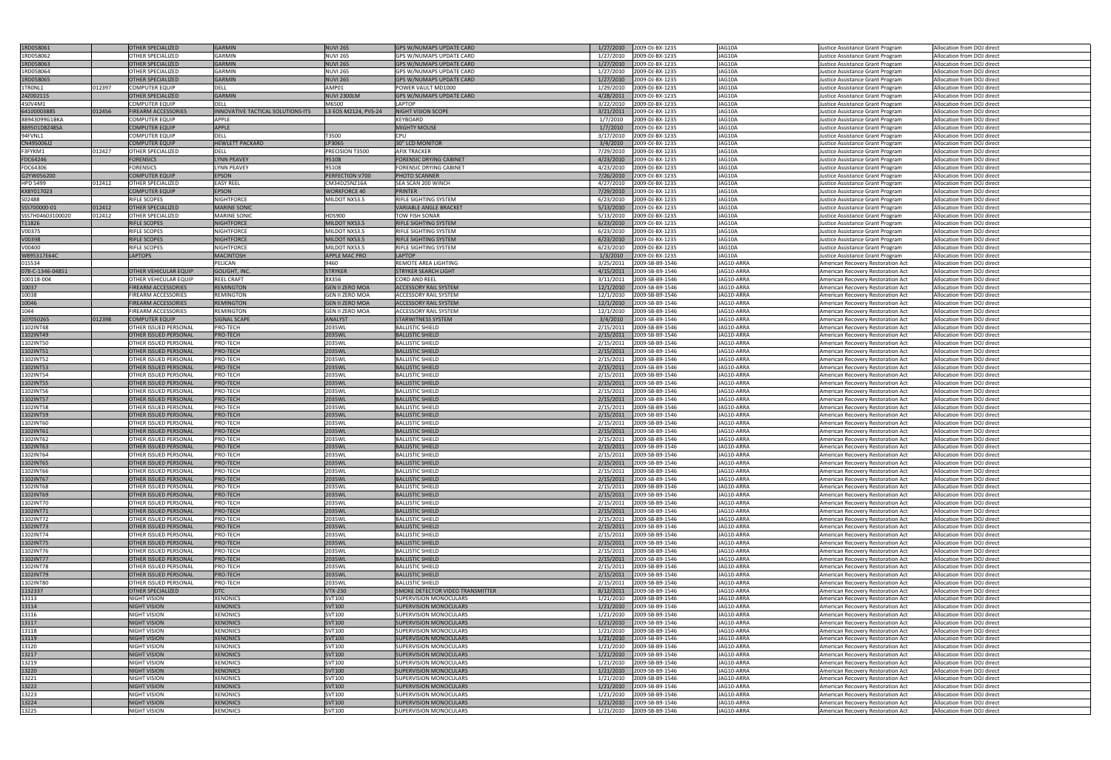| 1RD058061        |        | <b>OTHER SPECIALIZED</b>     | <b>GARMIN</b>                     | <b>NUVI 265</b>          | <b>GPS W/NUMAPS UPDATE CARD</b>         | 2009-DJ-BX-1235<br>1/27/2010 | JAG10A     | Justice Assistance Grant Program  | Allocation from DOJ direct |
|------------------|--------|------------------------------|-----------------------------------|--------------------------|-----------------------------------------|------------------------------|------------|-----------------------------------|----------------------------|
|                  |        |                              | <b>GARMIN</b>                     |                          |                                         |                              | JAG10A     |                                   |                            |
| 1RD058062        |        | OTHER SPECIALIZED            |                                   | NUVI 265                 | <b>GPS W/NUMAPS UPDATE CARD</b>         | 1/27/2010<br>2009-DJ-BX-1235 |            | Justice Assistance Grant Program  | Allocation from DOJ direct |
| 1RD058063        |        | <b>OTHER SPECIALIZED</b>     | <b>GARMIN</b>                     | <b>NUVI 265</b>          | <b>GPS W/NUMAPS UPDATE CARD</b>         | 1/27/2010<br>2009-DJ-BX-1235 | JAG10A     | Justice Assistance Grant Program  | Allocation from DOJ direct |
| 1RD058064        |        | OTHER SPECIALIZED            | <b>GARMIN</b>                     | <b>NUVI 265</b>          | <b>GPS W/NUMAPS UPDATE CARD</b>         | 1/27/2010<br>2009-DJ-BX-1235 | JAG10A     | Justice Assistance Grant Program  | Allocation from DOJ direct |
| 1RD058065        |        | <b>OTHER SPECIALIZED</b>     | <b>GARMIN</b>                     | <b>NUVI 265</b>          | <b>GPS W/NUMAPS UPDATE CARD</b>         | 1/27/2010<br>2009-DJ-BX-1235 | JAG10A     | Justice Assistance Grant Program  | Allocation from DOJ direct |
| 1TRONL1          | 012397 | <b>COMPUTER EQUIP</b>        | <b>DELL</b>                       | AMP01                    | POWER VAULT MD1000                      | 1/29/2010<br>2009-DJ-BX-1235 | JAG10A     | Justice Assistance Grant Program  | Allocation from DOJ direct |
| 24Z002115        |        | OTHER SPECIALIZED            | <b>GARMIN</b>                     | <b>NUVI 2300LM</b>       | <b>GPS W/NUMAPS UPDATE CARD</b>         | 4/28/2011<br>2009-DJ-BX-1235 | JAG10A     | Justice Assistance Grant Program  | Allocation from DOJ direct |
| 450V4M1          |        | <b>COMPUTER EQUIP</b>        | <b>DELL</b>                       | M6500                    | LAPTOP                                  | 3/22/2010<br>2009-DJ-BX-1235 | JAG10A     | Justice Assistance Grant Program  | Allocation from DOJ direct |
| 6410000388S      |        |                              | INNOVATIVE TACTICAL SOLUTIONS-ITS |                          | <b>NIGHT VISION SCOPE</b>               |                              | JAG10A     |                                   |                            |
|                  | 012456 | <b>FIREARM ACCESSORIES</b>   |                                   | L3 EOS M2124, PVS-24     |                                         | 3/21/2011<br>2009-DJ-BX-1235 |            | Justice Assistance Grant Program  | Allocation from DOJ direct |
| 8B943099G1BKA    |        | COMPUTER EQUIP               | APPLE                             |                          | KEYBOARD                                | 1/7/2010<br>2009-DJ-BX-1235  | JAG10A     | Justice Assistance Grant Program  | Allocation from DOJ direct |
| 8B9501D8Z48SA    |        | <b>COMPUTER EQUIP</b>        | APPLE                             |                          | <b>MIGHTY MOUSE</b>                     | 1/7/2010<br>2009-DJ-BX-1235  | JAG10A     | Justice Assistance Grant Program  | Allocation from DOJ direct |
| 94FVNL1          |        | <b>COMPUTER EQUIP</b>        | DELL                              | T3500                    | CPU                                     | 3/17/2010<br>2009-DJ-BX-1235 | JAG10A     | Justice Assistance Grant Program  | Allocation from DOJ direct |
| CN495006J2       |        | <b>COMPUTER EQUIP</b>        | <b>HEWLETT PACKARD</b>            | LP3065                   | <b>30" LCD MONITOR</b>                  | 2009-DJ-BX-1235<br>3/4/2010  | JAG10A     | Justice Assistance Grant Program  | Allocation from DOJ direct |
| F3FYKM1          | 012427 | <b>OTHER SPECIALIZED</b>     | DELL                              | PRECISION T3500          | <b>AFIX TRACKER</b>                     | 7/29/2010<br>2009-DJ-BX-1235 | JAG10A     | Justice Assistance Grant Program  | Allocation from DOJ direct |
| FDC64246         |        | <b>FORENSICS</b>             | <b>LYNN PEAVEY</b>                | 95108                    | <b>FORENSIC DRYING CABINET</b>          | 4/23/2010<br>2009-DJ-BX-1235 | JAG10A     | Justice Assistance Grant Program  | Allocation from DOJ direct |
| FDC64306         |        | <b>FORENSICS</b>             | <b>LYNN PEAVEY</b>                | 95108                    | <b>FORENSIC DRYING CABINET</b>          | 2009-DJ-BX-1235<br>4/23/2010 | JAG10A     | Justice Assistance Grant Program  | Allocation from DOJ direct |
|                  |        |                              | EPSON                             |                          |                                         | 7/26/2010                    | JAG10A     |                                   |                            |
| G2YW056200       |        | <b>COMPUTER EQUIP</b>        |                                   | PERFECTION V700          | PHOTO SCANNER                           | 2009-DJ-BX-1235              |            | Justice Assistance Grant Program  | Allocation from DOJ direct |
| HPD 5499         | 012412 | OTHER SPECIALIZED            | <b>EASY REEL</b>                  | CM34D25NZ16A             | SEA SCAN 200 WINCH                      | 4/27/2010<br>2009-DJ-BX-1235 | JAG10A     | Justice Assistance Grant Program  | Allocation from DOJ direct |
| KX8Y017023       |        | <b>COMPUTER EQUIP</b>        | <b>EPSON</b>                      | <b>WORKFORCE 40</b>      | PRINTER                                 | 7/29/2010<br>2009-DJ-BX-1235 | JAG10A     | Justice Assistance Grant Program  | Allocation from DOJ direct |
| S02488           |        | RIFLE SCOPES                 | NIGHTFORCE                        | MILDOT NXS3.5            | RIFLE SIGHTING SYSTEM                   | 6/23/2010<br>2009-DJ-BX-1235 | JAG10A     | Justice Assistance Grant Program  | Allocation from DOJ direct |
| SSS700000-01     | 012412 | <b>OTHER SPECIALIZED</b>     | <b>MARINE SONIC</b>               |                          | <b>VARIABLE ANGLE BRACKET</b>           | 5/13/2010<br>2009-DJ-BX-1235 | JAG10A     | Justice Assistance Grant Program  | Allocation from DOJ direct |
| SSS7H04603100020 | 012412 | OTHER SPECIALIZED            | <b>MARINE SONIC</b>               | HDS900                   | <b>TOW FISH SONAR</b>                   | 5/13/2010<br>2009-DJ-BX-1235 | JAG10A     | Justice Assistance Grant Program  | Allocation from DOJ direct |
| T11826           |        | <b>RIFLE SCOPES</b>          | NIGHTFORCE                        | MILDOT NXS3.5            | <b>RIFLE SIGHTING SYSTEM</b>            | 6/23/2010<br>2009-DJ-BX-1235 | JAG10A     | Justice Assistance Grant Program  | Allocation from DOJ direct |
| V00375           |        | <b>RIFLE SCOPES</b>          | NIGHTFORCE                        | MILDOT NXS3.5            | RIFLE SIGHTING SYSTEM                   | 6/23/2010<br>2009-DJ-BX-1235 | JAG10A     |                                   | Allocation from DOJ direct |
| V00398           |        | <b>RIFLE SCOPES</b>          | NIGHTFORCE                        | <b>MILDOT NXS3.5</b>     | <b>RIFLE SIGHTING SYSTEM</b>            | 6/23/2010<br>2009-DJ-BX-1235 | JAG10A     | Justice Assistance Grant Program  | Allocation from DOJ direct |
|                  |        |                              |                                   |                          |                                         |                              |            | Justice Assistance Grant Program  |                            |
| V00400           |        | <b>RIFLE SCOPES</b>          | NIGHTFORCE                        | MILDOT NXS3.5            | RIFLE SIGHTING SYSTEM                   | 6/23/2010<br>2009-DJ-BX-1235 | JAG10A     | Justice Assistance Grant Program  | Allocation from DOJ direct |
| W895317E64C      |        | <b>LAPTOPS</b>               | <b>MACINTOSH</b>                  | <b>APPLE MAC PRO</b>     | <b>LAPTOP</b>                           | 1/3/2010<br>2009-DJ-BX-1235  | JAG10A     | Justice Assistance Grant Program  | Allocation from DOJ direct |
| 015534           |        |                              | PELICAN                           | 9460                     | REMOTE AREA LIGHTING                    | 2009-SB-B9-1546<br>3/25/2011 | JAG10-ARRA | American Recovery Restoration Act | Allocation from DOJ direct |
| 078-C-1346-04851 |        | <b>OTHER VEHICULAR EQUIP</b> | <b>GOLIGHT, INC.</b>              | <b>STRYKER</b>           | <b>STRYKER SEARCH LIGHT</b>             | 4/15/2011<br>2009-SB-B9-1546 | JAG10-ARRA | American Recovery Restoration Act | Allocation from DOJ direct |
| 100118-004       |        | OTHER VEHICULAR EQUIP        | <b>REEL CRAFT</b>                 | 8X356                    | CORD AND REEL                           | 2009-SB-B9-1546<br>3/11/2011 | JAG10-ARRA | American Recovery Restoration Act | Allocation from DOJ direct |
| 10037            |        | FIREARM ACCESSORIES          | REMINGTON                         | <b>GEN II ZERO MOA</b>   | <b>ACCESSORY RAIL SYSTEM</b>            | 12/1/2010<br>2009-SB-B9-1546 | JAG10-ARRA | American Recovery Restoration Act | Allocation from DOJ direct |
| 10038            |        | FIREARM ACCESSORIES          | REMINGTON                         | <b>GEN II ZERO MOA</b>   | ACCESSORY RAIL SYSTEM                   | 12/1/2010<br>2009-SB-B9-1546 | JAG10-ARRA |                                   | Allocation from DOJ direct |
|                  |        |                              |                                   |                          |                                         |                              |            | American Recovery Restoration Act |                            |
| 10046            |        | <b>FIREARM ACCESSORIES</b>   | <b>REMINGTON</b>                  | <b>GEN II ZERO MOA</b>   | <b>ACCESSORY RAIL SYSTEM</b>            | 12/1/2010<br>2009-SB-B9-1546 | JAG10-ARRA | American Recovery Restoration Act | Allocation from DOJ direct |
| 1044             |        | FIREARM ACCESSORIES          | REMINGTON                         | <b>GEN II ZERO MOA</b>   | ACCESSORY RAIL SYSTEM                   | 12/1/2010<br>2009-SB-B9-1546 | JAG10-ARRA | American Recovery Restoration Act | Allocation from DOJ direct |
| 107050265        | 012398 | <b>COMPUTER EQUIP</b>        | SIGNAL SCAPE                      | <b>ANALYST</b>           | <b>STARWITNESS SYSTEM</b>               | 3/4/2010<br>2009-SB-B9-1546  | JAG10-ARRA | American Recovery Restoration Act | Allocation from DOJ direct |
| 1102INT48        |        | OTHER ISSUED PERSONAL        | PRO-TECH                          | 2035WL                   | <b>BALLISTIC SHIELD</b>                 | 2009-SB-B9-1546<br>2/15/2011 | JAG10-ARRA | American Recovery Restoration Act | Allocation from DOJ direct |
| 1102INT49        |        | OTHER ISSUED PERSONAL        | PRO-TECH                          | 2035WL                   | <b>BALLISTIC SHIELD</b>                 | 2009-SB-B9-1546<br>2/15/2011 | JAG10-ARRA | American Recovery Restoration Act | Allocation from DOJ direct |
| 1102INT50        |        | OTHER ISSUED PERSONAL        | PRO-TECH                          | 2035WL                   | BALLISTIC SHIELD                        | 2009-SB-B9-1546<br>2/15/2011 | JAG10-ARRA | American Recovery Restoration Act | Allocation from DOJ direct |
|                  |        |                              |                                   |                          | <b>BALLISTIC SHIELD</b>                 |                              | JAG10-ARRA |                                   |                            |
| 1102INT51        |        | OTHER ISSUED PERSONAL        | PRO-TECH                          | 2035WL                   |                                         | 2/15/2011<br>2009-SB-B9-1546 |            | American Recovery Restoration Act | Allocation from DOJ direct |
| 1102INT52        |        | OTHER ISSUED PERSONAL        | PRO-TECH                          | 2035WL                   | <b>BALLISTIC SHIELD</b>                 | 2/15/2011<br>2009-SB-B9-1546 | JAG10-ARRA | American Recovery Restoration Act | Allocation from DOJ direct |
| 1102INT53        |        | OTHER ISSUED PERSONAL        | PRO-TECH                          | 2035WL                   | <b>BALLISTIC SHIELD</b>                 | 2009-SB-B9-1546<br>2/15/2011 | JAG10-ARRA | American Recovery Restoration Act | Allocation from DOJ direct |
| 1102INT54        |        | OTHER ISSUED PERSONAL        | PRO-TECH                          | 2035WL                   | <b>BALLISTIC SHIELD</b>                 | 2/15/2011<br>2009-SB-B9-1546 | JAG10-ARRA | American Recovery Restoration Act | Allocation from DOJ direct |
| 1102INT55        |        | <b>OTHER ISSUED PERSONAL</b> | PRO-TECH                          | 2035WL                   | <b>BALLISTIC SHIELD</b>                 | 2/15/2011<br>2009-SB-B9-1546 | JAG10-ARRA | American Recovery Restoration Act | Allocation from DOJ direct |
| 1102INT56        |        | OTHER ISSUED PERSONAL        | PRO-TECH                          | 2035WL                   | BALLISTIC SHIELD                        | 2009-SB-B9-1546<br>2/15/2011 | JAG10-ARRA | American Recovery Restoration Act | Allocation from DOJ direct |
| 1102INT57        |        | OTHER ISSUED PERSONAL        | PRO-TECH                          | 2035WL                   | <b>BALLISTIC SHIELD</b>                 | 2/15/2011<br>2009-SB-B9-1546 | JAG10-ARRA | American Recovery Restoration Act | Allocation from DOJ direct |
|                  |        |                              |                                   |                          | <b>BALLISTIC SHIELD</b>                 | 2/15/2011                    |            |                                   |                            |
| 1102IN158        |        | OTHER ISSUED PERSONAL        | PRO-TECH                          | 2035WL                   |                                         | 2009-SB-B9-1546              | JAG10-ARRA | American Recovery Restoration Act | Allocation from DOJ direct |
| 1102INT59        |        | OTHER ISSUED PERSONAL        | PRO-TECH                          | 2035WL                   | <b>BALLISTIC SHIELD</b>                 | 2/15/2011<br>2009-SB-B9-1546 | JAG10-ARRA | American Recovery Restoration Act | Allocation from DOJ direct |
| 1102INT60        |        | OTHER ISSUED PERSONAL        | PRO-TECH                          | 2035WL                   | <b>BALLISTIC SHIELD</b>                 | 2/15/2011<br>2009-SB-B9-1546 | JAG10-ARRA | American Recovery Restoration Act | Allocation from DOJ direct |
| 1102INT61        |        | OTHER ISSUED PERSONAL        | PRO-TECH                          | 2035WL                   | <b>BALLISTIC SHIELD</b>                 | 2009-SB-B9-1546<br>2/15/2011 | JAG10-ARRA | American Recovery Restoration Act | Allocation from DOJ direct |
| 1102INT62        |        | OTHER ISSUED PERSONAL        | PRO-TECH                          | 2035WL                   | <b>BALLISTIC SHIELD</b>                 | 2009-SB-B9-1546<br>2/15/2011 | JAG10-ARRA | American Recovery Restoration Act | Allocation from DOJ direct |
| 1102INT63        |        | OTHER ISSUED PERSONAL        | PRO-TECH                          | 2035WL                   | <b>BALLISTIC SHIELD</b>                 | 2/15/2011<br>2009-SB-B9-1546 | JAG10-ARRA | American Recovery Restoration Act | Allocation from DOJ direct |
| 1102INT64        |        | OTHER ISSUED PERSONAL        | PRO-TECH                          | 2035WL                   | <b>BALLISTIC SHIELD</b>                 | 2009-SB-B9-1546<br>2/15/2011 | JAG10-ARRA | American Recovery Restoration Act | Allocation from DOJ direct |
| 1102INT65        |        | OTHER ISSUED PERSONAL        |                                   |                          |                                         |                              |            |                                   |                            |
| 1102INT66        |        | OTHER ISSUED PERSONAL        |                                   |                          |                                         |                              |            |                                   |                            |
|                  |        |                              | PRO-TECH                          | 2035WL                   | <b>BALLISTIC SHIELD</b>                 | 2/15/2011<br>2009-SB-B9-1546 | JAG10-ARRA | American Recovery Restoration Act | Allocation from DOJ direct |
| 1102INT67        |        |                              | PRO-TECH                          | 2035WL                   | <b>BALLISTIC SHIELD</b>                 | 2/15/2011<br>2009-SB-B9-1546 | JAG10-ARRA | American Recovery Restoration Act | Allocation from DOJ direct |
| 1102INT68        |        | <b>OTHER ISSUED PERSONAL</b> | PRO-TECH                          | 2035WL                   | <b>BALLISTIC SHIELD</b>                 | 2009-SB-B9-1546<br>2/15/2011 | JAG10-ARRA | American Recovery Restoration Act | Allocation from DOJ direct |
|                  |        | OTHER ISSUED PERSONAL        | PRO-TECH                          | 2035WL                   | <b>BALLISTIC SHIELD</b>                 | 2/15/2011<br>2009-SB-B9-1546 | JAG10-ARRA | American Recovery Restoration Act | Allocation from DOJ direct |
| 1102INT69        |        | <b>OTHER ISSUED PERSONAL</b> | PRO-TECH                          | 2035WL                   | <b>BALLISTIC SHIELD</b>                 | 2/15/2011<br>2009-SB-B9-1546 | JAG10-ARRA | American Recovery Restoration Act | Allocation from DOJ direct |
| 1102INT70        |        | OTHER ISSUED PERSONAL        | PRO-TECH                          | 2035WL                   | <b>BALLISTIC SHIELD</b>                 | 2/15/2011<br>2009-SB-B9-1546 | JAG10-ARRA | American Recovery Restoration Act | Allocation from DOJ direct |
| 1102INT71        |        | OTHER ISSUED PERSONAL        | PRO-TECH                          | 2035WL                   | <b>BALLISTIC SHIELD</b>                 | 2/15/2011<br>2009-SB-B9-1546 | JAG10-ARRA | American Recovery Restoration Act | Allocation from DOJ direct |
|                  |        |                              |                                   |                          |                                         |                              |            |                                   |                            |
| 1102INT72        |        | OTHER ISSUED PERSONAL        | PRO-TECH                          | 2035WL                   | BALLISTIC SHIELD                        | 2/15/2011<br>2009-SB-B9-1546 | JAG10-ARRA | American Recovery Restoration Act | Allocation from DOJ direct |
| 1102INT73        |        | OTHER ISSUED PERSONAL        | PRO-TECH                          | 2035WL                   | <b>BALLISTIC SHIELD</b>                 | 2/15/2011<br>2009-SB-B9-1546 | JAG10-ARRA | American Recovery Restoration Act | Allocation from DOJ direct |
| 1102INT74        |        | OTHER ISSUED PERSONAL        | PRO-TECH                          | 2035WL                   | <b>BALLISTIC SHIELD</b>                 | 2/15/2011<br>2009-SB-B9-1546 | JAG10-ARRA | American Recovery Restoration Act | Allocation from DOJ direct |
| 1102INT75        |        | OTHER ISSUED PERSONAL        | PRO-TECH                          | 2035WL                   | <b>BALLISTIC SHIELD</b>                 | 2009-SB-B9-1546<br>2/15/2011 | JAG10-ARRA | American Recovery Restoration Act | Allocation from DOJ direct |
| 1102INT76        |        | OTHER ISSUED PERSONAL        | PRO-TECH                          | 2035WL                   | <b>BALLISTIC SHIELD</b>                 | 2009-SB-B9-1546<br>2/15/2011 | JAG10-ARRA | American Recovery Restoration Act | Allocation from DOJ direct |
| 1102INT77        |        | OTHER ISSUED PERSONAL        | PRO-TECH                          | 2035WL                   | <b>BALLISTIC SHIELD</b>                 | 2/15/2011<br>2009-SB-B9-1546 | JAG10-ARRA | American Recovery Restoration Act | Allocation from DOJ direct |
| 1102INT78        |        | OTHER ISSUED PERSONAL        | PRO-TECH                          | 2035WL                   | <b>BALLISTIC SHIELD</b>                 | 2009-SB-B9-1546<br>2/15/2011 | JAG10-ARRA | American Recovery Restoration Act | Allocation from DOJ direct |
| 1102INT79        |        | OTHER ISSUED PERSONAL        | PRO-TECH                          | 2035WL                   | <b>BALLISTIC SHIELD</b>                 | 2/15/2011<br>2009-SB-B9-1546 | JAG10-ARRA | American Recovery Restoration Act | Allocation from DOJ direct |
|                  |        | OTHER ISSUED PERSONAL        |                                   |                          | BALLISTIC SHIELD                        |                              | JAG10-ARRA |                                   |                            |
| 1102INT80        |        |                              | PRO-TECH                          | 2035WL<br><b>VTX-250</b> | <b>SMOKE DETECTOR VIDEO TRANSMITTER</b> | 2009-SB-B9-1546<br>2/15/2011 |            | American Recovery Restoration Act | Allocation from DOJ direct |
| 1132337          |        | OTHER SPECIALIZED            | <b>DTC</b>                        |                          |                                         | 2009-SB-B9-1546<br>8/12/2011 | JAG10-ARRA | American Recovery Restoration Act | Allocation from DOJ direct |
| 13113            |        | NIGHT VISION                 | <b>XENONICS</b>                   | SVT100                   | SUPERVISION MONOCULARS                  | 2009-SB-B9-1546<br>1/21/2010 | JAG10-ARRA | American Recovery Restoration Act | Allocation from DOJ direct |
| 13114            |        | <b>NIGHT VISION</b>          | <b>XENONICS</b>                   | <b>SVT100</b>            | <b>SUPERVISION MONOCULARS</b>           | 1/21/2010<br>2009-SB-B9-1546 | JAG10-ARRA | American Recovery Restoration Act | Allocation from DOJ direct |
| 13116            |        | NIGHT VISION                 | XENONICS                          | SVT100                   | SUPERVISION MONOCULARS                  | 1/21/2010<br>2009-SB-B9-1546 | JAG10-ARRA | American Recovery Restoration Act | Allocation from DOJ direct |
| 13117            |        | <b>NIGHT VISION</b>          | <b>XENONICS</b>                   | <b>SVT100</b>            | <b>SUPERVISION MONOCULARS</b>           | 1/21/2010<br>2009-SB-B9-1546 | JAG10-ARRA | American Recovery Restoration Act | Allocation from DOJ direct |
| 13118            |        | NIGHT VISION                 | <b>XENONICS</b>                   | SVT100                   | SUPERVISION MONOCULARS                  | 1/21/2010<br>2009-SB-B9-1546 | JAG10-ARRA | American Recovery Restoration Act | Allocation from DOJ direct |
| 13119            |        | <b>NIGHT VISION</b>          | <b>XENONICS</b>                   | <b>SVT100</b>            | <b>SUPERVISION MONOCULARS</b>           | 1/21/2010<br>2009-SB-B9-1546 | JAG10-ARRA | American Recovery Restoration Act | Allocation from DOJ direct |
| 13120            |        | <b>NIGHT VISION</b>          | <b>XENONICS</b>                   | SVT100                   | SUPERVISION MONOCULARS                  | 1/21/2010<br>2009-SB-B9-1546 | JAG10-ARRA | American Recovery Restoration Act | Allocation from DOJ direct |
|                  |        | <b>NIGHT VISION</b>          | <b>XENONICS</b>                   | <b>SVT100</b>            | <b>SUPERVISION MONOCULARS</b>           | 2009-SB-B9-1546<br>1/21/2010 | JAG10-ARRA |                                   | Allocation from DOJ direct |
| 13217            |        |                              |                                   |                          |                                         |                              |            | American Recovery Restoration Act |                            |
| 13219            |        | NIGHT VISION                 | <b>XENONICS</b>                   | SVT100                   | SUPERVISION MONOCULARS                  | 2009-SB-B9-1546<br>1/21/2010 | JAG10-ARRA | American Recovery Restoration Act | Allocation from DOJ direct |
| 13220            |        | <b>NIGHT VISION</b>          | <b>XENONICS</b>                   | <b>SVT100</b>            | <b>SUPERVISION MONOCULARS</b>           | 1/21/2010<br>2009-SB-B9-1546 | JAG10-ARRA | American Recovery Restoration Act | Allocation from DOJ direct |
| 13221            |        | NIGHT VISION                 | <b>XENONICS</b>                   | SVT100                   | SUPERVISION MONOCULARS                  | 2009-SB-B9-1546<br>1/21/2010 | JAG10-ARRA | American Recovery Restoration Act | Allocation from DOJ direct |
| 13222            |        | <b>NIGHT VISION</b>          | <b>XENONICS</b>                   | <b>SVT100</b>            | <b>SUPERVISION MONOCULARS</b>           | 1/21/2010<br>2009-SB-B9-1546 | JAG10-ARRA | American Recovery Restoration Act | Allocation from DOJ direct |
| 13223            |        | <b>NIGHT VISION</b>          | <b>XENONICS</b>                   | SVT100                   | SUPERVISION MONOCULARS                  | 2009-SB-B9-1546<br>1/21/2010 | JAG10-ARRA | American Recovery Restoration Act | Allocation from DOJ direct |
| 13224<br>13225   |        | <b>NIGHT VISION</b>          | <b>XENONICS</b>                   | <b>SVT100</b>            | <b>SUPERVISION MONOCULARS</b>           | 2009-SB-B9-1546<br>1/21/2010 | JAG10-ARRA | American Recovery Restoration Act | Allocation from DOJ direct |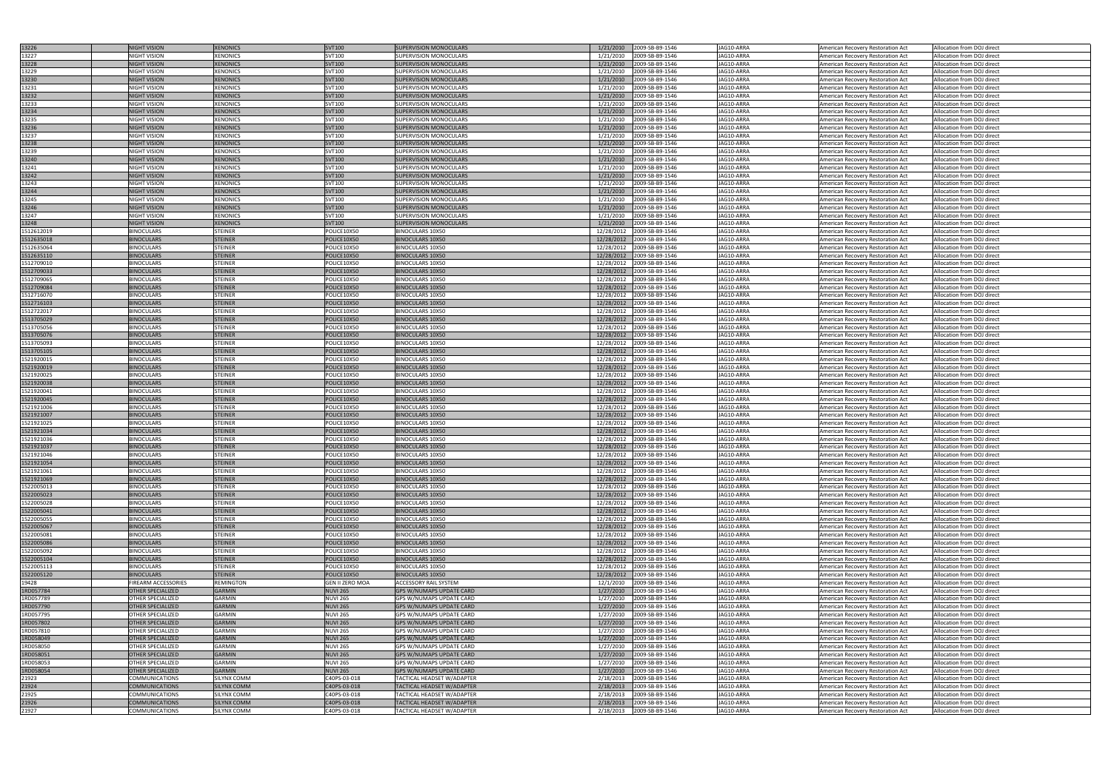| 13226      | <b>NIGHT VISION</b>        | <b>XENONICS</b>    | <b>SVT100</b>          | <b>SUPERVISION MONOCULARS</b>     | 2009-SB-B9-1546<br>1/21/2010  | JAG10-ARRA |                                   | Allocation from DOJ direct |
|------------|----------------------------|--------------------|------------------------|-----------------------------------|-------------------------------|------------|-----------------------------------|----------------------------|
|            |                            |                    |                        |                                   |                               |            | American Recovery Restoration Act |                            |
| 13227      | <b>NIGHT VISION</b>        | XENONICS           | SVT100                 | SUPERVISION MONOCULARS            | 2009-SB-B9-1546<br>1/21/2010  | JAG10-ARRA | American Recovery Restoration Act | Allocation from DOJ direct |
| 13228      | <b>NIGHT VISION</b>        | <b>XENONICS</b>    | <b>SVT100</b>          | <b>SUPERVISION MONOCULARS</b>     | 1/21/2010<br>2009-SB-B9-1546  | JAG10-ARRA | American Recovery Restoration Act | Allocation from DOJ direct |
| 13229      | <b>NIGHT VISION</b>        | XENONICS           | SVT100                 | SUPERVISION MONOCULARS            | 1/21/2010<br>2009-SB-B9-1546  | JAG10-ARRA | American Recovery Restoration Act | Allocation from DOJ direct |
| 13230      | <b>NIGHT VISION</b>        | <b>XENONICS</b>    | <b>SVT100</b>          | <b>SUPERVISION MONOCULARS</b>     | 2009-SB-B9-1546<br>1/21/2010  | JAG10-ARRA | American Recovery Restoration Act | Allocation from DOJ direct |
|            |                            |                    |                        |                                   |                               |            |                                   |                            |
| 13231      | <b>NIGHT VISION</b>        | XENONICS           | SVT100                 | SUPERVISION MONOCULARS            | 1/21/2010<br>2009-SB-B9-1546  | JAG10-ARRA | American Recovery Restoration Act | Allocation from DOJ direct |
| 13232      | <b>NIGHT VISION</b>        | <b>XENONICS</b>    | <b>SVT100</b>          | <b>SUPERVISION MONOCULARS</b>     | 1/21/2010<br>2009-SB-B9-1546  | JAG10-ARRA | American Recovery Restoration Act | Allocation from DOJ direct |
| 13233      | <b>NIGHT VISION</b>        | XENONICS           | SVT100                 | <b>SUPERVISION MONOCULARS</b>     | 1/21/2010<br>2009-SB-B9-1546  | JAG10-ARRA | American Recovery Restoration Act | Allocation from DOJ direct |
| 13234      | <b>NIGHT VISION</b>        | <b>XENONICS</b>    | <b>SVT100</b>          | <b>SUPERVISION MONOCULARS</b>     | 1/21/2010<br>2009-SB-B9-1546  | JAG10-ARRA | American Recovery Restoration Act | Allocation from DOJ direct |
| 13235      | <b>NIGHT VISION</b>        | XENONICS           | SVT100                 | SUPERVISION MONOCULARS            | 1/21/2010<br>2009-SB-B9-1546  | JAG10-ARRA | American Recovery Restoration Act | Allocation from DOJ direct |
|            |                            |                    |                        |                                   |                               |            |                                   |                            |
| 13236      | <b>NIGHT VISION</b>        | <b>XENONICS</b>    | <b>SVT100</b>          | <b>SUPERVISION MONOCULARS</b>     | 1/21/2010<br>2009-SB-B9-1546  | JAG10-ARRA | American Recovery Restoration Act | Allocation from DOJ direct |
| 13237      | <b>NIGHT VISION</b>        | XENONICS           | SVT100                 | <b>SUPERVISION MONOCULARS</b>     | 1/21/2010<br>2009-SB-B9-1546  | JAG10-ARRA | American Recovery Restoration Act | Allocation from DOJ direct |
| 13238      | <b>NIGHT VISION</b>        | XENONICS           | <b>SVT100</b>          | <b>SUPERVISION MONOCULARS</b>     | 1/21/2010<br>2009-SB-B9-1546  | JAG10-ARRA | American Recovery Restoration Act | Allocation from DOJ direct |
| 13239      | <b>NIGHT VISION</b>        | XENONICS           | SVT100                 | SUPERVISION MONOCULARS            | 1/21/2010<br>2009-SB-B9-1546  | JAG10-ARRA | American Recovery Restoration Act | Allocation from DOJ direct |
| 13240      | <b>NIGHT VISION</b>        | <b>XENONICS</b>    | <b>SVT100</b>          | <b>SUPERVISION MONOCULARS</b>     | 1/21/2010<br>2009-SB-B9-1546  | JAG10-ARRA | American Recovery Restoration Act | Allocation from DOJ direct |
| 13241      | <b>NIGHT VISION</b>        | <b>XENONICS</b>    | SVT100                 | <b>SUPERVISION MONOCULARS</b>     | 2009-SB-B9-1546<br>1/21/2010  | JAG10-ARRA |                                   | Allocation from DOJ direct |
|            |                            |                    |                        |                                   |                               |            | American Recovery Restoration Act |                            |
| 13242      | <b>NIGHT VISION</b>        | <b>XENONICS</b>    | <b>SVT100</b>          | <b>SUPERVISION MONOCULARS</b>     | 1/21/2010<br>2009-SB-B9-1546  | JAG10-ARRA | American Recovery Restoration Act | Allocation from DOJ direct |
| 13243      | <b>NIGHT VISION</b>        | XENONICS           | SVT100                 | SUPERVISION MONOCULARS            | 1/21/2010<br>2009-SB-B9-1546  | JAG10-ARRA | American Recovery Restoration Act | Allocation from DOJ direct |
| 13244      | <b>NIGHT VISION</b>        | <b>XENONICS</b>    | <b>SVT100</b>          | <b>SUPERVISION MONOCULARS</b>     | 1/21/2010<br>2009-SB-B9-1546  | JAG10-ARRA | American Recovery Restoration Act | Allocation from DOJ direct |
| 13245      | <b>NIGHT VISION</b>        | <b>XENONICS</b>    | SVT100                 | SUPERVISION MONOCULARS            | 1/21/2010<br>2009-SB-B9-1546  | JAG10-ARRA | American Recovery Restoration Act | Allocation from DOJ direct |
| 13246      | <b>NIGHT VISION</b>        | <b>XENONICS</b>    | <b>SVT100</b>          | <b>SUPERVISION MONOCULARS</b>     | 1/21/2010<br>2009-SB-B9-1546  | JAG10-ARRA | American Recovery Restoration Act | Allocation from DOJ direct |
|            |                            |                    |                        |                                   |                               |            |                                   |                            |
| 13247      | <b>NIGHT VISION</b>        | <b>XENONICS</b>    | SVT100                 | SUPERVISION MONOCULARS            | 2009-SB-B9-1546<br>1/21/2010  | JAG10-ARRA | American Recovery Restoration Act | Allocation from DOJ direct |
| 13248      | <b>NIGHT VISION</b>        | <b>XENONICS</b>    | <b>SVT100</b>          | <b>SUPERVISION MONOCULARS</b>     | 1/21/2010<br>2009-SB-B9-1546  | JAG10-ARRA | American Recovery Restoration Act | Allocation from DOJ direct |
| 1512612019 | <b>BINOCULARS</b>          | STEINER            | POLICE10X50            | BINOCULARS 10X50                  | 12/28/2012<br>2009-SB-B9-1546 | JAG10-ARRA | American Recovery Restoration Act | Allocation from DOJ direct |
| 1512635018 | <b>BINOCULARS</b>          | <b>STEINER</b>     | POLICE10X50            | <b>BINOCULARS 10X50</b>           | 12/28/2012<br>2009-SB-B9-1546 | JAG10-ARRA | American Recovery Restoration Act | Allocation from DOJ direct |
| 1512635064 | <b>BINOCULARS</b>          | STEINER            | POLICE10X50            | BINOCULARS 10X50                  | 12/28/2012<br>2009-SB-B9-1546 | JAG10-ARRA | American Recovery Restoration Act | Allocation from DOJ direct |
|            |                            | <b>STEINER</b>     |                        |                                   |                               |            |                                   |                            |
| 1512635110 | <b>BINOCULARS</b>          |                    | POLICE10X50            | <b>BINOCULARS 10X50</b>           | 12/28/2012<br>2009-SB-B9-1546 | JAG10-ARRA | American Recovery Restoration Act | Allocation from DOJ direct |
| 1512709010 | <b>BINOCULARS</b>          | STEINER            | POLICE10X50            | <b>BINOCULARS 10X50</b>           | 12/28/2012<br>2009-SB-B9-1546 | JAG10-ARRA | American Recovery Restoration Act | Allocation from DOJ direct |
| 1512709033 | <b>BINOCULARS</b>          | <b>STEINER</b>     | POLICE10X50            | <b>BINOCULARS 10X50</b>           | 12/28/2012<br>2009-SB-B9-1546 | JAG10-ARRA | American Recovery Restoration Act | Allocation from DOJ direct |
| 1512709065 | <b>BINOCULARS</b>          | STEINER            | POLICE10X50            | <b>BINOCULARS 10X50</b>           | 12/28/2012<br>2009-SB-B9-1546 | JAG10-ARRA | American Recovery Restoration Act | Allocation from DOJ direct |
| 1512709084 | <b>BINOCULARS</b>          | <b>STEINER</b>     | POLICE10X50            | <b>BINOCULARS 10X50</b>           | 12/28/2012<br>2009-SB-B9-1546 | JAG10-ARRA | American Recovery Restoration Act | Allocation from DOJ direct |
|            |                            |                    |                        |                                   |                               |            |                                   |                            |
| 1512716070 | <b>BINOCULARS</b>          | STEINER            | POLICE10X50            | <b>BINOCULARS 10X50</b>           | 12/28/2012<br>2009-SB-B9-1546 | JAG10-ARRA | American Recovery Restoration Act | Allocation from DOJ direct |
| 1512716103 | <b>BINOCULARS</b>          | <b>STEINER</b>     | POLICE10X50            | <b>BINOCULARS 10X50</b>           | 12/28/2012<br>2009-SB-B9-1546 | JAG10-ARRA | American Recovery Restoration Act | Allocation from DOJ direct |
| 1512722017 | <b>BINOCULARS</b>          | STEINER            | POLICE10X50            | BINOCULARS 10X50                  | 12/28/2012<br>2009-SB-B9-1546 | JAG10-ARRA | American Recovery Restoration Act | Allocation from DOJ direct |
| 1513705029 | <b>BINOCULARS</b>          | <b>STEINER</b>     | POLICE10X50            | <b>BINOCULARS 10X50</b>           | 12/28/2012<br>2009-SB-B9-1546 | JAG10-ARRA | American Recovery Restoration Act | Allocation from DOJ direct |
| 1513705056 | <b>BINOCULARS</b>          | STEINER            | POLICE10X50            | BINOCULARS 10X50                  | 2009-SB-B9-1546<br>12/28/2012 | JAG10-ARRA | American Recovery Restoration Act | Allocation from DOJ direct |
|            | <b>BINOCULARS</b>          | <b>STEINER</b>     |                        |                                   | 12/28/2012<br>2009-SB-B9-1546 | JAG10-ARRA |                                   |                            |
| 1513705076 |                            |                    | POLICE10X50            | <b>BINOCULARS 10X50</b>           |                               |            | American Recovery Restoration Act | Allocation from DOJ direct |
| 1513705093 | <b>BINOCULARS</b>          | STEINER            | POLICE10X50            | BINOCULARS 10X50                  | 12/28/2012<br>2009-SB-B9-1546 | JAG10-ARRA | American Recovery Restoration Act | Allocation from DOJ direct |
| 1513705105 | <b>BINOCULARS</b>          | <b>STEINER</b>     | POLICE10X50            | <b>BINOCULARS 10X50</b>           | 12/28/2012 2009-SB-B9-1546    | JAG10-ARRA | American Recovery Restoration Act | Allocation from DOJ direct |
| 1521920015 | <b>BINOCULARS</b>          | STEINER            | POLICE10X50            | BINOCULARS 10X50                  | 12/28/2012<br>2009-SB-B9-1546 | JAG10-ARRA | American Recovery Restoration Act | Allocation from DOJ direct |
| 1521920019 | <b>BINOCULARS</b>          | <b>STEINER</b>     | POLICE10X50            | <b>BINOCULARS 10X50</b>           | 12/28/2012<br>2009-SB-B9-1546 | JAG10-ARRA | American Recovery Restoration Act | Allocation from DOJ direct |
| 1521920025 | <b>BINOCULARS</b>          | STEINER            | POLICE10X50            | <b>BINOCULARS 10X50</b>           | 12/28/2012<br>2009-SB-B9-1546 | JAG10-ARRA |                                   | Allocation from DOJ direct |
|            |                            |                    |                        |                                   |                               |            | American Recovery Restoration Act |                            |
| 1521920038 | BINOCULARS                 | <b>STEINER</b>     | POLICE10X50            | <b>BINOCULARS 10X50</b>           | 12/28/2012<br>2009-SB-B9-1546 | JAG10-ARRA | American Recovery Restoration Act | Allocation from DOJ direct |
| 1521920041 | <b>BINOCULARS</b>          | STEINER            | POLICE10X50            | BINOCULARS 10X50                  | 2009-SB-B9-1546<br>12/28/2012 | JAG10-ARRA | American Recovery Restoration Act | Allocation from DOJ direct |
|            |                            |                    | POLICE10X50            | <b>BINOCULARS 10X50</b>           | 12/28/2012 2009-SB-B9-1546    | JAG10-ARRA | American Recovery Restoration Act | Allocation from DOJ direct |
|            | <b>BINOCULARS</b>          | <b>STEINER</b>     |                        |                                   |                               |            |                                   |                            |
| 1521920045 |                            |                    |                        |                                   |                               |            |                                   |                            |
| 1521921006 | <b>BINOCULARS</b>          | SILINER            | POLICE10X50            | <b>BINOCULARS 10X50</b>           | 12/28/2012 2009-SB-B9-1546    | JAG10-ARRA | American Recovery Restoration Act | Allocation from DOJ direct |
| 1521921007 | <b>BINOCULARS</b>          | <b>STEINER</b>     | POLICE10X50            | <b>BINOCULARS 10X50</b>           | 12/28/2012 2009-SB-B9-1546    | JAG10-ARRA | American Recovery Restoration Act | Allocation from DOJ direct |
| 1521921025 | <b>BINOCULARS</b>          | STEINER            | POLICE10X50            | BINOCULARS 10X50                  | 12/28/2012 2009-SB-B9-1546    | JAG10-ARRA | American Recovery Restoration Act | Allocation from DOJ direct |
| 1521921034 | <b>BINOCULARS</b>          | <b>STEINER</b>     | POLICE10X50            | <b>BINOCULARS 10X50</b>           | 12/28/2012 2009-SB-B9-1546    | JAG10-ARRA | American Recovery Restoration Act | Allocation from DOJ direct |
| 1521921036 | <b>BINOCULARS</b>          | <b>STEINER</b>     | POLICE10X50            | <b>BINOCULARS 10X50</b>           | 12/28/2012 2009-SB-B9-1546    | JAG10-ARRA | American Recovery Restoration Act | Allocation from DOJ direct |
|            |                            |                    |                        |                                   |                               |            |                                   |                            |
| 1521921037 | <b>BINOCULARS</b>          | <b>STEINER</b>     | POLICE10X50            | <b>BINOCULARS 10X50</b>           | 2009-SB-B9-1546<br>12/28/2012 | JAG10-ARRA | American Recovery Restoration Act | Allocation from DOJ direct |
| 1521921046 | <b>BINOCULARS</b>          | STEINER            | POLICE10X50            | BINOCULARS 10X50                  | 2009-SB-B9-1546<br>12/28/2012 | JAG10-ARRA | American Recovery Restoration Act | Allocation from DOJ direct |
| 1521921054 | <b>BINOCULARS</b>          | <b>STEINER</b>     | POLICE10X50            | <b>BINOCULARS 10X50</b>           | 12/28/2012 2009-SB-B9-1546    | JAG10-ARRA | American Recovery Restoration Act | Allocation from DOJ direct |
| 1521921061 | <b>BINOCULARS</b>          | STEINER            | POLICE10X50            | BINOCULARS 10X50                  | 12/28/2012<br>2009-SB-B9-1546 | JAG10-ARRA | American Recovery Restoration Act | Allocation from DOJ direct |
| 1521921069 | <b>BINOCULARS</b>          | <b>STEINER</b>     | POLICE10X50            | <b>BINOCULARS 10X50</b>           | 2009-SB-B9-1546<br>12/28/2012 | JAG10-ARRA | American Recovery Restoration Act | Allocation from DOJ direct |
| 1522005013 | <b>BINOCULARS</b>          | STEINER            | POLICE10X50            | BINOCULARS 10X50                  | 12/28/2012<br>2009-SB-B9-1546 | JAG10-ARRA | American Recovery Restoration Act | Allocation from DOJ direct |
|            |                            |                    |                        |                                   |                               |            |                                   |                            |
| 1522005023 | <b>BINOCULARS</b>          | <b>STEINER</b>     | POLICE10X50            | <b>BINOCULARS 10X50</b>           | 12/28/2012<br>2009-SB-B9-1546 | JAG10-ARRA | American Recovery Restoration Act | Allocation from DOJ direct |
| 1522005028 | <b>BINOCULARS</b>          | <b>STEINER</b>     | POLICE10X50            | BINOCULARS 10X50                  | 2009-SB-B9-1546<br>12/28/2012 | JAG10-ARRA | American Recovery Restoration Act | Allocation from DOJ direct |
| 1522005041 | <b>BINOCULARS</b>          | <b>STEINER</b>     | POLICE10X50            | <b>BINOCULARS 10X50</b>           | 12/28/2012 2009-SB-B9-1546    | JAG10-ARRA | American Recovery Restoration Act | Allocation from DOJ direct |
| 1522005055 | <b>BINOCULARS</b>          | STEINER            | POLICE10X50            | BINOCULARS 10X50                  | 12/28/2012<br>2009-SB-B9-1546 | JAG10-ARRA | American Recovery Restoration Act | Allocation from DOJ direct |
| 1522005067 | <b>BINOCULARS</b>          | <b>STEINER</b>     | POLICE10X50            | <b>BINOCULARS 10X50</b>           | 12/28/2012 2009-SB-B9-1546    | JAG10-ARRA | American Recovery Restoration Act | Allocation from DOJ direct |
| 1522005081 | <b>BINOCULARS</b>          | <b>STEINER</b>     | POLICE10X50            | BINOCULARS 10X50                  | 12/28/2012 2009-SB-B9-1546    | JAG10-ARRA | American Recovery Restoration Act | Allocation from DOJ direct |
|            |                            |                    |                        |                                   |                               |            |                                   |                            |
| 1522005086 | <b>BINOCULARS</b>          | <b>STEINER</b>     | POLICE10X50            | BINOCULARS 10X50                  | 12/28/2012 2009-SB-B9-1546    | JAG10-ARRA | American Recovery Restoration Act | Allocation from DOJ direct |
| 1522005092 | <b>BINOCULARS</b>          | STEINER            | POLICE10X50            | BINOCULARS 10X50                  | 12/28/2012 2009-SB-B9-1546    | JAG10-ARRA | American Recovery Restoration Act | Allocation from DOJ direct |
| 1522005104 | <b>BINOCULARS</b>          | <b>STEINER</b>     | POLICE10X50            | <b>BINOCULARS 10X50</b>           | 12/28/2012 2009-SB-B9-1546    | JAG10-ARRA | American Recovery Restoration Act | Allocation from DOJ direct |
| 522005113  | <b>BINOCULARS</b>          | STEINER            | POLICE10X50            | BINOCULARS 10X50                  | 2009-SB-B9-1546<br>12/28/2012 | JAG10-ARRA | American Recovery Restoration Act | Allocation from DOJ direct |
| 1522005120 | <b>BINOCULARS</b>          | <b>STEINER</b>     | POLICE10X50            | <b>BINOCULARS 10X50</b>           | 12/28/2012<br>2009-SB-B9-1546 | JAG10-ARRA | American Recovery Restoration Act | Allocation from DOJ direct |
|            |                            |                    |                        |                                   |                               |            |                                   |                            |
| 19428      | <b>FIREARM ACCESSORIES</b> | REMINGTON          | <b>GEN II ZERO MOA</b> | ACCESSORY RAIL SYSTEM             | 12/1/2010<br>2009-SB-B9-1546  | JAG10-ARRA | American Recovery Restoration Act | Allocation from DOJ direct |
| 1RD057784  | <b>OTHER SPECIALIZED</b>   | <b>GARMIN</b>      | <b>NUVI 265</b>        | <b>GPS W/NUMAPS UPDATE CARD</b>   | 2009-SB-B9-1546<br>1/27/2010  | JAG10-ARRA | American Recovery Restoration Act | Allocation from DOJ direct |
| 1RD057789  | <b>OTHER SPECIALIZED</b>   | <b>GARMIN</b>      | <b>NUVI 265</b>        | GPS W/NUMAPS UPDATE CARD          | 1/27/2010<br>2009-SB-B9-1546  | JAG10-ARRA | American Recovery Restoration Act | Allocation from DOJ direct |
| 1RD057790  | <b>OTHER SPECIALIZED</b>   | <b>GARMIN</b>      | <b>NUVI 265</b>        | <b>GPS W/NUMAPS UPDATE CARD</b>   | 1/27/2010<br>2009-SB-B9-1546  | JAG10-ARRA | American Recovery Restoration Act | Allocation from DOJ direct |
| 1RD057795  | <b>OTHER SPECIALIZED</b>   | <b>GARMIN</b>      | <b>NUVI 265</b>        | GPS W/NUMAPS UPDATE CARD          | 2009-SB-B9-1546<br>1/27/2010  | JAG10-ARRA | American Recovery Restoration Act | Allocation from DOJ direct |
|            |                            |                    |                        |                                   |                               |            |                                   |                            |
| 1RD057802  | <b>OTHER SPECIALIZED</b>   | <b>GARMIN</b>      | <b>NUVI 265</b>        | <b>GPS W/NUMAPS UPDATE CARD</b>   | 2009-SB-B9-1546<br>1/27/2010  | JAG10-ARRA | American Recovery Restoration Act | Allocation from DOJ direct |
| RD057810   | <b>OTHER SPECIALIZED</b>   | <b>GARMIN</b>      | <b>NUVI 265</b>        | GPS W/NUMAPS UPDATE CARD          | 1/27/2010<br>2009-SB-B9-1546  | JAG10-ARRA | American Recovery Restoration Act | Allocation from DOJ direct |
| 1RD058049  | <b>OTHER SPECIALIZED</b>   | <b>GARMIN</b>      | <b>NUVI 265</b>        | <b>GPS W/NUMAPS UPDATE CARD</b>   | 1/27/2010<br>2009-SB-B9-1546  | JAG10-ARRA | American Recovery Restoration Act | Allocation from DOJ direct |
| 1RD058050  | <b>OTHER SPECIALIZED</b>   | <b>GARMIN</b>      | <b>NUVI 265</b>        | GPS W/NUMAPS UPDATE CARD          | 1/27/2010<br>2009-SB-B9-1546  | JAG10-ARRA | American Recovery Restoration Act | Allocation from DOJ direct |
| 1RD058051  | <b>OTHER SPECIALIZED</b>   | <b>GARMIN</b>      | <b>NUVI 265</b>        | <b>GPS W/NUMAPS UPDATE CARD</b>   | 1/27/2010<br>2009-SB-B9-1546  | JAG10-ARRA | American Recovery Restoration Act | Allocation from DOJ direct |
|            | <b>OTHER SPECIALIZED</b>   | <b>GARMIN</b>      |                        | <b>GPS W/NUMAPS UPDATE CARD</b>   | 1/27/2010<br>2009-SB-B9-1546  | JAG10-ARRA |                                   |                            |
| 1RD058053  |                            |                    | <b>NUVI 265</b>        |                                   |                               |            | American Recovery Restoration Act | Allocation from DOJ direct |
| 1RD058054  | <b>OTHER SPECIALIZED</b>   | <b>GARMIN</b>      | <b>NUVI 265</b>        | <b>GPS W/NUMAPS UPDATE CARD</b>   | 1/27/2010<br>2009-SB-B9-1546  | JAG10-ARRA | American Recovery Restoration Act | Allocation from DOJ direct |
| 21923      | <b>COMMUNICATIONS</b>      | SILYNX COMM        | C40PS-03-018           | <b>TACTICAL HEADSET W/ADAPTER</b> | 2009-SB-B9-1546<br>2/18/2013  | JAG10-ARRA | American Recovery Restoration Act | Allocation from DOJ direct |
| 21924      | <b>COMMUNICATIONS</b>      | <b>SILYNX COMM</b> | C40PS-03-018           | <b>TACTICAL HEADSET W/ADAPTER</b> | 2/18/2013<br>2009-SB-B9-1546  | JAG10-ARRA | American Recovery Restoration Act | Allocation from DOJ direct |
| 21925      | <b>COMMUNICATIONS</b>      | <b>SILYNX COMM</b> | C40PS-03-018           | TACTICAL HEADSET W/ADAPTER        | 2009-SB-B9-1546<br>2/18/2013  | JAG10-ARRA | American Recovery Restoration Act | Allocation from DOJ direct |
| 21926      | <b>COMMUNICATIONS</b>      | <b>SILYNX COMM</b> | C40PS-03-018           | <b>TACTICAL HEADSET W/ADAPTER</b> | 2009-SB-B9-1546<br>2/18/2013  | JAG10-ARRA | American Recovery Restoration Act | Allocation from DOJ direct |
| 21927      | <b>COMMUNICATIONS</b>      | <b>SILYNX COMM</b> | C40PS-03-018           | TACTICAL HEADSET W/ADAPTER        | 2/18/2013 2009-SB-B9-1546     | JAG10-ARRA | American Recovery Restoration Act | Allocation from DOJ direct |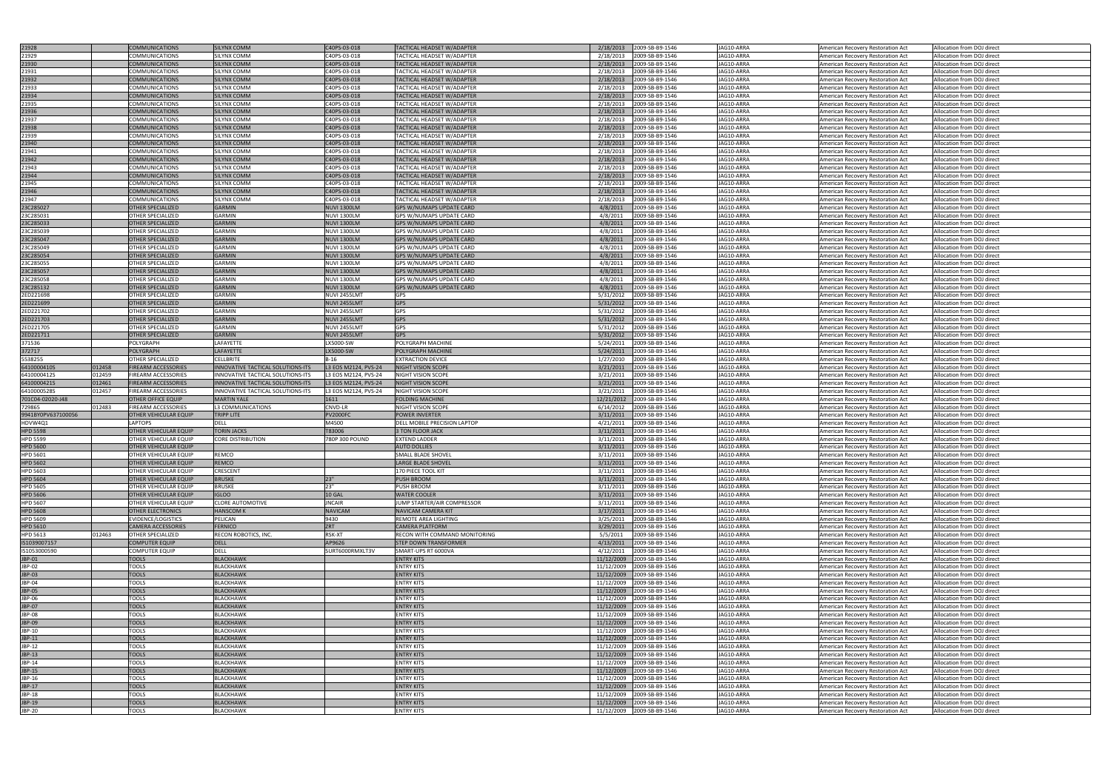|                    |        |                              | <b>SILYNX COMM</b>                       |                      |                                        |            |                                                          |                          |                                                                        |                                                          |
|--------------------|--------|------------------------------|------------------------------------------|----------------------|----------------------------------------|------------|----------------------------------------------------------|--------------------------|------------------------------------------------------------------------|----------------------------------------------------------|
| 21928              |        | <b>COMMUNICATIONS</b>        |                                          | C40PS-03-018         | TACTICAL HEADSET W/ADAPTER             | 2/18/2013  | 2009-SB-B9-1546                                          | JAG10-ARRA               | American Recovery Restoration Act                                      | Allocation from DOJ direct                               |
| 21929              |        | COMMUNICATIONS               | SILYNX COMM                              | C40PS-03-018         | TACTICAL HEADSET W/ADAPTER             | 2/18/2013  | 2009-SB-B9-1546                                          | JAG10-ARRA               | American Recovery Restoration Act                                      | Allocation from DOJ direct                               |
| 21930              |        | <b>COMMUNICATIONS</b>        | <b>SILYNX COMM</b>                       | C40PS-03-018         | TACTICAL HEADSET W/ADAPTER             | 2/18/2013  | 2009-SB-B9-1546                                          | JAG10-ARRA               | American Recovery Restoration Act                                      | Allocation from DOJ direct                               |
| 21931              |        | COMMUNICATIONS               | SILYNX COMM                              | C40PS-03-018         | TACTICAL HEADSET W/ADAPTER             | 2/18/2013  | 2009-SB-B9-1546                                          | JAG10-ARRA               | American Recovery Restoration Act                                      | Allocation from DOJ direct                               |
|                    |        |                              |                                          |                      |                                        |            |                                                          |                          |                                                                        |                                                          |
| 21932              |        | <b>COMMUNICATIONS</b>        | <b>SILYNX COMM</b>                       | C40PS-03-018         | TACTICAL HEADSET W/ADAPTER             | 2/18/2013  | 2009-SB-B9-1546                                          | JAG10-ARRA               | American Recovery Restoration Act                                      | Allocation from DOJ direct                               |
| 21933              |        | COMMUNICATIONS               | <b>SILYNX COMM</b>                       | C40PS-03-018         | TACTICAL HEADSET W/ADAPTER             | 2/18/2013  | 2009-SB-B9-1546                                          | JAG10-ARRA               | American Recovery Restoration Act                                      | Allocation from DOJ direct                               |
| 21934              |        | <b>COMMUNICATIONS</b>        | <b>SILYNX COMM</b>                       | C40PS-03-018         | TACTICAL HEADSET W/ADAPTER             | 2/18/2013  | 2009-SB-B9-1546                                          | JAG10-ARRA               | American Recovery Restoration Act                                      | Allocation from DOJ direct                               |
|                    |        |                              |                                          |                      |                                        |            |                                                          |                          |                                                                        |                                                          |
| 21935              |        | COMMUNICATIONS               | SILYNX COMM                              | C40PS-03-018         | TACTICAL HEADSET W/ADAPTER             | 2/18/2013  | 2009-SB-B9-1546                                          | JAG10-ARRA               | American Recovery Restoration Act                                      | Allocation from DOJ direct                               |
| 21936              |        | <b>COMMUNICATIONS</b>        | <b>SILYNX COMM</b>                       | C40PS-03-018         | TACTICAL HEADSET W/ADAPTER             | 2/18/2013  | 2009-SB-B9-1546                                          | JAG10-ARRA               | American Recovery Restoration Act                                      | Allocation from DOJ direct                               |
| 21937              |        | COMMUNICATIONS               | <b>SILYNX COMM</b>                       | C40PS-03-018         | TACTICAL HEADSET W/ADAPTER             | 2/18/2013  | 2009-SB-B9-1546                                          | JAG10-ARRA               | American Recovery Restoration Act                                      | Allocation from DOJ direct                               |
|                    |        |                              |                                          |                      |                                        |            |                                                          |                          |                                                                        |                                                          |
| 21938              |        | <b>COMMUNICATIONS</b>        | <b>SILYNX COMM</b>                       | C40PS-03-018         | TACTICAL HEADSET W/ADAPTER             | 2/18/2013  | 2009-SB-B9-1546                                          | JAG10-ARRA               | American Recovery Restoration Act                                      | Allocation from DOJ direct                               |
| 21939              |        | COMMUNICATIONS               | SILYNX COMM                              | C40PS-03-018         | TACTICAL HEADSET W/ADAPTER             | 2/18/2013  | 2009-SB-B9-1546                                          | JAG10-ARRA               | American Recovery Restoration Act                                      | Allocation from DOJ direct                               |
| 21940              |        | <b>COMMUNICATIONS</b>        | <b>SILYNX COMM</b>                       | C40PS-03-018         | TACTICAL HEADSET W/ADAPTER             | 2/18/2013  | 2009-SB-B9-1546                                          | JAG10-ARRA               | American Recovery Restoration Act                                      | Allocation from DOJ direct                               |
|                    |        |                              |                                          |                      |                                        |            |                                                          |                          |                                                                        |                                                          |
| 21941              |        | COMMUNICATIONS               | SILYNX COMM                              | C40PS-03-018         | TACTICAL HEADSET W/ADAPTER             | 2/18/2013  | 2009-SB-B9-1546                                          | JAG10-ARRA               | American Recovery Restoration Act                                      | Allocation from DOJ direct                               |
| 21942              |        | <b>COMMUNICATIONS</b>        | <b>SILYNX COMM</b>                       | C40PS-03-018         | TACTICAL HEADSET W/ADAPTER             | 2/18/2013  | 2009-SB-B9-1546                                          | JAG10-ARRA               | American Recovery Restoration Act                                      | Allocation from DOJ direct                               |
| 21943              |        | COMMUNICATIONS               | <b>SILYNX COMM</b>                       | C40PS-03-018         | TACTICAL HEADSET W/ADAPTER             | 2/18/2013  | 2009-SB-B9-1546                                          | JAG10-ARRA               | American Recovery Restoration Act                                      | Allocation from DOJ direct                               |
| 21944              |        |                              |                                          |                      |                                        | 2/18/2013  |                                                          | JAG10-ARRA               |                                                                        |                                                          |
|                    |        | <b>COMMUNICATIONS</b>        | <b>SILYNX COMM</b>                       | C40PS-03-018         | TACTICAL HEADSET W/ADAPTER             |            | 2009-SB-B9-1546                                          |                          | American Recovery Restoration Act                                      | Allocation from DOJ direct                               |
| 21945              |        | COMMUNICATIONS               | SILYNX COMM                              | C40PS-03-018         | TACTICAL HEADSET W/ADAPTER             | 2/18/2013  | 2009-SB-B9-1546                                          | JAG10-ARRA               | American Recovery Restoration Act                                      | Allocation from DOJ direct                               |
| 21946              |        | <b>COMMUNICATIONS</b>        | <b>SILYNX COMM</b>                       | C40PS-03-018         | TACTICAL HEADSET W/ADAPTER             | 2/18/2013  | 2009-SB-B9-1546                                          | JAG10-ARRA               | American Recovery Restoration Act                                      | Allocation from DOJ direct                               |
| 21947              |        | COMMUNICATIONS               | <b>SILYNX COMM</b>                       | C40PS-03-018         | TACTICAL HEADSET W/ADAPTER             | 2/18/2013  | 2009-SB-B9-1546                                          | JAG10-ARRA               | American Recovery Restoration Act                                      | Allocation from DOJ direct                               |
|                    |        |                              |                                          |                      |                                        |            |                                                          |                          |                                                                        |                                                          |
| 23C285027          |        | <b>OTHER SPECIALIZED</b>     | <b>GARMIN</b>                            | <b>NUVI 1300LM</b>   | GPS W/NUMAPS UPDATE CARD               | 4/8/2011   | 2009-SB-B9-1546                                          | JAG10-ARRA               | American Recovery Restoration Act                                      | Allocation from DOJ direct                               |
| 23C285031          |        | OTHER SPECIALIZED            | <b>GARMIN</b>                            | <b>NUVI 1300LM</b>   | GPS W/NUMAPS UPDATE CARD               | 4/8/2011   | 2009-SB-B9-1546                                          | JAG10-ARRA               | American Recovery Restoration Act                                      | Allocation from DOJ direct                               |
| 23C285033          |        | <b>OTHER SPECIALIZED</b>     | <b>GARMIN</b>                            | <b>NUVI 1300LM</b>   | <b>GPS W/NUMAPS UPDATE CARD</b>        | 4/8/2011   | 2009-SB-B9-1546                                          | JAG10-ARRA               | American Recovery Restoration Act                                      | Allocation from DOJ direct                               |
|                    |        |                              |                                          |                      |                                        |            |                                                          |                          |                                                                        |                                                          |
| 23C285039          |        | OTHER SPECIALIZED            | <b>GARMIN</b>                            | <b>NUVI 1300LM</b>   | GPS W/NUMAPS UPDATE CARD               | 4/8/2011   | 2009-SB-B9-1546                                          | JAG10-ARRA               | American Recovery Restoration Act                                      | Allocation from DOJ direct                               |
| 23C285047          |        | <b>OTHER SPECIALIZED</b>     | GARMIN                                   | <b>NUVI 1300LM</b>   | <b>GPS W/NUMAPS UPDATE CARD</b>        | 4/8/2011   | 2009-SB-B9-1546                                          | JAG10-ARRA               | American Recovery Restoration Act                                      | Allocation from DOJ direct                               |
| 23C285049          |        | OTHER SPECIALIZED            | <b>GARMIN</b>                            | <b>NUVI 1300LM</b>   | GPS W/NUMAPS UPDATE CARD               | 4/8/2011   | 2009-SB-B9-1546                                          | JAG10-ARRA               | American Recovery Restoration Act                                      | Allocation from DOJ direct                               |
|                    |        | <b>OTHER SPECIALIZED</b>     | GARMIN                                   | <b>NUVI 1300LM</b>   | GPS W/NUMAPS UPDATE CARD               | 4/8/2011   |                                                          | JAG10-ARRA               |                                                                        |                                                          |
| 23C285054          |        |                              |                                          |                      |                                        |            | 2009-SB-B9-1546                                          |                          | American Recovery Restoration Act                                      | Allocation from DOJ direct                               |
| 23C285055          |        | OTHER SPECIALIZED            | <b>GARMIN</b>                            | <b>NUVI 1300LM</b>   | GPS W/NUMAPS UPDATE CARD               | 4/8/2011   | 2009-SB-B9-1546                                          | JAG10-ARRA               | American Recovery Restoration Act                                      | Allocation from DOJ direct                               |
| 23C285057          |        | <b>OTHER SPECIALIZED</b>     | GARMIN                                   | <b>NUVI 1300LM</b>   | GPS W/NUMAPS UPDATE CARD               | 4/8/2011   | 2009-SB-B9-1546                                          | JAG10-ARRA               | American Recovery Restoration Act                                      | Allocation from DOJ direct                               |
|                    |        |                              |                                          |                      |                                        |            |                                                          |                          |                                                                        |                                                          |
| 23C285058          |        | OTHER SPECIALIZED            | <b>GARMIN</b>                            | <b>NUVI 1300LM</b>   | GPS W/NUMAPS UPDATE CARD               | 4/8/2011   | 2009-SB-B9-1546                                          | JAG10-ARRA               | American Recovery Restoration Act                                      | Allocation from DOJ direct                               |
| 23C285132          |        | OTHER SPECIALIZED            | GARMIN                                   | <b>NUVI 1300LM</b>   | GPS W/NUMAPS UPDATE CARD               | 4/8/2011   | 2009-SB-B9-1546                                          | JAG10-ARRA               | American Recovery Restoration Act                                      | Allocation from DOJ direct                               |
| 2ED221698          |        | <b>OTHER SPECIALIZED</b>     | <b>GARMIN</b>                            | NUVI 2455LMT         | GPS                                    | 5/31/2012  | 2009-SB-B9-1546                                          | JAG10-ARRA               | American Recovery Restoration Act                                      | Allocation from DOJ direct                               |
| 2ED221699          |        | <b>OTHER SPECIALIZED</b>     | GARMIN                                   | NUVI 2455LMT         | <b>GPS</b>                             | 5/31/2012  | 2009-SB-B9-1546                                          | JAG10-ARRA               |                                                                        | Allocation from DOJ direct                               |
|                    |        |                              |                                          |                      |                                        |            |                                                          |                          | American Recovery Restoration Act                                      |                                                          |
| 2ED221702          |        | OTHER SPECIALIZED            | <b>GARMIN</b>                            | NUVI 2455LMT         | <b>GPS</b>                             | 5/31/2012  | 2009-SB-B9-1546                                          | JAG10-ARRA               | American Recovery Restoration Act                                      | Allocation from DOJ direct                               |
| 2ED221703          |        | OTHER SPECIALIZED            | <b>GARMIN</b>                            | NUVI 2455LMT         | <b>GPS</b>                             | 5/31/2012  | 2009-SB-B9-1546                                          | JAG10-ARRA               | American Recovery Restoration Act                                      | Allocation from DOJ direct                               |
| 2ED221705          |        | <b>OTHER SPECIALIZED</b>     | <b>GARMIN</b>                            | NUVI 2455LMT         | <b>GPS</b>                             | 5/31/2012  | 2009-SB-B9-1546                                          | JAG10-ARRA               | American Recovery Restoration Act                                      | Allocation from DOJ direct                               |
|                    |        |                              |                                          |                      |                                        |            |                                                          |                          |                                                                        |                                                          |
| 2ED221711          |        | <b>OTHER SPECIALIZED</b>     | <b>GARMIN</b>                            | NUVI 2455LMT         | <b>GPS</b>                             | 5/31/2012  | 2009-SB-B9-1546                                          | JAG10-ARRA               | American Recovery Restoration Act                                      | Allocation from DOJ direct                               |
| 371536             |        | POLYGRAPH                    | LAFAYETTE                                | LX5000-SW            | POLYGRAPH MACHINE                      | 5/24/2011  | 2009-SB-B9-1546                                          | JAG10-ARRA               | American Recovery Restoration Act                                      | Allocation from DOJ direct                               |
| 372717             |        | <b>POLYGRAPH</b>             | LAFAYETTE                                | LX5000-SW            | POLYGRAPH MACHINE                      | 5/24/2011  | 2009-SB-B9-1546                                          | JAG10-ARRA               | American Recovery Restoration Act                                      | Allocation from DOJ direct                               |
|                    |        |                              |                                          |                      |                                        |            |                                                          |                          |                                                                        |                                                          |
| 5538255            |        | OTHER SPECIALIZED            | <b>CELLBRITE</b>                         | $B-16$               | <b>EXTRACTION DEVICE</b>               | 1/27/2010  | 2009-SB-B9-1546                                          | JAG10-ARRA               | American Recovery Restoration Act                                      | Allocation from DOJ direct                               |
| 6410000410S        | 012458 | <b>FIREARM ACCESSORIES</b>   | INNOVATIVE TACTICAL SOLUTIONS-ITS        | L3 EOS M2124, PVS-24 | <b>NIGHT VISION SCOPE</b>              | 3/21/2011  | 2009-SB-B9-1546                                          | JAG10-ARRA               | American Recovery Restoration Act                                      | Allocation from DOJ direct                               |
|                    |        |                              |                                          |                      |                                        |            |                                                          |                          |                                                                        |                                                          |
|                    |        |                              |                                          |                      |                                        |            |                                                          |                          |                                                                        |                                                          |
| 6410000412S        | 012459 | FIREARM ACCESSORIES          | INNOVATIVE TACTICAL SOLUTIONS-ITS        | L3 EOS M2124, PVS-24 | NIGHT VISION SCOPE                     | 3/21/2011  | 2009-SB-B9-1546                                          | JAG10-ARRA               | American Recovery Restoration Act                                      | Allocation from DOJ direct                               |
| 6410000421S        | 012461 | <b>FIREARM ACCESSORIES</b>   | <b>INNOVATIVE TACTICAL SOLUTIONS-ITS</b> | L3 EOS M2124, PVS-24 | NIGHT VISION SCOPE                     | 3/21/2011  | 2009-SB-B9-1546                                          | JAG10-ARRA               | American Recovery Restoration Act                                      | Allocation from DOJ direct                               |
| 6410000528S        | 012457 | FIREARM ACCESSORIES          | <b>INNOVATIVE TACTICAL SOLUTIONS-ITS</b> | L3 EOS M2124, PVS-24 | NIGHT VISION SCOPE                     | 3/21/2011  | 2009-SB-B9-1546                                          | JAG10-ARRA               | American Recovery Restoration Act                                      | Allocation from DOJ direct                               |
|                    |        |                              |                                          |                      |                                        |            |                                                          |                          |                                                                        |                                                          |
| 701C04-02020-J48   |        | <b>OTHER OFFICE EQUIP</b>    | <b>MARTIN YALE</b>                       | 1611                 | <b>FOLDING MACHINE</b>                 |            | 12/21/2012 2009-SB-B9-1546                               | JAG10-ARRA               | American Recovery Restoration Act                                      | Allocation from DOJ direct                               |
| /29865             | 012483 | <b>FIREARM ACCESSORIES</b>   | L3 COMMUNICATIONS                        | <b>CNVD-LR</b>       | NIGHT VISION SCOPE                     |            | 6/14/2012 2009-SB-B9-1546                                | JAG10-ARRA               | American Recovery Restoration Act                                      | Allocation from DOJ direct                               |
| 9941BY0PV637100056 |        | <b>OTHER VEHICULAR EQUIP</b> | <b>TRIPP LITE</b>                        | <b>PV2000FC</b>      | POWER INVERTER                         | 3/11/2011  | 2009-SB-B9-1546                                          | JAG10-ARRA               | American Recovery Restoration Act                                      | Allocation from DOJ direct                               |
| HDVW4Q1            |        | <b>LAPTOPS</b>               | <b>DELL</b>                              | M4500                | DELL MOBILE PRECISION LAPTOP           | 4/21/2011  | 2009-SB-B9-1546                                          | JAG10-ARRA               |                                                                        | Allocation from DOJ direct                               |
|                    |        |                              |                                          |                      |                                        |            |                                                          |                          | American Recovery Restoration Act                                      |                                                          |
| <b>HPD 5598</b>    |        | OTHER VEHICULAR EQUIP        | <b>TORIN JACKS</b>                       | T83006               | 3 TON FLOOR JACK                       | 3/11/2011  | 2009-SB-B9-1546                                          | JAG10-ARRA               | American Recovery Restoration Act                                      | Allocation from DOJ direct                               |
| <b>HPD 5599</b>    |        | OTHER VEHICULAR EQUIP        | <b>CORE DISTRIBUTION</b>                 | 780P 300 POUND       | <b>EXTEND LADDER</b>                   | 3/11/2011  | 2009-SB-B9-1546                                          | JAG10-ARRA               | American Recovery Restoration Act                                      | Allocation from DOJ direct                               |
| <b>HPD 5600</b>    |        | <b>OTHER VEHICULAR EQUIP</b> |                                          |                      | <b>AUTO DOLLIES</b>                    | 3/11/2011  | 2009-SB-B9-1546                                          | JAG10-ARRA               | American Recovery Restoration Act                                      | Allocation from DOJ direct                               |
|                    |        |                              |                                          |                      |                                        |            |                                                          |                          |                                                                        |                                                          |
| <b>HPD 5601</b>    |        | OTHER VEHICULAR EQUIP        | REMCO                                    |                      | SMALL BLADE SHOVEL                     | 3/11/2011  | 2009-SB-B9-1546                                          | JAG10-ARRA               | American Recovery Restoration Act                                      | Allocation from DOJ direct                               |
| <b>HPD 5602</b>    |        | <b>OTHER VEHICULAR EQUIP</b> | REMCO                                    |                      | <b>LARGE BLADE SHOVEL</b>              | 3/11/2011  | 2009-SB-B9-1546                                          | JAG10-ARRA               | American Recovery Restoration Act                                      | Allocation from DOJ direct                               |
| <b>HPD 5603</b>    |        | OTHER VEHICULAR EQUIF        | <b>CRESCENT</b>                          |                      | 170 PIECE TOOL KIT                     | 3/11/2011  | 2009-SB-B9-1546                                          | JAG10-ARRA               | American Recovery Restoration Act                                      | Allocation from DOJ direct                               |
|                    |        |                              | <b>BRUSKE</b>                            | 123"                 | PUSH BROOM                             |            |                                                          | JAG10-ARRA               |                                                                        |                                                          |
| <b>HPD 5604</b>    |        | <b>OTHER VEHICULAR EQUIP</b> |                                          |                      |                                        | 3/11/2011  | 2009-SB-B9-1546                                          |                          | American Recovery Restoration Act                                      | Allocation from DOJ direct                               |
| <b>HPD 5605</b>    |        | OTHER VEHICULAR EQUIF        | <b>BRUSKE</b>                            | 23"                  | PUSH BROOM                             | 3/11/2011  | 2009-SB-B9-1546                                          | JAG10-ARRA               | American Recovery Restoration Act                                      | Allocation from DOJ direct                               |
| <b>HPD 5606</b>    |        | <b>OTHER VEHICULAR EQUIP</b> | <b>IGLOO</b>                             | <b>10 GAL</b>        | <b>WATER COOLER</b>                    | 3/11/2011  | 2009-SB-B9-1546                                          | JAG10-ARRA               | American Recovery Restoration Act                                      | Allocation from DOJ direct                               |
| <b>HPD 5607</b>    |        | <b>OTHER VEHICULAR EQUIP</b> | <b>CLORE AUTOMOTIVE</b>                  | <b>JNCAIR</b>        | JUMP STARTER/AIR COMPRESSOR            | 3/11/2011  | 2009-SB-B9-1546                                          | JAG10-ARRA               | American Recovery Restoration Act                                      | Allocation from DOJ direct                               |
|                    |        |                              | <b>HANSCOM K</b>                         | <b>NAVICAM</b>       | NAVICAM CAMERA KIT                     |            |                                                          |                          |                                                                        |                                                          |
| <b>HPD 5608</b>    |        | <b>OTHER ELECTRONICS</b>     |                                          |                      |                                        | 3/17/2011  | 2009-SB-B9-1546                                          | JAG10-ARRA               | American Recovery Restoration Act                                      | Allocation from DOJ direct                               |
| <b>HPD 5609</b>    |        | EVIDENCE/LOGISTICS           | PELICAN                                  | 9430                 | REMOTE AREA LIGHTING                   | 3/25/2011  | 2009-SB-B9-1546                                          | JAG10-ARRA               | American Recovery Restoration Act                                      | Allocation from DOJ direct                               |
| <b>HPD 5610</b>    |        | <b>CAMERA ACCESSORIES</b>    | <b>FERNICO</b>                           | ZRT                  | <b>CAMERA PLATFORM</b>                 | 3/29/2011  | 2009-SB-B9-1546                                          | JAG10-ARRA               | American Recovery Restoration Act                                      | Allocation from DOJ direct                               |
| HPD 5613           | 012463 | <b>OTHER SPECIALIZED</b>     | RECON ROBOTICS, INC.                     | RSK-XT               | RECON WITH COMMAND MONITORING          | 5/5/2011   | 2009-SB-B9-1546                                          | JAG10-ARRA               | American Recovery Restoration Act                                      | Allocation from DOJ direct                               |
|                    |        |                              |                                          |                      |                                        |            |                                                          |                          |                                                                        |                                                          |
| IS1039007157       |        | <b>COMPUTER EQUIP</b>        | <b>DELL</b>                              | AP9626               | <b>STEP DOWN TRANSFORMER</b>           | 4/13/2011  | 2009-SB-B9-1546                                          | JAG10-ARRA               | American Recovery Restoration Act                                      | Allocation from DOJ direct                               |
| IS1053000590       |        | <b>COMPUTER EQUIP</b>        | <b>DELL</b>                              | SURT6000RMXLT3V      | SMART-UPS RT 6000VA                    | 4/12/2011  | 2009-SB-B9-1546                                          | JAG10-ARRA               | American Recovery Restoration Act                                      | Allocation from DOJ direct                               |
| JBP-01             |        | <b>TOOLS</b>                 | <b>BLACKHAWK</b>                         |                      | <b>ENTRY KITS</b>                      |            | 11/12/2009 2009-SB-B9-1546                               | JAG10-ARRA               | American Recovery Restoration Act                                      | Allocation from DOJ direct                               |
| JBP-02             |        | TOOLS                        | <b>BLACKHAWK</b>                         |                      | <b>ENTRY KITS</b>                      |            | 11/12/2009 2009-SB-B9-1546                               | JAG10-ARRA               | American Recovery Restoration Act                                      | Allocation from DOJ direct                               |
|                    |        |                              |                                          |                      |                                        |            |                                                          |                          |                                                                        |                                                          |
| JBP-03             |        | <b>TOOLS</b>                 | <b>BLACKHAWK</b>                         |                      | <b>ENTRY KITS</b>                      |            | 11/12/2009 2009-SB-B9-1546                               | JAG10-ARRA               | American Recovery Restoration Act                                      | Allocation from DOJ direct                               |
| JBP-04             |        | <b>TOOLS</b>                 | <b>BLACKHAWK</b>                         |                      | ENTRY KITS                             | 11/12/2009 | 2009-SB-B9-1546                                          | JAG10-ARRA               | American Recovery Restoration Act                                      | Allocation from DOJ direct                               |
| <b>JBP-05</b>      |        | <b>TOOLS</b>                 | <b>BLACKHAWK</b>                         |                      | <b>ENTRY KITS</b>                      | 11/12/2009 | 2009-SB-B9-1546                                          | JAG10-ARRA               | American Recovery Restoration Act                                      | Allocation from DOJ direct                               |
|                    |        |                              |                                          |                      |                                        |            |                                                          |                          |                                                                        |                                                          |
| JBP-06             |        | <b>TOOLS</b>                 | <b>BLACKHAWK</b>                         |                      | <b>ENTRY KITS</b>                      |            | 11/12/2009 2009-SB-B9-1546                               | JAG10-ARRA               | American Recovery Restoration Act                                      | Allocation from DOJ direct                               |
| JBP-07             |        | <b>TOOLS</b>                 | <b>BLACKHAWK</b>                         |                      | <b>ENTRY KITS</b>                      |            | 11/12/2009 2009-SB-B9-1546                               | JAG10-ARRA               | American Recovery Restoration Act                                      | Allocation from DOJ direct                               |
| JBP-08             |        | <b>TOOLS</b>                 | <b>BLACKHAWK</b>                         |                      | <b>ENTRY KITS</b>                      | 11/12/2009 | 2009-SB-B9-1546                                          | JAG10-ARRA               | American Recovery Restoration Act                                      | Allocation from DOJ direct                               |
| JBP-09             |        |                              | <b>BLACKHAWK</b>                         |                      | <b>ENTRY KITS</b>                      |            |                                                          |                          |                                                                        |                                                          |
|                    |        | <b>TOOLS</b>                 |                                          |                      |                                        |            | 11/12/2009 2009-SB-B9-1546                               | JAG10-ARRA               | American Recovery Restoration Act                                      | Allocation from DOJ direct                               |
| JBP-10             |        | <b>TOOLS</b>                 | <b>BLACKHAWK</b>                         |                      | <b>ENTRY KITS</b>                      |            | 11/12/2009 2009-SB-B9-1546                               | JAG10-ARRA               | American Recovery Restoration Act                                      | Allocation from DOJ direct                               |
| JBP-11             |        | <b>TOOLS</b>                 | <b>BLACKHAWK</b>                         |                      | <b>ENTRY KITS</b>                      |            | 11/12/2009 2009-SB-B9-1546                               | JAG10-ARRA               | American Recovery Restoration Act                                      | Allocation from DOJ direct                               |
|                    |        |                              | <b>BLACKHAWK</b>                         |                      |                                        |            |                                                          |                          |                                                                        |                                                          |
| JBP-12             |        | <b>TOOLS</b>                 |                                          |                      | <b>ENTRY KITS</b>                      |            | 11/12/2009 2009-SB-B9-1546                               | JAG10-ARRA               | American Recovery Restoration Act                                      | Allocation from DOJ direct                               |
| JBP-13             |        | <b>TOOLS</b>                 | <b>BLACKHAWK</b>                         |                      | <b>ENTRY KITS</b>                      |            | 11/12/2009 2009-SB-B9-1546                               | JAG10-ARRA               | American Recovery Restoration Act                                      | Allocation from DOJ direct                               |
| JBP-14             |        | <b>TOOLS</b>                 | <b>BLACKHAWK</b>                         |                      | <b>ENTRY KITS</b>                      |            | 11/12/2009 2009-SB-B9-1546                               | JAG10-ARRA               | American Recovery Restoration Act                                      | Allocation from DOJ direct                               |
| JBP-15             |        | <b>TOOLS</b>                 | <b>BLACKHAWK</b>                         |                      | <b>ENTRY KITS</b>                      | 11/12/2009 | 2009-SB-B9-1546                                          | JAG10-ARRA               | American Recovery Restoration Act                                      | Allocation from DOJ direct                               |
|                    |        |                              |                                          |                      |                                        |            |                                                          |                          |                                                                        |                                                          |
| JBP-16             |        | TOOLS                        | <b>BLACKHAWK</b>                         |                      | <b>ENTRY KITS</b>                      | 11/12/2009 | 2009-SB-B9-1546                                          | JAG10-ARRA               | American Recovery Restoration Act                                      | Allocation from DOJ direct                               |
| JBP-17             |        | <b>TOOLS</b>                 | <b>BLACKHAWK</b>                         |                      | <b>ENTRY KITS</b>                      |            | 11/12/2009 2009-SB-B9-1546                               | JAG10-ARRA               | American Recovery Restoration Act                                      | Allocation from DOJ direct                               |
| JBP-18             |        | <b>TOOLS</b>                 | <b>BLACKHAWK</b>                         |                      | <b>ENTRY KITS</b>                      |            | 11/12/2009 2009-SB-B9-1546                               | JAG10-ARRA               | American Recovery Restoration Act                                      | Allocation from DOJ direct                               |
|                    |        |                              |                                          |                      |                                        |            |                                                          |                          |                                                                        |                                                          |
| JBP-19<br>JBP-20   |        | <b>TOOLS</b><br><b>TOOLS</b> | <b>BLACKHAWK</b><br><b>BLACKHAWK</b>     |                      | <b>ENTRY KITS</b><br><b>ENTRY KITS</b> |            | 11/12/2009 2009-SB-B9-1546<br>11/12/2009 2009-SB-B9-1546 | JAG10-ARRA<br>JAG10-ARRA | American Recovery Restoration Act<br>American Recovery Restoration Act | Allocation from DOJ direct<br>Allocation from DOJ direct |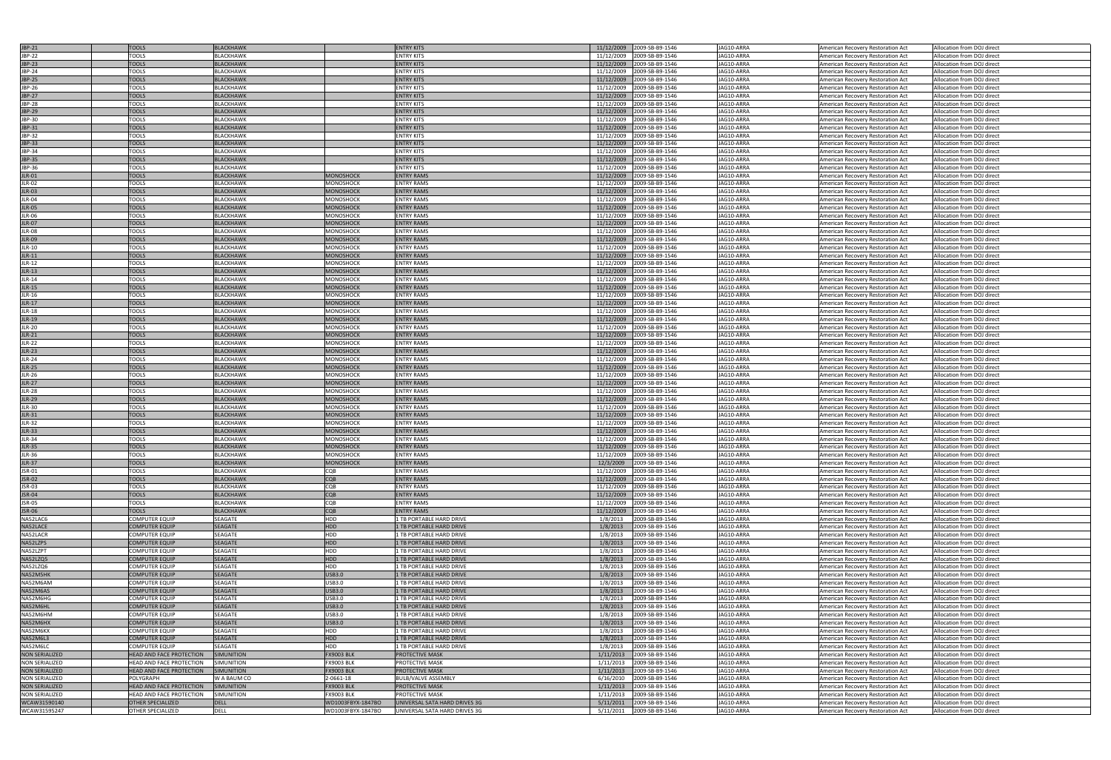| <b>JBP-21</b>         |                                 |                   |                   | <b>ENTRY KITS</b>             |                            |                 |            |                                   |                            |
|-----------------------|---------------------------------|-------------------|-------------------|-------------------------------|----------------------------|-----------------|------------|-----------------------------------|----------------------------|
|                       | <b>TOOLS</b>                    | <b>BLACKHAWK</b>  |                   |                               | 11/12/2009 2009-SB-B9-1546 |                 | JAG10-ARRA | American Recovery Restoration Act | Allocation from DOJ direct |
| JBP-22                | <b>TOOLS</b>                    | <b>BLACKHAWK</b>  |                   | <b>ENTRY KITS</b>             | 11/12/2009                 | 2009-SB-B9-1546 | JAG10-ARRA | American Recovery Restoration Act | Allocation from DOJ direct |
| JBP-23                | <b>TOOLS</b>                    | <b>BLACKHAWK</b>  |                   | <b>ENTRY KITS</b>             | 11/12/2009                 | 2009-SB-B9-1546 | JAG10-ARRA | American Recovery Restoration Act | Allocation from DOJ direct |
| JBP-24                | <b>TOOLS</b>                    | BLACKHAWK         |                   | <b>ENTRY KITS</b>             | 11/12/2009                 | 2009-SB-B9-1546 | JAG10-ARRA | American Recovery Restoration Act | Allocation from DOJ direct |
| <b>JBP-25</b>         | <b>TOOLS</b>                    | <b>BLACKHAWK</b>  |                   | <b>ENTRY KITS</b>             | 11/12/2009                 | 2009-SB-B9-1546 | JAG10-ARRA | American Recovery Restoration Act | Allocation from DOJ direct |
| <b>JBP-26</b>         | <b>TOOLS</b>                    | BLACKHAWK         |                   | <b>ENTRY KITS</b>             | 11/12/2009                 | 2009-SB-B9-1546 | JAG10-ARRA | American Recovery Restoration Act | Allocation from DOJ direct |
|                       |                                 |                   |                   |                               |                            |                 |            |                                   |                            |
| <b>JBP-27</b>         | <b>TOOLS</b>                    | <b>BLACKHAWK</b>  |                   | <b>ENTRY KITS</b>             | 11/12/2009                 | 2009-SB-B9-1546 | JAG10-ARRA | American Recovery Restoration Act | Allocation from DOJ direct |
| <b>JBP-28</b>         | <b>TOOLS</b>                    | <b>BLACKHAWK</b>  |                   | <b>ENTRY KITS</b>             | 11/12/2009                 | 2009-SB-B9-1546 | JAG10-ARRA | American Recovery Restoration Act | Allocation from DOJ direct |
| <b>JBP-29</b>         | <b>TOOLS</b>                    | <b>BLACKHAWK</b>  |                   | <b>ENTRY KITS</b>             | 11/12/2009                 | 2009-SB-B9-1546 | JAG10-ARRA | American Recovery Restoration Act | Allocation from DOJ direct |
| JBP-30                | TOOLS                           | BLACKHAWK         |                   | ENTRY KITS                    | 11/12/2009                 | 2009-SB-B9-1546 | JAG10-ARRA | American Recovery Restoration Act | Allocation from DOJ direct |
| JBP-31                | <b>TOOLS</b>                    | <b>BLACKHAWK</b>  |                   | <b>ENTRY KITS</b>             | 11/12/2009                 | 2009-SB-B9-1546 | JAG10-ARRA | American Recovery Restoration Act | Allocation from DOJ direct |
| JBP-32                | <b>TOOLS</b>                    | BLACKHAWK         |                   | <b>ENTRY KITS</b>             | 11/12/2009 2009-SB-B9-1546 |                 | JAG10-ARRA | American Recovery Restoration Act | Allocation from DOJ direct |
|                       |                                 |                   |                   |                               |                            |                 |            |                                   |                            |
| JBP-33                | <b>TOOLS</b>                    | <b>BLACKHAWK</b>  |                   | <b>ENTRY KITS</b>             | 11/12/2009                 | 2009-SB-B9-1546 | JAG10-ARRA | American Recovery Restoration Act | Allocation from DOJ direct |
| JBP-34                | <b>TOOLS</b>                    | BLACKHAWK         |                   | <b>ENTRY KITS</b>             | 11/12/2009 2009-SB-B9-1546 |                 | JAG10-ARRA | American Recovery Restoration Act | Allocation from DOJ direct |
| JBP-35                | <b>TOOLS</b>                    | <b>BLACKHAWK</b>  |                   | <b>ENTRY KITS</b>             | 11/12/2009                 | 2009-SB-B9-1546 | JAG10-ARRA | American Recovery Restoration Act | Allocation from DOJ direct |
| JBP-36                | <b>TOOLS</b>                    | <b>BLACKHAWK</b>  |                   | <b>ENTRY KITS</b>             | 11/12/2009                 | 2009-SB-B9-1546 | JAG10-ARRA | American Recovery Restoration Act | Allocation from DOJ direct |
| <b>JLR-01</b>         | <b>TOOLS</b>                    | <b>BLACKHAWK</b>  | <b>MONOSHOCK</b>  | <b>ENTRY RAMS</b>             | 11/12/2009                 | 2009-SB-B9-1546 | JAG10-ARRA | American Recovery Restoration Act | Allocation from DOJ direct |
| <b>JLR-02</b>         | <b>TOOLS</b>                    | BLACKHAWK         | <b>MONOSHOCK</b>  | <b>ENTRY RAMS</b>             | 11/12/2009                 | 2009-SB-B9-1546 | JAG10-ARRA |                                   | Allocation from DOJ direct |
|                       |                                 |                   |                   |                               |                            |                 |            | American Recovery Restoration Act |                            |
| <b>JLR-03</b>         | <b>TOOLS</b>                    | <b>BLACKHAWK</b>  | <b>MONOSHOCK</b>  | <b>ENTRY RAMS</b>             | 11/12/2009                 | 2009-SB-B9-1546 | JAG10-ARRA | American Recovery Restoration Act | Allocation from DOJ direct |
| <b>JLR-04</b>         | <b>TOOLS</b>                    | BLACKHAWK         | <b>MONOSHOCK</b>  | <b>ENTRY RAMS</b>             | 11/12/2009                 | 2009-SB-B9-1546 | JAG10-ARRA | American Recovery Restoration Act | Allocation from DOJ direct |
| <b>JLR-05</b>         | <b>TOOLS</b>                    | <b>BLACKHAWK</b>  | <b>MONOSHOCK</b>  | <b>ENTRY RAMS</b>             | 11/12/2009                 | 2009-SB-B9-1546 | JAG10-ARRA | American Recovery Restoration Act | Allocation from DOJ direct |
| <b>JLR-06</b>         | <b>TOOLS</b>                    | BLACKHAWK         | <b>MONOSHOCK</b>  | <b>ENTRY RAMS</b>             | 11/12/2009                 | 2009-SB-B9-1546 | JAG10-ARRA | American Recovery Restoration Act | Allocation from DOJ direct |
| <b>JLR-07</b>         | <b>TOOLS</b>                    | <b>BLACKHAWK</b>  | <b>MONOSHOCK</b>  | <b>ENTRY RAMS</b>             | 11/12/2009                 | 2009-SB-B9-1546 | JAG10-ARRA | American Recovery Restoration Act | Allocation from DOJ direct |
| <b>JLR-08</b>         | <b>TOOLS</b>                    | <b>BLACKHAWK</b>  | MONOSHOCK         | <b>ENTRY RAMS</b>             | 11/12/2009                 | 2009-SB-B9-1546 | JAG10-ARRA | American Recovery Restoration Act | Allocation from DOJ direct |
|                       |                                 |                   |                   |                               |                            |                 |            |                                   |                            |
| <b>JLR-09</b>         | <b>TOOLS</b>                    | <b>BLACKHAWK</b>  | <b>MONOSHOCK</b>  | <b>ENTRY RAMS</b>             | 11/12/2009                 | 2009-SB-B9-1546 | JAG10-ARRA | American Recovery Restoration Act | Allocation from DOJ direct |
| JLR-10                | <b>TOOLS</b>                    | BLACKHAWK         | <b>MONOSHOCK</b>  | <b>ENTRY RAMS</b>             | 11/12/2009                 | 2009-SB-B9-1546 | JAG10-ARRA | American Recovery Restoration Act | Allocation from DOJ direct |
| <b>JLR-11</b>         | <b>TOOLS</b>                    | <b>BLACKHAWK</b>  | <b>MONOSHOCK</b>  | <b>ENTRY RAMS</b>             | 11/12/2009                 | 2009-SB-B9-1546 | JAG10-ARRA | American Recovery Restoration Act | Allocation from DOJ direct |
| JLR-12                | <b>TOOLS</b>                    | <b>BLACKHAWK</b>  | <b>MONOSHOCK</b>  | <b>ENTRY RAMS</b>             | 11/12/2009                 | 2009-SB-B9-1546 | JAG10-ARRA | American Recovery Restoration Act | Allocation from DOJ direct |
| <b>JLR-13</b>         | <b>TOOLS</b>                    | <b>BLACKHAWK</b>  | <b>MONOSHOCK</b>  | <b>ENTRY RAMS</b>             | 11/12/2009                 | 2009-SB-B9-1546 | JAG10-ARRA | American Recovery Restoration Act | Allocation from DOJ direct |
| JLR-14                | <b>TOOLS</b>                    | BLACKHAWK         | <b>MONOSHOCK</b>  | <b>ENTRY RAMS</b>             | 11/12/2009                 | 2009-SB-B9-1546 | JAG10-ARRA | American Recovery Restoration Act | Allocation from DOJ direct |
|                       | <b>TOOLS</b>                    |                   |                   |                               |                            |                 |            |                                   |                            |
| <b>JLR-15</b>         |                                 | <b>BLACKHAWK</b>  | <b>MONOSHOCK</b>  | <b>ENTRY RAMS</b>             | 11/12/2009                 | 2009-SB-B9-1546 | JAG10-ARRA | American Recovery Restoration Act | Allocation from DOJ direct |
| JLR-16                | <b>TOOLS</b>                    | <b>BLACKHAWK</b>  | <b>MONOSHOCK</b>  | <b>ENTRY RAMS</b>             | 11/12/2009                 | 2009-SB-B9-1546 | JAG10-ARRA | American Recovery Restoration Act | Allocation from DOJ direct |
| JLR-17                | <b>TOOLS</b>                    | <b>BLACKHAWK</b>  | <b>MONOSHOCK</b>  | <b>ENTRY RAMS</b>             | 11/12/2009                 | 2009-SB-B9-1546 | JAG10-ARRA | American Recovery Restoration Act | Allocation from DOJ direct |
| <b>JLR-18</b>         | <b>TOOLS</b>                    | BLACKHAWK         | <b>MONOSHOCK</b>  | <b>ENTRY RAMS</b>             | 11/12/2009                 | 2009-SB-B9-1546 | JAG10-ARRA | American Recovery Restoration Act | Allocation from DOJ direct |
| JLR-19                | <b>TOOLS</b>                    | <b>BLACKHAWK</b>  | <b>MONOSHOCK</b>  | <b>ENTRY RAMS</b>             | 11/12/2009                 | 2009-SB-B9-1546 | JAG10-ARRA | American Recovery Restoration Act | Allocation from DOJ direct |
| <b>JLR-20</b>         | <b>TOOLS</b>                    | BLACKHAWK         | <b>MONOSHOCK</b>  | <b>ENTRY RAMS</b>             | 11/12/2009                 | 2009-SB-B9-1546 | JAG10-ARRA | American Recovery Restoration Act | Allocation from DOJ direct |
|                       |                                 |                   |                   |                               |                            |                 |            |                                   |                            |
| <b>JLR-21</b>         | <b>TOOLS</b>                    | <b>BLACKHAWK</b>  | <b>MONOSHOCK</b>  | <b>ENTRY RAMS</b>             | 11/12/2009                 | 2009-SB-B9-1546 | JAG10-ARRA | American Recovery Restoration Act | Allocation from DOJ direct |
| <b>JLR-22</b>         | <b>TOOLS</b>                    | <b>BLACKHAWK</b>  | MONOSHOCK         | <b>ENTRY RAMS</b>             | 11/12/2009                 | 2009-SB-B9-1546 | JAG10-ARRA | American Recovery Restoration Act | Allocation from DOJ direct |
| <b>JLR-23</b>         | <b>TOOLS</b>                    | <b>BLACKHAWK</b>  | <b>MONOSHOCK</b>  | <b>ENTRY RAMS</b>             | 11/12/2009                 | 2009-SB-B9-1546 | JAG10-ARRA | American Recovery Restoration Act | Allocation from DOJ direct |
| <b>JLR-24</b>         | <b>TOOLS</b>                    | BLACKHAWK         | <b>MONOSHOCK</b>  | <b>ENTRY RAMS</b>             | 11/12/2009                 | 2009-SB-B9-1546 | JAG10-ARRA | American Recovery Restoration Act | Allocation from DOJ direct |
| <b>JLR-25</b>         | <b>TOOLS</b>                    | <b>BLACKHAWK</b>  | <b>MONOSHOCK</b>  | <b>ENTRY RAMS</b>             | 11/12/2009                 | 2009-SB-B9-1546 | JAG10-ARRA | American Recovery Restoration Act | Allocation from DOJ direct |
| <b>JLR-26</b>         | <b>TOOLS</b>                    | BLACKHAWK         | <b>MONOSHOCK</b>  | <b>ENTRY RAMS</b>             | 11/12/2009                 | 2009-SB-B9-1546 | JAG10-ARRA | American Recovery Restoration Act | Allocation from DOJ direct |
| <b>JLR-27</b>         | <b>TOOLS</b>                    | <b>BLACKHAWK</b>  |                   | <b>ENTRY RAMS</b>             |                            |                 |            |                                   |                            |
|                       |                                 |                   | <b>MONOSHOCK</b>  |                               | 11/12/2009                 | 2009-SB-B9-1546 | JAG10-ARRA | American Recovery Restoration Act | Allocation from DOJ direct |
| <b>JLR-28</b>         | TOOLS                           | <b>BLACKHAWK</b>  | <b>MONOSHOCK</b>  | <b>ENTRY RAMS</b>             | 11/12/2009                 | 2009-SB-B9-1546 | JAG10-ARRA | American Recovery Restoration Act | Allocation from DOJ direct |
| <b>JLR-29</b>         | <b>TOOLS</b>                    | <b>BLACKHAWK</b>  | <b>MONOSHOCK</b>  | <b>ENTRY RAMS</b>             | 11/12/2009 2009-SB-B9-1546 |                 | JAG10-ARRA | American Recovery Restoration Act | Allocation from DOJ direct |
| JLR-30                | TOOLS                           | <b>BLACKHAWK</b>  | <b>MONOSHOCK</b>  | <b>ENTRY RAMS</b>             | 11/12/2009 2009-SB-B9-1546 |                 | JAG10-ARRA | American Recovery Restoration Act | Allocation from DOJ direct |
| <b>JLR-31</b>         | <b>TOOLS</b>                    | <b>BLACKHAWK</b>  | <b>MONOSHOCK</b>  | <b>ENTRY RAMS</b>             | 11/12/2009                 | 2009-SB-B9-1546 | JAG10-ARRA | American Recovery Restoration Act | Allocation from DOJ direct |
| <b>JLR-32</b>         | <b>TOOLS</b>                    | <b>BLACKHAWK</b>  | <b>MONOSHOCK</b>  | <b>ENTRY RAMS</b>             | 11/12/2009 2009-SB-B9-1546 |                 | JAG10-ARRA | American Recovery Restoration Act | Allocation from DOJ direct |
|                       |                                 |                   |                   |                               | 11/12/2009 2009-SB-B9-1546 |                 |            |                                   |                            |
| <b>JLR-33</b>         | <b>TOOLS</b>                    | <b>BLACKHAWK</b>  | <b>MONOSHOCK</b>  | <b>ENTRY RAMS</b>             |                            |                 | JAG10-ARRA | American Recovery Restoration Act | Allocation from DOJ direct |
| <b>JLR-34</b>         | <b>TOOLS</b>                    | <b>BLACKHAWK</b>  | <b>MONOSHOCK</b>  | <b>ENTRY RAMS</b>             | 11/12/2009 2009-SB-B9-1546 |                 | JAG10-ARRA | American Recovery Restoration Act | Allocation from DOJ direct |
| <b>JLR-35</b>         | <b>TOOLS</b>                    | <b>BLACKHAWK</b>  | <b>MONOSHOCK</b>  | <b>ENTRY RAMS</b>             | 11/12/2009                 | 2009-SB-B9-1546 | JAG10-ARRA | American Recovery Restoration Act | Allocation from DOJ direct |
| <b>JLR-36</b>         | <b>TOOLS</b>                    | <b>BLACKHAWK</b>  | <b>MONOSHOCK</b>  | <b>ENTRY RAMS</b>             | 11/12/2009                 | 2009-SB-B9-1546 | JAG10-ARRA | American Recovery Restoration Act | Allocation from DOJ direct |
| <b>JLR-37</b>         | <b>TOOLS</b>                    | <b>BLACKHAWK</b>  | <b>MONOSHOCK</b>  | <b>ENTRY RAMS</b>             | 12/3/2009                  | 2009-SB-B9-1546 | JAG10-ARRA | American Recovery Restoration Act | Allocation from DOJ direct |
| JSR-01                | <b>TOOLS</b>                    | <b>BLACKHAWK</b>  | <b>CQB</b>        | <b>ENTRY RAMS</b>             | 11/12/2009                 | 2009-SB-B9-1546 | JAG10-ARRA | American Recovery Restoration Act | Allocation from DOJ direct |
| <b>JSR-02</b>         | <b>TOOLS</b>                    | <b>BLACKHAWK</b>  | <b>CQB</b>        | <b>ENTRY RAMS</b>             | 11/12/2009                 | 2009-SB-B9-1546 | JAG10-ARRA |                                   | Allocation from DOJ direct |
|                       |                                 |                   |                   |                               |                            |                 |            | American Recovery Restoration Act |                            |
| JSR-03                | <b>TOOLS</b>                    | <b>BLACKHAWK</b>  | CQB               | <b>ENTRY RAMS</b>             | 11/12/2009                 | 2009-SB-B9-1546 | JAG10-ARRA | American Recovery Restoration Act | Allocation from DOJ direct |
| <b>JSR-04</b>         | <b>TOOLS</b>                    | <b>BLACKHAWK</b>  | CQB               | <b>ENTRY RAMS</b>             | 11/12/2009                 | 2009-SB-B9-1546 | JAG10-ARRA | American Recovery Restoration Act | Allocation from DOJ direct |
| JSR-05                | <b>TOOLS</b>                    | <b>BLACKHAWK</b>  | CQB               | <b>ENTRY RAMS</b>             | 11/12/2009                 | 2009-SB-B9-1546 | JAG10-ARRA | American Recovery Restoration Act | Allocation from DOJ direct |
| <b>JSR-06</b>         | <b>TOOLS</b>                    | <b>BLACKHAWK</b>  | <b>CQB</b>        | <b>ENTRY RAMS</b>             | 11/12/2009                 | 2009-SB-B9-1546 | JAG10-ARRA | American Recovery Restoration Act | Allocation from DOJ direct |
| NA52LAC6              | <b>COMPUTER EQUIP</b>           | SEAGATE           | HDD               | 1 TB PORTABLE HARD DRIVE      | 1/8/2013                   | 2009-SB-B9-1546 | JAG10-ARRA | American Recovery Restoration Act | Allocation from DOJ direct |
| NA52LACE              | <b>COMPUTER EQUIP</b>           | <b>SEAGATE</b>    | <b>HDD</b>        | 1 TB PORTABLE HARD DRIVE      | 1/8/2013                   | 2009-SB-B9-1546 | JAG10-ARRA | American Recovery Restoration Act | Allocation from DOJ direct |
| NA52LACR              | <b>COMPUTER EQUIP</b>           | SEAGATE           | HDD               | 1 TB PORTABLE HARD DRIVE      | 1/8/2013                   | 2009-SB-B9-1546 | JAG10-ARRA |                                   |                            |
|                       |                                 |                   |                   |                               |                            |                 |            | American Recovery Restoration Act | Allocation from DOJ direct |
| NA52LZPS              | <b>COMPUTER EQUIP</b>           | SEAGATE           | HDD               | 1 TB PORTABLE HARD DRIVE      | 1/8/2013                   | 2009-SB-B9-1546 | JAG10-ARRA | American Recovery Restoration Act | Allocation from DOJ direct |
| NA52LZPT              | <b>COMPUTER EQUIP</b>           | SEAGATE           | HDD               | 1 TB PORTABLE HARD DRIVE      | 1/8/2013                   | 2009-SB-B9-1546 | JAG10-ARRA | American Recovery Restoration Act | Allocation from DOJ direct |
| NA52LZQ5              | <b>COMPUTER EQUIP</b>           | <b>SEAGATE</b>    | <b>HDD</b>        | 1 TB PORTABLE HARD DRIVE      | 1/8/2013                   | 2009-SB-B9-1546 | JAG10-ARRA | American Recovery Restoration Act | Allocation from DOJ direct |
| NA52LZQ6              | <b>COMPUTER EQUIP</b>           | SEAGATE           | HDD               | 1 TB PORTABLE HARD DRIVE      | 1/8/2013                   | 2009-SB-B9-1546 | JAG10-ARRA | American Recovery Restoration Act | Allocation from DOJ direct |
| NA52M5HK              | <b>COMPUTER EQUIP</b>           | <b>SEAGATE</b>    | <b>USB3.0</b>     | 1 TB PORTABLE HARD DRIVE      | 1/8/2013                   | 2009-SB-B9-1546 | JAG10-ARRA | American Recovery Restoration Act | Allocation from DOJ direct |
| NA52M6AM              | <b>COMPUTER EQUIP</b>           | SEAGATE           | <b>USB3.0</b>     | 1 TB PORTABLE HARD DRIVE      | 1/8/2013                   | 2009-SB-B9-1546 | JAG10-ARRA |                                   | Allocation from DOJ direct |
|                       |                                 |                   |                   |                               |                            |                 |            | American Recovery Restoration Act |                            |
| NA52M6AS              | <b>COMPUTER EQUIP</b>           | <b>SEAGATE</b>    | <b>USB3.0</b>     | 1 TB PORTABLE HARD DRIVE      | 1/8/2013                   | 2009-SB-B9-1546 | JAG10-ARRA | American Recovery Restoration Act | Allocation from DOJ direct |
| NA52M6HG              | <b>COMPUTER EQUIP</b>           | <b>SEAGATE</b>    | <b>USB3.0</b>     | 1 TB PORTABLE HARD DRIVE      | 1/8/2013                   | 2009-SB-B9-1546 | JAG10-ARRA | American Recovery Restoration Act | Allocation from DOJ direct |
| NA52M6HL              | <b>COMPUTER EQUIP</b>           | <b>SEAGATE</b>    | <b>USB3.0</b>     | 1 TB PORTABLE HARD DRIVE      | 1/8/2013                   | 2009-SB-B9-1546 | JAG10-ARRA | American Recovery Restoration Act | Allocation from DOJ direct |
| NA52M6HM              | <b>COMPUTER EQUIP</b>           | SEAGATE           | <b>USB3.0</b>     | 1 TB PORTABLE HARD DRIVE      | 1/8/2013                   | 2009-SB-B9-1546 | JAG10-ARRA | American Recovery Restoration Act | Allocation from DOJ direct |
| NA52M6HX              | <b>COMPUTER EQUIP</b>           | <b>SEAGATE</b>    | <b>USB3.0</b>     | 1 TB PORTABLE HARD DRIVE      | 1/8/2013                   | 2009-SB-B9-1546 | JAG10-ARRA | American Recovery Restoration Act | Allocation from DOJ direct |
|                       | <b>COMPUTER EQUIP</b>           | SEAGATE           | HDD               |                               |                            |                 | JAG10-ARRA |                                   |                            |
| NA52M6KX              |                                 |                   |                   | 1 TB PORTABLE HARD DRIVE      | 1/8/2013                   | 2009-SB-B9-1546 |            | American Recovery Restoration Act | Allocation from DOJ direct |
| <b>NA52M6L3</b>       | <b>COMPUTER EQUIP</b>           | <b>SEAGATE</b>    | <b>HDD</b>        | 1 TB PORTABLE HARD DRIVE      | 1/8/2013                   | 2009-SB-B9-1546 | JAG10-ARRA | American Recovery Restoration Act | Allocation from DOJ direct |
| NA52M6LC              | <b>COMPUTER EQUIP</b>           | SEAGATE           | HDD               | 1 TB PORTABLE HARD DRIVE      | 1/8/2013                   | 2009-SB-B9-1546 | JAG10-ARRA | American Recovery Restoration Act | Allocation from DOJ direct |
| <b>NON SERIALIZED</b> | <b>HEAD AND FACE PROTECTION</b> | SIMUNITION        | <b>FX9003 BLK</b> | PROTECTIVE MASK               | 1/11/2013                  | 2009-SB-B9-1546 | JAG10-ARRA | American Recovery Restoration Act | Allocation from DOJ direct |
| <b>NON SERIALIZED</b> |                                 | <b>SIMUNITION</b> | <b>FX9003 BLK</b> | PROTECTIVE MASK               | 1/11/2013                  | 2009-SB-B9-1546 | JAG10-ARRA | American Recovery Restoration Act | Allocation from DOJ direct |
|                       | <b>HEAD AND FACE PROTECTION</b> |                   |                   |                               |                            |                 |            |                                   |                            |
|                       |                                 |                   |                   |                               |                            |                 |            |                                   |                            |
| <b>NON SERIALIZED</b> | <b>HEAD AND FACE PROTECTION</b> | <b>SIMUNITION</b> | <b>FX9003 BLK</b> | PROTECTIVE MASK               | 1/11/2013                  | 2009-SB-B9-1546 | JAG10-ARRA | American Recovery Restoration Act | Allocation from DOJ direct |
| <b>NON SERIALIZED</b> | POLYGRAPH                       | W A BAUM CO       | 2-0661-18         | <b>BULB/VALVE ASSEMBLY</b>    | 6/16/2010                  | 2009-SB-B9-1546 | JAG10-ARRA | American Recovery Restoration Act | Allocation from DOJ direct |
| <b>NON SERIALIZED</b> | HEAD AND FACE PROTECTION        | <b>SIMUNITION</b> | <b>FX9003 BLK</b> | <b>PROTECTIVE MASK</b>        | 1/11/2013                  | 2009-SB-B9-1546 | JAG10-ARRA | American Recovery Restoration Act | Allocation from DOJ direct |
| <b>NON SERIALIZED</b> | <b>HEAD AND FACE PROTECTION</b> | SIMUNITION        | <b>FX9003 BLK</b> | PROTECTIVE MASK               | 1/11/2013                  | 2009-SB-B9-1546 | JAG10-ARRA | American Recovery Restoration Act | Allocation from DOJ direct |
| WCAW31590140          | <b>OTHER SPECIALIZED</b>        | <b>DELL</b>       | WD1003FBYX-1847BO | UNIVERSAL SATA HARD DRIVES 3G | 5/11/2011                  | 2009-SB-B9-1546 | JAG10-ARRA | American Recovery Restoration Act | Allocation from DOJ direct |
| WCAW31595247          | <b>OTHER SPECIALIZED</b>        | <b>DELL</b>       | WD1003FBYX-1847BO | UNIVERSAL SATA HARD DRIVES 3G | 5/11/2011                  | 2009-SB-B9-1546 | JAG10-ARRA | American Recovery Restoration Act | Allocation from DOJ direct |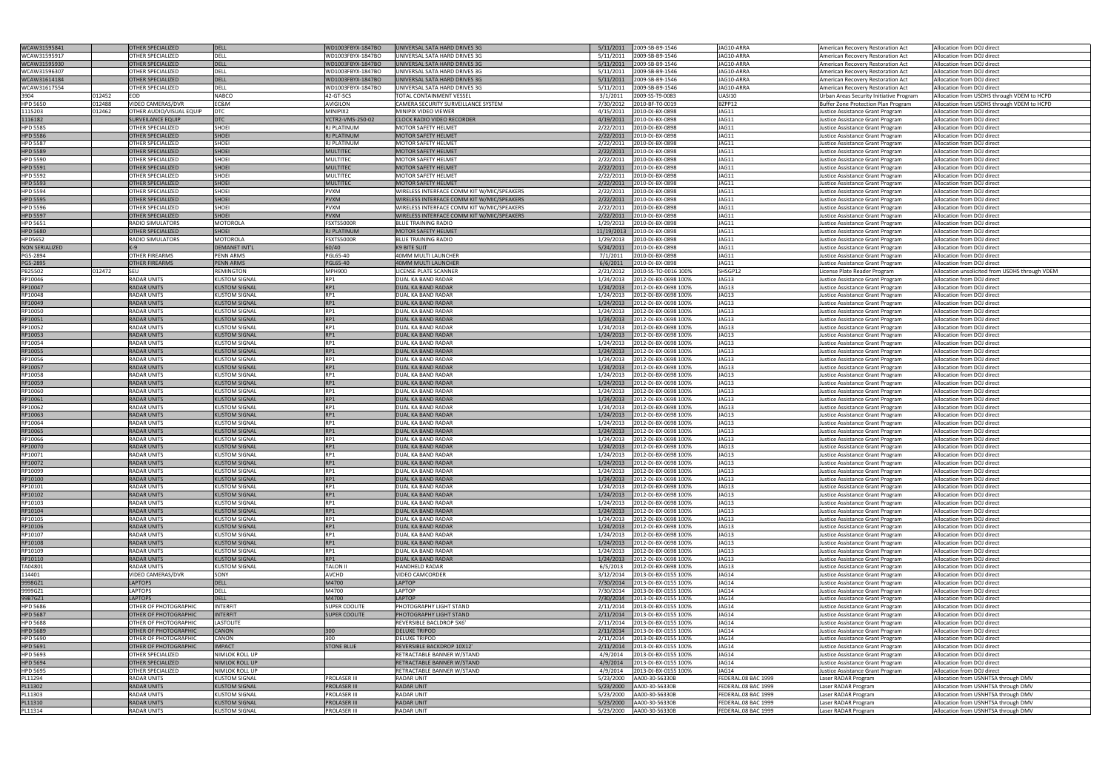| WCAW31595841              | <b>OTHER SPECIALIZED</b>                 | DELL                                         | WD1003FBYX-1847BO                          | UNIVERSAL SATA HARD DRIVES 3G              | 5/11/2011  | 2009-SB-B9-1546                            | JAG10-ARRA                                 |                                            | Allocation from DOJ direct                                                 |
|---------------------------|------------------------------------------|----------------------------------------------|--------------------------------------------|--------------------------------------------|------------|--------------------------------------------|--------------------------------------------|--------------------------------------------|----------------------------------------------------------------------------|
|                           |                                          |                                              |                                            |                                            |            |                                            |                                            | American Recovery Restoration Act          |                                                                            |
| WCAW31595917              | OTHER SPECIALIZED                        | <b>DELL</b>                                  | WD1003FBYX-1847BO                          | UNIVERSAL SATA HARD DRIVES 3G              | 5/11/2011  | 2009-SB-B9-1546                            | JAG10-ARRA                                 | American Recovery Restoration Act          | Allocation from DOJ direct                                                 |
| WCAW31595930              | <b>OTHER SPECIALIZED</b>                 | DELL                                         | WD1003FBYX-1847BO                          | UNIVERSAL SATA HARD DRIVES 3G              | 5/11/2011  | 2009-SB-B9-1546                            | JAG10-ARRA                                 | American Recovery Restoration Act          | Allocation from DOJ direct                                                 |
| WCAW31596307              | OTHER SPECIALIZED                        | <b>DELL</b>                                  | WD1003FBYX-1847BO                          | UNIVERSAL SATA HARD DRIVES 3G              | 5/11/2011  | 2009-SB-B9-1546                            | JAG10-ARRA                                 | American Recovery Restoration Act          | Allocation from DOJ direct                                                 |
|                           |                                          | <b>DELL</b>                                  |                                            |                                            |            |                                            |                                            |                                            |                                                                            |
| WCAW31614184              | <b>OTHER SPECIALIZED</b>                 |                                              | WD1003FBYX-1847BO                          | UNIVERSAL SATA HARD DRIVES 3G              | 5/11/2011  | 2009-SB-B9-1546                            | JAG10-ARRA                                 | American Recovery Restoration Act          | Allocation from DOJ direct                                                 |
| WCAW31617554              | OTHER SPECIALIZED                        | <b>DELL</b>                                  | WD1003FBYX-1847BO                          | UNIVERSAL SATA HARD DRIVES 3G              | 5/11/2011  | 2009-SB-B9-1546                            | JAG10-ARRA                                 | American Recovery Restoration Act          | Allocation from DOJ direct                                                 |
| 012452<br>3904            | EOD                                      | <b>NABCO</b>                                 | 42-GT-SCS                                  | TOTAL CONTAINMENT VESSEL                   | 3/1/2011   | 2009-SS-T9-0083                            | <b>UASI10</b>                              | Urban Areas Security Initiative Program    | Allocation from USDHS through VDEM to HCPD                                 |
| <b>HPD 5650</b><br>012488 | VIDEO CAMERAS/DVR                        | EC&M                                         | <b>AVIGILON</b>                            | CAMERA SECURITY SURVEILLANCE SYSTEM        | 7/30/2012  | 2010-BF-T0-0019                            | BZPP12                                     | Buffer Zone Protection Plan Program        | Allocation from USDHS through VDEM to HCPD                                 |
|                           |                                          |                                              |                                            |                                            |            |                                            |                                            |                                            |                                                                            |
| 1115203<br>012462         | OTHER AUDIO/VISUAL EQUIP                 | <b>DTC</b>                                   | MINIPIX2                                   | MINIPIX VIDEO VIEWER                       | 4/15/2011  | 2010-DJ-BX-0898                            | JAG11                                      | Justice Assistance Grant Program           | Allocation from DOJ direct                                                 |
| 1116182                   | <b>SURVEILANCE EQUIP</b>                 | <b>DTC</b>                                   | VCTR2-VMS-250-02                           | <b>CLOCK RADIO VIDEO RECORDER</b>          | 4/19/2011  | 2010-DJ-BX-0898                            | JAG11                                      | Justice Assistance Grant Program           | Allocation from DOJ direct                                                 |
| <b>HPD 5585</b>           | <b>OTHER SPECIALIZED</b>                 | SHOEI                                        | RJ PLATINUM                                | <b>MOTOR SAFETY HELMET</b>                 | 2/22/2011  | 2010-DJ-BX-0898                            | JAG11                                      | Justice Assistance Grant Program           | Allocation from DOJ direct                                                 |
| <b>HPD 5586</b>           | <b>OTHER SPECIALIZED</b>                 | SHOEI                                        | <b>RJ PLATINUM</b>                         | <b>MOTOR SAFETY HELMET</b>                 | 2/22/2011  | 2010-DJ-BX-0898                            | JAG11                                      | Justice Assistance Grant Program           | Allocation from DOJ direct                                                 |
|                           |                                          |                                              |                                            |                                            |            |                                            |                                            |                                            |                                                                            |
| <b>HPD 5587</b>           | OTHER SPECIALIZED                        | <b>SHOEI</b>                                 | <b>RJ PLATINUM</b>                         | MOTOR SAFETY HELMET                        | 2/22/2011  | 2010-DJ-BX-0898                            | JAG11                                      | Justice Assistance Grant Program           | Allocation from DOJ direct                                                 |
| <b>HPD 5589</b>           | <b>OTHER SPECIALIZED</b>                 | <b>SHOEI</b>                                 | <b>MULTITEC</b>                            | <b>MOTOR SAFETY HELMET</b>                 | 2/22/2011  | 2010-DJ-BX-0898                            | JAG11                                      | Justice Assistance Grant Program           | Allocation from DOJ direct                                                 |
| <b>HPD 5590</b>           | OTHER SPECIALIZED                        | <b>SHOEI</b>                                 | <b>MULTITEC</b>                            | MOTOR SAFETY HELMET                        | 2/22/2011  | 2010-DJ-BX-0898                            | JAG11                                      | Justice Assistance Grant Program           | Allocation from DOJ direct                                                 |
| <b>HPD 5591</b>           | <b>OTHER SPECIALIZED</b>                 | <b>SHOEI</b>                                 | <b>MULTITEC</b>                            | <b>MOTOR SAFETY HELMET</b>                 | 2/22/2011  | 2010-DJ-BX-0898                            | JAG11                                      | Justice Assistance Grant Program           | Allocation from DOJ direct                                                 |
|                           |                                          | SHOEI                                        |                                            |                                            |            |                                            | JAG11                                      |                                            |                                                                            |
| <b>HPD 5592</b>           | OTHER SPECIALIZED                        |                                              | <b>MULTITEC</b>                            | MOTOR SAFETY HELMET                        | 2/22/2011  | 2010-DJ-BX-0898                            |                                            | Justice Assistance Grant Program           | Allocation from DOJ direct                                                 |
| <b>HPD 5593</b>           | <b>OTHER SPECIALIZED</b>                 | <b>SHOEI</b>                                 | <b>MULTITEC</b>                            | <b>MOTOR SAFETY HELMET</b>                 | 2/22/2011  | 2010-DJ-BX-0898                            | JAG11                                      | Justice Assistance Grant Program           | Allocation from DOJ direct                                                 |
| <b>HPD 5594</b>           | OTHER SPECIALIZED                        | <b>SHOEI</b>                                 | <b>PVXM</b>                                | WIRELESS INTERFACE COMM KIT W/MIC/SPEAKERS | 2/22/2011  | 2010-DJ-BX-0898                            | JAG11                                      | Justice Assistance Grant Program           | Allocation from DOJ direct                                                 |
| <b>HPD 5595</b>           | <b>OTHER SPECIALIZED</b>                 | <b>SHOEI</b>                                 | <b>PVXM</b>                                | WIRELESS INTERFACE COMM KIT W/MIC/SPEAKERS | 2/22/2011  | 2010-DJ-BX-0898                            | JAG11                                      | Justice Assistance Grant Program           | Allocation from DOJ direct                                                 |
|                           |                                          | SHOEI                                        | <b>PVXM</b>                                | WIRELESS INTERFACE COMM KIT W/MIC/SPEAKERS | 2/22/2011  | 2010-DJ-BX-0898                            | JAG11                                      |                                            | Allocation from DOJ direct                                                 |
| <b>HPD 5596</b>           | OTHER SPECIALIZED                        |                                              |                                            |                                            |            |                                            |                                            | Justice Assistance Grant Program           |                                                                            |
| <b>HPD 5597</b>           | <b>OTHER SPECIALIZED</b>                 | <b>SHOEI</b>                                 | <b>PVXM</b>                                | WIRELESS INTERFACE COMM KIT W/MIC/SPEAKERS | 2/22/2011  | 2010-DJ-BX-0898                            | JAG11                                      | Justice Assistance Grant Program           | Allocation from DOJ direct                                                 |
| <b>HPD 5651</b>           | <b>RADIO SIMULATORS</b>                  | <b>MOTOROLA</b>                              | FSXTS5000R                                 | <b>BLUE TRAINING RADIO</b>                 | 1/29/2013  | 2010-DJ-BX-0898                            | JAG11                                      | Justice Assistance Grant Program           | Allocation from DOJ direct                                                 |
| <b>HPD 5680</b>           | <b>OTHER SPECIALIZED</b>                 | <b>SHOEI</b>                                 | <b>RJ PLATINUM</b>                         | <b>MOTOR SAFETY HELMET</b>                 | 11/19/2013 | 2010-DJ-BX-0898                            | JAG11                                      | Justice Assistance Grant Program           | Allocation from DOJ direct                                                 |
| <b>HPD5652</b>            | <b>RADIO SIMULATORS</b>                  | <b>MOTOROLA</b>                              | FSXTS5000R                                 | <b>BLUE TRAINING RADIO</b>                 |            | 2010-DJ-BX-0898                            | JAG11                                      |                                            |                                                                            |
|                           |                                          |                                              |                                            |                                            | 1/29/2013  |                                            |                                            | Justice Assistance Grant Program           | Allocation from DOJ direct                                                 |
| <b>NON SERIALIZED</b>     |                                          | <b>DEMANET INT'L</b>                         | 60/40                                      | K9 BITE SUIT                               | 5/24/2011  | 2010-DJ-BX-0898                            | JAG11                                      | Justice Assistance Grant Program           | Allocation from DOJ direct                                                 |
| PG5-2894                  | <b>OTHER FIREARMS</b>                    | PENN ARMS                                    | PGL65-40                                   | 40MM MULTI LAUNCHER                        | 7/1/2011   | 2010-DJ-BX-0898                            | JAG11                                      | Justice Assistance Grant Program           | Allocation from DOJ direct                                                 |
| PG5-2895                  | <b>OTHER FIREARMS</b>                    | PENN ARMS                                    | <b>PGL65-40</b>                            | <b>40MM MULTI LAUNCHER</b>                 | 6/6/2011   | 2010-DJ-BX-0898                            | JAG11                                      | Justice Assistance Grant Program           | Allocation from DOJ direct                                                 |
|                           |                                          |                                              |                                            |                                            |            |                                            |                                            |                                            |                                                                            |
| PB25502<br>012472         | SEU                                      | REMINGTON                                    | <b>MPH900</b>                              | LICENSE PLATE SCANNER                      | 2/21/2012  | 2010-SS-TO-0016 100%                       | SHSGP12                                    | License Plate Reader Program               | Allocation unsolicited from USDHS through VDEM                             |
| RP10046                   | <b>RADAR UNITS</b>                       | KUSTOM SIGNAL                                | RP1                                        | DUAL KA BAND RADAR                         | 1/24/2013  | 2012-DJ-BX-0698 100%                       | JAG13                                      | Justice Assistance Grant Program           | Allocation from DOJ direct                                                 |
| RP10047                   | <b>RADAR UNITS</b>                       | <b>KUSTOM SIGNAL</b>                         | RP1                                        | <b>DUAL KA BAND RADAR</b>                  | 1/24/2013  | 2012-DJ-BX-0698 100%                       | JAG13                                      | Justice Assistance Grant Program           | Allocation from DOJ direct                                                 |
| RP10048                   | <b>RADAR UNITS</b>                       | <b>KUSTOM SIGNAL</b>                         | RP1                                        | DUAL KA BAND RADAR                         | 1/24/2013  | 2012-DJ-BX-0698 100%                       | JAG13                                      | Justice Assistance Grant Program           | Allocation from DOJ direct                                                 |
|                           |                                          |                                              |                                            |                                            |            |                                            |                                            |                                            |                                                                            |
| RP10049                   | <b>RADAR UNITS</b>                       | <b>KUSTOM SIGNAL</b>                         | RP1                                        | DUAL KA BAND RADAR                         | 1/24/2013  | 2012-DJ-BX-0698 100%                       | JAG13                                      | Justice Assistance Grant Program           | Allocation from DOJ direct                                                 |
| RP10050                   | <b>RADAR UNITS</b>                       | <b>KUSTOM SIGNAL</b>                         | RP1                                        | DUAL KA BAND RADAR                         | 1/24/2013  | 2012-DJ-BX-0698 100%                       | JAG13                                      | Justice Assistance Grant Program           | Allocation from DOJ direct                                                 |
| RP10051                   | <b>RADAR UNITS</b>                       | <b>KUSTOM SIGNAL</b>                         | RP1                                        | DUAL KA BAND RADAR                         | 1/24/2013  | 2012-DJ-BX-0698 100%                       | JAG13                                      | Justice Assistance Grant Program           | Allocation from DOJ direct                                                 |
| RP10052                   | <b>RADAR UNITS</b>                       | <b>KUSTOM SIGNAL</b>                         | RP1                                        | DUAL KA BAND RADAR                         | 1/24/2013  | 2012-DJ-BX-0698 100%                       | JAG13                                      | Justice Assistance Grant Program           | Allocation from DOJ direct                                                 |
|                           |                                          |                                              |                                            |                                            |            |                                            |                                            |                                            |                                                                            |
| RP10053                   | <b>RADAR UNITS</b>                       | <b>KUSTOM SIGNAL</b>                         | RP1                                        | <b>DUAL KA BAND RADAR</b>                  | 1/24/2013  | 2012-DJ-BX-0698 100%                       | JAG13                                      | Justice Assistance Grant Program           | Allocation from DOJ direct                                                 |
| RP10054                   | <b>RADAR UNITS</b>                       | KUSTOM SIGNAL                                | RP1                                        | DUAL KA BAND RADAR                         | 1/24/2013  | 2012-DJ-BX-0698 100%                       | JAG13                                      | Justice Assistance Grant Program           | Allocation from DOJ direct                                                 |
| RP10055                   | <b>RADAR UNITS</b>                       | <b>KUSTOM SIGNAL</b>                         | RP1                                        | DUAL KA BAND RADAR                         | 1/24/2013  | 2012-DJ-BX-0698 100%                       | JAG13                                      | Justice Assistance Grant Program           | Allocation from DOJ direct                                                 |
| RP10056                   | <b>RADAR UNITS</b>                       | <b>KUSTOM SIGNAL</b>                         | RP1                                        | DUAL KA BAND RADAR                         | 1/24/2013  | 2012-DJ-BX-0698 100%                       | JAG13                                      |                                            | Allocation from DOJ direct                                                 |
|                           |                                          |                                              |                                            |                                            |            |                                            |                                            | Justice Assistance Grant Program           |                                                                            |
| RP10057                   | <b>RADAR UNITS</b>                       | <b>KUSTOM SIGNAL</b>                         | RP1                                        | DUAL KA BAND RADAR                         | 1/24/2013  | 2012-DJ-BX-0698 100%                       | JAG13                                      | Justice Assistance Grant Program           | Allocation from DOJ direct                                                 |
| RP10058                   | <b>RADAR UNITS</b>                       | <b>KUSTOM SIGNAL</b>                         | RP1                                        | DUAL KA BAND RADAR                         | 1/24/2013  | 2012-DJ-BX-0698 100%                       | JAG13                                      | Justice Assistance Grant Program           | Allocation from DOJ direct                                                 |
| RP10059                   | <b>RADAR UNITS</b>                       | <b>KUSTOM SIGNAL</b>                         | RP1                                        | DUAL KA BAND RADAR                         | 1/24/2013  | 2012-DJ-BX-0698 100%                       | JAG13                                      | Justice Assistance Grant Program           | Allocation from DOJ direct                                                 |
| RP10060                   | RADAR UNITS                              | <b>KUSTOM SIGNAL</b>                         | RP1                                        | DUAL KA BAND RADAR                         | 1/24/2013  | 2012-DJ-BX-0698 100%                       | JAG13                                      | Justice Assistance Grant Program           | Allocation from DOJ direct                                                 |
|                           |                                          |                                              |                                            |                                            |            |                                            |                                            |                                            |                                                                            |
| RP10061                   | <b>RADAR UNITS</b>                       | <b>KUSTOM SIGNAL</b>                         | RP1                                        | <b>DUAL KA BAND RADAR</b>                  | 1/24/2013  | 2012-DJ-BX-0698 100%                       | JAG13                                      | Justice Assistance Grant Program           | Allocation from DOJ direct                                                 |
| RP10062                   | RADAR UNITS                              | KUSTOM SIGNAL                                | RP1                                        | DUAL KA BAND RADAR                         | 1/24/2013  | 2012-DJ-BX-0698 100%                       | JAG13                                      | Justice Assistance Grant Program           | Allocation from DOJ direct                                                 |
| RP10063                   | <b>RADAR UNITS</b>                       | <b>KUSTOM SIGNAL</b>                         | RP1                                        | <b>DUAL KA BAND RADAR</b>                  | 1/24/2013  | 2012-DJ-BX-0698 100%                       | JAG13                                      | Justice Assistance Grant Program           | Allocation from DOJ direct                                                 |
| RP10064                   | <b>RADAR UNITS</b>                       | <b>KUSTOM SIGNAL</b>                         | RP1                                        | DUAL KA BAND RADAR                         |            | 2012-DJ-BX-0698 100%                       | JAG13                                      |                                            |                                                                            |
|                           |                                          |                                              |                                            |                                            | 1/24/2013  |                                            |                                            | Justice Assistance Grant Program           | Allocation from DOJ direct                                                 |
| RP10065                   | <b>RADAR UNITS</b>                       | <b>KUSTOM SIGNAL</b>                         | RP1                                        | <b>DUAL KA BAND RADAR</b>                  | 1/24/2013  | 2012-DJ-BX-0698 100%                       | JAG13                                      | Justice Assistance Grant Program           | Allocation from DOJ direct                                                 |
| RP10066                   | <b>RADAR UNITS</b>                       | <b>KUSTOM SIGNAL</b>                         | RP1                                        | DUAL KA BAND RADAR                         | 1/24/2013  | 2012-DJ-BX-0698 100%                       | JAG13                                      | Justice Assistance Grant Program           | Allocation from DOJ direct                                                 |
| RP10070                   | <b>RADAR UNITS</b>                       | <b>KUSTOM SIGNAL</b>                         | RP1                                        | DUAL KA BAND RADAR                         | 1/24/2013  | 2012-DJ-BX-0698 100%                       | JAG13                                      | Justice Assistance Grant Program           | Allocation from DOJ direct                                                 |
| RP10071                   | <b>RADAR UNITS</b>                       | KUSTOM SIGNAL                                | RP1                                        | DUAL KA BAND RADAR                         |            | 2012-DJ-BX-0698 100%                       | JAG13                                      |                                            | Allocation from DOJ direct                                                 |
|                           |                                          |                                              |                                            |                                            | 1/24/2013  |                                            |                                            | Justice Assistance Grant Program           |                                                                            |
| RP10072                   | <b>RADAR UNITS</b>                       | <b>KUSTOM SIGNAL</b>                         | RP1                                        | <b>DUAL KA BAND RADAR</b>                  | 1/24/2013  | 2012-DJ-BX-0698 100%                       | JAG13                                      | Justice Assistance Grant Program           | Allocation from DOJ direct                                                 |
| RP10099                   | <b>RADAR UNITS</b>                       | <b>KUSTOM SIGNAL</b>                         | RP1                                        | DUAL KA BAND RADAR                         | 1/24/2013  | 2012-DJ-BX-0698 100%                       | JAG13                                      | Justice Assistance Grant Program           | Allocation from DOJ direct                                                 |
| RP10100                   | <b>RADAR UNITS</b>                       | <b>KUSTOM SIGNAL</b>                         | RP1                                        | <b>DUAL KA BAND RADAR</b>                  | 1/24/2013  | 2012-DJ-BX-0698 100%                       | JAG13                                      | Justice Assistance Grant Program           | Allocation from DOJ direct                                                 |
| RP10101                   | <b>RADAR UNITS</b>                       | <b>KUSTOM SIGNAL</b>                         | RP1                                        | DUAL KA BAND RADAR                         | 1/24/2013  | 2012-DJ-BX-0698 100%                       | JAG13                                      | Justice Assistance Grant Program           | Allocation from DOJ direct                                                 |
|                           |                                          |                                              |                                            |                                            |            |                                            |                                            |                                            |                                                                            |
| RP10102                   | <b>RADAR UNITS</b>                       | <b>KUSTOM SIGNAL</b>                         | RP1                                        | <b>DUAL KA BAND RADAR</b>                  | 1/24/2013  | 2012-DJ-BX-0698 100%                       | JAG13                                      | Justice Assistance Grant Program           | Allocation from DOJ direct                                                 |
| RP10103                   | <b>RADAR UNITS</b>                       | <b>KUSTOM SIGNAL</b>                         | RP1                                        | DUAL KA BAND RADAR                         | 1/24/2013  | 2012-DJ-BX-0698 100%                       | JAG13                                      | Justice Assistance Grant Program           | Allocation from DOJ direct                                                 |
| RP10104                   | <b>RADAR UNITS</b>                       | <b>KUSTOM SIGNAL</b>                         | RP1                                        | <b>DUAL KA BAND RADAR</b>                  | 1/24/2013  | 2012-DJ-BX-0698 100%                       | JAG13                                      | Justice Assistance Grant Program           | Allocation from DOJ direct                                                 |
| RP10105                   | <b>RADAR UNITS</b>                       | <b>KUSTOM SIGNAL</b>                         | RP1                                        | DUAL KA BAND RADAR                         | 1/24/2013  | 2012-DJ-BX-0698 100%                       | JAG13                                      | Justice Assistance Grant Program           | Allocation from DOJ direct                                                 |
|                           |                                          |                                              |                                            |                                            |            |                                            |                                            |                                            |                                                                            |
| RP10106                   | <b>RADAR UNITS</b>                       | <b>KUSTOM SIGNAL</b>                         | RP1                                        | <b>DUAL KA BAND RADAR</b>                  | 1/24/2013  | 2012-DJ-BX-0698 100%                       | JAG13                                      | Justice Assistance Grant Program           | Allocation from DOJ direct                                                 |
| RP10107                   | <b>RADAR UNITS</b>                       | <b>KUSTOM SIGNAL</b>                         | RP1                                        | DUAL KA BAND RADAR                         | 1/24/2013  | 2012-DJ-BX-0698 100%                       | JAG13                                      | Justice Assistance Grant Program           | Allocation from DOJ direct                                                 |
| RP10108                   | <b>RADAR UNITS</b>                       | <b>KUSTOM SIGNAL</b>                         | RP1                                        | <b>DUAL KA BAND RADAR</b>                  | 1/24/2013  | 2012-DJ-BX-0698 100%                       | JAG13                                      | Justice Assistance Grant Program           | Allocation from DOJ direct                                                 |
| RP10109                   | <b>RADAR UNITS</b>                       | <b>KUSTOM SIGNAL</b>                         | RP1                                        | DUAL KA BAND RADAR                         | 1/24/2013  | 2012-DJ-BX-0698 100%                       | JAG13                                      | Justice Assistance Grant Program           | Allocation from DOJ direct                                                 |
| RP10110                   | <b>RADAR UNITS</b>                       | <b>KUSTOM SIGNAL</b>                         | RP1                                        | <b>DUAL KA BAND RADAR</b>                  | 1/24/2013  | 2012-DJ-BX-0698 100%                       | JAG13                                      |                                            |                                                                            |
|                           |                                          |                                              |                                            |                                            |            |                                            |                                            | Justice Assistance Grant Program           | Allocation from DOJ direct                                                 |
| TA04801                   | <b>RADAR UNITS</b>                       | <b>KUSTOM SIGNAL</b>                         | <b>TALON II</b>                            | <b>HANDHELD RADAR</b>                      | 6/5/2013   | 2012-DJ-BX-0698 100%                       | JAG13                                      | Justice Assistance Grant Program           | Allocation from DOJ direct                                                 |
| 114401                    | VIDEO CAMERAS/DVR                        | SONY                                         | <b>AVCHD</b>                               | <b>VIDEO CAMCORDER</b>                     | 3/12/2014  | 2013-DJ-BX-0155 100%                       | JAG14                                      | Justice Assistance Grant Program           | Allocation from DOJ direct                                                 |
| 9998GZ1                   | <b>LAPTOPS</b>                           | <b>DELL</b>                                  | M4700                                      | <b>LAPTOP</b>                              | 7/30/2014  | 2013-DJ-BX-0155 100%                       | JAG14                                      | Justice Assistance Grant Program           | Allocation from DOJ direct                                                 |
| 9999GZ1                   | LAPTOPS                                  | <b>DELL</b>                                  | M4700                                      | LAPTOP                                     | 7/30/2014  | 2013-DJ-BX-0155 100%                       | JAG14                                      | Justice Assistance Grant Program           | Allocation from DOJ direct                                                 |
|                           |                                          |                                              |                                            |                                            |            |                                            |                                            |                                            |                                                                            |
| 99B7GZ1                   | <b>LAPTOPS</b>                           | DELL                                         | M4700                                      | <b>LAPTOP</b>                              | 7/30/2014  | 2013-DJ-BX-0155 100%                       | JAG14                                      | Justice Assistance Grant Program           | Allocation from DOJ direct                                                 |
| <b>HPD 5686</b>           | OTHER OF PHOTOGRAPHIC                    | <b>INTERFIT</b>                              | <b>SUPER COOLITE</b>                       | <b>HOTOGRAPHY LIGHT STAND</b>              | 2/11/2014  | 2013-DJ-BX-0155 100%                       | JAG14                                      | Justice Assistance Grant Program           | Allocation from DOJ direct                                                 |
| <b>HPD 5687</b>           | OTHER OF PHOTOGRAPHIC                    | <b>INTERFIT</b>                              | <b>SUPER COOLITE</b>                       | PHOTOGRAPHY LIGHT STAND                    | 2/11/2014  | 2013-DJ-BX-0155 100%                       | JAG14                                      | Justice Assistance Grant Program           | Allocation from DOJ direct                                                 |
| <b>HPD 5688</b>           | OTHER OF PHOTOGRAPHIC                    | <b>LASTOLITE</b>                             |                                            | REVERSIBLE BACLDROP 5X6'                   | 2/11/2014  | 2013-DJ-BX-0155 100%                       | JAG14                                      | Justice Assistance Grant Program           | Allocation from DOJ direct                                                 |
|                           |                                          |                                              |                                            |                                            |            |                                            |                                            |                                            |                                                                            |
| <b>HPD 5689</b>           | OTHER OF PHOTOGRAPHIC                    | <b>CANON</b>                                 | 300                                        | <b>DELUXE TRIPOD</b>                       | 2/11/2014  | 2013-DJ-BX-0155 100%                       | JAG14                                      | Justice Assistance Grant Program           | Allocation from DOJ direct                                                 |
| <b>HPD 5690</b>           | OTHER OF PHOTOGRAPHIC                    | CANON                                        | 300                                        | <b>DELUXE TRIPOD</b>                       | 2/11/2014  | 2013-DJ-BX-0155 100%                       | JAG14                                      | Justice Assistance Grant Program           | Allocation from DOJ direct                                                 |
| <b>HPD 5691</b>           | OTHER OF PHOTOGRAPHIC                    | <b>IMPACT</b>                                | <b>STONE BLUE</b>                          | REVERSIBLE BACKDROP 10X12'                 | 2/11/2014  | 2013-DJ-BX-0155 100%                       | JAG14                                      | Justice Assistance Grant Program           | Allocation from DOJ direct                                                 |
| <b>HPD 5693</b>           | OTHER SPECIALIZED                        | <b>NIMLOK ROLL UP</b>                        |                                            | RETRACTABLE BANNER W/STAND                 | 4/9/2014   | 2013-DJ-BX-0155 100%                       | JAG14                                      | Justice Assistance Grant Program           | Allocation from DOJ direct                                                 |
|                           |                                          |                                              |                                            |                                            |            |                                            |                                            |                                            |                                                                            |
| <b>HPD 5694</b>           | <b>OTHER SPECIALIZED</b>                 | <b>NIMLOK ROLL UP</b>                        |                                            | RETRACTABLE BANNER W/STAND                 | 4/9/2014   | 2013-DJ-BX-0155 100%                       | JAG14                                      | Justice Assistance Grant Program           | Allocation from DOJ direct                                                 |
| <b>HPD 5695</b>           |                                          | NIMLOK ROLL UP                               |                                            | RETRACTABLE BANNER W/STAND                 | 4/9/2014   | 2013-DJ-BX-0155 100%                       | JAG14                                      | Justice Assistance Grant Program           | Allocation from DOJ direct                                                 |
|                           | OTHER SPECIALIZED                        |                                              |                                            |                                            |            |                                            |                                            |                                            |                                                                            |
| PL11294                   | <b>RADAR UNITS</b>                       | <b>KUSTOM SIGNAL</b>                         | <b>PROLASER III</b>                        | <b>RADAR UNIT</b>                          | 5/23/2000  | AA00-30-56330B                             | FEDERAL.08 BAC 1999                        | Laser RADAR Program                        | Allocation from USNHTSA through DMV                                        |
|                           | <b>RADAR UNITS</b>                       | <b>KUSTOM SIGNAL</b>                         | <b>PROLASER III</b>                        | <b>RADAR UNIT</b>                          | 5/23/2000  | AA00-30-56330B                             | FEDERAL.08 BAC 1999                        |                                            |                                                                            |
| PL11302                   |                                          |                                              |                                            |                                            |            |                                            |                                            | Laser RADAR Program                        | Allocation from USNHTSA through DMV                                        |
| PL11303                   | <b>RADAR UNITS</b>                       | <b>KUSTOM SIGNAL</b>                         | <b>PROLASER III</b>                        | RADAR UNIT                                 | 5/23/2000  | AA00-30-56330B                             | FEDERAL.08 BAC 1999                        | Laser RADAR Program                        | Allocation from USNHTSA through DMV                                        |
| PL11310<br>PL11314        | <b>RADAR UNITS</b><br><b>RADAR UNITS</b> | <b>KUSTOM SIGNAL</b><br><b>KUSTOM SIGNAL</b> | <b>PROLASER III</b><br><b>PROLASER III</b> | <b>RADAR UNIT</b><br><b>RADAR UNIT</b>     | 5/23/2000  | AA00-30-56330B<br>5/23/2000 AA00-30-56330B | FEDERAL.08 BAC 1999<br>FEDERAL.08 BAC 1999 | Laser RADAR Program<br>Laser RADAR Program | Allocation from USNHTSA through DMV<br>Allocation from USNHTSA through DMV |